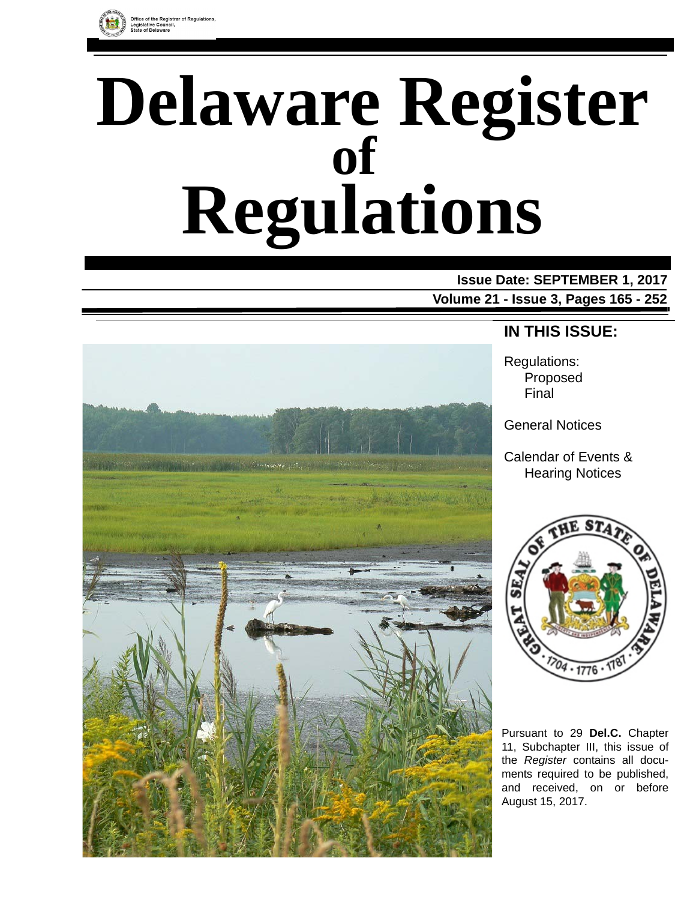

# **Delaware Register Regulations of**

# **Issue Date: SEPTEMBER 1, 2017**

**Volume 21 - Issue 3, Pages 165 - 252**



# **IN THIS ISSUE:**

Regulations: Proposed Final

General Notices

Calendar of Events & Hearing Notices



Pursuant to 29 **Del.C.** Chapter 11, Subchapter III, this issue of the *Register* contains all documents required to be published, and received, on or before August 15, 2017.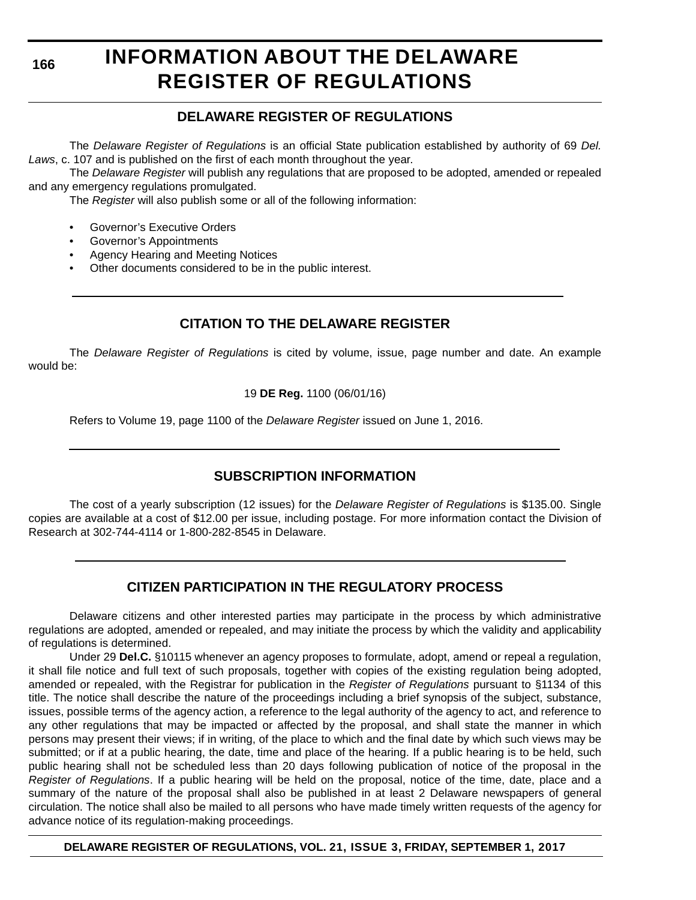**166**

# **INFORMATION ABOUT THE DELAWARE REGISTER OF REGULATIONS**

# **DELAWARE REGISTER OF REGULATIONS**

The *Delaware Register of Regulations* is an official State publication established by authority of 69 *Del. Laws*, c. 107 and is published on the first of each month throughout the year.

The *Delaware Register* will publish any regulations that are proposed to be adopted, amended or repealed and any emergency regulations promulgated.

The *Register* will also publish some or all of the following information:

- Governor's Executive Orders
- Governor's Appointments
- Agency Hearing and Meeting Notices
- Other documents considered to be in the public interest.

# **CITATION TO THE DELAWARE REGISTER**

The *Delaware Register of Regulations* is cited by volume, issue, page number and date. An example would be:

19 **DE Reg.** 1100 (06/01/16)

Refers to Volume 19, page 1100 of the *Delaware Register* issued on June 1, 2016.

# **SUBSCRIPTION INFORMATION**

The cost of a yearly subscription (12 issues) for the *Delaware Register of Regulations* is \$135.00. Single copies are available at a cost of \$12.00 per issue, including postage. For more information contact the Division of Research at 302-744-4114 or 1-800-282-8545 in Delaware.

# **CITIZEN PARTICIPATION IN THE REGULATORY PROCESS**

Delaware citizens and other interested parties may participate in the process by which administrative regulations are adopted, amended or repealed, and may initiate the process by which the validity and applicability of regulations is determined.

Under 29 **Del.C.** §10115 whenever an agency proposes to formulate, adopt, amend or repeal a regulation, it shall file notice and full text of such proposals, together with copies of the existing regulation being adopted, amended or repealed, with the Registrar for publication in the *Register of Regulations* pursuant to §1134 of this title. The notice shall describe the nature of the proceedings including a brief synopsis of the subject, substance, issues, possible terms of the agency action, a reference to the legal authority of the agency to act, and reference to any other regulations that may be impacted or affected by the proposal, and shall state the manner in which persons may present their views; if in writing, of the place to which and the final date by which such views may be submitted; or if at a public hearing, the date, time and place of the hearing. If a public hearing is to be held, such public hearing shall not be scheduled less than 20 days following publication of notice of the proposal in the *Register of Regulations*. If a public hearing will be held on the proposal, notice of the time, date, place and a summary of the nature of the proposal shall also be published in at least 2 Delaware newspapers of general circulation. The notice shall also be mailed to all persons who have made timely written requests of the agency for advance notice of its regulation-making proceedings.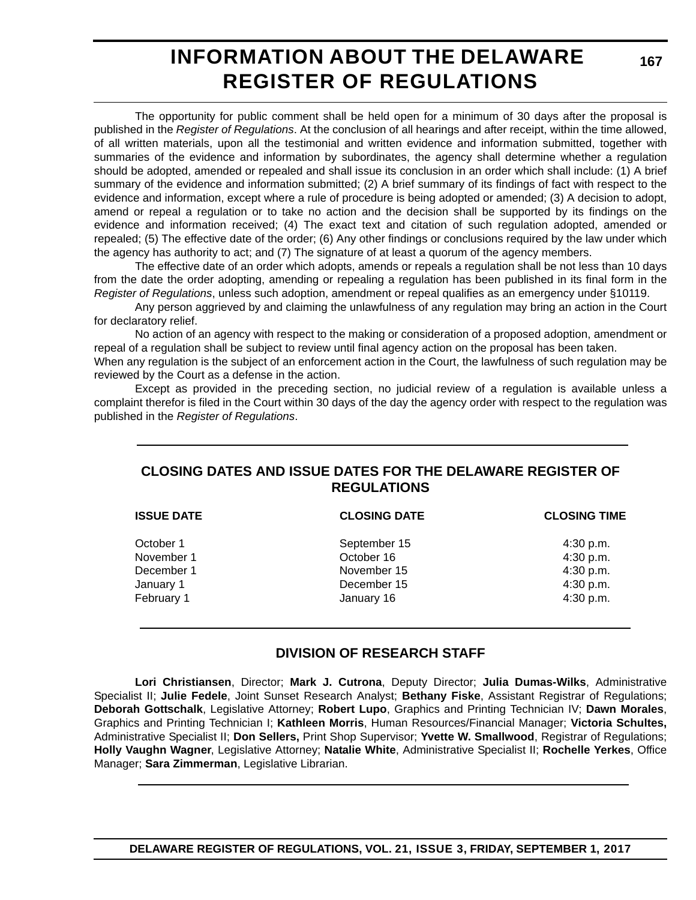# **INFORMATION ABOUT THE DELAWARE REGISTER OF REGULATIONS**

The opportunity for public comment shall be held open for a minimum of 30 days after the proposal is published in the *Register of Regulations*. At the conclusion of all hearings and after receipt, within the time allowed, of all written materials, upon all the testimonial and written evidence and information submitted, together with summaries of the evidence and information by subordinates, the agency shall determine whether a regulation should be adopted, amended or repealed and shall issue its conclusion in an order which shall include: (1) A brief summary of the evidence and information submitted; (2) A brief summary of its findings of fact with respect to the evidence and information, except where a rule of procedure is being adopted or amended; (3) A decision to adopt, amend or repeal a regulation or to take no action and the decision shall be supported by its findings on the evidence and information received; (4) The exact text and citation of such regulation adopted, amended or repealed; (5) The effective date of the order; (6) Any other findings or conclusions required by the law under which the agency has authority to act; and (7) The signature of at least a quorum of the agency members.

The effective date of an order which adopts, amends or repeals a regulation shall be not less than 10 days from the date the order adopting, amending or repealing a regulation has been published in its final form in the *Register of Regulations*, unless such adoption, amendment or repeal qualifies as an emergency under §10119.

Any person aggrieved by and claiming the unlawfulness of any regulation may bring an action in the Court for declaratory relief.

No action of an agency with respect to the making or consideration of a proposed adoption, amendment or repeal of a regulation shall be subject to review until final agency action on the proposal has been taken.

When any regulation is the subject of an enforcement action in the Court, the lawfulness of such regulation may be reviewed by the Court as a defense in the action.

Except as provided in the preceding section, no judicial review of a regulation is available unless a complaint therefor is filed in the Court within 30 days of the day the agency order with respect to the regulation was published in the *Register of Regulations*.

# **CLOSING DATES AND ISSUE DATES FOR THE DELAWARE REGISTER OF REGULATIONS**

| <b>ISSUE DATE</b> | <b>CLOSING DATE</b> | <b>CLOSING TIME</b> |
|-------------------|---------------------|---------------------|
| October 1         | September 15        | 4:30 p.m.           |
| November 1        | October 16          | 4:30 p.m.           |
| December 1        | November 15         | 4:30 p.m.           |
| January 1         | December 15         | 4:30 p.m.           |
| February 1        | January 16          | 4:30 p.m.           |
|                   |                     |                     |

### **DIVISION OF RESEARCH STAFF**

**Lori Christiansen**, Director; **Mark J. Cutrona**, Deputy Director; **Julia Dumas-Wilks**, Administrative Specialist II; **Julie Fedele**, Joint Sunset Research Analyst; **Bethany Fiske**, Assistant Registrar of Regulations; **Deborah Gottschalk**, Legislative Attorney; **Robert Lupo**, Graphics and Printing Technician IV; **Dawn Morales**, Graphics and Printing Technician I; **Kathleen Morris**, Human Resources/Financial Manager; **Victoria Schultes,** Administrative Specialist II; **Don Sellers,** Print Shop Supervisor; **Yvette W. Smallwood**, Registrar of Regulations; **Holly Vaughn Wagner**, Legislative Attorney; **Natalie White**, Administrative Specialist II; **Rochelle Yerkes**, Office Manager; **Sara Zimmerman**, Legislative Librarian.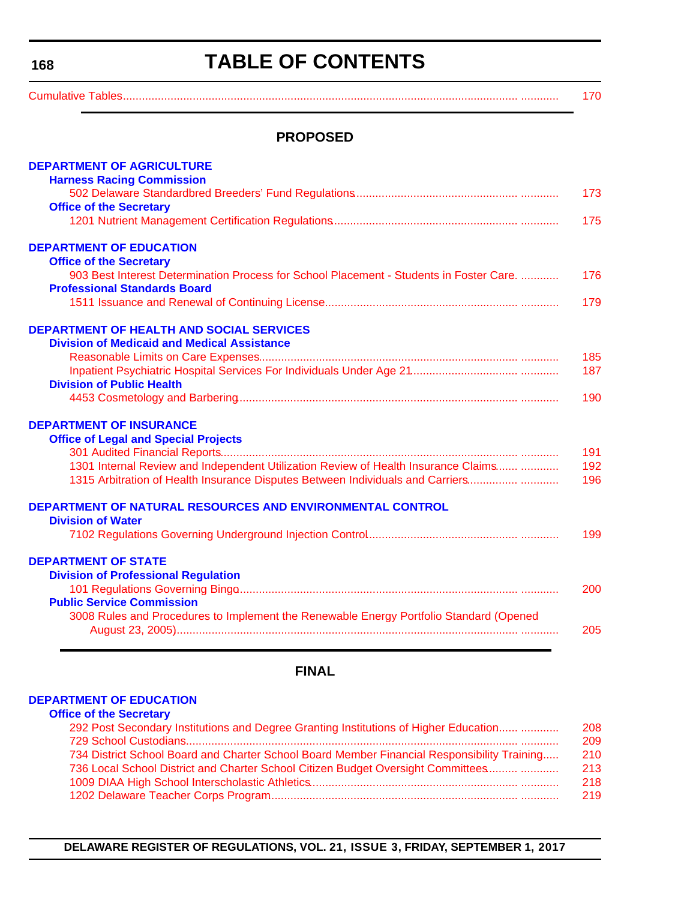<span id="page-3-0"></span>**168**

# **TABLE OF CONTENTS**

[Cumulative Tables............................................................................................................................. ............ 170](#page-5-0)

# **PROPOSED**

| <b>DEPARTMENT OF AGRICULTURE</b>                                                        |     |
|-----------------------------------------------------------------------------------------|-----|
| <b>Harness Racing Commission</b>                                                        |     |
|                                                                                         | 173 |
| <b>Office of the Secretary</b>                                                          |     |
|                                                                                         | 175 |
| <b>DEPARTMENT OF EDUCATION</b>                                                          |     |
| <b>Office of the Secretary</b>                                                          |     |
| 903 Best Interest Determination Process for School Placement - Students in Foster Care. | 176 |
| <b>Professional Standards Board</b>                                                     |     |
|                                                                                         | 179 |
| DEPARTMENT OF HEALTH AND SOCIAL SERVICES                                                |     |
| <b>Division of Medicaid and Medical Assistance</b>                                      |     |
|                                                                                         | 185 |
|                                                                                         | 187 |
| <b>Division of Public Health</b>                                                        |     |
|                                                                                         | 190 |
| <b>DEPARTMENT OF INSURANCE</b>                                                          |     |
| <b>Office of Legal and Special Projects</b>                                             |     |
|                                                                                         | 191 |
| 1301 Internal Review and Independent Utilization Review of Health Insurance Claims      | 192 |
| 1315 Arbitration of Health Insurance Disputes Between Individuals and Carriers          | 196 |
| DEPARTMENT OF NATURAL RESOURCES AND ENVIRONMENTAL CONTROL                               |     |
| <b>Division of Water</b>                                                                |     |
|                                                                                         | 199 |
| <b>DEPARTMENT OF STATE</b>                                                              |     |
| <b>Division of Professional Regulation</b>                                              |     |
|                                                                                         | 200 |
| <b>Public Service Commission</b>                                                        |     |
| 3008 Rules and Procedures to Implement the Renewable Energy Portfolio Standard (Opened  |     |
|                                                                                         | 205 |
|                                                                                         |     |

# **FINAL**

#### **[DEPARTMENT OF EDUCATION](https://www.doe.k12.de.us/)**

#### **[Office of the Secretary](https://pubapps.doe.k12.de.us/EducationalDirectoryPublic/pages/DDOE/Branches.aspx?page=branches&BID=1)**

| 292 Post Secondary Institutions and Degree Granting Institutions of Higher Education        | 208 |
|---------------------------------------------------------------------------------------------|-----|
|                                                                                             | 209 |
| 734 District School Board and Charter School Board Member Financial Responsibility Training | 210 |
| 736 Local School District and Charter School Citizen Budget Oversight Committees            | 213 |
|                                                                                             | 218 |
|                                                                                             | 219 |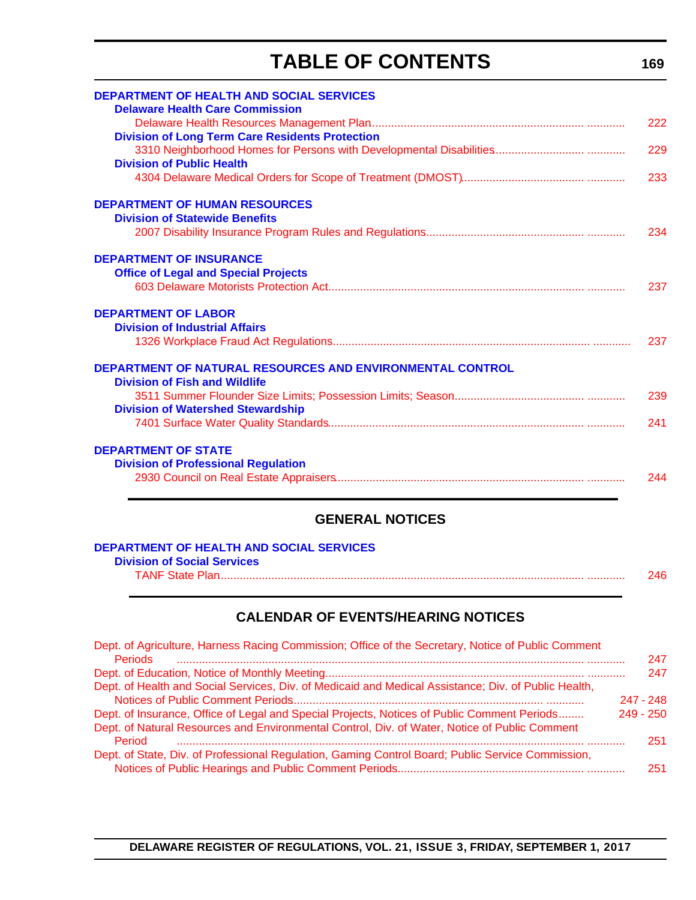# **TABLE OF CONTENTS**

| <b>DEPARTMENT OF HEALTH AND SOCIAL SERVICES</b><br><b>Delaware Health Care Commission</b> |     |
|-------------------------------------------------------------------------------------------|-----|
|                                                                                           | 222 |
|                                                                                           |     |
| <b>Division of Long Term Care Residents Protection</b>                                    |     |
|                                                                                           | 229 |
| <b>Division of Public Health</b>                                                          |     |
|                                                                                           | 233 |
| <b>DEPARTMENT OF HUMAN RESOURCES</b>                                                      |     |
| <b>Division of Statewide Benefits</b>                                                     |     |
|                                                                                           | 234 |
| <b>DEPARTMENT OF INSURANCE</b>                                                            |     |
| <b>Office of Legal and Special Projects</b>                                               |     |
|                                                                                           | 237 |
| <b>DEPARTMENT OF LABOR</b>                                                                |     |
| <b>Division of Industrial Affairs</b>                                                     |     |
|                                                                                           | 237 |
| DEPARTMENT OF NATURAL RESOURCES AND ENVIRONMENTAL CONTROL                                 |     |
| <b>Division of Fish and Wildlife</b>                                                      |     |
|                                                                                           | 239 |
| <b>Division of Watershed Stewardship</b>                                                  |     |
|                                                                                           | 241 |
|                                                                                           |     |
| <b>DEPARTMENT OF STATE</b>                                                                |     |
| <b>Division of Professional Regulation</b>                                                |     |
|                                                                                           | 244 |

# **GENERAL NOTICES**

| <b>DEPARTMENT OF HEALTH AND SOCIAL SERVICES</b> |     |
|-------------------------------------------------|-----|
| <b>Division of Social Services</b>              |     |
| <b>TANF State Plan</b>                          | 246 |

# **CALENDAR OF EVENTS/HEARING NOTICES**

| Dept. of Agriculture, Harness Racing Commission; Office of the Secretary, Notice of Public Comment   |             |     |
|------------------------------------------------------------------------------------------------------|-------------|-----|
| <b>Periods</b>                                                                                       |             | 247 |
|                                                                                                      |             | 247 |
| Dept. of Health and Social Services, Div. of Medicaid and Medical Assistance; Div. of Public Health, |             |     |
|                                                                                                      | $247 - 248$ |     |
| Dept. of Insurance, Office of Legal and Special Projects, Notices of Public Comment Periods          | $249 - 250$ |     |
| Dept. of Natural Resources and Environmental Control, Div. of Water, Notice of Public Comment        |             |     |
| Period                                                                                               |             | 251 |
| Dept. of State, Div. of Professional Regulation, Gaming Control Board; Public Service Commission,    |             |     |
|                                                                                                      |             | 251 |
|                                                                                                      |             |     |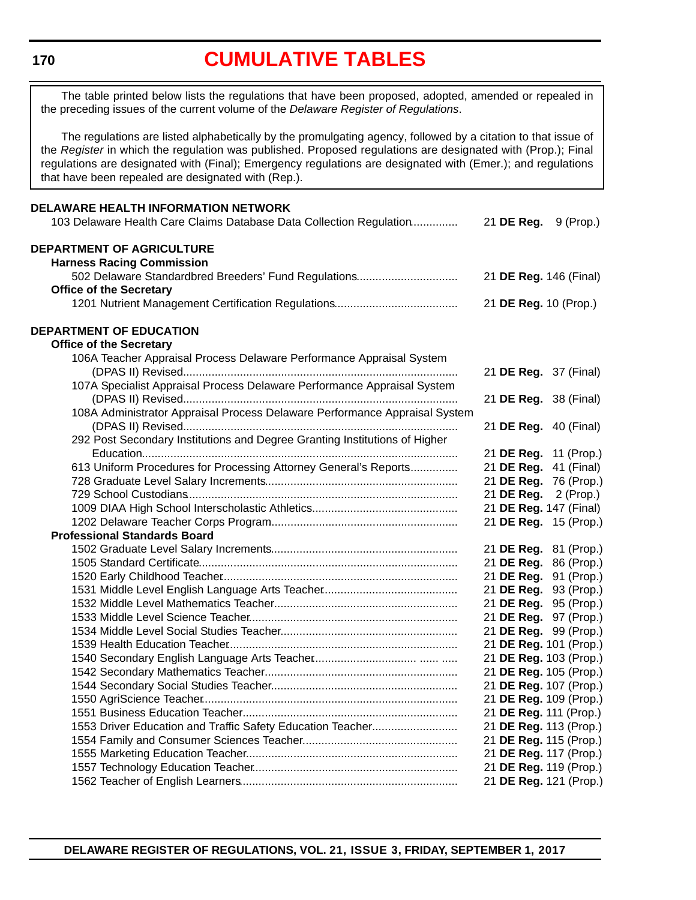# **[CUMULATIVE TABLES](#page-3-0)**

<span id="page-5-0"></span>The table printed below lists the regulations that have been proposed, adopted, amended or repealed in the preceding issues of the current volume of the *Delaware Register of Regulations*.

The regulations are listed alphabetically by the promulgating agency, followed by a citation to that issue of the *Register* in which the regulation was published. Proposed regulations are designated with (Prop.); Final regulations are designated with (Final); Emergency regulations are designated with (Emer.); and regulations that have been repealed are designated with (Rep.).

| DELAWARE HEALTH INFORMATION NETWORK                                                      |            |                        |  |
|------------------------------------------------------------------------------------------|------------|------------------------|--|
| 103 Delaware Health Care Claims Database Data Collection Regulation                      | 21 DE Reg. | 9 (Prop.)              |  |
| <b>DEPARTMENT OF AGRICULTURE</b>                                                         |            |                        |  |
|                                                                                          |            |                        |  |
| <b>Harness Racing Commission</b><br>502 Delaware Standardbred Breeders' Fund Regulations |            | 21 DE Reg. 146 (Final) |  |
| <b>Office of the Secretary</b>                                                           |            |                        |  |
|                                                                                          |            | 21 DE Reg. 10 (Prop.)  |  |
|                                                                                          |            |                        |  |
| DEPARTMENT OF EDUCATION                                                                  |            |                        |  |
| <b>Office of the Secretary</b>                                                           |            |                        |  |
| 106A Teacher Appraisal Process Delaware Performance Appraisal System                     |            |                        |  |
|                                                                                          |            | 21 DE Reg. 37 (Final)  |  |
| 107A Specialist Appraisal Process Delaware Performance Appraisal System                  |            |                        |  |
|                                                                                          |            | 21 DE Reg. 38 (Final)  |  |
| 108A Administrator Appraisal Process Delaware Performance Appraisal System               |            |                        |  |
|                                                                                          |            | 21 DE Reg. 40 (Final)  |  |
| 292 Post Secondary Institutions and Degree Granting Institutions of Higher               |            |                        |  |
|                                                                                          |            | 21 DE Reg. 11 (Prop.)  |  |
| 613 Uniform Procedures for Processing Attorney General's Reports                         |            | 21 DE Reg. 41 (Final)  |  |
|                                                                                          |            | 21 DE Reg. 76 (Prop.)  |  |
|                                                                                          |            | 21 DE Reg. 2 (Prop.)   |  |
|                                                                                          |            | 21 DE Reg. 147 (Final) |  |
|                                                                                          |            | 21 DE Reg. 15 (Prop.)  |  |
| <b>Professional Standards Board</b>                                                      |            |                        |  |
|                                                                                          |            | 21 DE Reg. 81 (Prop.)  |  |
|                                                                                          |            | 21 DE Reg. 86 (Prop.)  |  |
|                                                                                          |            | 21 DE Reg. 91 (Prop.)  |  |
|                                                                                          |            | 21 DE Reg. 93 (Prop.)  |  |
|                                                                                          |            | 21 DE Reg. 95 (Prop.)  |  |
|                                                                                          |            | 21 DE Reg. 97 (Prop.)  |  |
|                                                                                          |            | 21 DE Reg. 99 (Prop.)  |  |
|                                                                                          |            | 21 DE Reg. 101 (Prop.) |  |
|                                                                                          |            | 21 DE Reg. 103 (Prop.) |  |
|                                                                                          |            | 21 DE Reg. 105 (Prop.) |  |
|                                                                                          |            | 21 DE Reg. 107 (Prop.) |  |
|                                                                                          |            | 21 DE Reg. 109 (Prop.) |  |
|                                                                                          |            | 21 DE Reg. 111 (Prop.) |  |
| 1553 Driver Education and Traffic Safety Education Teacher                               |            | 21 DE Reg. 113 (Prop.) |  |
|                                                                                          |            | 21 DE Reg. 115 (Prop.) |  |
|                                                                                          |            | 21 DE Reg. 117 (Prop.) |  |
|                                                                                          |            | 21 DE Reg. 119 (Prop.) |  |
|                                                                                          |            | 21 DE Reg. 121 (Prop.) |  |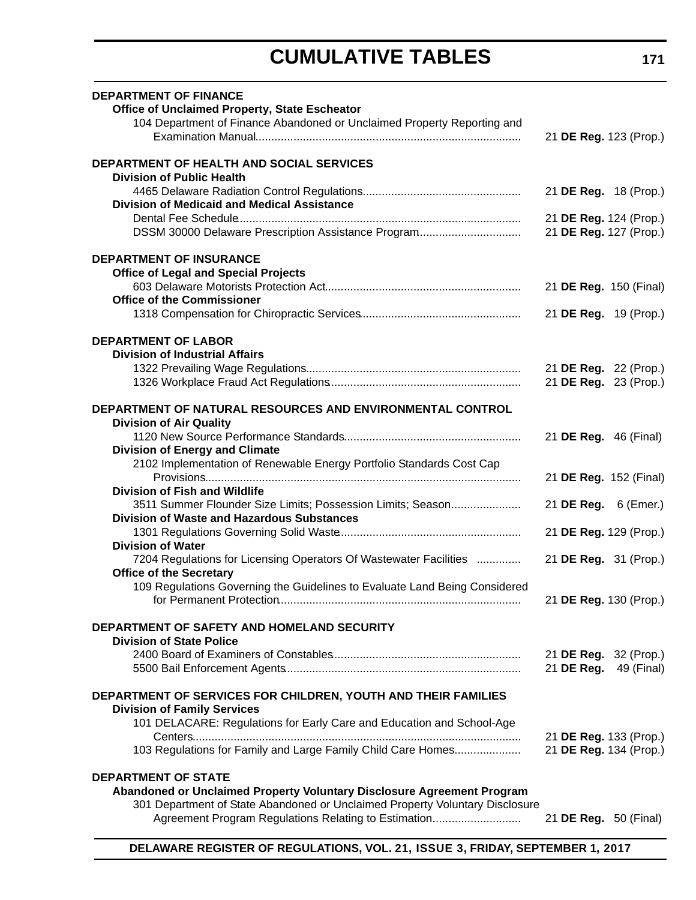# **CUMULATIVE TABLES**

| <b>DEPARTMENT OF FINANCE</b><br><b>Office of Unclaimed Property, State Escheator</b><br>104 Department of Finance Abandoned or Unclaimed Property Reporting and |                                                  |
|-----------------------------------------------------------------------------------------------------------------------------------------------------------------|--------------------------------------------------|
|                                                                                                                                                                 | 21 DE Reg. 123 (Prop.)                           |
| <b>DEPARTMENT OF HEALTH AND SOCIAL SERVICES</b><br><b>Division of Public Health</b>                                                                             |                                                  |
| <b>Division of Medicaid and Medical Assistance</b>                                                                                                              | 21 DE Reg. 18 (Prop.)                            |
| DSSM 30000 Delaware Prescription Assistance Program                                                                                                             | 21 DE Reg. 124 (Prop.)<br>21 DE Reg. 127 (Prop.) |
| <b>DEPARTMENT OF INSURANCE</b>                                                                                                                                  |                                                  |
| <b>Office of Legal and Special Projects</b>                                                                                                                     | 21 DE Reg. 150 (Final)                           |
| <b>Office of the Commissioner</b>                                                                                                                               | 21 DE Reg. 19 (Prop.)                            |
| <b>DEPARTMENT OF LABOR</b>                                                                                                                                      |                                                  |
| <b>Division of Industrial Affairs</b>                                                                                                                           | 21 DE Reg. 22 (Prop.)                            |
|                                                                                                                                                                 | 21 DE Reg. 23 (Prop.)                            |
| DEPARTMENT OF NATURAL RESOURCES AND ENVIRONMENTAL CONTROL<br><b>Division of Air Quality</b>                                                                     |                                                  |
|                                                                                                                                                                 | 21 DE Reg. 46 (Final)                            |
| <b>Division of Energy and Climate</b><br>2102 Implementation of Renewable Energy Portfolio Standards Cost Cap                                                   |                                                  |
| <b>Division of Fish and Wildlife</b>                                                                                                                            | 21 DE Reg. 152 (Final)                           |
| 3511 Summer Flounder Size Limits; Possession Limits; Season                                                                                                     | 21 DE Reg. 6 (Emer.)                             |
| <b>Division of Waste and Hazardous Substances</b>                                                                                                               |                                                  |
| <b>Division of Water</b>                                                                                                                                        | 21 DE Reg. 129 (Prop.)                           |
| 7204 Regulations for Licensing Operators Of Wastewater Facilities<br><b>Office of the Secretary</b>                                                             | 21 DE Reg. 31 (Prop.)                            |
| 109 Regulations Governing the Guidelines to Evaluate Land Being Considered                                                                                      | 21 DE Reg. 130 (Prop.)                           |
| DEPARTMENT OF SAFETY AND HOMELAND SECURITY                                                                                                                      |                                                  |
| <b>Division of State Police</b>                                                                                                                                 |                                                  |
|                                                                                                                                                                 | 21 DE Reg. 32 (Prop.)<br>21 DE Reg. 49 (Final)   |
| DEPARTMENT OF SERVICES FOR CHILDREN, YOUTH AND THEIR FAMILIES                                                                                                   |                                                  |
| <b>Division of Family Services</b><br>101 DELACARE: Regulations for Early Care and Education and School-Age                                                     |                                                  |
|                                                                                                                                                                 | 21 DE Reg. 133 (Prop.)                           |
| 103 Regulations for Family and Large Family Child Care Homes                                                                                                    | 21 DE Reg. 134 (Prop.)                           |
| <b>DEPARTMENT OF STATE</b><br>Abandoned or Unclaimed Property Voluntary Disclosure Agreement Program                                                            |                                                  |
| 301 Department of State Abandoned or Unclaimed Property Voluntary Disclosure<br>Agreement Program Regulations Relating to Estimation                            | 21 <b>DE Reg.</b> 50 (Final)                     |
|                                                                                                                                                                 |                                                  |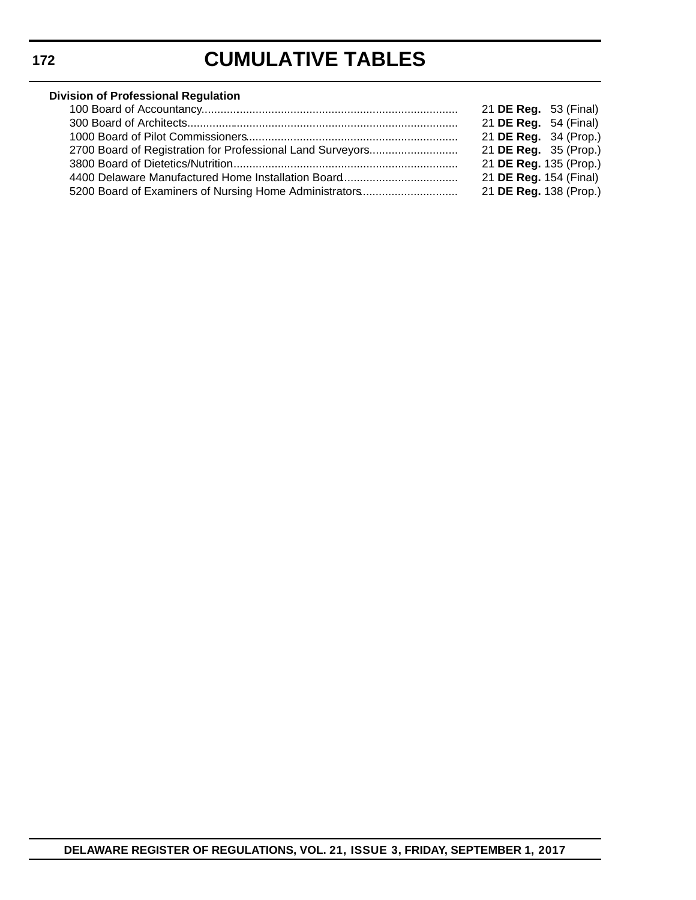# **CUMULATIVE TABLES**

# **Division of Professional Regulation**

|                                                            | 21 <b>DE Reg.</b> 53 (Final) |  |
|------------------------------------------------------------|------------------------------|--|
|                                                            | 21 DE Reg. 54 (Final)        |  |
|                                                            | 21 DE Reg. 34 (Prop.)        |  |
| 2700 Board of Registration for Professional Land Surveyors | 21 DE Reg. 35 (Prop.)        |  |
|                                                            | 21 DE Reg. 135 (Prop.)       |  |
|                                                            | 21 DE Reg. 154 (Final)       |  |
| 5200 Board of Examiners of Nursing Home Administrators     | 21 DE Reg. 138 (Prop.)       |  |
|                                                            |                              |  |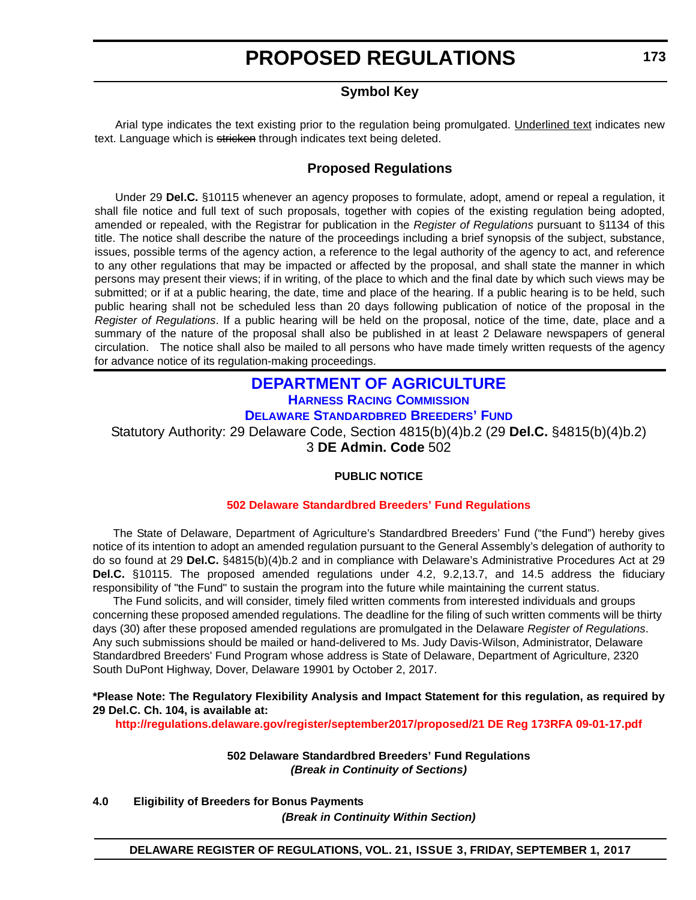# **Symbol Key**

<span id="page-8-0"></span>Arial type indicates the text existing prior to the regulation being promulgated. Underlined text indicates new text. Language which is stricken through indicates text being deleted.

### **Proposed Regulations**

Under 29 **Del.C.** §10115 whenever an agency proposes to formulate, adopt, amend or repeal a regulation, it shall file notice and full text of such proposals, together with copies of the existing regulation being adopted, amended or repealed, with the Registrar for publication in the *Register of Regulations* pursuant to §1134 of this title. The notice shall describe the nature of the proceedings including a brief synopsis of the subject, substance, issues, possible terms of the agency action, a reference to the legal authority of the agency to act, and reference to any other regulations that may be impacted or affected by the proposal, and shall state the manner in which persons may present their views; if in writing, of the place to which and the final date by which such views may be submitted; or if at a public hearing, the date, time and place of the hearing. If a public hearing is to be held, such public hearing shall not be scheduled less than 20 days following publication of notice of the proposal in the *Register of Regulations*. If a public hearing will be held on the proposal, notice of the time, date, place and a summary of the nature of the proposal shall also be published in at least 2 Delaware newspapers of general circulation. The notice shall also be mailed to all persons who have made timely written requests of the agency for advance notice of its regulation-making proceedings.

# **[DEPARTMENT OF AGRICULTURE](http://dda.delaware.gov/) [HARNESS RACING COMMISSION](http://dda.delaware.gov/harness/index.shtml)**

**[DELAWARE STANDARDBRED BREEDERS' FUND](http://desbf.delaware.gov/)**

Statutory Authority: 29 Delaware Code, Section 4815(b)(4)b.2 (29 **Del.C.** §4815(b)(4)b.2) 3 **DE Admin. Code** 502

### **PUBLIC NOTICE**

#### **502 Delaware [Standardbred Breeders' Fund Regulations](#page-3-0)**

The State of Delaware, Department of Agriculture's Standardbred Breeders' Fund ("the Fund") hereby gives notice of its intention to adopt an amended regulation pursuant to the General Assembly's delegation of authority to do so found at 29 **Del.C.** §4815(b)(4)b.2 and in compliance with Delaware's Administrative Procedures Act at 29 **Del.C.** §10115. The proposed amended regulations under 4.2, 9.2,13.7, and 14.5 address the fiduciary responsibility of "the Fund" to sustain the program into the future while maintaining the current status.

The Fund solicits, and will consider, timely filed written comments from interested individuals and groups concerning these proposed amended regulations. The deadline for the filing of such written comments will be thirty days (30) after these proposed amended regulations are promulgated in the Delaware *Register of Regulations*. Any such submissions should be mailed or hand-delivered to Ms. Judy Davis-Wilson, Administrator, Delaware Standardbred Breeders' Fund Program whose address is State of Delaware, Department of Agriculture, 2320 South DuPont Highway, Dover, Delaware 19901 by October 2, 2017.

#### **\*Please Note: The Regulatory Flexibility Analysis and Impact Statement for this regulation, as required by 29 Del.C. Ch. 104, is available at:**

**<http://regulations.delaware.gov/register/september2017/proposed/21 DE Reg 173RFA 09-01-17.pdf>**

**502 Delaware Standardbred Breeders' Fund Regulations** *(Break in Continuity of Sections)*

**4.0 Eligibility of Breeders for Bonus Payments**

*(Break in Continuity Within Section)*

### **DELAWARE REGISTER OF REGULATIONS, VOL. 21, ISSUE 3, FRIDAY, SEPTEMBER 1, 2017**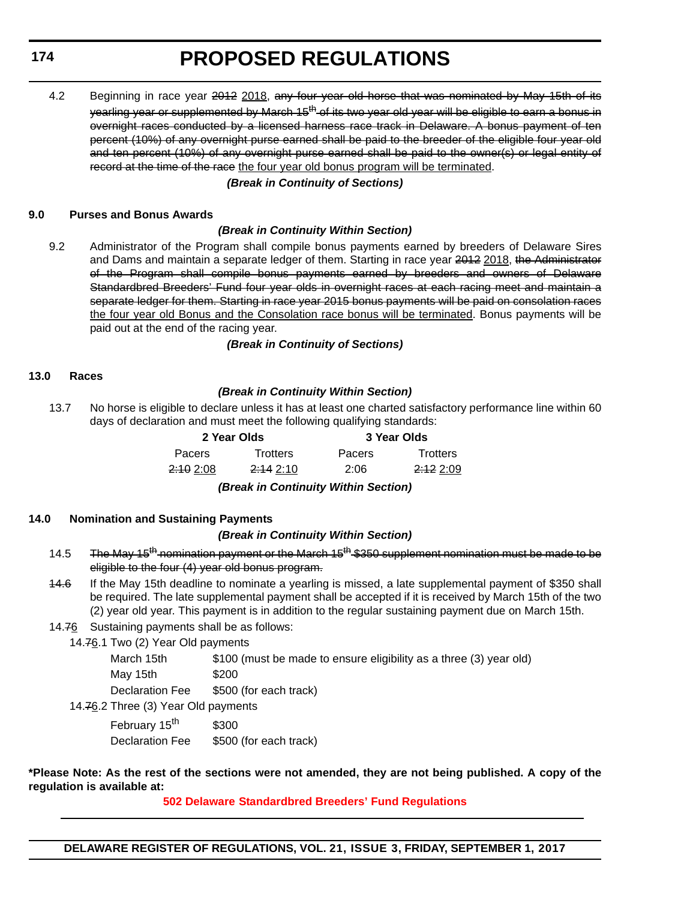#### **174**

# **PROPOSED REGULATIONS**

4.2 Beginning in race year 2012 2018, any four year old horse that was nominated by May 15th of its yearling year or supplemented by March 15<sup>th</sup> of its two year old year will be eligible to earn a bonus in overnight races conducted by a licensed harness race track in Delaware. A bonus payment of ten percent (10%) of any overnight purse earned shall be paid to the breeder of the eligible four year old and ten percent (10%) of any overnight purse earned shall be paid to the owner(s) or legal entity of record at the time of the race the four year old bonus program will be terminated.

#### *(Break in Continuity of Sections)*

#### **9.0 Purses and Bonus Awards**

#### *(Break in Continuity Within Section)*

9.2 Administrator of the Program shall compile bonus payments earned by breeders of Delaware Sires and Dams and maintain a separate ledger of them. Starting in race year 2012 2018, the Administrator of the Program shall compile bonus payments earned by breeders and owners of Delaware Standardbred Breeders' Fund four year olds in overnight races at each racing meet and maintain a separate ledger for them. Starting in race year 2015 bonus payments will be paid on consolation races the four year old Bonus and the Consolation race bonus will be terminated. Bonus payments will be paid out at the end of the racing year.

*(Break in Continuity of Sections)*

#### **13.0 Races**

#### *(Break in Continuity Within Section)*

13.7 No horse is eligible to declare unless it has at least one charted satisfactory performance line within 60 days of declaration and must meet the following qualifying standards:

| 2 Year Olds          |                      |        | 3 Year Olds          |  |  |
|----------------------|----------------------|--------|----------------------|--|--|
| <b>Pacers</b>        | <b>Trotters</b>      | Pacers | <b>Trotters</b>      |  |  |
| <del>2:10</del> 2:08 | <del>2:14</del> 2:10 | 2:06   | <del>2:12</del> 2:09 |  |  |
|                      |                      | .      |                      |  |  |

*(Break in Continuity Within Section)*

#### **14.0 Nomination and Sustaining Payments**

#### *(Break in Continuity Within Section)*

- 14.5 The May 15<sup>th</sup> nomination payment or the March 15<sup>th</sup> \$350 supplement nomination must be made to be eligible to the four (4) year old bonus program.
- 14.6 If the May 15th deadline to nominate a yearling is missed, a late supplemental payment of \$350 shall be required. The late supplemental payment shall be accepted if it is received by March 15th of the two (2) year old year. This payment is in addition to the regular sustaining payment due on March 15th.
- 14.76 Sustaining payments shall be as follows:
	- 14.76.1 Two (2) Year Old payments

| March 15th                     | \$100 (must be made to ensure eligibility as a three (3) year old) |  |
|--------------------------------|--------------------------------------------------------------------|--|
| Mav 15th                       | \$200                                                              |  |
| Declaration Fee                | \$500 (for each track)                                             |  |
| rhraa (?) Yaar Old naymante) ( |                                                                    |  |

14.76.2 Three (3) Year Old payments

| February 15 <sup>th</sup> | \$300                  |
|---------------------------|------------------------|
| <b>Declaration Fee</b>    | \$500 (for each track) |

#### **\*Please Note: As the rest of the sections were not amended, they are not being published. A copy of the regulation is available at:**

**502 Delaware [Standardbred Breeders' Fund Regulations](http://regulations.delaware.gov/register/september2017/proposed/21 DE Reg 173 09-01-17.htm)**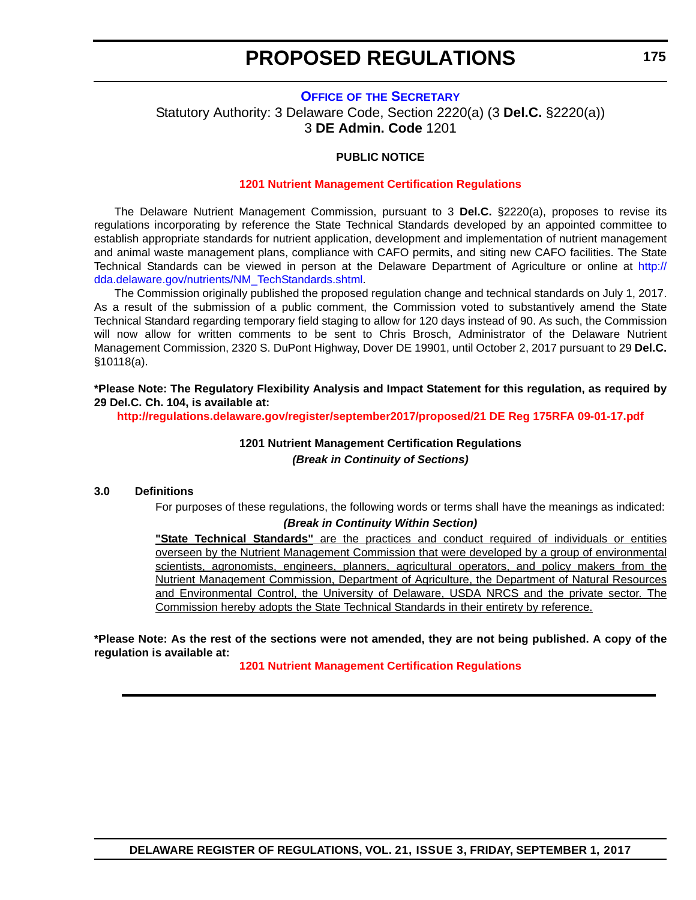#### <span id="page-10-0"></span>**OFFICE OF [THE SECRETARY](http://dda.delaware.gov/nutrients/index.shtml)** Statutory Authority: 3 Delaware Code, Section 2220(a) (3 **Del.C.** §2220(a)) 3 **DE Admin. Code** 1201

#### **PUBLIC NOTICE**

#### **[1201 Nutrient Management Certification Regulations](#page-3-0)**

The Delaware Nutrient Management Commission, pursuant to 3 **Del.C.** §2220(a), proposes to revise its regulations incorporating by reference the State Technical Standards developed by an appointed committee to establish appropriate standards for nutrient application, development and implementation of nutrient management and animal waste management plans, compliance with CAFO permits, and siting new CAFO facilities. The State Technical Standards can be viewed in person at the Delaware Department of Agriculture or online at [http://](http://dda.delaware.gov/nutrients/NM_TechStandards.shtml) [dda.delaware.gov/nutrients/NM\\_TechStandards.shtml](http://dda.delaware.gov/nutrients/NM_TechStandards.shtml).

The Commission originally published the proposed regulation change and technical standards on July 1, 2017. As a result of the submission of a public comment, the Commission voted to substantively amend the State Technical Standard regarding temporary field staging to allow for 120 days instead of 90. As such, the Commission will now allow for written comments to be sent to Chris Brosch, Administrator of the Delaware Nutrient Management Commission, 2320 S. DuPont Highway, Dover DE 19901, until October 2, 2017 pursuant to 29 **Del.C.** §10118(a).

**\*Please Note: The Regulatory Flexibility Analysis and Impact Statement for this regulation, as required by 29 Del.C. Ch. 104, is available at:**

**<http://regulations.delaware.gov/register/september2017/proposed/21 DE Reg 175RFA 09-01-17.pdf>**

### **1201 Nutrient Management Certification Regulations** *(Break in Continuity of Sections)*

#### **3.0 Definitions**

For purposes of these regulations, the following words or terms shall have the meanings as indicated: *(Break in Continuity Within Section)*

**"State Technical Standards"** are the practices and conduct required of individuals or entities overseen by the Nutrient Management Commission that were developed by a group of environmental scientists, agronomists, engineers, planners, agricultural operators, and policy makers from the Nutrient Management Commission, Department of Agriculture, the Department of Natural Resources and Environmental Control, the University of Delaware, USDA NRCS and the private sector. The Commission hereby adopts the State Technical Standards in their entirety by reference.

#### **\*Please Note: As the rest of the sections were not amended, they are not being published. A copy of the regulation is available at:**

**[1201 Nutrient Management Certification Regulations](http://regulations.delaware.gov/register/september2017/proposed/21 DE Reg 175 09-01-17.htm)**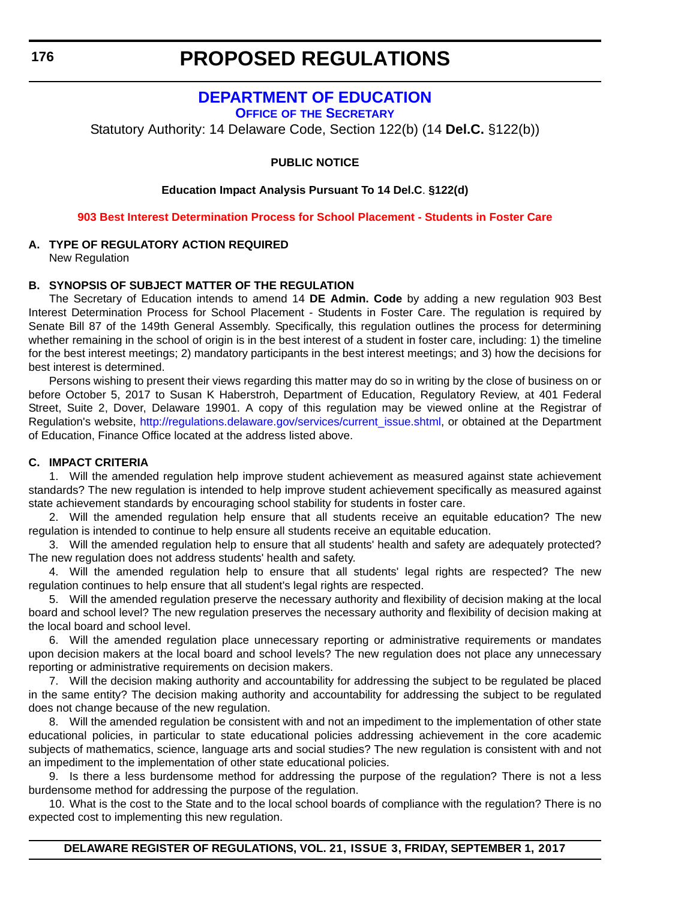# **[DEPARTMENT OF EDUCATION](https://www.doe.k12.de.us/)**

**OFFICE OF [THE SECRETARY](https://pubapps.doe.k12.de.us/EducationalDirectoryPublic/pages/DDOE/Branches.aspx?page=branches&BID=1)**

<span id="page-11-0"></span>Statutory Authority: 14 Delaware Code, Section 122(b) (14 **Del.C.** §122(b))

#### **PUBLIC NOTICE**

**Education Impact Analysis Pursuant To 14 Del.C**. **§122(d)**

**[903 Best Interest Determination Process for School Placement - Students in Foster Care](#page-3-0)**

#### **A. TYPE OF REGULATORY ACTION REQUIRED**

New Regulation

#### **B. SYNOPSIS OF SUBJECT MATTER OF THE REGULATION**

The Secretary of Education intends to amend 14 **DE Admin. Code** by adding a new regulation 903 Best Interest Determination Process for School Placement - Students in Foster Care. The regulation is required by Senate Bill 87 of the 149th General Assembly. Specifically, this regulation outlines the process for determining whether remaining in the school of origin is in the best interest of a student in foster care, including: 1) the timeline for the best interest meetings; 2) mandatory participants in the best interest meetings; and 3) how the decisions for best interest is determined.

Persons wishing to present their views regarding this matter may do so in writing by the close of business on or before October 5, 2017 to Susan K Haberstroh, Department of Education, Regulatory Review, at 401 Federal Street, Suite 2, Dover, Delaware 19901. A copy of this regulation may be viewed online at the Registrar of Regulation's website, [http://regulations.delaware.gov/services/current\\_issue.shtml](http://regulations.delaware.gov/services/current_issue.shtml), or obtained at the Department of Education, Finance Office located at the address listed above.

#### **C. IMPACT CRITERIA**

1. Will the amended regulation help improve student achievement as measured against state achievement standards? The new regulation is intended to help improve student achievement specifically as measured against state achievement standards by encouraging school stability for students in foster care.

2. Will the amended regulation help ensure that all students receive an equitable education? The new regulation is intended to continue to help ensure all students receive an equitable education.

3. Will the amended regulation help to ensure that all students' health and safety are adequately protected? The new regulation does not address students' health and safety.

4. Will the amended regulation help to ensure that all students' legal rights are respected? The new regulation continues to help ensure that all student's legal rights are respected.

5. Will the amended regulation preserve the necessary authority and flexibility of decision making at the local board and school level? The new regulation preserves the necessary authority and flexibility of decision making at the local board and school level.

6. Will the amended regulation place unnecessary reporting or administrative requirements or mandates upon decision makers at the local board and school levels? The new regulation does not place any unnecessary reporting or administrative requirements on decision makers.

7. Will the decision making authority and accountability for addressing the subject to be regulated be placed in the same entity? The decision making authority and accountability for addressing the subject to be regulated does not change because of the new regulation.

8. Will the amended regulation be consistent with and not an impediment to the implementation of other state educational policies, in particular to state educational policies addressing achievement in the core academic subjects of mathematics, science, language arts and social studies? The new regulation is consistent with and not an impediment to the implementation of other state educational policies.

9. Is there a less burdensome method for addressing the purpose of the regulation? There is not a less burdensome method for addressing the purpose of the regulation.

10. What is the cost to the State and to the local school boards of compliance with the regulation? There is no expected cost to implementing this new regulation.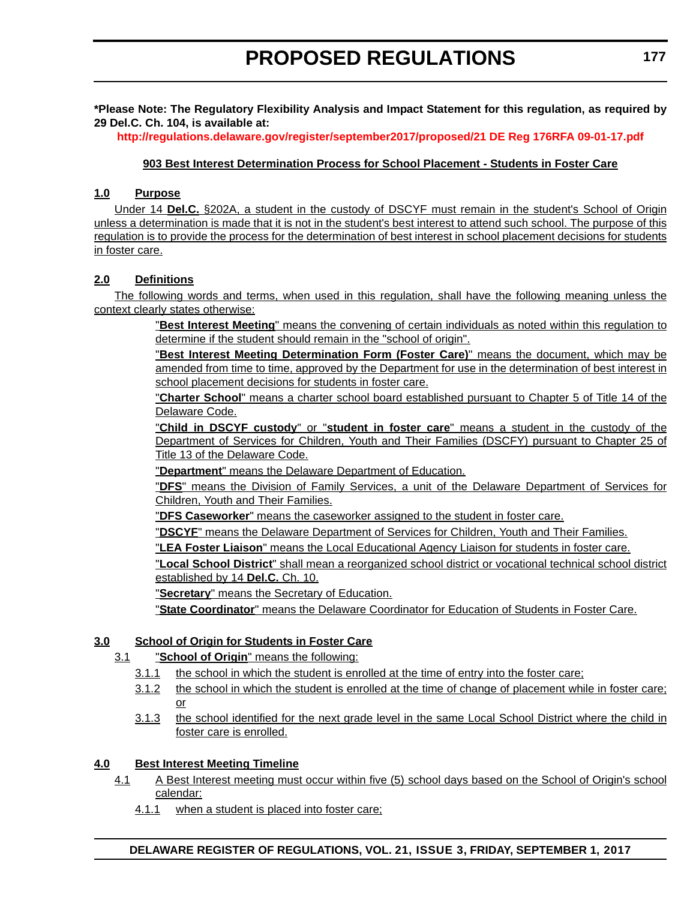**\*Please Note: The Regulatory Flexibility Analysis and Impact Statement for this regulation, as required by 29 Del.C. Ch. 104, is available at:**

**<http://regulations.delaware.gov/register/september2017/proposed/21 DE Reg 176RFA 09-01-17.pdf>**

#### **903 Best Interest Determination Process for School Placement - Students in Foster Care**

#### **1.0 Purpose**

Under 14 **Del.C.** §202A, a student in the custody of DSCYF must remain in the student's School of Origin unless a determination is made that it is not in the student's best interest to attend such school. The purpose of this regulation is to provide the process for the determination of best interest in school placement decisions for students in foster care.

#### **2.0 Definitions**

The following words and terms, when used in this regulation, shall have the following meaning unless the context clearly states otherwise:

> "**Best Interest Meeting**" means the convening of certain individuals as noted within this regulation to determine if the student should remain in the "school of origin".

> "**Best Interest Meeting Determination Form (Foster Care)**" means the document, which may be amended from time to time, approved by the Department for use in the determination of best interest in school placement decisions for students in foster care.

> "**Charter School**" means a charter school board established pursuant to Chapter 5 of Title 14 of the Delaware Code.

> "**Child in DSCYF custody**" or "**student in foster care**" means a student in the custody of the Department of Services for Children, Youth and Their Families (DSCFY) pursuant to Chapter 25 of Title 13 of the Delaware Code.

"**Department**" means the Delaware Department of Education.

"**DFS**" means the Division of Family Services, a unit of the Delaware Department of Services for Children, Youth and Their Families.

"**DFS Caseworker**" means the caseworker assigned to the student in foster care.

"**DSCYF**" means the Delaware Department of Services for Children, Youth and Their Families.

"**LEA Foster Liaison**" means the Local Educational Agency Liaison for students in foster care.

"**Local School District**" shall mean a reorganized school district or vocational technical school district established by 14 **Del.C.** Ch. 10.

"**Secretary**" means the Secretary of Education.

"**State Coordinator**" means the Delaware Coordinator for Education of Students in Foster Care.

#### **3.0 School of Origin for Students in Foster Care**

- 3.1 "**School of Origin**" means the following:
	- 3.1.1 the school in which the student is enrolled at the time of entry into the foster care;
	- 3.1.2 the school in which the student is enrolled at the time of change of placement while in foster care; or
	- 3.1.3 the school identified for the next grade level in the same Local School District where the child in foster care is enrolled.

#### **4.0 Best Interest Meeting Timeline**

- 4.1 A Best Interest meeting must occur within five (5) school days based on the School of Origin's school calendar:
	- 4.1.1 when a student is placed into foster care;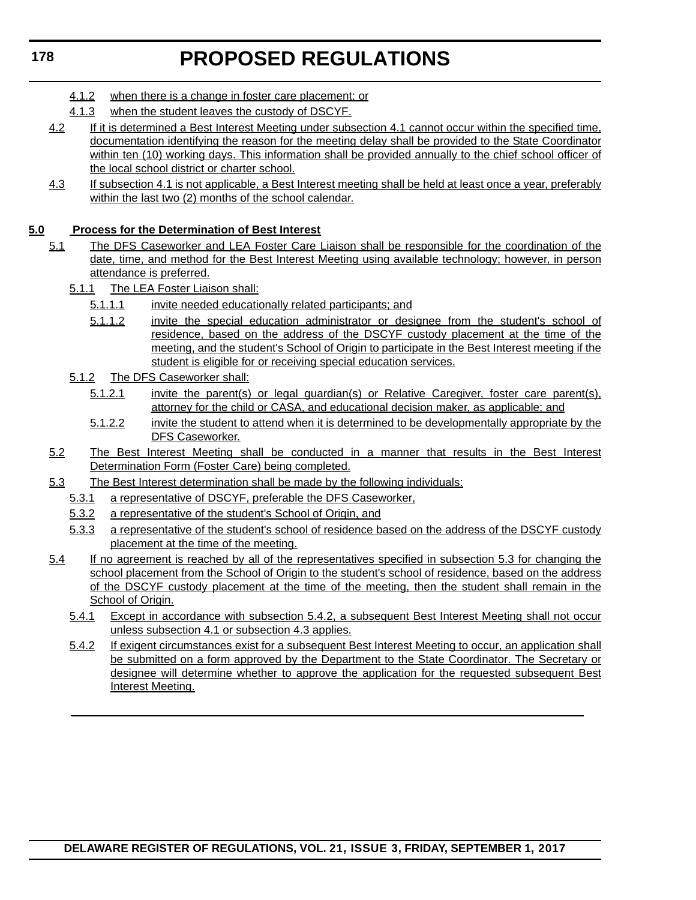- 4.1.2 when there is a change in foster care placement; or
- 4.1.3 when the student leaves the custody of DSCYF.
- 4.2 If it is determined a Best Interest Meeting under subsection 4.1 cannot occur within the specified time, documentation identifying the reason for the meeting delay shall be provided to the State Coordinator within ten (10) working days. This information shall be provided annually to the chief school officer of the local school district or charter school.
- 4.3 If subsection 4.1 is not applicable, a Best Interest meeting shall be held at least once a year, preferably within the last two (2) months of the school calendar.

### **5.0 Process for the Determination of Best Interest**

- 5.1 The DFS Caseworker and LEA Foster Care Liaison shall be responsible for the coordination of the date, time, and method for the Best Interest Meeting using available technology; however, in person attendance is preferred.
	- 5.1.1 The LEA Foster Liaison shall:
		- 5.1.1.1 invite needed educationally related participants; and
		- 5.1.1.2 invite the special education administrator or designee from the student's school of residence, based on the address of the DSCYF custody placement at the time of the meeting, and the student's School of Origin to participate in the Best Interest meeting if the student is eligible for or receiving special education services.
	- 5.1.2 The DFS Caseworker shall:
		- 5.1.2.1 invite the parent(s) or legal guardian(s) or Relative Caregiver, foster care parent(s), attorney for the child or CASA, and educational decision maker, as applicable; and
		- 5.1.2.2 invite the student to attend when it is determined to be developmentally appropriate by the DFS Caseworker.
- 5.2 The Best Interest Meeting shall be conducted in a manner that results in the Best Interest Determination Form (Foster Care) being completed.
- 5.3 The Best Interest determination shall be made by the following individuals:
	- 5.3.1 a representative of DSCYF, preferable the DFS Caseworker,
	- 5.3.2 a representative of the student's School of Origin, and
	- 5.3.3 a representative of the student's school of residence based on the address of the DSCYF custody placement at the time of the meeting.
- 5.4 If no agreement is reached by all of the representatives specified in subsection 5.3 for changing the school placement from the School of Origin to the student's school of residence, based on the address of the DSCYF custody placement at the time of the meeting, then the student shall remain in the School of Origin.
	- 5.4.1 Except in accordance with subsection 5.4.2, a subsequent Best Interest Meeting shall not occur unless subsection 4.1 or subsection 4.3 applies.
	- 5.4.2 If exigent circumstances exist for a subsequent Best Interest Meeting to occur, an application shall be submitted on a form approved by the Department to the State Coordinator. The Secretary or designee will determine whether to approve the application for the requested subsequent Best Interest Meeting.

### **DELAWARE REGISTER OF REGULATIONS, VOL. 21, ISSUE 3, FRIDAY, SEPTEMBER 1, 2017**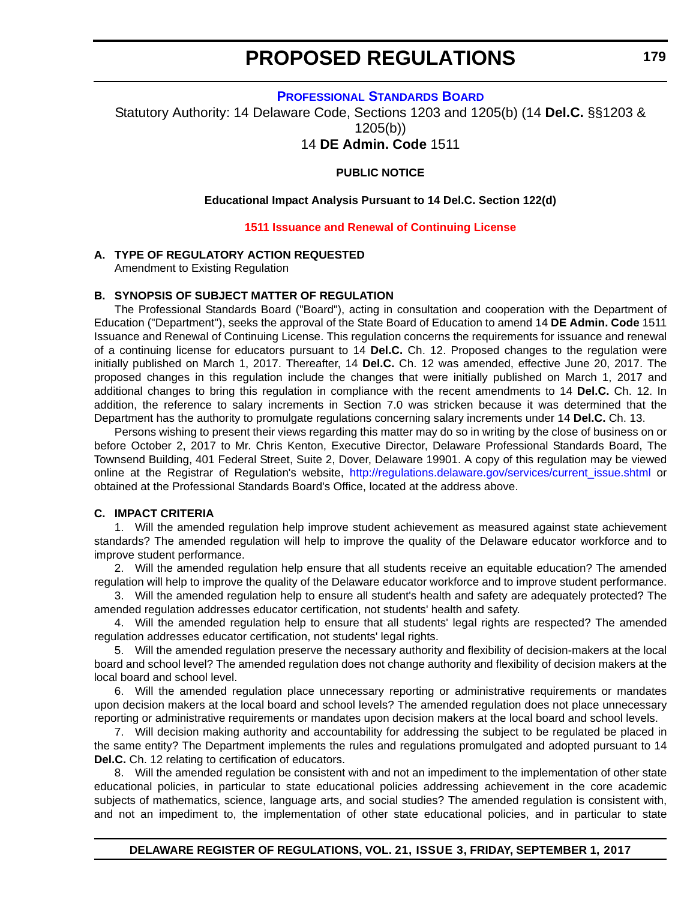**[PROFESSIONAL STANDARDS BOARD](https://pubapps.doe.k12.de.us/EducationalDirectoryPublic/pages/DDOE/WorkGroupStaff.aspx?page=branches&WGID=75&BID=1)**

<span id="page-14-0"></span>Statutory Authority: 14 Delaware Code, Sections 1203 and 1205(b) (14 **Del.C.** §§1203 & 1205(b))

14 **DE Admin. Code** 1511

#### **PUBLIC NOTICE**

#### **Educational Impact Analysis Pursuant to 14 Del.C. Section 122(d)**

#### **[1511 Issuance and Renewal of Continuing License](#page-3-0)**

#### **A. TYPE OF REGULATORY ACTION REQUESTED**

Amendment to Existing Regulation

#### **B. SYNOPSIS OF SUBJECT MATTER OF REGULATION**

The Professional Standards Board ("Board"), acting in consultation and cooperation with the Department of Education ("Department"), seeks the approval of the State Board of Education to amend 14 **DE Admin. Code** 1511 Issuance and Renewal of Continuing License. This regulation concerns the requirements for issuance and renewal of a continuing license for educators pursuant to 14 **Del.C.** Ch. 12. Proposed changes to the regulation were initially published on March 1, 2017. Thereafter, 14 **Del.C.** Ch. 12 was amended, effective June 20, 2017. The proposed changes in this regulation include the changes that were initially published on March 1, 2017 and additional changes to bring this regulation in compliance with the recent amendments to 14 **Del.C.** Ch. 12. In addition, the reference to salary increments in Section 7.0 was stricken because it was determined that the Department has the authority to promulgate regulations concerning salary increments under 14 **Del.C.** Ch. 13.

Persons wishing to present their views regarding this matter may do so in writing by the close of business on or before October 2, 2017 to Mr. Chris Kenton, Executive Director, Delaware Professional Standards Board, The Townsend Building, 401 Federal Street, Suite 2, Dover, Delaware 19901. A copy of this regulation may be viewed online at the Registrar of Regulation's website, [http://regulations.delaware.gov/services/current\\_issue.shtml](http://regulations.delaware.gov/services/current_issue.shtml) or obtained at the Professional Standards Board's Office, located at the address above.

#### **C. IMPACT CRITERIA**

1. Will the amended regulation help improve student achievement as measured against state achievement standards? The amended regulation will help to improve the quality of the Delaware educator workforce and to improve student performance.

2. Will the amended regulation help ensure that all students receive an equitable education? The amended regulation will help to improve the quality of the Delaware educator workforce and to improve student performance.

3. Will the amended regulation help to ensure all student's health and safety are adequately protected? The amended regulation addresses educator certification, not students' health and safety.

4. Will the amended regulation help to ensure that all students' legal rights are respected? The amended regulation addresses educator certification, not students' legal rights.

5. Will the amended regulation preserve the necessary authority and flexibility of decision-makers at the local board and school level? The amended regulation does not change authority and flexibility of decision makers at the local board and school level.

6. Will the amended regulation place unnecessary reporting or administrative requirements or mandates upon decision makers at the local board and school levels? The amended regulation does not place unnecessary reporting or administrative requirements or mandates upon decision makers at the local board and school levels.

7. Will decision making authority and accountability for addressing the subject to be regulated be placed in the same entity? The Department implements the rules and regulations promulgated and adopted pursuant to 14 **Del.C.** Ch. 12 relating to certification of educators.

8. Will the amended regulation be consistent with and not an impediment to the implementation of other state educational policies, in particular to state educational policies addressing achievement in the core academic subjects of mathematics, science, language arts, and social studies? The amended regulation is consistent with, and not an impediment to, the implementation of other state educational policies, and in particular to state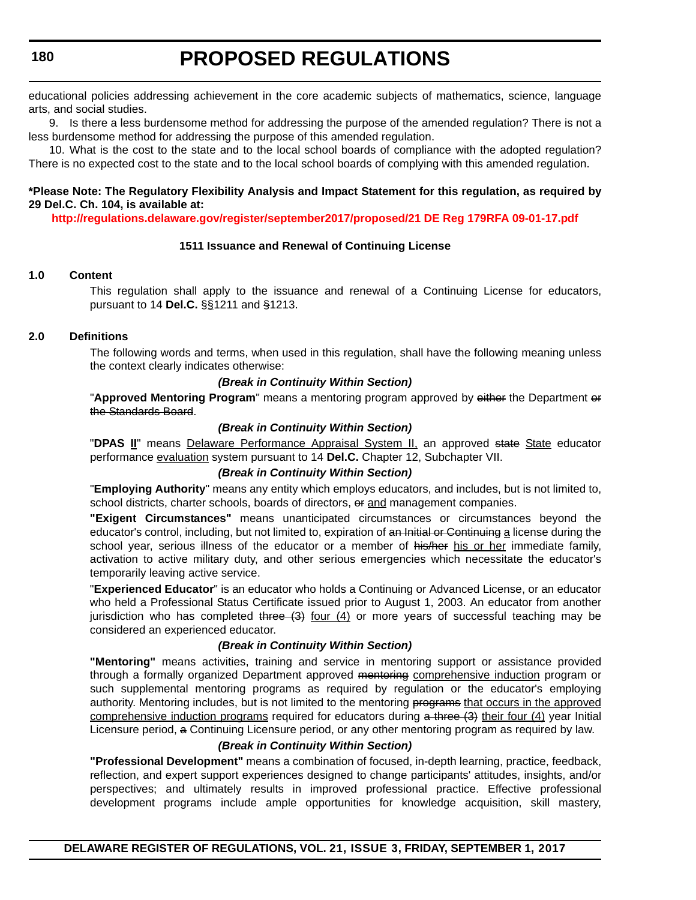educational policies addressing achievement in the core academic subjects of mathematics, science, language arts, and social studies.

9. Is there a less burdensome method for addressing the purpose of the amended regulation? There is not a less burdensome method for addressing the purpose of this amended regulation.

10. What is the cost to the state and to the local school boards of compliance with the adopted regulation? There is no expected cost to the state and to the local school boards of complying with this amended regulation.

#### **\*Please Note: The Regulatory Flexibility Analysis and Impact Statement for this regulation, as required by 29 Del.C. Ch. 104, is available at:**

**<http://regulations.delaware.gov/register/september2017/proposed/21 DE Reg 179RFA 09-01-17.pdf>**

#### **1511 Issuance and Renewal of Continuing License**

#### **1.0 Content**

This regulation shall apply to the issuance and renewal of a Continuing License for educators, pursuant to 14 **Del.C.** §§1211 and §1213.

#### **2.0 Definitions**

The following words and terms, when used in this regulation, shall have the following meaning unless the context clearly indicates otherwise:

#### *(Break in Continuity Within Section)*

"**Approved Mentoring Program**" means a mentoring program approved by either the Department or the Standards Board.

#### *(Break in Continuity Within Section)*

"**DPAS II**" means Delaware Performance Appraisal System II, an approved state State educator performance evaluation system pursuant to 14 **Del.C.** Chapter 12, Subchapter VII.

#### *(Break in Continuity Within Section)*

"**Employing Authority**" means any entity which employs educators, and includes, but is not limited to, school districts, charter schools, boards of directors, or and management companies.

**"Exigent Circumstances"** means unanticipated circumstances or circumstances beyond the educator's control, including, but not limited to, expiration of an Initial or Continuing a license during the school year, serious illness of the educator or a member of his/her his or her immediate family, activation to active military duty, and other serious emergencies which necessitate the educator's temporarily leaving active service.

"**Experienced Educator**" is an educator who holds a Continuing or Advanced License, or an educator who held a Professional Status Certificate issued prior to August 1, 2003. An educator from another jurisdiction who has completed three  $(3)$  four  $(4)$  or more years of successful teaching may be considered an experienced educator.

#### *(Break in Continuity Within Section)*

**"Mentoring"** means activities, training and service in mentoring support or assistance provided through a formally organized Department approved mentoring comprehensive induction program or such supplemental mentoring programs as required by regulation or the educator's employing authority. Mentoring includes, but is not limited to the mentoring programs that occurs in the approved comprehensive induction programs required for educators during  $\alpha$  three  $(3)$  their four (4) year Initial Licensure period, a Continuing Licensure period, or any other mentoring program as required by law.

#### *(Break in Continuity Within Section)*

**"Professional Development"** means a combination of focused, in-depth learning, practice, feedback, reflection, and expert support experiences designed to change participants' attitudes, insights, and/or perspectives; and ultimately results in improved professional practice. Effective professional development programs include ample opportunities for knowledge acquisition, skill mastery,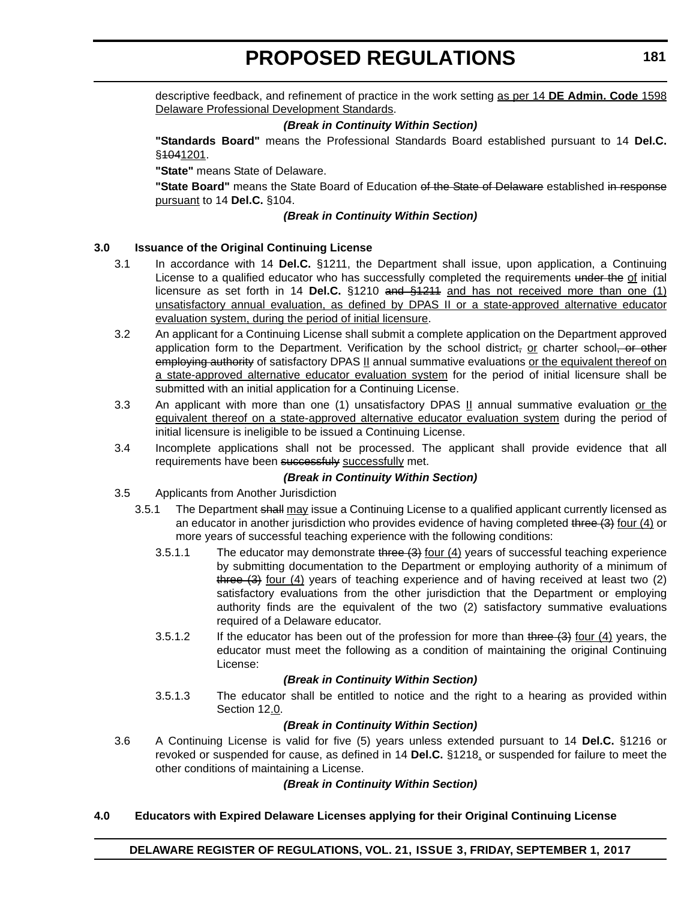descriptive feedback, and refinement of practice in the work setting as per 14 **DE Admin. Code** 1598 Delaware Professional Development Standards.

#### *(Break in Continuity Within Section)*

**"Standards Board"** means the Professional Standards Board established pursuant to 14 **Del.C.** §1041201.

**"State"** means State of Delaware.

"State Board" means the State Board of Education of the State of Delaware established in response pursuant to 14 **Del.C.** §104.

#### *(Break in Continuity Within Section)*

#### **3.0 Issuance of the Original Continuing License**

- 3.1 In accordance with 14 **Del.C.** §1211, the Department shall issue, upon application, a Continuing License to a qualified educator who has successfully completed the requirements under the of initial licensure as set forth in 14 **Del.C.** §1210 and §1211 and has not received more than one (1) unsatisfactory annual evaluation, as defined by DPAS II or a state-approved alternative educator evaluation system, during the period of initial licensure.
- 3.2 An applicant for a Continuing License shall submit a complete application on the Department approved application form to the Department. Verification by the school district, or charter school, or other employing authority of satisfactory DPAS II annual summative evaluations or the equivalent thereof on a state-approved alternative educator evaluation system for the period of initial licensure shall be submitted with an initial application for a Continuing License.
- 3.3 An applicant with more than one (1) unsatisfactory DPAS II annual summative evaluation or the equivalent thereof on a state-approved alternative educator evaluation system during the period of initial licensure is ineligible to be issued a Continuing License.
- 3.4 Incomplete applications shall not be processed. The applicant shall provide evidence that all requirements have been successfuly successfully met.

#### *(Break in Continuity Within Section)*

- 3.5 Applicants from Another Jurisdiction
	- 3.5.1 The Department shall may issue a Continuing License to a qualified applicant currently licensed as an educator in another jurisdiction who provides evidence of having completed three (3) four (4) or more years of successful teaching experience with the following conditions:
		- 3.5.1.1 The educator may demonstrate three  $(3)$  four  $(4)$  years of successful teaching experience by submitting documentation to the Department or employing authority of a minimum of three  $(3)$  four  $(4)$  years of teaching experience and of having received at least two  $(2)$ satisfactory evaluations from the other jurisdiction that the Department or employing authority finds are the equivalent of the two (2) satisfactory summative evaluations required of a Delaware educator.
		- 3.5.1.2 If the educator has been out of the profession for more than three (3) four (4) years, the educator must meet the following as a condition of maintaining the original Continuing License:

#### *(Break in Continuity Within Section)*

3.5.1.3 The educator shall be entitled to notice and the right to a hearing as provided within Section 12.0.

#### *(Break in Continuity Within Section)*

3.6 A Continuing License is valid for five (5) years unless extended pursuant to 14 **Del.C.** §1216 or revoked or suspended for cause, as defined in 14 **Del.C.** §1218, or suspended for failure to meet the other conditions of maintaining a License.

#### *(Break in Continuity Within Section)*

#### **4.0 Educators with Expired Delaware Licenses applying for their Original Continuing License**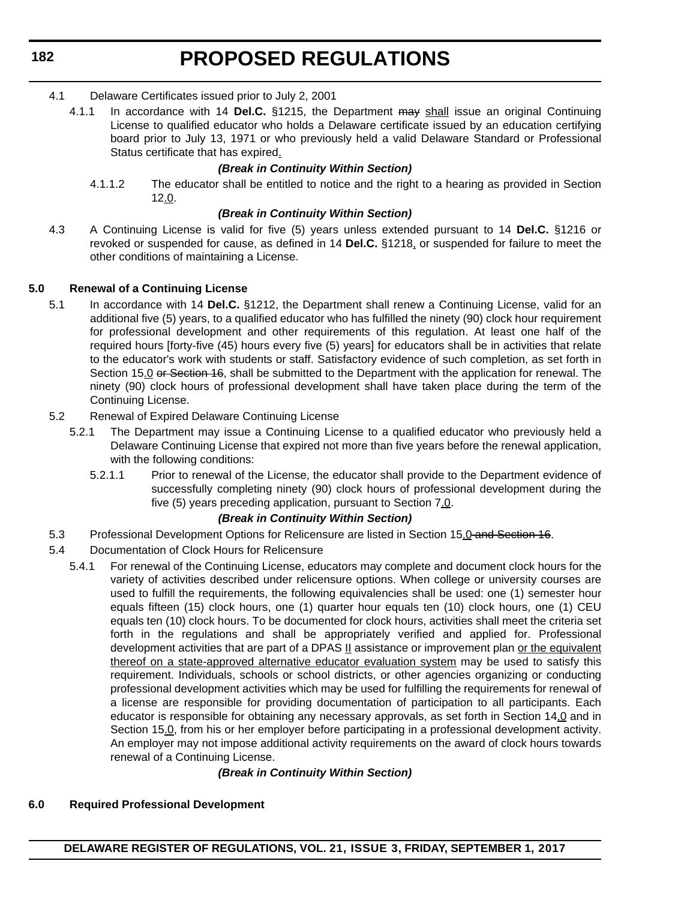**182**

# **PROPOSED REGULATIONS**

- 4.1 Delaware Certificates issued prior to July 2, 2001
	- 4.1.1 In accordance with 14 **Del.C.** §1215, the Department may shall issue an original Continuing License to qualified educator who holds a Delaware certificate issued by an education certifying board prior to July 13, 1971 or who previously held a valid Delaware Standard or Professional Status certificate that has expired.

#### *(Break in Continuity Within Section)*

4.1.1.2 The educator shall be entitled to notice and the right to a hearing as provided in Section 12.0.

#### *(Break in Continuity Within Section)*

4.3 A Continuing License is valid for five (5) years unless extended pursuant to 14 **Del.C.** §1216 or revoked or suspended for cause, as defined in 14 **Del.C.** §1218, or suspended for failure to meet the other conditions of maintaining a License.

#### **5.0 Renewal of a Continuing License**

- 5.1 In accordance with 14 **Del.C.** §1212, the Department shall renew a Continuing License, valid for an additional five (5) years, to a qualified educator who has fulfilled the ninety (90) clock hour requirement for professional development and other requirements of this regulation. At least one half of the required hours [forty-five (45) hours every five (5) years] for educators shall be in activities that relate to the educator's work with students or staff. Satisfactory evidence of such completion, as set forth in Section 15.0 or Section 16, shall be submitted to the Department with the application for renewal. The ninety (90) clock hours of professional development shall have taken place during the term of the Continuing License.
- 5.2 Renewal of Expired Delaware Continuing License
	- 5.2.1 The Department may issue a Continuing License to a qualified educator who previously held a Delaware Continuing License that expired not more than five years before the renewal application, with the following conditions:
		- 5.2.1.1 Prior to renewal of the License, the educator shall provide to the Department evidence of successfully completing ninety (90) clock hours of professional development during the five (5) years preceding application, pursuant to Section 7.0.

#### *(Break in Continuity Within Section)*

- 5.3 Professional Development Options for Relicensure are listed in Section 15.0 and Section 16.
- 5.4 Documentation of Clock Hours for Relicensure
	- 5.4.1 For renewal of the Continuing License, educators may complete and document clock hours for the variety of activities described under relicensure options. When college or university courses are used to fulfill the requirements, the following equivalencies shall be used: one (1) semester hour equals fifteen (15) clock hours, one (1) quarter hour equals ten (10) clock hours, one (1) CEU equals ten (10) clock hours. To be documented for clock hours, activities shall meet the criteria set forth in the regulations and shall be appropriately verified and applied for. Professional development activities that are part of a DPAS II assistance or improvement plan or the equivalent thereof on a state-approved alternative educator evaluation system may be used to satisfy this requirement. Individuals, schools or school districts, or other agencies organizing or conducting professional development activities which may be used for fulfilling the requirements for renewal of a license are responsible for providing documentation of participation to all participants. Each educator is responsible for obtaining any necessary approvals, as set forth in Section 14.0 and in Section 15.0, from his or her employer before participating in a professional development activity. An employer may not impose additional activity requirements on the award of clock hours towards renewal of a Continuing License.

### *(Break in Continuity Within Section)*

#### **6.0 Required Professional Development**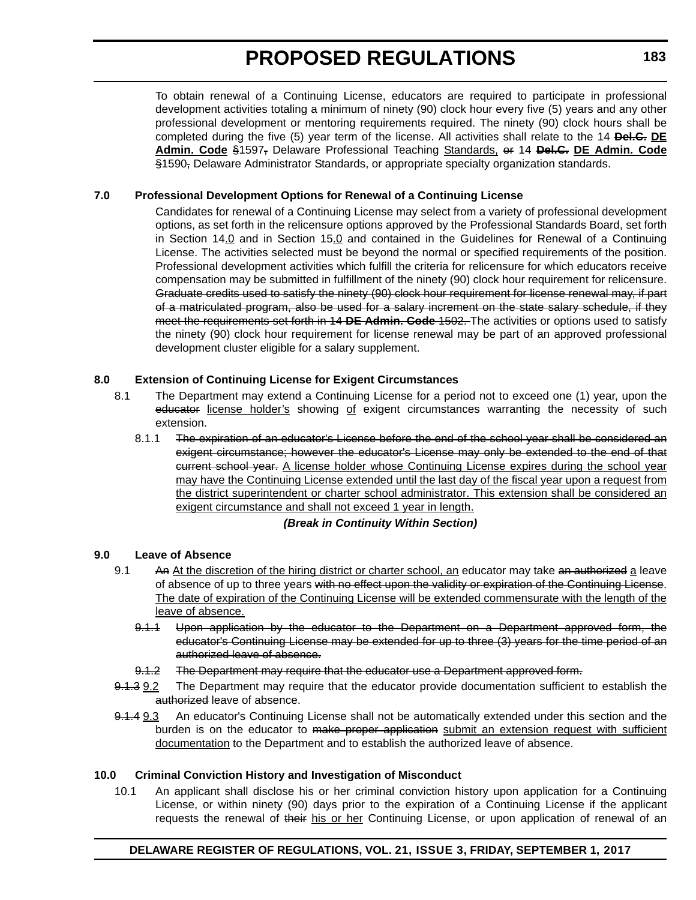To obtain renewal of a Continuing License, educators are required to participate in professional development activities totaling a minimum of ninety (90) clock hour every five (5) years and any other professional development or mentoring requirements required. The ninety (90) clock hours shall be completed during the five (5) year term of the license. All activities shall relate to the 14 **Del.C. DE Admin. Code** §1597, Delaware Professional Teaching Standards, or 14 **Del.C. DE Admin. Code** §1590, Delaware Administrator Standards, or appropriate specialty organization standards.

#### **7.0 Professional Development Options for Renewal of a Continuing License**

Candidates for renewal of a Continuing License may select from a variety of professional development options, as set forth in the relicensure options approved by the Professional Standards Board, set forth in Section 14.0 and in Section 15.0 and contained in the Guidelines for Renewal of a Continuing License. The activities selected must be beyond the normal or specified requirements of the position. Professional development activities which fulfill the criteria for relicensure for which educators receive compensation may be submitted in fulfillment of the ninety (90) clock hour requirement for relicensure. Graduate credits used to satisfy the ninety (90) clock hour requirement for license renewal may, if part of a matriculated program, also be used for a salary increment on the state salary schedule, if they meet the requirements set forth in 14 **DE Admin. Code** 1502. The activities or options used to satisfy the ninety (90) clock hour requirement for license renewal may be part of an approved professional development cluster eligible for a salary supplement.

#### **8.0 Extension of Continuing License for Exigent Circumstances**

- 8.1 The Department may extend a Continuing License for a period not to exceed one (1) year, upon the educator license holder's showing of exigent circumstances warranting the necessity of such extension.
	- 8.1.1 The expiration of an educator's License before the end of the school year shall be considered an exigent circumstance; however the educator's License may only be extended to the end of that current school year. A license holder whose Continuing License expires during the school year may have the Continuing License extended until the last day of the fiscal year upon a request from the district superintendent or charter school administrator. This extension shall be considered an exigent circumstance and shall not exceed 1 year in length.

#### *(Break in Continuity Within Section)*

#### **9.0 Leave of Absence**

- 9.1 An At the discretion of the hiring district or charter school, an educator may take an authorized a leave of absence of up to three years with no effect upon the validity or expiration of the Continuing License. The date of expiration of the Continuing License will be extended commensurate with the length of the leave of absence.
	- 9.1.1 Upon application by the educator to the Department on a Department approved form, the educator's Continuing License may be extended for up to three (3) years for the time period of an authorized leave of absence.
	- 9.1.2 The Department may require that the educator use a Department approved form.
- 9.1.3 9.2 The Department may require that the educator provide documentation sufficient to establish the authorized leave of absence.
- 9.1.4 9.3 An educator's Continuing License shall not be automatically extended under this section and the burden is on the educator to make proper application submit an extension request with sufficient documentation to the Department and to establish the authorized leave of absence.

#### **10.0 Criminal Conviction History and Investigation of Misconduct**

10.1 An applicant shall disclose his or her criminal conviction history upon application for a Continuing License, or within ninety (90) days prior to the expiration of a Continuing License if the applicant requests the renewal of their his or her Continuing License, or upon application of renewal of an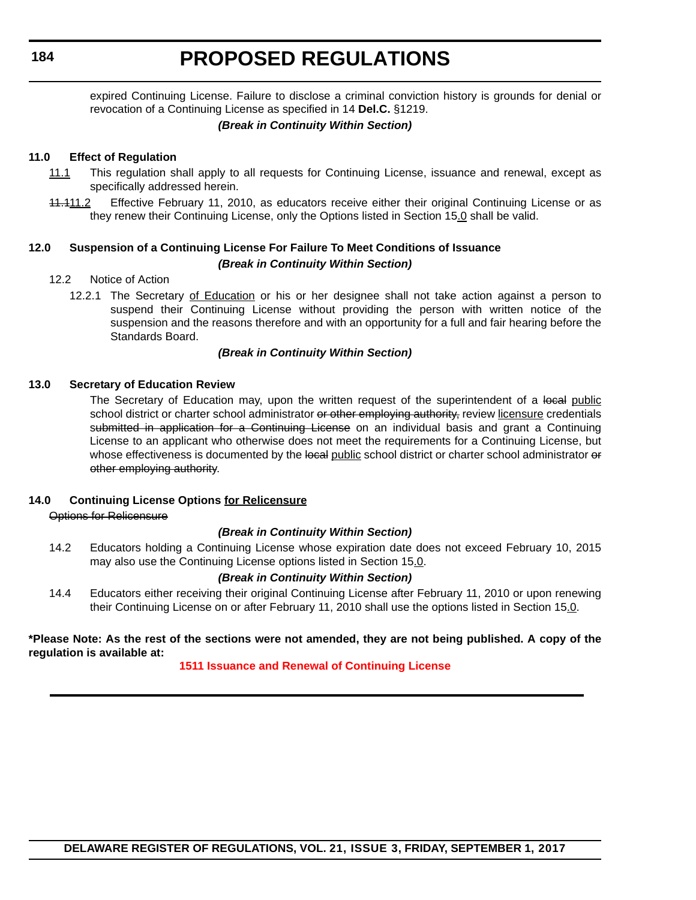**184**

# **PROPOSED REGULATIONS**

expired Continuing License. Failure to disclose a criminal conviction history is grounds for denial or revocation of a Continuing License as specified in 14 **Del.C.** §1219.

#### *(Break in Continuity Within Section)*

#### **11.0 Effect of Regulation**

- 11.1 This regulation shall apply to all requests for Continuing License, issuance and renewal, except as specifically addressed herein.
- 11.111.2 Effective February 11, 2010, as educators receive either their original Continuing License or as they renew their Continuing License, only the Options listed in Section 15.0 shall be valid.

### **12.0 Suspension of a Continuing License For Failure To Meet Conditions of Issuance** *(Break in Continuity Within Section)*

#### 12.2 Notice of Action

12.2.1 The Secretary of Education or his or her designee shall not take action against a person to suspend their Continuing License without providing the person with written notice of the suspension and the reasons therefore and with an opportunity for a full and fair hearing before the Standards Board.

#### *(Break in Continuity Within Section)*

#### **13.0 Secretary of Education Review**

The Secretary of Education may, upon the written request of the superintendent of a local public school district or charter school administrator or other employing authority, review licensure credentials submitted in application for a Continuing License on an individual basis and grant a Continuing License to an applicant who otherwise does not meet the requirements for a Continuing License, but whose effectiveness is documented by the local public school district or charter school administrator or other employing authority.

### **14.0 Continuing License Options for Relicensure**

Options for Relicensure

### *(Break in Continuity Within Section)*

14.2 Educators holding a Continuing License whose expiration date does not exceed February 10, 2015 may also use the Continuing License options listed in Section 15.0.

### *(Break in Continuity Within Section)*

14.4 Educators either receiving their original Continuing License after February 11, 2010 or upon renewing their Continuing License on or after February 11, 2010 shall use the options listed in Section 15.0.

#### **\*Please Note: As the rest of the sections were not amended, they are not being published. A copy of the regulation is available at:**

### **[1511 Issuance and Renewal of Continuing License](http://regulations.delaware.gov/register/september2017/proposed/21 DE Reg 179 09-01-17.htm)**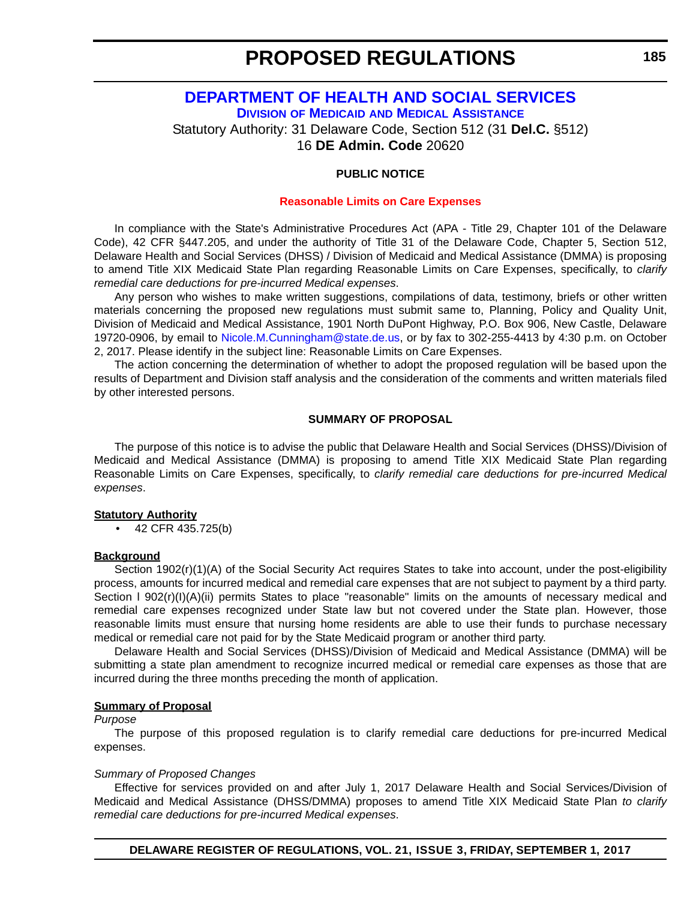# <span id="page-20-0"></span>**[DEPARTMENT OF HEALTH AND SOCIAL SERVICES](http://www.dhss.delaware.gov/dhss/index.html) DIVISION OF MEDICAID [AND MEDICAL ASSISTANCE](http://www.dhss.delaware.gov/dhss/dmma/)**

Statutory Authority: 31 Delaware Code, Section 512 (31 **Del.C.** §512)

16 **DE Admin. Code** 20620

#### **PUBLIC NOTICE**

#### **[Reasonable Limits on Care Expenses](#page-3-0)**

In compliance with the State's Administrative Procedures Act (APA - Title 29, Chapter 101 of the Delaware Code), 42 CFR §447.205, and under the authority of Title 31 of the Delaware Code, Chapter 5, Section 512, Delaware Health and Social Services (DHSS) / Division of Medicaid and Medical Assistance (DMMA) is proposing to amend Title XIX Medicaid State Plan regarding Reasonable Limits on Care Expenses, specifically, to *clarify remedial care deductions for pre-incurred Medical expenses*.

Any person who wishes to make written suggestions, compilations of data, testimony, briefs or other written materials concerning the proposed new regulations must submit same to, Planning, Policy and Quality Unit, Division of Medicaid and Medical Assistance, 1901 North DuPont Highway, P.O. Box 906, New Castle, Delaware 19720-0906, by email to [Nicole.M.Cunningham@state.de.us,](mailto:Nicole.M.Cunningham@state.de.us) or by fax to 302-255-4413 by 4:30 p.m. on October 2, 2017. Please identify in the subject line: Reasonable Limits on Care Expenses.

The action concerning the determination of whether to adopt the proposed regulation will be based upon the results of Department and Division staff analysis and the consideration of the comments and written materials filed by other interested persons.

#### **SUMMARY OF PROPOSAL**

The purpose of this notice is to advise the public that Delaware Health and Social Services (DHSS)/Division of Medicaid and Medical Assistance (DMMA) is proposing to amend Title XIX Medicaid State Plan regarding Reasonable Limits on Care Expenses, specifically, to *clarify remedial care deductions for pre-incurred Medical expenses*.

#### **Statutory Authority**

• 42 CFR 435.725(b)

#### **Background**

Section 1902(r)(1)(A) of the Social Security Act requires States to take into account, under the post-eligibility process, amounts for incurred medical and remedial care expenses that are not subject to payment by a third party. Section I 902(r)(I)(A)(ii) permits States to place "reasonable" limits on the amounts of necessary medical and remedial care expenses recognized under State law but not covered under the State plan. However, those reasonable limits must ensure that nursing home residents are able to use their funds to purchase necessary medical or remedial care not paid for by the State Medicaid program or another third party.

Delaware Health and Social Services (DHSS)/Division of Medicaid and Medical Assistance (DMMA) will be submitting a state plan amendment to recognize incurred medical or remedial care expenses as those that are incurred during the three months preceding the month of application.

#### **Summary of Proposal**

#### *Purpose*

The purpose of this proposed regulation is to clarify remedial care deductions for pre-incurred Medical expenses.

#### *Summary of Proposed Changes*

Effective for services provided on and after July 1, 2017 Delaware Health and Social Services/Division of Medicaid and Medical Assistance (DHSS/DMMA) proposes to amend Title XIX Medicaid State Plan *to clarify remedial care deductions for pre-incurred Medical expenses*.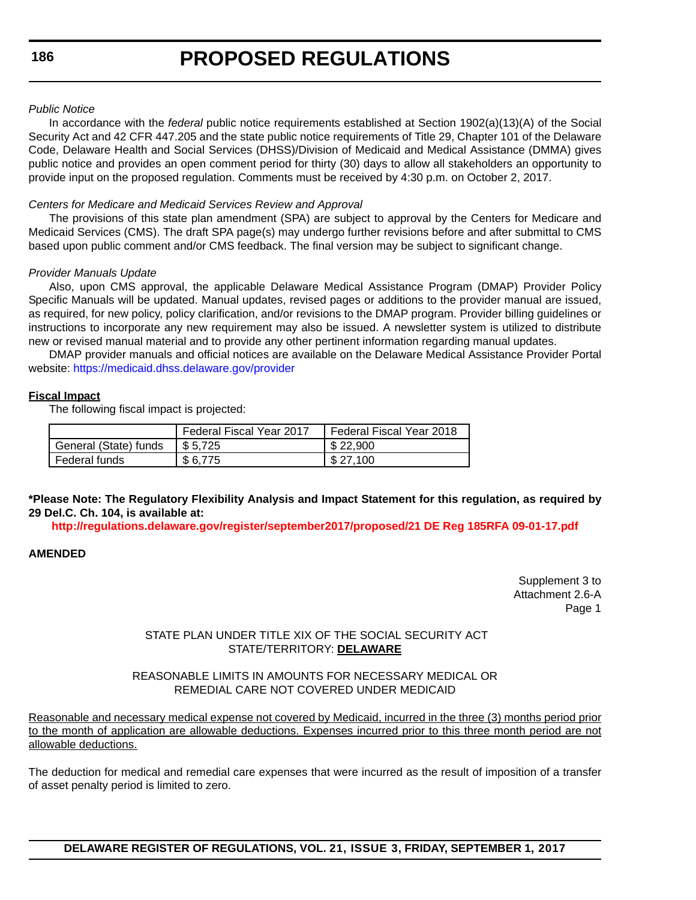#### *Public Notice*

In accordance with the *federal* public notice requirements established at Section 1902(a)(13)(A) of the Social Security Act and 42 CFR 447.205 and the state public notice requirements of Title 29, Chapter 101 of the Delaware Code, Delaware Health and Social Services (DHSS)/Division of Medicaid and Medical Assistance (DMMA) gives public notice and provides an open comment period for thirty (30) days to allow all stakeholders an opportunity to provide input on the proposed regulation. Comments must be received by 4:30 p.m. on October 2, 2017.

#### *Centers for Medicare and Medicaid Services Review and Approval*

The provisions of this state plan amendment (SPA) are subject to approval by the Centers for Medicare and Medicaid Services (CMS). The draft SPA page(s) may undergo further revisions before and after submittal to CMS based upon public comment and/or CMS feedback. The final version may be subject to significant change.

#### *Provider Manuals Update*

Also, upon CMS approval, the applicable Delaware Medical Assistance Program (DMAP) Provider Policy Specific Manuals will be updated. Manual updates, revised pages or additions to the provider manual are issued, as required, for new policy, policy clarification, and/or revisions to the DMAP program. Provider billing guidelines or instructions to incorporate any new requirement may also be issued. A newsletter system is utilized to distribute new or revised manual material and to provide any other pertinent information regarding manual updates.

DMAP provider manuals and official notices are available on the Delaware Medical Assistance Provider Portal website: <https://medicaid.dhss.delaware.gov/provider>

#### **Fiscal Impact**

The following fiscal impact is projected:

|                       | <b>Federal Fiscal Year 2017</b> | Federal Fiscal Year 2018 |
|-----------------------|---------------------------------|--------------------------|
| General (State) funds | $\frac{1}{2}$ \$ 5.725          | \$22,900                 |
| Federal funds         | \$6,775                         | \$27.100                 |

**\*Please Note: The Regulatory Flexibility Analysis and Impact Statement for this regulation, as required by 29 Del.C. Ch. 104, is available at:**

**<http://regulations.delaware.gov/register/september2017/proposed/21 DE Reg 185RFA 09-01-17.pdf>**

#### **AMENDED**

Supplement 3 to Attachment 2.6-A Page 1

#### STATE PLAN UNDER TITLE XIX OF THE SOCIAL SECURITY ACT STATE/TERRITORY: **DELAWARE**

#### REASONABLE LIMITS IN AMOUNTS FOR NECESSARY MEDICAL OR REMEDIAL CARE NOT COVERED UNDER MEDICAID

Reasonable and necessary medical expense not covered by Medicaid, incurred in the three (3) months period prior to the month of application are allowable deductions. Expenses incurred prior to this three month period are not allowable deductions.

The deduction for medical and remedial care expenses that were incurred as the result of imposition of a transfer of asset penalty period is limited to zero.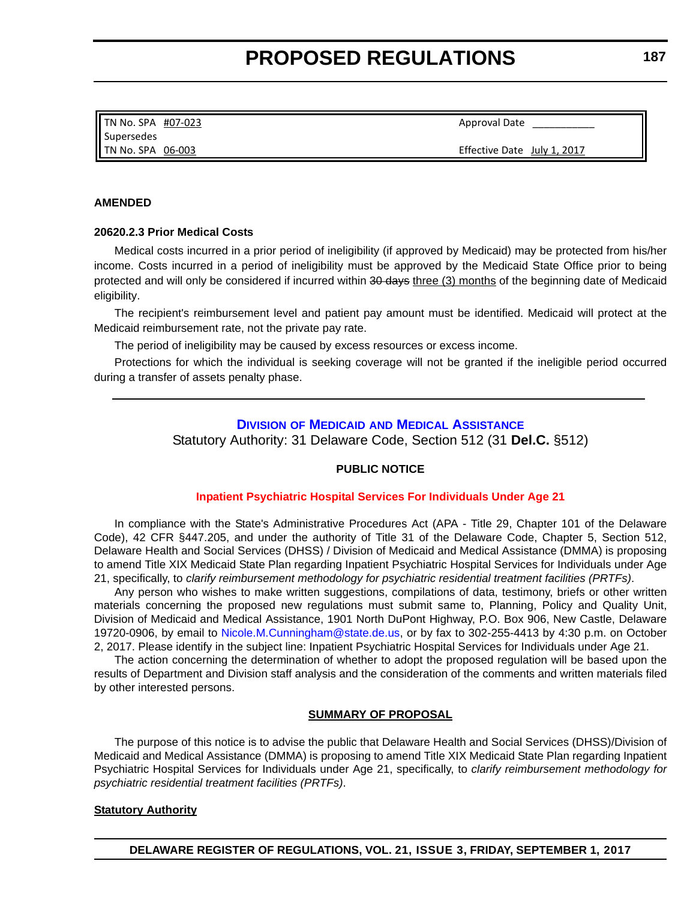<span id="page-22-0"></span>TN No. SPA #07‐023 Supersedes TN No. SPA 06‐003

Approval Date

Effective Date July 1, 2017

#### **AMENDED**

#### **20620.2.3 Prior Medical Costs**

Medical costs incurred in a prior period of ineligibility (if approved by Medicaid) may be protected from his/her income. Costs incurred in a period of ineligibility must be approved by the Medicaid State Office prior to being protected and will only be considered if incurred within 30 days three (3) months of the beginning date of Medicaid eligibility.

The recipient's reimbursement level and patient pay amount must be identified. Medicaid will protect at the Medicaid reimbursement rate, not the private pay rate.

The period of ineligibility may be caused by excess resources or excess income.

Protections for which the individual is seeking coverage will not be granted if the ineligible period occurred during a transfer of assets penalty phase.

#### **DIVISION OF MEDICAID [AND MEDICAL ASSISTANCE](http://www.dhss.delaware.gov/dhss/dmma/)**

Statutory Authority: 31 Delaware Code, Section 512 (31 **Del.C.** §512)

#### **PUBLIC NOTICE**

#### **[Inpatient Psychiatric Hospital Services For Individuals Under Age 21](#page-3-0)**

In compliance with the State's Administrative Procedures Act (APA - Title 29, Chapter 101 of the Delaware Code), 42 CFR §447.205, and under the authority of Title 31 of the Delaware Code, Chapter 5, Section 512, Delaware Health and Social Services (DHSS) / Division of Medicaid and Medical Assistance (DMMA) is proposing to amend Title XIX Medicaid State Plan regarding Inpatient Psychiatric Hospital Services for Individuals under Age 21, specifically, to *clarify reimbursement methodology for psychiatric residential treatment facilities (PRTFs)*.

Any person who wishes to make written suggestions, compilations of data, testimony, briefs or other written materials concerning the proposed new regulations must submit same to, Planning, Policy and Quality Unit, Division of Medicaid and Medical Assistance, 1901 North DuPont Highway, P.O. Box 906, New Castle, Delaware 19720-0906, by email to [Nicole.M.Cunningham@state.de.us,](mailto:Nicole.M.Cunningham@state.de.us) or by fax to 302-255-4413 by 4:30 p.m. on October 2, 2017. Please identify in the subject line: Inpatient Psychiatric Hospital Services for Individuals under Age 21.

The action concerning the determination of whether to adopt the proposed regulation will be based upon the results of Department and Division staff analysis and the consideration of the comments and written materials filed by other interested persons.

#### **SUMMARY OF PROPOSAL**

The purpose of this notice is to advise the public that Delaware Health and Social Services (DHSS)/Division of Medicaid and Medical Assistance (DMMA) is proposing to amend Title XIX Medicaid State Plan regarding Inpatient Psychiatric Hospital Services for Individuals under Age 21, specifically, to *clarify reimbursement methodology for psychiatric residential treatment facilities (PRTFs)*.

#### **Statutory Authority**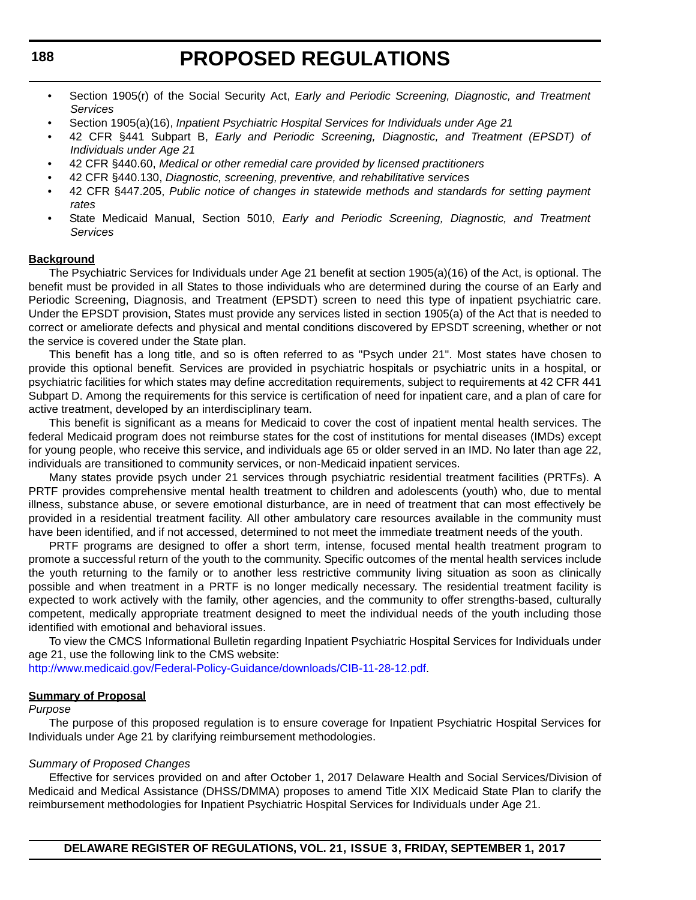- Section 1905(r) of the Social Security Act, *Early and Periodic Screening, Diagnostic, and Treatment Services*
- Section 1905(a)(16), *Inpatient Psychiatric Hospital Services for Individuals under Age 21*
- 42 CFR §441 Subpart B, *Early and Periodic Screening, Diagnostic, and Treatment (EPSDT) of Individuals under Age 21*
- 42 CFR §440.60, *Medical or other remedial care provided by licensed practitioners*
- 42 CFR §440.130, *Diagnostic, screening, preventive, and rehabilitative services*
- 42 CFR §447.205, *Public notice of changes in statewide methods and standards for setting payment rates*
- State Medicaid Manual, Section 5010, *Early and Periodic Screening, Diagnostic, and Treatment Services*

#### **Background**

The Psychiatric Services for Individuals under Age 21 benefit at section 1905(a)(16) of the Act, is optional. The benefit must be provided in all States to those individuals who are determined during the course of an Early and Periodic Screening, Diagnosis, and Treatment (EPSDT) screen to need this type of inpatient psychiatric care. Under the EPSDT provision, States must provide any services listed in section 1905(a) of the Act that is needed to correct or ameliorate defects and physical and mental conditions discovered by EPSDT screening, whether or not the service is covered under the State plan.

This benefit has a long title, and so is often referred to as "Psych under 21". Most states have chosen to provide this optional benefit. Services are provided in psychiatric hospitals or psychiatric units in a hospital, or psychiatric facilities for which states may define accreditation requirements, subject to requirements at 42 CFR 441 Subpart D. Among the requirements for this service is certification of need for inpatient care, and a plan of care for active treatment, developed by an interdisciplinary team.

This benefit is significant as a means for Medicaid to cover the cost of inpatient mental health services. The federal Medicaid program does not reimburse states for the cost of institutions for mental diseases (IMDs) except for young people, who receive this service, and individuals age 65 or older served in an IMD. No later than age 22, individuals are transitioned to community services, or non-Medicaid inpatient services.

Many states provide psych under 21 services through psychiatric residential treatment facilities (PRTFs). A PRTF provides comprehensive mental health treatment to children and adolescents (youth) who, due to mental illness, substance abuse, or severe emotional disturbance, are in need of treatment that can most effectively be provided in a residential treatment facility. All other ambulatory care resources available in the community must have been identified, and if not accessed, determined to not meet the immediate treatment needs of the youth.

PRTF programs are designed to offer a short term, intense, focused mental health treatment program to promote a successful return of the youth to the community. Specific outcomes of the mental health services include the youth returning to the family or to another less restrictive community living situation as soon as clinically possible and when treatment in a PRTF is no longer medically necessary. The residential treatment facility is expected to work actively with the family, other agencies, and the community to offer strengths-based, culturally competent, medically appropriate treatment designed to meet the individual needs of the youth including those identified with emotional and behavioral issues.

To view the CMCS Informational Bulletin regarding Inpatient Psychiatric Hospital Services for Individuals under age 21, use the following link to the CMS website:

[http://www.medicaid.gov/Federal-Policy-Guidance/downloads/CIB-11-28-12.pdf.](http://www.medicaid.gov/Federal-Policy-Guidance/downloads/CIB-11-28-12.pdf)

#### **Summary of Proposal**

#### *Purpose*

The purpose of this proposed regulation is to ensure coverage for Inpatient Psychiatric Hospital Services for Individuals under Age 21 by clarifying reimbursement methodologies.

#### *Summary of Proposed Changes*

Effective for services provided on and after October 1, 2017 Delaware Health and Social Services/Division of Medicaid and Medical Assistance (DHSS/DMMA) proposes to amend Title XIX Medicaid State Plan to clarify the reimbursement methodologies for Inpatient Psychiatric Hospital Services for Individuals under Age 21.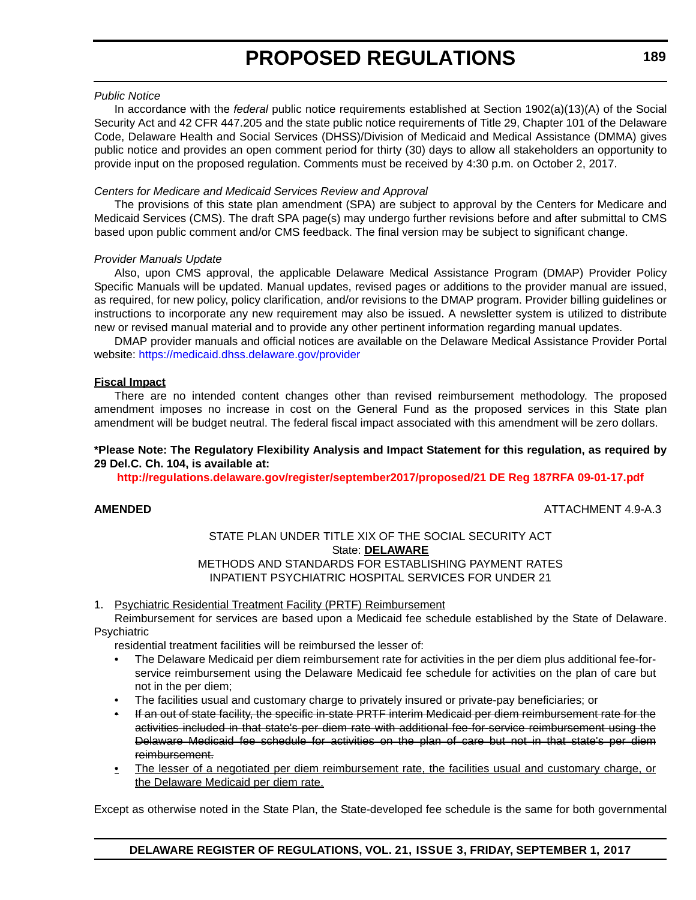#### *Public Notice*

In accordance with the *federal* public notice requirements established at Section 1902(a)(13)(A) of the Social Security Act and 42 CFR 447.205 and the state public notice requirements of Title 29, Chapter 101 of the Delaware Code, Delaware Health and Social Services (DHSS)/Division of Medicaid and Medical Assistance (DMMA) gives public notice and provides an open comment period for thirty (30) days to allow all stakeholders an opportunity to provide input on the proposed regulation. Comments must be received by 4:30 p.m. on October 2, 2017.

#### *Centers for Medicare and Medicaid Services Review and Approval*

The provisions of this state plan amendment (SPA) are subject to approval by the Centers for Medicare and Medicaid Services (CMS). The draft SPA page(s) may undergo further revisions before and after submittal to CMS based upon public comment and/or CMS feedback. The final version may be subject to significant change.

#### *Provider Manuals Update*

Also, upon CMS approval, the applicable Delaware Medical Assistance Program (DMAP) Provider Policy Specific Manuals will be updated. Manual updates, revised pages or additions to the provider manual are issued, as required, for new policy, policy clarification, and/or revisions to the DMAP program. Provider billing guidelines or instructions to incorporate any new requirement may also be issued. A newsletter system is utilized to distribute new or revised manual material and to provide any other pertinent information regarding manual updates.

DMAP provider manuals and official notices are available on the Delaware Medical Assistance Provider Portal website:<https://medicaid.dhss.delaware.gov/provider>

#### **Fiscal Impact**

There are no intended content changes other than revised reimbursement methodology. The proposed amendment imposes no increase in cost on the General Fund as the proposed services in this State plan amendment will be budget neutral. The federal fiscal impact associated with this amendment will be zero dollars.

#### **\*Please Note: The Regulatory Flexibility Analysis and Impact Statement for this regulation, as required by 29 Del.C. Ch. 104, is available at:**

**<http://regulations.delaware.gov/register/september2017/proposed/21 DE Reg 187RFA 09-01-17.pdf>**

**AMENDED** ATTACHMENT 4.9-A.3

#### STATE PLAN UNDER TITLE XIX OF THE SOCIAL SECURITY ACT State: **DELAWARE** METHODS AND STANDARDS FOR ESTABLISHING PAYMENT RATES INPATIENT PSYCHIATRIC HOSPITAL SERVICES FOR UNDER 21

#### 1. Psychiatric Residential Treatment Facility (PRTF) Reimbursement

Reimbursement for services are based upon a Medicaid fee schedule established by the State of Delaware. Psychiatric

residential treatment facilities will be reimbursed the lesser of:

- The Delaware Medicaid per diem reimbursement rate for activities in the per diem plus additional fee-forservice reimbursement using the Delaware Medicaid fee schedule for activities on the plan of care but not in the per diem;
- The facilities usual and customary charge to privately insured or private-pay beneficiaries; or
- If an out of state facility, the specific in-state PRTF interim Medicaid per diem reimbursement rate for the activities included in that state's per diem rate with additional fee-for-service reimbursement using the Delaware Medicaid fee schedule for activities on the plan of care but not in that state's per diem reimbursement.
- The lesser of a negotiated per diem reimbursement rate, the facilities usual and customary charge, or the Delaware Medicaid per diem rate.

Except as otherwise noted in the State Plan, the State-developed fee schedule is the same for both governmental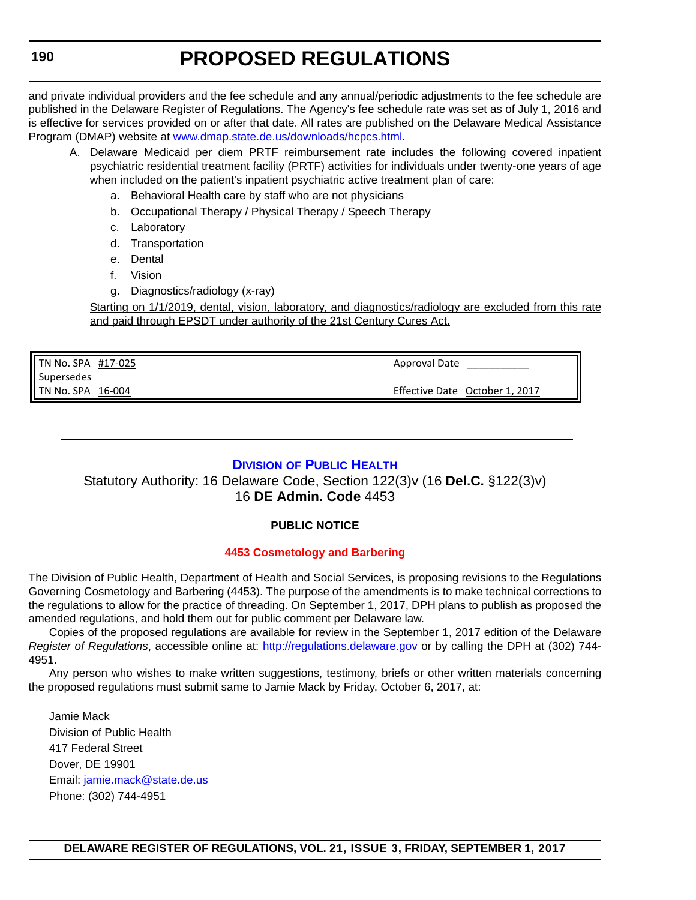<span id="page-25-0"></span>and private individual providers and the fee schedule and any annual/periodic adjustments to the fee schedule are published in the Delaware Register of Regulations. The Agency's fee schedule rate was set as of July 1, 2016 and is effective for services provided on or after that date. All rates are published on the Delaware Medical Assistance Program (DMAP) website at [www.dmap.state.de.us/downloads/hcpcs.html.](www.dmap.state.de.us/downloads/hcpcs.html)

- A. Delaware Medicaid per diem PRTF reimbursement rate includes the following covered inpatient psychiatric residential treatment facility (PRTF) activities for individuals under twenty-one years of age when included on the patient's inpatient psychiatric active treatment plan of care:
	- a. Behavioral Health care by staff who are not physicians
	- b. Occupational Therapy / Physical Therapy / Speech Therapy
	- c. Laboratory
	- d. Transportation
	- e. Dental
	- f. Vision
	- g. Diagnostics/radiology (x-ray)

Starting on 1/1/2019, dental, vision, laboratory, and diagnostics/radiology are excluded from this rate and paid through EPSDT under authority of the 21st Century Cures Act.

TN No. SPA #17‐025 Supersedes TN No. SPA 16‐004

Approval Date

Effective Date October 1, 2017

### **DIVISION [OF PUBLIC HEALTH](http://www.dhss.delaware.gov/dhss/dph/index.html)**

### Statutory Authority: 16 Delaware Code, Section 122(3)v (16 **Del.C.** §122(3)v) 16 **DE Admin. Code** 4453

### **PUBLIC NOTICE**

#### **[4453 Cosmetology and Barbering](#page-3-0)**

The Division of Public Health, Department of Health and Social Services, is proposing revisions to the Regulations Governing Cosmetology and Barbering (4453). The purpose of the amendments is to make technical corrections to the regulations to allow for the practice of threading. On September 1, 2017, DPH plans to publish as proposed the amended regulations, and hold them out for public comment per Delaware law.

Copies of the proposed regulations are available for review in the September 1, 2017 edition of the Delaware *Register of Regulations*, accessible online at: <http://regulations.delaware.gov> or by calling the DPH at (302) 744- 4951.

Any person who wishes to make written suggestions, testimony, briefs or other written materials concerning the proposed regulations must submit same to Jamie Mack by Friday, October 6, 2017, at:

Jamie Mack Division of Public Health 417 Federal Street Dover, DE 19901 Email: [jamie.mack@state.de.us](mailto:jamie.mack@state.de.us) Phone: (302) 744-4951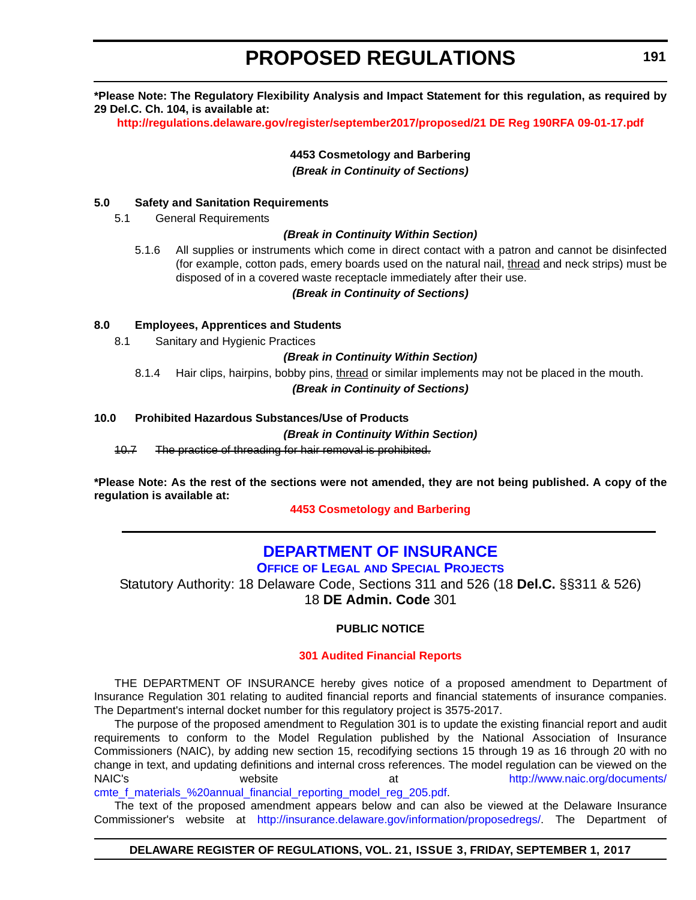<span id="page-26-0"></span>**\*Please Note: The Regulatory Flexibility Analysis and Impact Statement for this regulation, as required by 29 Del.C. Ch. 104, is available at:**

**<http://regulations.delaware.gov/register/september2017/proposed/21 DE Reg 190RFA 09-01-17.pdf>**

**4453 Cosmetology and Barbering** *(Break in Continuity of Sections)*

#### **5.0 Safety and Sanitation Requirements**

5.1 General Requirements

#### *(Break in Continuity Within Section)*

5.1.6 All supplies or instruments which come in direct contact with a patron and cannot be disinfected (for example, cotton pads, emery boards used on the natural nail, thread and neck strips) must be disposed of in a covered waste receptacle immediately after their use.

#### *(Break in Continuity of Sections)*

#### **8.0 Employees, Apprentices and Students**

8.1 Sanitary and Hygienic Practices

#### *(Break in Continuity Within Section)*

8.1.4 Hair clips, hairpins, bobby pins, thread or similar implements may not be placed in the mouth.

#### *(Break in Continuity of Sections)*

#### **10.0 Prohibited Hazardous Substances/Use of Products**

#### *(Break in Continuity Within Section)*

10.7 The practice of threading for hair removal is prohibited.

**\*Please Note: As the rest of the sections were not amended, they are not being published. A copy of the regulation is available at:**

**[4453 Cosmetology and Barbering](http://regulations.delaware.gov/register/september2017/proposed/21 DE Reg 190 09-01-17.htm)** 

# **[DEPARTMENT OF INSURANCE](http://insurance.delaware.gov/)**

**OFFICE OF LEGAL [AND SPECIAL PROJECTS](http://insurance.delaware.gov/divisions/)**

Statutory Authority: 18 Delaware Code, Sections 311 and 526 (18 **Del.C.** §§311 & 526) 18 **DE Admin. Code** 301

### **PUBLIC NOTICE**

#### **[301 Audited Financial Reports](#page-3-0)**

THE DEPARTMENT OF INSURANCE hereby gives notice of a proposed amendment to Department of Insurance Regulation 301 relating to audited financial reports and financial statements of insurance companies. The Department's internal docket number for this regulatory project is 3575-2017.

The purpose of the proposed amendment to Regulation 301 is to update the existing financial report and audit requirements to conform to the Model Regulation published by the National Association of Insurance Commissioners (NAIC), by adding new section 15, recodifying sections 15 through 19 as 16 through 20 with no change in text, and updating definitions and internal cross references. The model regulation can be viewed on the NAIC's website website at the [http://www.naic.org/documents/](http://www.naic.org/documents/cmte_f_materials_%20annual_financial_reporting_model_reg_205.pdf) [cmte\\_f\\_materials\\_%20annual\\_financial\\_reporting\\_model\\_reg\\_205.pdf](http://www.naic.org/documents/cmte_f_materials_%20annual_financial_reporting_model_reg_205.pdf).

The text of the proposed amendment appears below and can also be viewed at the Delaware Insurance Commissioner's website at [http://insurance.delaware.gov/information/proposedregs/.](http://insurance.delaware.gov/information/proposedregs/) The Department of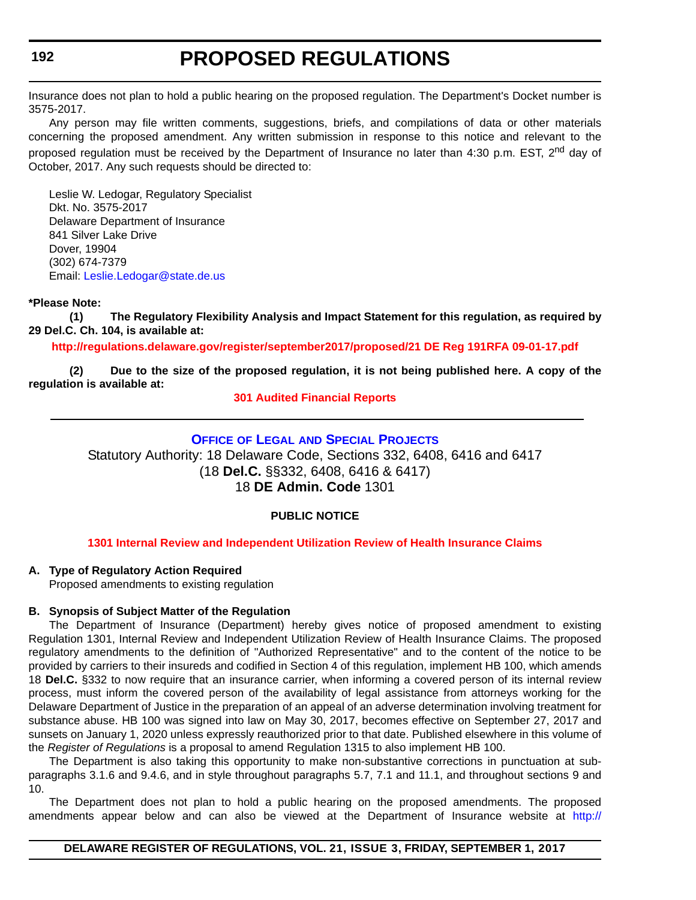<span id="page-27-0"></span>Insurance does not plan to hold a public hearing on the proposed regulation. The Department's Docket number is 3575-2017.

Any person may file written comments, suggestions, briefs, and compilations of data or other materials concerning the proposed amendment. Any written submission in response to this notice and relevant to the proposed regulation must be received by the Department of Insurance no later than 4:30 p.m. EST, 2<sup>nd</sup> day of October, 2017. Any such requests should be directed to:

Leslie W. Ledogar, Regulatory Specialist Dkt. No. 3575-2017 Delaware Department of Insurance 841 Silver Lake Drive Dover, 19904 (302) 674-7379 Email: [Leslie.Ledogar@state.de.us](mailto:Leslie.Ledogar@state.de.us)

#### **\*Please Note:**

**(1) The Regulatory Flexibility Analysis and Impact Statement for this regulation, as required by 29 Del.C. Ch. 104, is available at:**

#### **<http://regulations.delaware.gov/register/september2017/proposed/21 DE Reg 191RFA 09-01-17.pdf>**

**(2) Due to the size of the proposed regulation, it is not being published here. A copy of the regulation is available at:**

#### **[301 Audited Financial Reports](http://regulations.delaware.gov/register/september2017/proposed/21 DE Reg 191 09-01-17.htm)**

### **OFFICE OF LEGAL [AND SPECIAL PROJECTS](http://insurance.delaware.gov/divisions/)**

Statutory Authority: 18 Delaware Code, Sections 332, 6408, 6416 and 6417 (18 **Del.C.** §§332, 6408, 6416 & 6417) 18 **DE Admin. Code** 1301

#### **PUBLIC NOTICE**

#### **[1301 Internal Review and Independent Utilization Review of Health Insurance Claims](#page-3-0)**

#### **A. Type of Regulatory Action Required**

Proposed amendments to existing regulation

#### **B. Synopsis of Subject Matter of the Regulation**

The Department of Insurance (Department) hereby gives notice of proposed amendment to existing Regulation 1301, Internal Review and Independent Utilization Review of Health Insurance Claims. The proposed regulatory amendments to the definition of "Authorized Representative" and to the content of the notice to be provided by carriers to their insureds and codified in Section 4 of this regulation, implement HB 100, which amends 18 **Del.C.** §332 to now require that an insurance carrier, when informing a covered person of its internal review process, must inform the covered person of the availability of legal assistance from attorneys working for the Delaware Department of Justice in the preparation of an appeal of an adverse determination involving treatment for substance abuse. HB 100 was signed into law on May 30, 2017, becomes effective on September 27, 2017 and sunsets on January 1, 2020 unless expressly reauthorized prior to that date. Published elsewhere in this volume of the *Register of Regulations* is a proposal to amend Regulation 1315 to also implement HB 100.

The Department is also taking this opportunity to make non-substantive corrections in punctuation at subparagraphs 3.1.6 and 9.4.6, and in style throughout paragraphs 5.7, 7.1 and 11.1, and throughout sections 9 and 10.

The Department does not plan to hold a public hearing on the proposed amendments. The proposed amendments appear below and can also be viewed at the Department of Insurance website at [http:/](http://insurance.delaware.gov/information/proposedregs/)/

#### **DELAWARE REGISTER OF REGULATIONS, VOL. 21, ISSUE 3, FRIDAY, SEPTEMBER 1, 2017**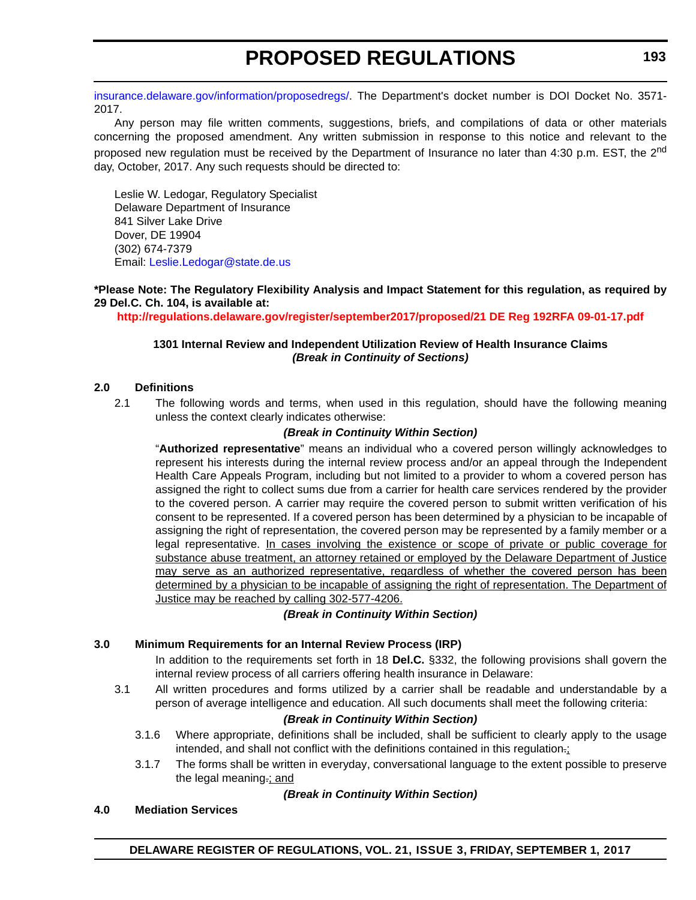[insurance.delaware.gov/information/proposedregs/](http://insurance.delaware.gov/information/proposedregs/). The Department's docket number is DOI Docket No. 3571- 2017.

Any person may file written comments, suggestions, briefs, and compilations of data or other materials concerning the proposed amendment. Any written submission in response to this notice and relevant to the proposed new regulation must be received by the Department of Insurance no later than 4:30 p.m. EST, the 2<sup>nd</sup> day, October, 2017. Any such requests should be directed to:

Leslie W. Ledogar, Regulatory Specialist Delaware Department of Insurance 841 Silver Lake Drive Dover, DE 19904 (302) 674-7379 Email: [Leslie.Ledogar@state.de.us](mailto:Leslie.Ledogar@state.de.us)

#### **\*Please Note: The Regulatory Flexibility Analysis and Impact Statement for this regulation, as required by 29 Del.C. Ch. 104, is available at:**

**<http://regulations.delaware.gov/register/september2017/proposed/21 DE Reg 192RFA 09-01-17.pdf>**

#### **1301 Internal Review and Independent Utilization Review of Health Insurance Claims** *(Break in Continuity of Sections)*

#### **2.0 Definitions**

2.1 The following words and terms, when used in this regulation, should have the following meaning unless the context clearly indicates otherwise:

#### *(Break in Continuity Within Section)*

"**Authorized representative**" means an individual who a covered person willingly acknowledges to represent his interests during the internal review process and/or an appeal through the Independent Health Care Appeals Program, including but not limited to a provider to whom a covered person has assigned the right to collect sums due from a carrier for health care services rendered by the provider to the covered person. A carrier may require the covered person to submit written verification of his consent to be represented. If a covered person has been determined by a physician to be incapable of assigning the right of representation, the covered person may be represented by a family member or a legal representative. In cases involving the existence or scope of private or public coverage for substance abuse treatment, an attorney retained or employed by the Delaware Department of Justice may serve as an authorized representative, regardless of whether the covered person has been determined by a physician to be incapable of assigning the right of representation. The Department of Justice may be reached by calling 302-577-4206.

#### *(Break in Continuity Within Section)*

#### **3.0 Minimum Requirements for an Internal Review Process (IRP)**

In addition to the requirements set forth in 18 **Del.C.** §332, the following provisions shall govern the internal review process of all carriers offering health insurance in Delaware:

3.1 All written procedures and forms utilized by a carrier shall be readable and understandable by a person of average intelligence and education. All such documents shall meet the following criteria:

### *(Break in Continuity Within Section)*

- 3.1.6 Where appropriate, definitions shall be included, shall be sufficient to clearly apply to the usage intended, and shall not conflict with the definitions contained in this regulation.;
- 3.1.7 The forms shall be written in everyday, conversational language to the extent possible to preserve the legal meaning.; and

#### *(Break in Continuity Within Section)*

#### **4.0 Mediation Services**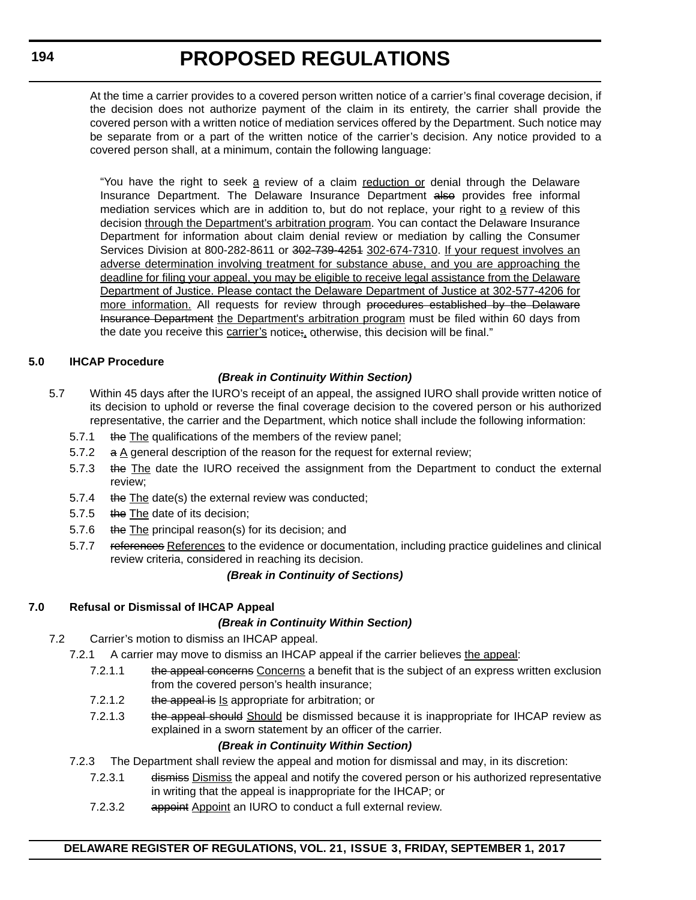At the time a carrier provides to a covered person written notice of a carrier's final coverage decision, if the decision does not authorize payment of the claim in its entirety, the carrier shall provide the covered person with a written notice of mediation services offered by the Department. Such notice may be separate from or a part of the written notice of the carrier's decision. Any notice provided to a covered person shall, at a minimum, contain the following language:

"You have the right to seek a review of a claim reduction or denial through the Delaware Insurance Department. The Delaware Insurance Department also provides free informal mediation services which are in addition to, but do not replace, your right to a review of this decision through the Department's arbitration program. You can contact the Delaware Insurance Department for information about claim denial review or mediation by calling the Consumer Services Division at 800-282-8611 or 302-739-4254 302-674-7310. If your request involves an adverse determination involving treatment for substance abuse, and you are approaching the deadline for filing your appeal, you may be eligible to receive legal assistance from the Delaware Department of Justice. Please contact the Delaware Department of Justice at 302-577-4206 for more information. All requests for review through procedures established by the Delaware Insurance Department the Department's arbitration program must be filed within 60 days from the date you receive this carrier's notice;, otherwise, this decision will be final."

#### **5.0 IHCAP Procedure**

### *(Break in Continuity Within Section)*

- 5.7 Within 45 days after the IURO's receipt of an appeal, the assigned IURO shall provide written notice of its decision to uphold or reverse the final coverage decision to the covered person or his authorized representative, the carrier and the Department, which notice shall include the following information:
	- 5.7.1 the The qualifications of the members of the review panel;
	- 5.7.2  $\alpha$  A general description of the reason for the request for external review;
	- 5.7.3 the The date the IURO received the assignment from the Department to conduct the external review;
	- 5.7.4 the The date(s) the external review was conducted;
	- 5.7.5 the The date of its decision;
	- 5.7.6 the The principal reason(s) for its decision; and
	- 5.7.7 references References to the evidence or documentation, including practice guidelines and clinical review criteria, considered in reaching its decision.

### *(Break in Continuity of Sections)*

### **7.0 Refusal or Dismissal of IHCAP Appeal**

#### *(Break in Continuity Within Section)*

- 7.2 Carrier's motion to dismiss an IHCAP appeal.
	- 7.2.1 A carrier may move to dismiss an IHCAP appeal if the carrier believes the appeal:
		- 7.2.1.1 the appeal concerns Concerns a benefit that is the subject of an express written exclusion from the covered person's health insurance;
		- 7.2.1.2 the appeal is Is appropriate for arbitration; or
		- 7.2.1.3 the appeal should Should be dismissed because it is inappropriate for IHCAP review as explained in a sworn statement by an officer of the carrier.

### *(Break in Continuity Within Section)*

- 7.2.3 The Department shall review the appeal and motion for dismissal and may, in its discretion:
	- 7.2.3.1 <del>dismiss</del> Dismiss the appeal and notify the covered person or his authorized representative in writing that the appeal is inappropriate for the IHCAP; or
	- 7.2.3.2 appoint Appoint an IURO to conduct a full external review.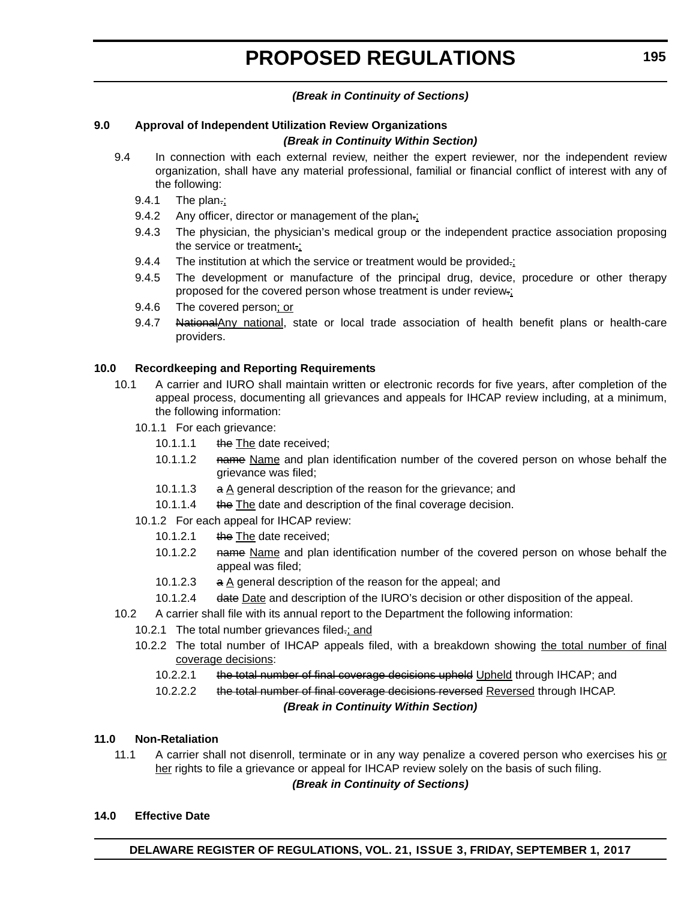### *(Break in Continuity of Sections)*

#### **9.0 Approval of Independent Utilization Review Organizations** *(Break in Continuity Within Section)*

- 9.4 In connection with each external review, neither the expert reviewer, nor the independent review organization, shall have any material professional, familial or financial conflict of interest with any of the following:
	- 9.4.1 The plan.;
	- 9.4.2 Any officer, director or management of the plan.;
	- 9.4.3 The physician, the physician's medical group or the independent practice association proposing the service or treatment.;
	- 9.4.4 The institution at which the service or treatment would be provided.:
	- 9.4.5 The development or manufacture of the principal drug, device, procedure or other therapy proposed for the covered person whose treatment is under review.;
	- 9.4.6 The covered person; or
	- 9.4.7 NationalAny national, state or local trade association of health benefit plans or health-care providers.

#### **10.0 Recordkeeping and Reporting Requirements**

- 10.1 A carrier and IURO shall maintain written or electronic records for five years, after completion of the appeal process, documenting all grievances and appeals for IHCAP review including, at a minimum, the following information:
	- 10.1.1 For each grievance:
		- 10.1.1.1 the The date received;
		- 10.1.1.2 name Name and plan identification number of the covered person on whose behalf the grievance was filed;
		- 10.1.1.3 a A general description of the reason for the grievance; and
		- 10.1.1.4 the The date and description of the final coverage decision.
	- 10.1.2 For each appeal for IHCAP review:
		- 10.1.2.1 the The date received;
		- 10.1.2.2 name Name and plan identification number of the covered person on whose behalf the appeal was filed;
		- 10.1.2.3  $\alpha$  A general description of the reason for the appeal; and
	- 10.1.2.4 date Date and description of the IURO's decision or other disposition of the appeal.
- 10.2 A carrier shall file with its annual report to the Department the following information:
	- 10.2.1 The total number grievances filed-; and
	- 10.2.2 The total number of IHCAP appeals filed, with a breakdown showing the total number of final coverage decisions:
		- 10.2.2.1 the total number of final coverage decisions upheld Upheld through IHCAP; and
		- 10.2.2.2 the total number of final coverage decisions reversed Reversed through IHCAP.

### *(Break in Continuity Within Section)*

#### **11.0 Non-Retaliation**

11.1 A carrier shall not disenroll, terminate or in any way penalize a covered person who exercises his or her rights to file a grievance or appeal for IHCAP review solely on the basis of such filing.

*(Break in Continuity of Sections)*

#### **14.0 Effective Date**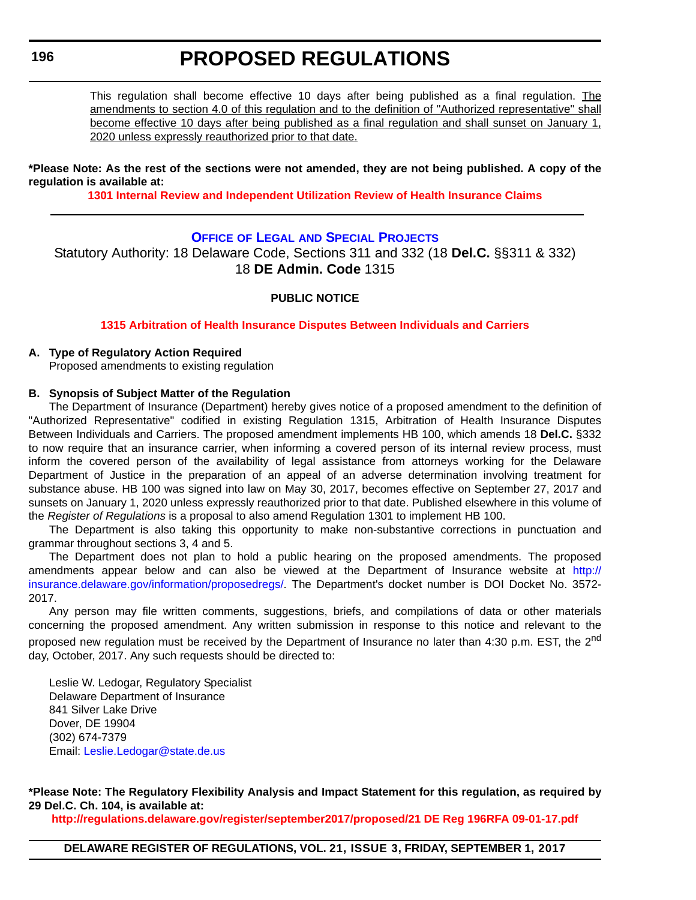<span id="page-31-0"></span>This regulation shall become effective 10 days after being published as a final regulation. The amendments to section 4.0 of this regulation and to the definition of "Authorized representative" shall become effective 10 days after being published as a final regulation and shall sunset on January 1, 2020 unless expressly reauthorized prior to that date.

#### **\*Please Note: As the rest of the sections were not amended, they are not being published. A copy of the regulation is available at:**

**[1301 Internal Review and Independent Utilization Review of Health Insurance Claims](http://regulations.delaware.gov/register/september2017/proposed/21 DE Reg 192 09-01-17.htm)** 

### **OFFICE OF LEGAL [AND SPECIAL PROJECTS](http://insurance.delaware.gov/divisions/)**

Statutory Authority: 18 Delaware Code, Sections 311 and 332 (18 **Del.C.** §§311 & 332) 18 **DE Admin. Code** 1315

#### **PUBLIC NOTICE**

#### **[1315 Arbitration of Health Insurance Disputes Between Individuals and Carriers](#page-3-0)**

#### **A. Type of Regulatory Action Required**

Proposed amendments to existing regulation

#### **B. Synopsis of Subject Matter of the Regulation**

The Department of Insurance (Department) hereby gives notice of a proposed amendment to the definition of "Authorized Representative" codified in existing Regulation 1315, Arbitration of Health Insurance Disputes Between Individuals and Carriers. The proposed amendment implements HB 100, which amends 18 **Del.C.** §332 to now require that an insurance carrier, when informing a covered person of its internal review process, must inform the covered person of the availability of legal assistance from attorneys working for the Delaware Department of Justice in the preparation of an appeal of an adverse determination involving treatment for substance abuse. HB 100 was signed into law on May 30, 2017, becomes effective on September 27, 2017 and sunsets on January 1, 2020 unless expressly reauthorized prior to that date. Published elsewhere in this volume of the *Register of Regulations* is a proposal to also amend Regulation 1301 to implement HB 100.

The Department is also taking this opportunity to make non-substantive corrections in punctuation and grammar throughout sections 3, 4 and 5.

The Department does not plan to hold a public hearing on the proposed amendments. The proposed amendments appear below and can also be viewed at the Department of Insurance website at [http://](http://insurance.delaware.gov/information/proposedregs/) [insurance.delaware.gov/information/proposedregs/.](http://insurance.delaware.gov/information/proposedregs/) The Department's docket number is DOI Docket No. 3572- 2017.

Any person may file written comments, suggestions, briefs, and compilations of data or other materials concerning the proposed amendment. Any written submission in response to this notice and relevant to the proposed new regulation must be received by the Department of Insurance no later than 4:30 p.m. EST, the 2<sup>nd</sup> day, October, 2017. Any such requests should be directed to:

Leslie W. Ledogar, Regulatory Specialist Delaware Department of Insurance 841 Silver Lake Drive Dover, DE 19904 (302) 674-7379 Email: [Leslie.Ledogar@state.de.us](mailto:Leslie.Ledogar@state.de.us)

**\*Please Note: The Regulatory Flexibility Analysis and Impact Statement for this regulation, as required by 29 Del.C. Ch. 104, is available at:**

**<http://regulations.delaware.gov/register/september2017/proposed/21 DE Reg 196RFA 09-01-17.pdf>**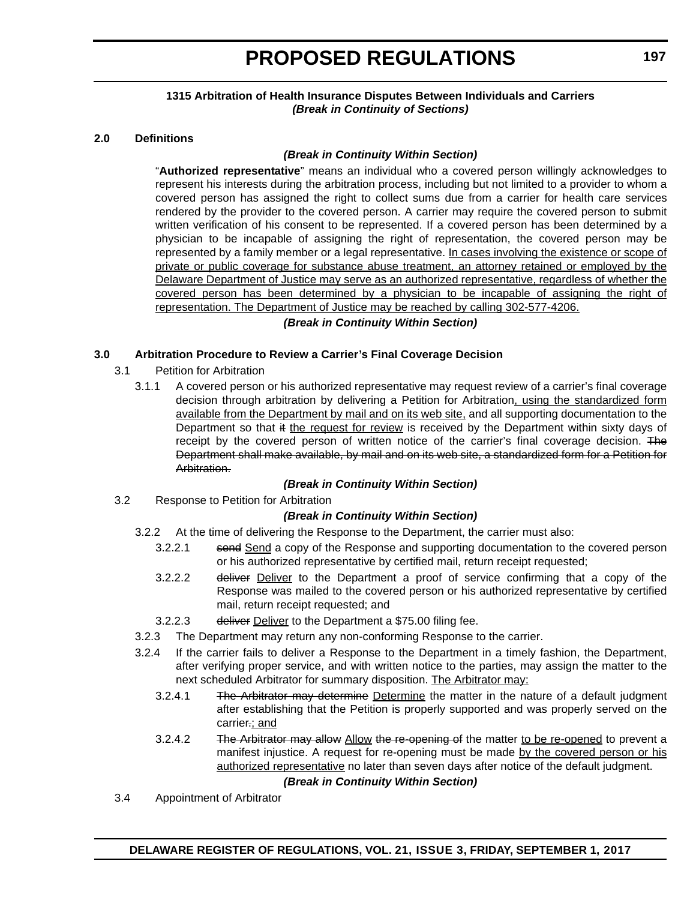#### **1315 Arbitration of Health Insurance Disputes Between Individuals and Carriers** *(Break in Continuity of Sections)*

#### **2.0 Definitions**

#### *(Break in Continuity Within Section)*

"**Authorized representative**" means an individual who a covered person willingly acknowledges to represent his interests during the arbitration process, including but not limited to a provider to whom a covered person has assigned the right to collect sums due from a carrier for health care services rendered by the provider to the covered person. A carrier may require the covered person to submit written verification of his consent to be represented. If a covered person has been determined by a physician to be incapable of assigning the right of representation, the covered person may be represented by a family member or a legal representative. In cases involving the existence or scope of private or public coverage for substance abuse treatment, an attorney retained or employed by the Delaware Department of Justice may serve as an authorized representative, regardless of whether the covered person has been determined by a physician to be incapable of assigning the right of representation. The Department of Justice may be reached by calling 302-577-4206.

#### *(Break in Continuity Within Section)*

#### **3.0 Arbitration Procedure to Review a Carrier's Final Coverage Decision**

- 3.1 Petition for Arbitration
	- 3.1.1 A covered person or his authorized representative may request review of a carrier's final coverage decision through arbitration by delivering a Petition for Arbitration, using the standardized form available from the Department by mail and on its web site, and all supporting documentation to the Department so that it the request for review is received by the Department within sixty days of receipt by the covered person of written notice of the carrier's final coverage decision. The Department shall make available, by mail and on its web site, a standardized form for a Petition for Arbitration.

#### *(Break in Continuity Within Section)*

3.2 Response to Petition for Arbitration

### *(Break in Continuity Within Section)*

- 3.2.2 At the time of delivering the Response to the Department, the carrier must also:
	- 3.2.2.1 send Send a copy of the Response and supporting documentation to the covered person or his authorized representative by certified mail, return receipt requested;
	- 3.2.2.2 deliver Deliver to the Department a proof of service confirming that a copy of the Response was mailed to the covered person or his authorized representative by certified mail, return receipt requested; and
	- 3.2.2.3 deliver Deliver to the Department a \$75.00 filing fee.
- 3.2.3 The Department may return any non-conforming Response to the carrier.
- 3.2.4 If the carrier fails to deliver a Response to the Department in a timely fashion, the Department, after verifying proper service, and with written notice to the parties, may assign the matter to the next scheduled Arbitrator for summary disposition. The Arbitrator may:
	- 3.2.4.1 The Arbitrator may determine Determine the matter in the nature of a default judgment after establishing that the Petition is properly supported and was properly served on the carrier.; and
	- 3.2.4.2 The Arbitrator may allow Allow the re-opening of the matter to be re-opened to prevent a manifest injustice. A request for re-opening must be made by the covered person or his authorized representative no later than seven days after notice of the default judgment.

#### *(Break in Continuity Within Section)*

3.4 Appointment of Arbitrator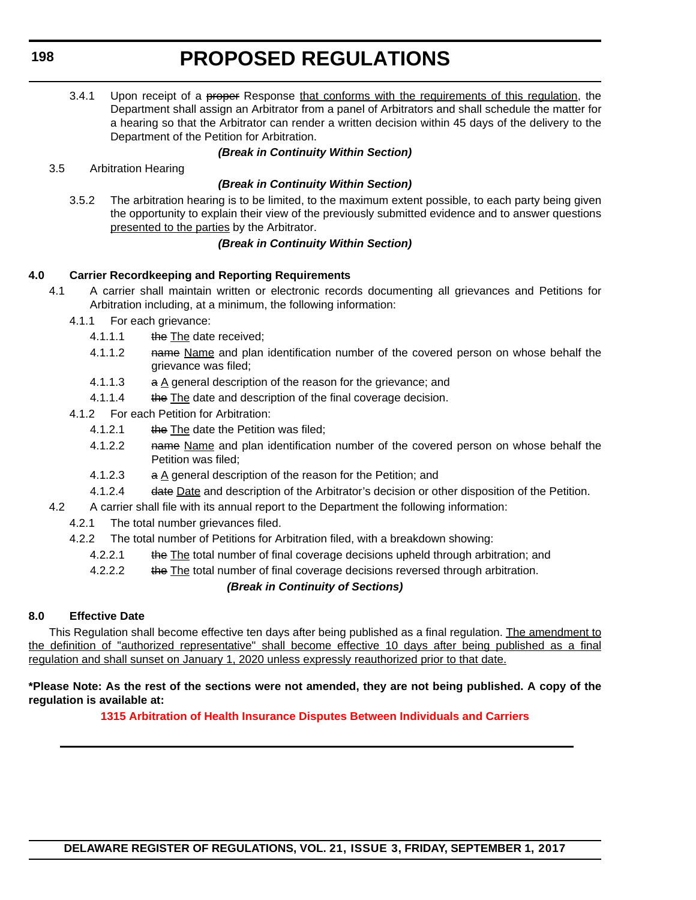3.4.1 Upon receipt of a proper Response that conforms with the requirements of this regulation, the Department shall assign an Arbitrator from a panel of Arbitrators and shall schedule the matter for a hearing so that the Arbitrator can render a written decision within 45 days of the delivery to the Department of the Petition for Arbitration.

#### *(Break in Continuity Within Section)*

3.5 Arbitration Hearing

### *(Break in Continuity Within Section)*

3.5.2 The arbitration hearing is to be limited, to the maximum extent possible, to each party being given the opportunity to explain their view of the previously submitted evidence and to answer questions presented to the parties by the Arbitrator.

### *(Break in Continuity Within Section)*

### **4.0 Carrier Recordkeeping and Reporting Requirements**

- 4.1 A carrier shall maintain written or electronic records documenting all grievances and Petitions for Arbitration including, at a minimum, the following information:
	- 4.1.1 For each grievance:
		- 4.1.1.1 the The date received;
		- 4.1.1.2 name Name and plan identification number of the covered person on whose behalf the grievance was filed;
		- 4.1.1.3 a A general description of the reason for the grievance; and
		- 4.1.1.4 the The date and description of the final coverage decision.
	- 4.1.2 For each Petition for Arbitration:
		- 4.1.2.1 the The date the Petition was filed;
		- 4.1.2.2 name Name and plan identification number of the covered person on whose behalf the Petition was filed;
		- 4.1.2.3  $a \Delta$  general description of the reason for the Petition; and
		- 4.1.2.4 date Date and description of the Arbitrator's decision or other disposition of the Petition.
- 4.2 A carrier shall file with its annual report to the Department the following information:
	- 4.2.1 The total number grievances filed.
	- 4.2.2 The total number of Petitions for Arbitration filed, with a breakdown showing:
		- 4.2.2.1 the The total number of final coverage decisions upheld through arbitration; and
		- 4.2.2.2 the The total number of final coverage decisions reversed through arbitration.

#### *(Break in Continuity of Sections)*

#### **8.0 Effective Date**

This Regulation shall become effective ten days after being published as a final regulation. The amendment to the definition of "authorized representative" shall become effective 10 days after being published as a final regulation and shall sunset on January 1, 2020 unless expressly reauthorized prior to that date.

#### **\*Please Note: As the rest of the sections were not amended, they are not being published. A copy of the regulation is available at:**

**[1315 Arbitration of Health Insurance Disputes Between Individuals and Carriers](http://regulations.delaware.gov/register/september2017/proposed/21 DE Reg 196 09-01-17.htm)**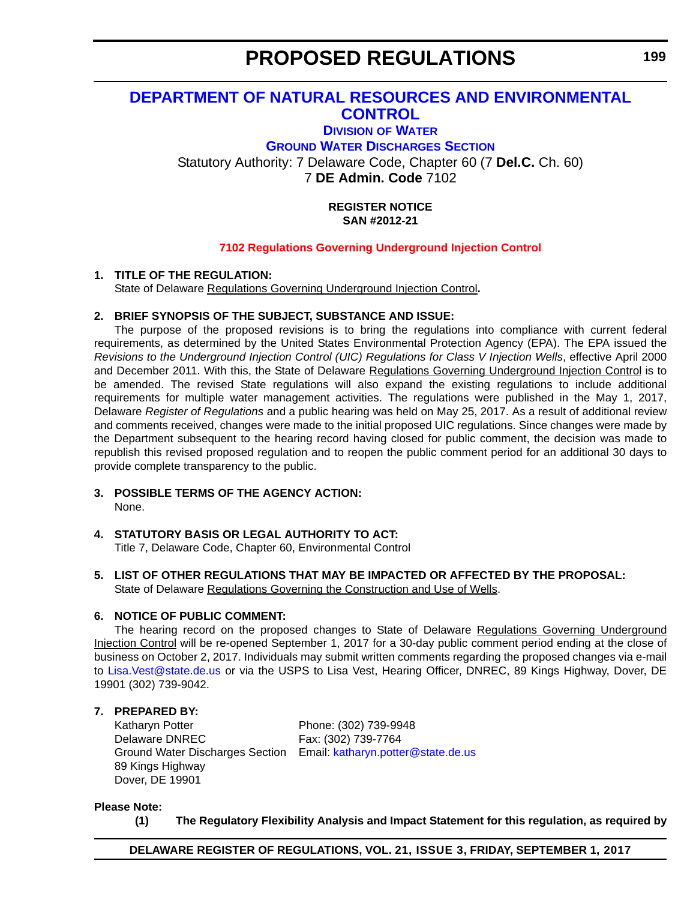# <span id="page-34-0"></span>**[DEPARTMENT OF NATURAL RESOURCES AND ENVIRONMENTAL](http://dnrec.alpha.delaware.gov/)  CONTROL**

# **DIVISION [OF WATER](http://www.dnrec.delaware.gov/wr/Pages/Default.aspx) [GROUND WATER DISCHARGES SECTION](http://www.dnrec.delaware.gov/wr/Services/Pages/GroundWaterDischarges.aspx)** Statutory Authority: 7 Delaware Code, Chapter 60 (7 **Del.C.** Ch. 60) 7 **DE Admin. Code** 7102

#### **REGISTER NOTICE SAN #2012-21**

#### **[7102 Regulations Governing Underground Injection Control](#page-3-0)**

### **1. TITLE OF THE REGULATION:**

State of Delaware Regulations Governing Underground Injection Control**.**

#### **2. BRIEF SYNOPSIS OF THE SUBJECT, SUBSTANCE AND ISSUE:**

The purpose of the proposed revisions is to bring the regulations into compliance with current federal requirements, as determined by the United States Environmental Protection Agency (EPA). The EPA issued the *Revisions to the Underground Injection Control (UIC) Regulations for Class V Injection Wells*, effective April 2000 and December 2011. With this, the State of Delaware Regulations Governing Underground Injection Control is to be amended. The revised State regulations will also expand the existing regulations to include additional requirements for multiple water management activities. The regulations were published in the May 1, 2017, Delaware *Register of Regulations* and a public hearing was held on May 25, 2017. As a result of additional review and comments received, changes were made to the initial proposed UIC regulations. Since changes were made by the Department subsequent to the hearing record having closed for public comment, the decision was made to republish this revised proposed regulation and to reopen the public comment period for an additional 30 days to provide complete transparency to the public.

- **3. POSSIBLE TERMS OF THE AGENCY ACTION:** None.
- **4. STATUTORY BASIS OR LEGAL AUTHORITY TO ACT:** Title 7, Delaware Code, Chapter 60, Environmental Control
- **5. LIST OF OTHER REGULATIONS THAT MAY BE IMPACTED OR AFFECTED BY THE PROPOSAL:** State of Delaware Regulations Governing the Construction and Use of Wells.

### **6. NOTICE OF PUBLIC COMMENT:**

The hearing record on the proposed changes to State of Delaware Regulations Governing Underground Injection Control will be re-opened September 1, 2017 for a 30-day public comment period ending at the close of business on October 2, 2017. Individuals may submit written comments regarding the proposed changes via e-mail to [Lisa.Vest@state.de.us](mailto:Lisa.Vest@state.de.us) or via the USPS to Lisa Vest, Hearing Officer, DNREC, 89 Kings Highway, Dover, DE 19901 (302) 739-9042.

### **7. PREPARED BY:**

Katharyn Potter Phone: (302) 739-9948 Delaware DNREC Fax: (302) 739-7764 89 Kings Highway Dover, DE 19901

Ground Water Discharges Section Email: [katharyn.potter@state.de.us](mailto:katharyn.potter@state.de.us)

#### **Please Note:**

**(1) The Regulatory Flexibility Analysis and Impact Statement for this regulation, as required by**

**DELAWARE REGISTER OF REGULATIONS, VOL. 21, ISSUE 3, FRIDAY, SEPTEMBER 1, 2017**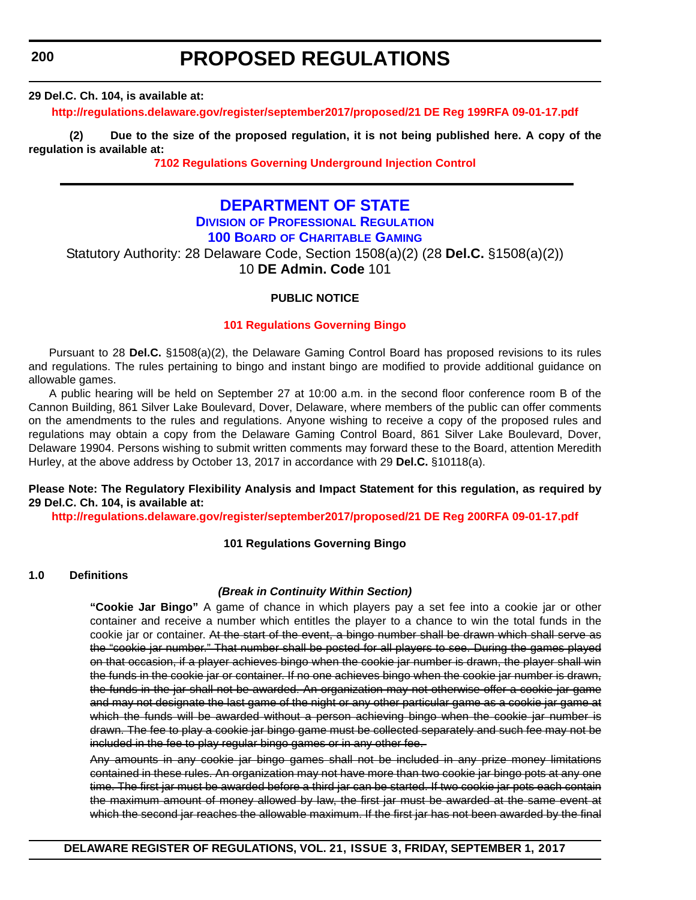<span id="page-35-0"></span>**200**

# **PROPOSED REGULATIONS**

**29 Del.C. Ch. 104, is available at:**

**<http://regulations.delaware.gov/register/september2017/proposed/21 DE Reg 199RFA 09-01-17.pdf>**

**(2) Due to the size of the proposed regulation, it is not being published here. A copy of the regulation is available at:**

**[7102 Regulations Governing Underground Injection Control](http://regulations.delaware.gov/register/september2017/proposed/21 DE Reg 199 09-01-17.htm)** 

# **[DEPARTMENT OF STATE](http://sos.delaware.gov/)**

**DIVISION [OF PROFESSIONAL REGULATION](http://dpr.delaware.gov/)**

# **100 BOARD [OF CHARITABLE GAMING](http://dpr.delaware.gov/boards/gaming/)**

Statutory Authority: 28 Delaware Code, Section 1508(a)(2) (28 **Del.C.** §1508(a)(2)) 10 **DE Admin. Code** 101

#### **PUBLIC NOTICE**

#### **[101 Regulations Governing Bingo](#page-3-0)**

Pursuant to 28 **Del.C.** §1508(a)(2), the Delaware Gaming Control Board has proposed revisions to its rules and regulations. The rules pertaining to bingo and instant bingo are modified to provide additional guidance on allowable games.

A public hearing will be held on September 27 at 10:00 a.m. in the second floor conference room B of the Cannon Building, 861 Silver Lake Boulevard, Dover, Delaware, where members of the public can offer comments on the amendments to the rules and regulations. Anyone wishing to receive a copy of the proposed rules and regulations may obtain a copy from the Delaware Gaming Control Board, 861 Silver Lake Boulevard, Dover, Delaware 19904. Persons wishing to submit written comments may forward these to the Board, attention Meredith Hurley, at the above address by October 13, 2017 in accordance with 29 **Del.C.** §10118(a).

#### **Please Note: The Regulatory Flexibility Analysis and Impact Statement for this regulation, as required by 29 Del.C. Ch. 104, is available at:**

**<http://regulations.delaware.gov/register/september2017/proposed/21 DE Reg 200RFA 09-01-17.pdf>**

#### **101 Regulations Governing Bingo**

#### **1.0 Definitions**

#### *(Break in Continuity Within Section)*

**"Cookie Jar Bingo"** A game of chance in which players pay a set fee into a cookie jar or other container and receive a number which entitles the player to a chance to win the total funds in the cookie jar or container. At the start of the event, a bingo number shall be drawn which shall serve as the "cookie jar number." That number shall be posted for all players to see. During the games played on that occasion, if a player achieves bingo when the cookie jar number is drawn, the player shall win the funds in the cookie jar or container. If no one achieves bingo when the cookie jar number is drawn, the funds in the jar shall not be awarded. An organization may not otherwise offer a cookie jar game and may not designate the last game of the night or any other particular game as a cookie jar game at which the funds will be awarded without a person achieving bingo when the cookie jar number is drawn. The fee to play a cookie jar bingo game must be collected separately and such fee may not be included in the fee to play regular bingo games or in any other fee.

Any amounts in any cookie jar bingo games shall not be included in any prize money limitations contained in these rules. An organization may not have more than two cookie jar bingo pots at any one time. The first jar must be awarded before a third jar can be started. If two cookie jar pots each contain the maximum amount of money allowed by law, the first jar must be awarded at the same event at which the second jar reaches the allowable maximum. If the first jar has not been awarded by the final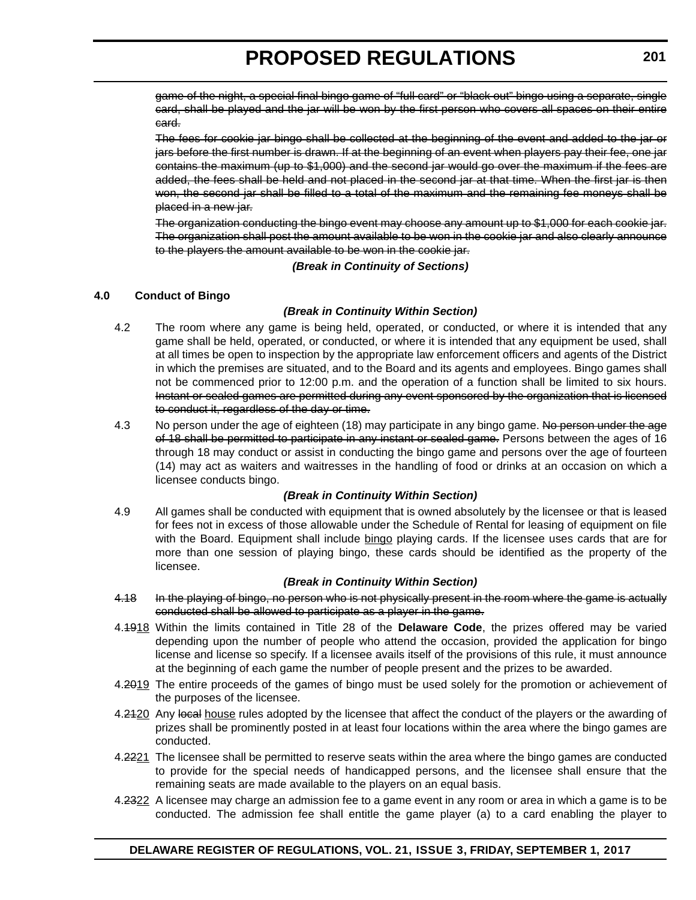game of the night, a special final bingo game of "full card" or "black out" bingo using a separate, single card, shall be played and the jar will be won by the first person who covers all spaces on their entire card.

The fees for cookie jar bingo shall be collected at the beginning of the event and added to the jar or jars before the first number is drawn. If at the beginning of an event when players pay their fee, one jar contains the maximum (up to \$1,000) and the second jar would go over the maximum if the fees are added, the fees shall be held and not placed in the second jar at that time. When the first jar is then won, the second jar shall be filled to a total of the maximum and the remaining fee moneys shall be placed in a new jar.

The organization conducting the bingo event may choose any amount up to \$1,000 for each cookie jar. The organization shall post the amount available to be won in the cookie jar and also clearly announce to the players the amount available to be won in the cookie jar.

*(Break in Continuity of Sections)*

### **4.0 Conduct of Bingo**

#### *(Break in Continuity Within Section)*

- 4.2 The room where any game is being held, operated, or conducted, or where it is intended that any game shall be held, operated, or conducted, or where it is intended that any equipment be used, shall at all times be open to inspection by the appropriate law enforcement officers and agents of the District in which the premises are situated, and to the Board and its agents and employees. Bingo games shall not be commenced prior to 12:00 p.m. and the operation of a function shall be limited to six hours. Instant or sealed games are permitted during any event sponsored by the organization that is licensed to conduct it, regardless of the day or time.
- 4.3 No person under the age of eighteen (18) may participate in any bingo game. No person under the age of 18 shall be permitted to participate in any instant or sealed game. Persons between the ages of 16 through 18 may conduct or assist in conducting the bingo game and persons over the age of fourteen (14) may act as waiters and waitresses in the handling of food or drinks at an occasion on which a licensee conducts bingo.

### *(Break in Continuity Within Section)*

4.9 All games shall be conducted with equipment that is owned absolutely by the licensee or that is leased for fees not in excess of those allowable under the Schedule of Rental for leasing of equipment on file with the Board. Equipment shall include bingo playing cards. If the licensee uses cards that are for more than one session of playing bingo, these cards should be identified as the property of the licensee.

#### *(Break in Continuity Within Section)*

- 4.18 In the playing of bingo, no person who is not physically present in the room where the game is actually conducted shall be allowed to participate as a player in the game.
- 4.1918 Within the limits contained in Title 28 of the **Delaware Code**, the prizes offered may be varied depending upon the number of people who attend the occasion, provided the application for bingo license and license so specify. If a licensee avails itself of the provisions of this rule, it must announce at the beginning of each game the number of people present and the prizes to be awarded.
- 4.2019 The entire proceeds of the games of bingo must be used solely for the promotion or achievement of the purposes of the licensee.
- 4.2420 Any local house rules adopted by the licensee that affect the conduct of the players or the awarding of prizes shall be prominently posted in at least four locations within the area where the bingo games are conducted.
- 4.2221 The licensee shall be permitted to reserve seats within the area where the bingo games are conducted to provide for the special needs of handicapped persons, and the licensee shall ensure that the remaining seats are made available to the players on an equal basis.
- 4.2322 A licensee may charge an admission fee to a game event in any room or area in which a game is to be conducted. The admission fee shall entitle the game player (a) to a card enabling the player to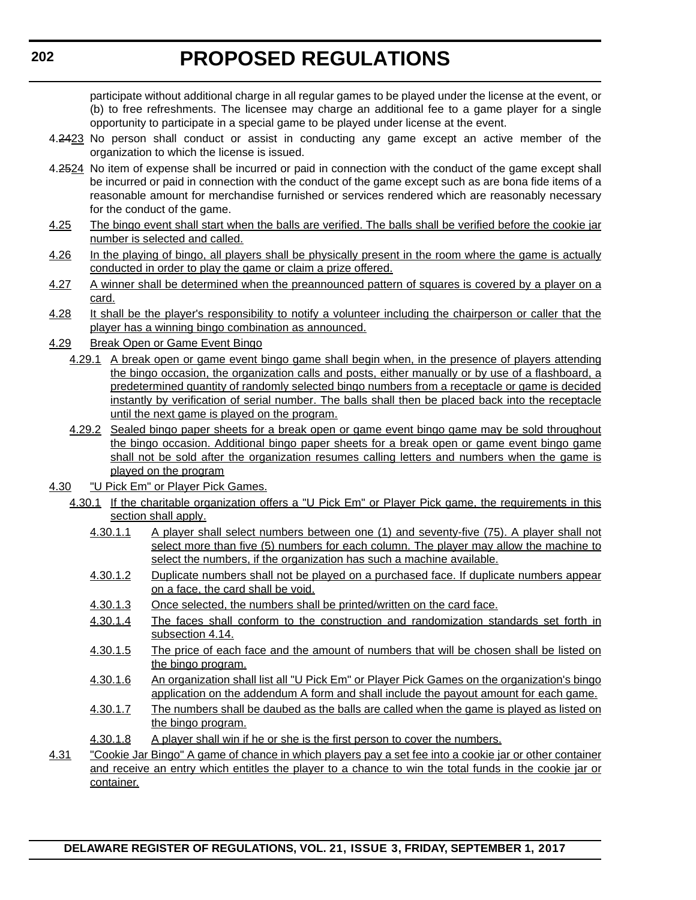participate without additional charge in all regular games to be played under the license at the event, or (b) to free refreshments. The licensee may charge an additional fee to a game player for a single opportunity to participate in a special game to be played under license at the event.

- 4.2423 No person shall conduct or assist in conducting any game except an active member of the organization to which the license is issued.
- 4.2524 No item of expense shall be incurred or paid in connection with the conduct of the game except shall be incurred or paid in connection with the conduct of the game except such as are bona fide items of a reasonable amount for merchandise furnished or services rendered which are reasonably necessary for the conduct of the game.
- 4.25 The bingo event shall start when the balls are verified. The balls shall be verified before the cookie jar number is selected and called.
- 4.26 In the playing of bingo, all players shall be physically present in the room where the game is actually conducted in order to play the game or claim a prize offered.
- 4.27 A winner shall be determined when the preannounced pattern of squares is covered by a player on a card.
- 4.28 It shall be the player's responsibility to notify a volunteer including the chairperson or caller that the player has a winning bingo combination as announced.
- 4.29 Break Open or Game Event Bingo
	- 4.29.1 A break open or game event bingo game shall begin when, in the presence of players attending the bingo occasion, the organization calls and posts, either manually or by use of a flashboard, a predetermined quantity of randomly selected bingo numbers from a receptacle or game is decided instantly by verification of serial number. The balls shall then be placed back into the receptacle until the next game is played on the program.
	- 4.29.2 Sealed bingo paper sheets for a break open or game event bingo game may be sold throughout the bingo occasion. Additional bingo paper sheets for a break open or game event bingo game shall not be sold after the organization resumes calling letters and numbers when the game is played on the program
- 4.30 "U Pick Em" or Player Pick Games.
	- 4.30.1 If the charitable organization offers a "U Pick Em" or Player Pick game, the requirements in this section shall apply.
		- 4.30.1.1 A player shall select numbers between one (1) and seventy-five (75). A player shall not select more than five (5) numbers for each column. The player may allow the machine to select the numbers, if the organization has such a machine available.
		- 4.30.1.2 Duplicate numbers shall not be played on a purchased face. If duplicate numbers appear on a face, the card shall be void.
		- 4.30.1.3 Once selected, the numbers shall be printed/written on the card face.
		- 4.30.1.4 The faces shall conform to the construction and randomization standards set forth in subsection 4.14.
		- 4.30.1.5 The price of each face and the amount of numbers that will be chosen shall be listed on the bingo program.
		- 4.30.1.6 An organization shall list all "U Pick Em" or Player Pick Games on the organization's bingo application on the addendum A form and shall include the payout amount for each game.
		- 4.30.1.7 The numbers shall be daubed as the balls are called when the game is played as listed on the bingo program.
		- 4.30.1.8 A player shall win if he or she is the first person to cover the numbers.
- 4.31 "Cookie Jar Bingo" A game of chance in which players pay a set fee into a cookie jar or other container and receive an entry which entitles the player to a chance to win the total funds in the cookie jar or container.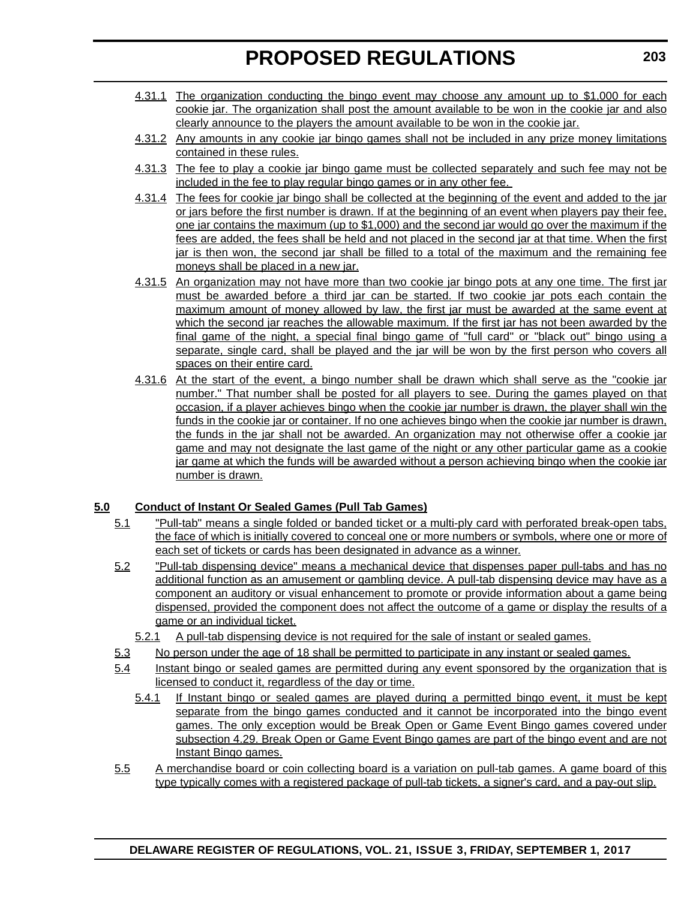- 4.31.1 The organization conducting the bingo event may choose any amount up to \$1,000 for each cookie jar. The organization shall post the amount available to be won in the cookie jar and also clearly announce to the players the amount available to be won in the cookie jar.
- 4.31.2 Any amounts in any cookie jar bingo games shall not be included in any prize money limitations contained in these rules.
- 4.31.3 The fee to play a cookie jar bingo game must be collected separately and such fee may not be included in the fee to play regular bingo games or in any other fee.
- 4.31.4 The fees for cookie jar bingo shall be collected at the beginning of the event and added to the jar or jars before the first number is drawn. If at the beginning of an event when players pay their fee, one jar contains the maximum (up to \$1,000) and the second jar would go over the maximum if the fees are added, the fees shall be held and not placed in the second jar at that time. When the first jar is then won, the second jar shall be filled to a total of the maximum and the remaining fee moneys shall be placed in a new jar.
- 4.31.5 An organization may not have more than two cookie jar bingo pots at any one time. The first jar must be awarded before a third jar can be started. If two cookie jar pots each contain the maximum amount of money allowed by law, the first jar must be awarded at the same event at which the second jar reaches the allowable maximum. If the first jar has not been awarded by the final game of the night, a special final bingo game of "full card" or "black out" bingo using a separate, single card, shall be played and the jar will be won by the first person who covers all spaces on their entire card.
- 4.31.6 At the start of the event, a bingo number shall be drawn which shall serve as the "cookie jar number." That number shall be posted for all players to see. During the games played on that occasion, if a player achieves bingo when the cookie jar number is drawn, the player shall win the funds in the cookie jar or container. If no one achieves bingo when the cookie jar number is drawn, the funds in the jar shall not be awarded. An organization may not otherwise offer a cookie jar game and may not designate the last game of the night or any other particular game as a cookie jar game at which the funds will be awarded without a person achieving bingo when the cookie jar number is drawn.

# **5.0 Conduct of Instant Or Sealed Games (Pull Tab Games)**

- 5.1 "Pull-tab" means a single folded or banded ticket or a multi-ply card with perforated break-open tabs, the face of which is initially covered to conceal one or more numbers or symbols, where one or more of each set of tickets or cards has been designated in advance as a winner.
- 5.2 "Pull-tab dispensing device" means a mechanical device that dispenses paper pull-tabs and has no additional function as an amusement or gambling device. A pull-tab dispensing device may have as a component an auditory or visual enhancement to promote or provide information about a game being dispensed, provided the component does not affect the outcome of a game or display the results of a game or an individual ticket.
	- 5.2.1 A pull-tab dispensing device is not required for the sale of instant or sealed games.
- 5.3 No person under the age of 18 shall be permitted to participate in any instant or sealed games.
- 5.4 Instant bingo or sealed games are permitted during any event sponsored by the organization that is licensed to conduct it, regardless of the day or time.
	- 5.4.1 If Instant bingo or sealed games are played during a permitted bingo event, it must be kept separate from the bingo games conducted and it cannot be incorporated into the bingo event games. The only exception would be Break Open or Game Event Bingo games covered under subsection 4.29. Break Open or Game Event Bingo games are part of the bingo event and are not Instant Bingo games.
- 5.5 A merchandise board or coin collecting board is a variation on pull-tab games. A game board of this type typically comes with a registered package of pull-tab tickets, a signer's card, and a pay-out slip.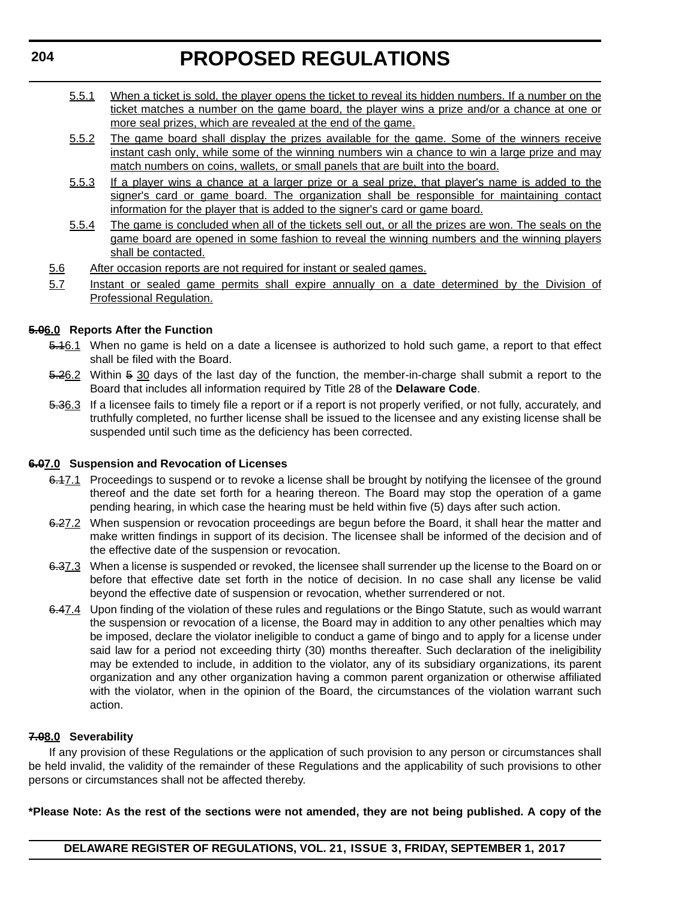- 5.5.1 When a ticket is sold, the player opens the ticket to reveal its hidden numbers. If a number on the ticket matches a number on the game board, the player wins a prize and/or a chance at one or more seal prizes, which are revealed at the end of the game.
- 5.5.2 The game board shall display the prizes available for the game. Some of the winners receive instant cash only, while some of the winning numbers win a chance to win a large prize and may match numbers on coins, wallets, or small panels that are built into the board.
- 5.5.3 If a player wins a chance at a larger prize or a seal prize, that player's name is added to the signer's card or game board. The organization shall be responsible for maintaining contact information for the player that is added to the signer's card or game board.
- 5.5.4 The game is concluded when all of the tickets sell out, or all the prizes are won. The seals on the game board are opened in some fashion to reveal the winning numbers and the winning players shall be contacted.
- 5.6 After occasion reports are not required for instant or sealed games.
- 5.7 Instant or sealed game permits shall expire annually on a date determined by the Division of Professional Regulation.

# **5.06.0 Reports After the Function**

- 5.16.1 When no game is held on a date a licensee is authorized to hold such game, a report to that effect shall be filed with the Board.
- 5.26.2 Within 5 30 days of the last day of the function, the member-in-charge shall submit a report to the Board that includes all information required by Title 28 of the **Delaware Code**.
- 5.36.3 If a licensee fails to timely file a report or if a report is not properly verified, or not fully, accurately, and truthfully completed, no further license shall be issued to the licensee and any existing license shall be suspended until such time as the deficiency has been corrected.

# **6.07.0 Suspension and Revocation of Licenses**

- 6.17.1 Proceedings to suspend or to revoke a license shall be brought by notifying the licensee of the ground thereof and the date set forth for a hearing thereon. The Board may stop the operation of a game pending hearing, in which case the hearing must be held within five (5) days after such action.
- 6.27.2 When suspension or revocation proceedings are begun before the Board, it shall hear the matter and make written findings in support of its decision. The licensee shall be informed of the decision and of the effective date of the suspension or revocation.
- 6.37.3 When a license is suspended or revoked, the licensee shall surrender up the license to the Board on or before that effective date set forth in the notice of decision. In no case shall any license be valid beyond the effective date of suspension or revocation, whether surrendered or not.
- 6.47.4 Upon finding of the violation of these rules and regulations or the Bingo Statute, such as would warrant the suspension or revocation of a license, the Board may in addition to any other penalties which may be imposed, declare the violator ineligible to conduct a game of bingo and to apply for a license under said law for a period not exceeding thirty (30) months thereafter. Such declaration of the ineligibility may be extended to include, in addition to the violator, any of its subsidiary organizations, its parent organization and any other organization having a common parent organization or otherwise affiliated with the violator, when in the opinion of the Board, the circumstances of the violation warrant such action.

# **7.08.0 Severability**

If any provision of these Regulations or the application of such provision to any person or circumstances shall be held invalid, the validity of the remainder of these Regulations and the applicability of such provisions to other persons or circumstances shall not be affected thereby.

### **\*Please Note: As the rest of the sections were not amended, they are not being published. A copy of the**

**DELAWARE REGISTER OF REGULATIONS, VOL. 21, ISSUE 3, FRIDAY, SEPTEMBER 1, 2017**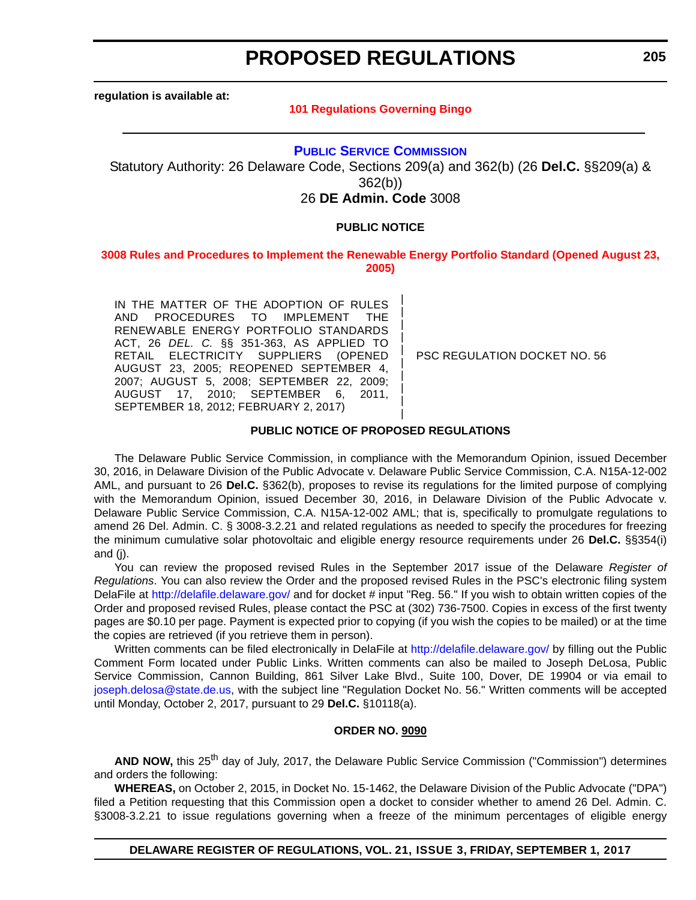**regulation is available at:**

#### **[101 Regulations Governing Bingo](http://regulations.delaware.gov/register/september2017/proposed/21 DE Reg 200 09-01-17.htm)**

#### **[PUBLIC SERVICE COMMISSION](http://depsc.delaware.gov/)**

Statutory Authority: 26 Delaware Code, Sections 209(a) and 362(b) (26 **Del.C.** §§209(a) & 362(b))

26 **DE Admin. Code** 3008

#### **PUBLIC NOTICE**

#### **[3008 Rules and Procedures to Implement the Renewable Energy Portfolio Standard \(Opened August 23,](#page-3-0)  2005)**

| | | | | | | | | |

IN THE MATTER OF THE ADOPTION OF RULES AND PROCEDURES TO IMPLEMENT THE RENEWABLE ENERGY PORTFOLIO STANDARDS ACT, 26 *DEL. C.* §§ 351-363, AS APPLIED TO RETAIL ELECTRICITY SUPPLIERS (OPENED AUGUST 23, 2005; REOPENED SEPTEMBER 4, 2007; AUGUST 5, 2008; SEPTEMBER 22, 2009; AUGUST 17, 2010; SEPTEMBER 6, 2011, SEPTEMBER 18, 2012; FEBRUARY 2, 2017)

PSC REGULATION DOCKET NO. 56

#### **PUBLIC NOTICE OF PROPOSED REGULATIONS**

The Delaware Public Service Commission, in compliance with the Memorandum Opinion, issued December 30, 2016, in Delaware Division of the Public Advocate v. Delaware Public Service Commission, C.A. N15A-12-002 AML, and pursuant to 26 **Del.C.** §362(b), proposes to revise its regulations for the limited purpose of complying with the Memorandum Opinion, issued December 30, 2016, in Delaware Division of the Public Advocate v. Delaware Public Service Commission, C.A. N15A-12-002 AML; that is, specifically to promulgate regulations to amend 26 Del. Admin. C. § 3008-3.2.21 and related regulations as needed to specify the procedures for freezing the minimum cumulative solar photovoltaic and eligible energy resource requirements under 26 **Del.C.** §§354(i) and (j).

You can review the proposed revised Rules in the September 2017 issue of the Delaware *Register of Regulations*. You can also review the Order and the proposed revised Rules in the PSC's electronic filing system DelaFile at <http://delafile.delaware.gov/> and for docket # input "Reg. 56." If you wish to obtain written copies of the Order and proposed revised Rules, please contact the PSC at (302) 736-7500. Copies in excess of the first twenty pages are \$0.10 per page. Payment is expected prior to copying (if you wish the copies to be mailed) or at the time the copies are retrieved (if you retrieve them in person).

Written comments can be filed electronically in DelaFile at <http://delafile.delaware.gov/> by filling out the Public Comment Form located under Public Links. Written comments can also be mailed to Joseph DeLosa, Public Service Commission, Cannon Building, 861 Silver Lake Blvd., Suite 100, Dover, DE 19904 or via email to [joseph.delosa@state.de.us](mailto:joseph.delosa@state.de.us), with the subject line "Regulation Docket No. 56." Written comments will be accepted until Monday, October 2, 2017, pursuant to 29 **Del.C.** §10118(a).

#### **ORDER NO. 9090**

AND NOW, this 25<sup>th</sup> day of July, 2017, the Delaware Public Service Commission ("Commission") determines and orders the following:

**WHEREAS,** on October 2, 2015, in Docket No. 15-1462, the Delaware Division of the Public Advocate ("DPA") filed a Petition requesting that this Commission open a docket to consider whether to amend 26 Del. Admin. C. §3008-3.2.21 to issue regulations governing when a freeze of the minimum percentages of eligible energy

#### **DELAWARE REGISTER OF REGULATIONS, VOL. 21, ISSUE 3, FRIDAY, SEPTEMBER 1, 2017**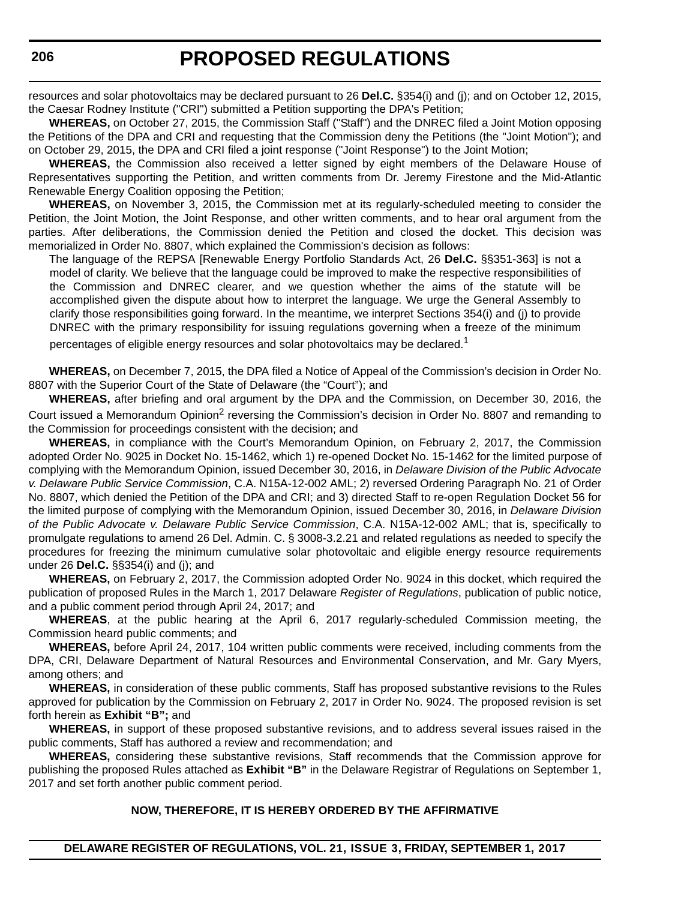resources and solar photovoltaics may be declared pursuant to 26 **Del.C.** §354(i) and (j); and on October 12, 2015, the Caesar Rodney Institute ("CRI") submitted a Petition supporting the DPA's Petition;

**WHEREAS,** on October 27, 2015, the Commission Staff ("Staff") and the DNREC filed a Joint Motion opposing the Petitions of the DPA and CRI and requesting that the Commission deny the Petitions (the "Joint Motion"); and on October 29, 2015, the DPA and CRI filed a joint response ("Joint Response") to the Joint Motion;

**WHEREAS,** the Commission also received a letter signed by eight members of the Delaware House of Representatives supporting the Petition, and written comments from Dr. Jeremy Firestone and the Mid-Atlantic Renewable Energy Coalition opposing the Petition;

**WHEREAS,** on November 3, 2015, the Commission met at its regularly-scheduled meeting to consider the Petition, the Joint Motion, the Joint Response, and other written comments, and to hear oral argument from the parties. After deliberations, the Commission denied the Petition and closed the docket. This decision was memorialized in Order No. 8807, which explained the Commission's decision as follows:

The language of the REPSA [Renewable Energy Portfolio Standards Act, 26 **Del.C.** §§351-363] is not a model of clarity. We believe that the language could be improved to make the respective responsibilities of the Commission and DNREC clearer, and we question whether the aims of the statute will be accomplished given the dispute about how to interpret the language. We urge the General Assembly to clarify those responsibilities going forward. In the meantime, we interpret Sections 354(i) and (j) to provide DNREC with the primary responsibility for issuing regulations governing when a freeze of the minimum percentages of eligible energy resources and solar photovoltaics may be declared.<sup>1</sup>

**WHEREAS,** on December 7, 2015, the DPA filed a Notice of Appeal of the Commission's decision in Order No. 8807 with the Superior Court of the State of Delaware (the "Court"); and

**WHEREAS,** after briefing and oral argument by the DPA and the Commission, on December 30, 2016, the Court issued a Memorandum Opinion<sup>2</sup> reversing the Commission's decision in Order No. 8807 and remanding to the Commission for proceedings consistent with the decision; and

**WHEREAS,** in compliance with the Court's Memorandum Opinion, on February 2, 2017, the Commission adopted Order No. 9025 in Docket No. 15-1462, which 1) re-opened Docket No. 15-1462 for the limited purpose of complying with the Memorandum Opinion, issued December 30, 2016, in *Delaware Division of the Public Advocate v. Delaware Public Service Commission*, C.A. N15A-12-002 AML; 2) reversed Ordering Paragraph No. 21 of Order No. 8807, which denied the Petition of the DPA and CRI; and 3) directed Staff to re-open Regulation Docket 56 for the limited purpose of complying with the Memorandum Opinion, issued December 30, 2016, in *Delaware Division of the Public Advocate v. Delaware Public Service Commission*, C.A. N15A-12-002 AML; that is, specifically to promulgate regulations to amend 26 Del. Admin. C. § 3008-3.2.21 and related regulations as needed to specify the procedures for freezing the minimum cumulative solar photovoltaic and eligible energy resource requirements under 26 **Del.C.** §§354(i) and (j); and

**WHEREAS,** on February 2, 2017, the Commission adopted Order No. 9024 in this docket, which required the publication of proposed Rules in the March 1, 2017 Delaware *Register of Regulations*, publication of public notice, and a public comment period through April 24, 2017; and

**WHEREAS**, at the public hearing at the April 6, 2017 regularly-scheduled Commission meeting, the Commission heard public comments; and

**WHEREAS,** before April 24, 2017, 104 written public comments were received, including comments from the DPA, CRI, Delaware Department of Natural Resources and Environmental Conservation, and Mr. Gary Myers, among others; and

**WHEREAS,** in consideration of these public comments, Staff has proposed substantive revisions to the Rules approved for publication by the Commission on February 2, 2017 in Order No. 9024. The proposed revision is set forth herein as **Exhibit "B";** and

**WHEREAS,** in support of these proposed substantive revisions, and to address several issues raised in the public comments, Staff has authored a review and recommendation; and

**WHEREAS,** considering these substantive revisions, Staff recommends that the Commission approve for publishing the proposed Rules attached as **Exhibit "B"** in the Delaware Registrar of Regulations on September 1, 2017 and set forth another public comment period.

#### **NOW, THEREFORE, IT IS HEREBY ORDERED BY THE AFFIRMATIVE**

**DELAWARE REGISTER OF REGULATIONS, VOL. 21, ISSUE 3, FRIDAY, SEPTEMBER 1, 2017**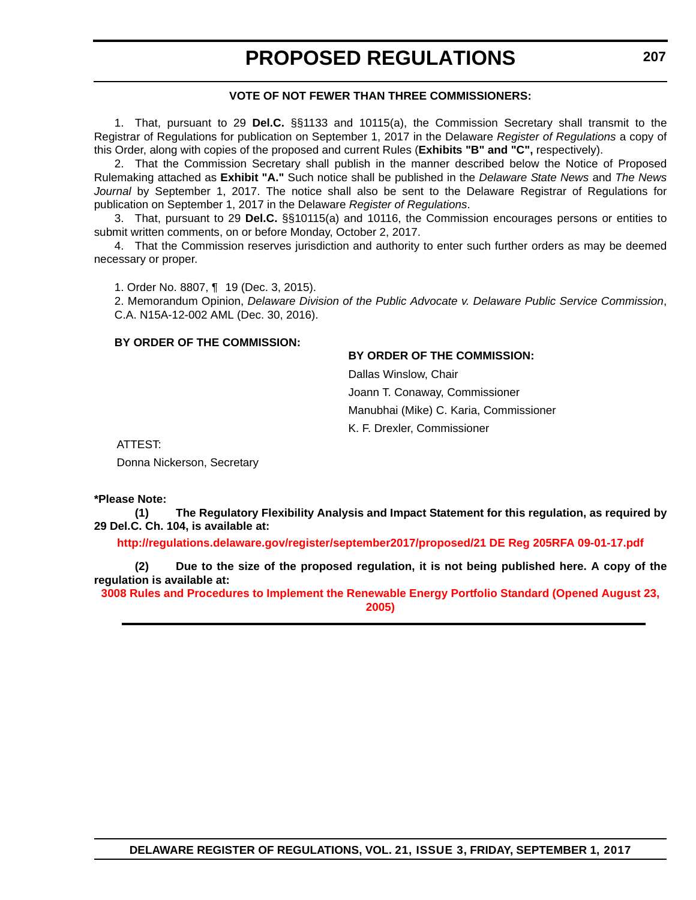#### **VOTE OF NOT FEWER THAN THREE COMMISSIONERS:**

1. That, pursuant to 29 **Del.C.** §§1133 and 10115(a), the Commission Secretary shall transmit to the Registrar of Regulations for publication on September 1, 2017 in the Delaware *Register of Regulations* a copy of this Order, along with copies of the proposed and current Rules (**Exhibits "B" and "C",** respectively).

2. That the Commission Secretary shall publish in the manner described below the Notice of Proposed Rulemaking attached as **Exhibit "A."** Such notice shall be published in the *Delaware State News* and *The News Journal* by September 1, 2017. The notice shall also be sent to the Delaware Registrar of Regulations for publication on September 1, 2017 in the Delaware *Register of Regulations*.

3. That, pursuant to 29 **Del.C.** §§10115(a) and 10116, the Commission encourages persons or entities to submit written comments, on or before Monday, October 2, 2017.

4. That the Commission reserves jurisdiction and authority to enter such further orders as may be deemed necessary or proper.

1. Order No. 8807, ¶ 19 (Dec. 3, 2015).

2. Memorandum Opinion, *Delaware Division of the Public Advocate v. Delaware Public Service Commission*, C.A. N15A-12-002 AML (Dec. 30, 2016).

#### **BY ORDER OF THE COMMISSION:**

### **BY ORDER OF THE COMMISSION:**

Dallas Winslow, Chair Joann T. Conaway, Commissioner Manubhai (Mike) C. Karia, Commissioner K. F. Drexler, Commissioner

ATTEST:

Donna Nickerson, Secretary

#### **\*Please Note:**

**(1) The Regulatory Flexibility Analysis and Impact Statement for this regulation, as required by 29 Del.C. Ch. 104, is available at:**

**<http://regulations.delaware.gov/register/september2017/proposed/21 DE Reg 205RFA 09-01-17.pdf>**

**(2) Due to the size of the proposed regulation, it is not being published here. A copy of the regulation is available at:**

**[3008 Rules and Procedures to Implement the Renewable Energy Portfolio Standard \(Opened August 23,](http://regulations.delaware.gov/register/september2017/proposed/21 DE Reg 205 09-01-17.htm)  2005)**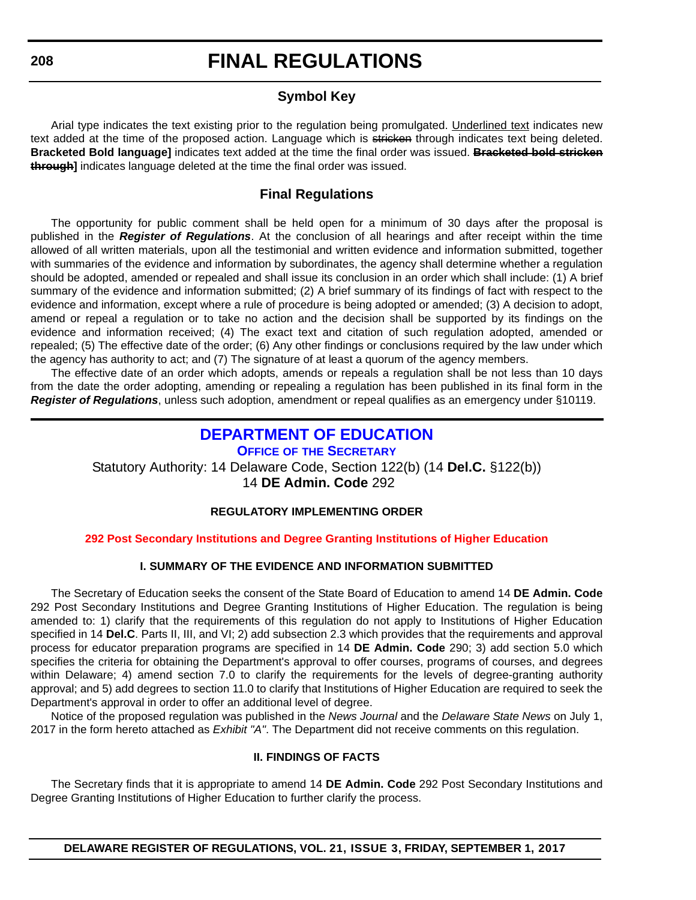# **Symbol Key**

Arial type indicates the text existing prior to the regulation being promulgated. Underlined text indicates new text added at the time of the proposed action. Language which is stricken through indicates text being deleted. **Bracketed Bold language]** indicates text added at the time the final order was issued. **Bracketed bold stricken through]** indicates language deleted at the time the final order was issued.

# **Final Regulations**

The opportunity for public comment shall be held open for a minimum of 30 days after the proposal is published in the *Register of Regulations*. At the conclusion of all hearings and after receipt within the time allowed of all written materials, upon all the testimonial and written evidence and information submitted, together with summaries of the evidence and information by subordinates, the agency shall determine whether a regulation should be adopted, amended or repealed and shall issue its conclusion in an order which shall include: (1) A brief summary of the evidence and information submitted; (2) A brief summary of its findings of fact with respect to the evidence and information, except where a rule of procedure is being adopted or amended; (3) A decision to adopt, amend or repeal a regulation or to take no action and the decision shall be supported by its findings on the evidence and information received; (4) The exact text and citation of such regulation adopted, amended or repealed; (5) The effective date of the order; (6) Any other findings or conclusions required by the law under which the agency has authority to act; and (7) The signature of at least a quorum of the agency members.

The effective date of an order which adopts, amends or repeals a regulation shall be not less than 10 days from the date the order adopting, amending or repealing a regulation has been published in its final form in the *Register of Regulations*, unless such adoption, amendment or repeal qualifies as an emergency under §10119.

# **[DEPARTMENT OF EDUCATION](https://www.doe.k12.de.us/)**

**OFFICE OF [THE SECRETARY](https://pubapps.doe.k12.de.us/EducationalDirectoryPublic/pages/DDOE/Branches.aspx?page=branches&BID=1)** Statutory Authority: 14 Delaware Code, Section 122(b) (14 **Del.C.** §122(b)) 14 **DE Admin. Code** 292

# **REGULATORY IMPLEMENTING ORDER**

# **[292 Post Secondary Institutions and Degree Granting Institutions of Higher Education](#page-3-0)**

# **I. SUMMARY OF THE EVIDENCE AND INFORMATION SUBMITTED**

The Secretary of Education seeks the consent of the State Board of Education to amend 14 **DE Admin. Code** 292 Post Secondary Institutions and Degree Granting Institutions of Higher Education. The regulation is being amended to: 1) clarify that the requirements of this regulation do not apply to Institutions of Higher Education specified in 14 **Del.C**. Parts II, III, and VI; 2) add subsection 2.3 which provides that the requirements and approval process for educator preparation programs are specified in 14 **DE Admin. Code** 290; 3) add section 5.0 which specifies the criteria for obtaining the Department's approval to offer courses, programs of courses, and degrees within Delaware; 4) amend section 7.0 to clarify the requirements for the levels of degree-granting authority approval; and 5) add degrees to section 11.0 to clarify that Institutions of Higher Education are required to seek the Department's approval in order to offer an additional level of degree.

Notice of the proposed regulation was published in the *News Journal* and the *Delaware State News* on July 1, 2017 in the form hereto attached as *Exhibit "A"*. The Department did not receive comments on this regulation.

### **II. FINDINGS OF FACTS**

The Secretary finds that it is appropriate to amend 14 **DE Admin. Code** 292 Post Secondary Institutions and Degree Granting Institutions of Higher Education to further clarify the process.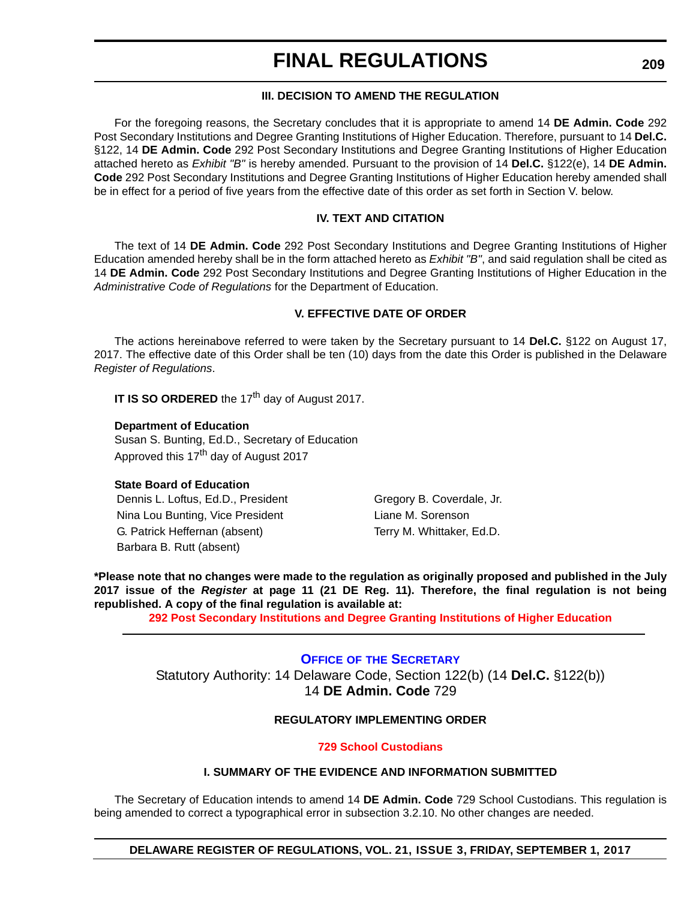## **III. DECISION TO AMEND THE REGULATION**

For the foregoing reasons, the Secretary concludes that it is appropriate to amend 14 **DE Admin. Code** 292 Post Secondary Institutions and Degree Granting Institutions of Higher Education. Therefore, pursuant to 14 **Del.C.** §122, 14 **DE Admin. Code** 292 Post Secondary Institutions and Degree Granting Institutions of Higher Education attached hereto as *Exhibit "B"* is hereby amended. Pursuant to the provision of 14 **Del.C.** §122(e), 14 **DE Admin. Code** 292 Post Secondary Institutions and Degree Granting Institutions of Higher Education hereby amended shall be in effect for a period of five years from the effective date of this order as set forth in Section V. below.

## **IV. TEXT AND CITATION**

The text of 14 **DE Admin. Code** 292 Post Secondary Institutions and Degree Granting Institutions of Higher Education amended hereby shall be in the form attached hereto as *Exhibit "B"*, and said regulation shall be cited as 14 **DE Admin. Code** 292 Post Secondary Institutions and Degree Granting Institutions of Higher Education in the *Administrative Code of Regulations* for the Department of Education.

### **V. EFFECTIVE DATE OF ORDER**

The actions hereinabove referred to were taken by the Secretary pursuant to 14 **Del.C.** §122 on August 17, 2017. The effective date of this Order shall be ten (10) days from the date this Order is published in the Delaware *Register of Regulations*.

**IT IS SO ORDERED** the 17<sup>th</sup> day of August 2017.

#### **Department of Education**

Susan S. Bunting, Ed.D., Secretary of Education Approved this 17<sup>th</sup> day of August 2017

### **State Board of Education**

Dennis L. Loftus, Ed.D., President Gregory B. Coverdale, Jr. Nina Lou Bunting, Vice President Liane M. Sorenson G. Patrick Heffernan (absent) Terry M. Whittaker, Ed.D. Barbara B. Rutt (absent)

**\*Please note that no changes were made to the regulation as originally proposed and published in the July 2017 issue of the** *Register* **at page 11 (21 DE Reg. 11). Therefore, the final regulation is not being republished. A copy of the final regulation is available at:**

**[292 Post Secondary Institutions and Degree Granting Institutions of Higher Education](http://regulations.delaware.gov/register/september2017/final/21 DE Reg 208 09-01-17.htm)** 

# **OFFICE OF [THE SECRETARY](https://pubapps.doe.k12.de.us/EducationalDirectoryPublic/pages/DDOE/Branches.aspx?page=branches&BID=1)** Statutory Authority: 14 Delaware Code, Section 122(b) (14 **Del.C.** §122(b)) 14 **DE Admin. Code** 729

## **REGULATORY IMPLEMENTING ORDER**

### **[729 School Custodians](#page-3-0)**

### **I. SUMMARY OF THE EVIDENCE AND INFORMATION SUBMITTED**

The Secretary of Education intends to amend 14 **DE Admin. Code** 729 School Custodians. This regulation is being amended to correct a typographical error in subsection 3.2.10. No other changes are needed.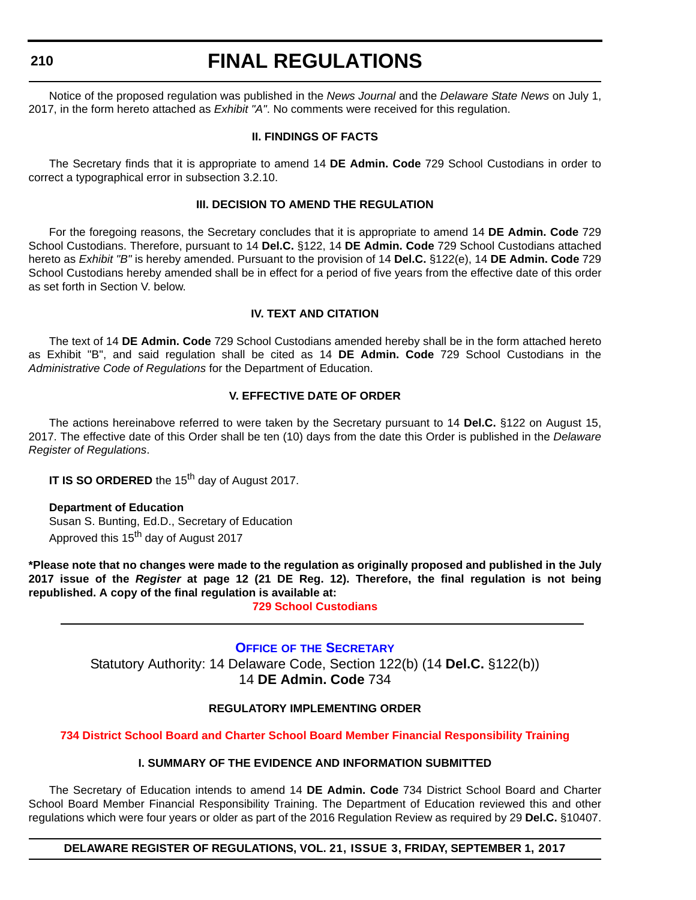# **FINAL REGULATIONS**

Notice of the proposed regulation was published in the *News Journal* and the *Delaware State News* on July 1, 2017, in the form hereto attached as *Exhibit "A"*. No comments were received for this regulation.

#### **II. FINDINGS OF FACTS**

The Secretary finds that it is appropriate to amend 14 **DE Admin. Code** 729 School Custodians in order to correct a typographical error in subsection 3.2.10.

#### **III. DECISION TO AMEND THE REGULATION**

For the foregoing reasons, the Secretary concludes that it is appropriate to amend 14 **DE Admin. Code** 729 School Custodians. Therefore, pursuant to 14 **Del.C.** §122, 14 **DE Admin. Code** 729 School Custodians attached hereto as *Exhibit "B"* is hereby amended. Pursuant to the provision of 14 **Del.C.** §122(e), 14 **DE Admin. Code** 729 School Custodians hereby amended shall be in effect for a period of five years from the effective date of this order as set forth in Section V. below.

### **IV. TEXT AND CITATION**

The text of 14 **DE Admin. Code** 729 School Custodians amended hereby shall be in the form attached hereto as Exhibit "B", and said regulation shall be cited as 14 **DE Admin. Code** 729 School Custodians in the *Administrative Code of Regulations* for the Department of Education.

### **V. EFFECTIVE DATE OF ORDER**

The actions hereinabove referred to were taken by the Secretary pursuant to 14 **Del.C.** §122 on August 15, 2017. The effective date of this Order shall be ten (10) days from the date this Order is published in the *Delaware Register of Regulations*.

**IT IS SO ORDERED** the 15<sup>th</sup> day of August 2017.

**Department of Education** Susan S. Bunting, Ed.D., Secretary of Education Approved this 15<sup>th</sup> day of August 2017

**\*Please note that no changes were made to the regulation as originally proposed and published in the July 2017 issue of the** *Register* **at page 12 (21 DE Reg. 12). Therefore, the final regulation is not being republished. A copy of the final regulation is available at:**

**[729 School Custodians](http://regulations.delaware.gov/register/september2017/final/21 DE Reg 209 09-01-17.htm)** 

**OFFICE OF [THE SECRETARY](https://pubapps.doe.k12.de.us/EducationalDirectoryPublic/pages/DDOE/Branches.aspx?page=branches&BID=1)** Statutory Authority: 14 Delaware Code, Section 122(b) (14 **Del.C.** §122(b)) 14 **DE Admin. Code** 734

### **REGULATORY IMPLEMENTING ORDER**

### **[734 District School Board and Charter School Board Member Financial Responsibility Training](#page-3-0)**

## **I. SUMMARY OF THE EVIDENCE AND INFORMATION SUBMITTED**

The Secretary of Education intends to amend 14 **DE Admin. Code** 734 District School Board and Charter School Board Member Financial Responsibility Training. The Department of Education reviewed this and other regulations which were four years or older as part of the 2016 Regulation Review as required by 29 **Del.C.** §10407.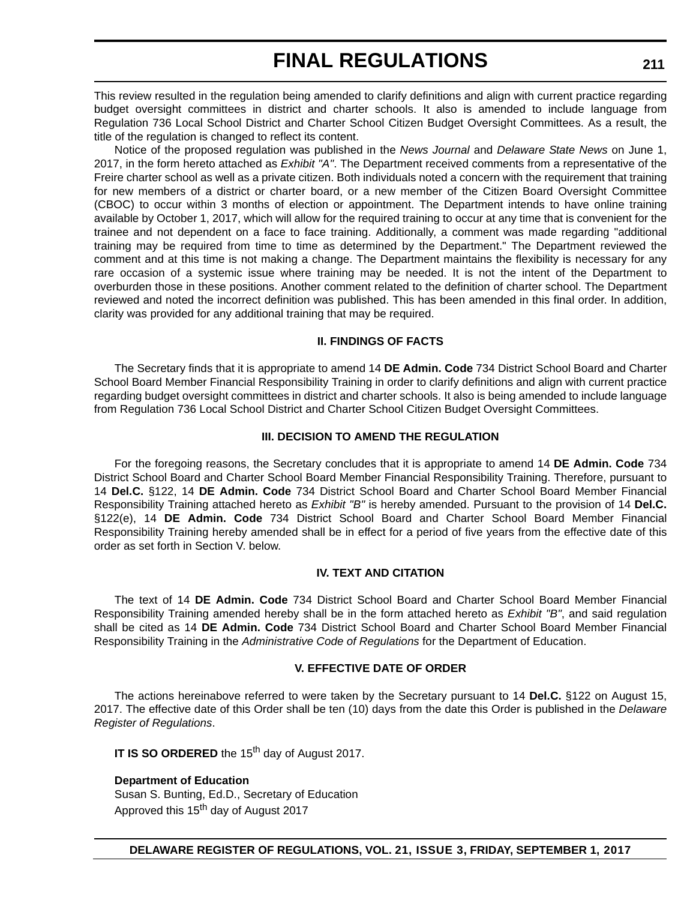This review resulted in the regulation being amended to clarify definitions and align with current practice regarding budget oversight committees in district and charter schools. It also is amended to include language from Regulation 736 Local School District and Charter School Citizen Budget Oversight Committees. As a result, the title of the regulation is changed to reflect its content.

Notice of the proposed regulation was published in the *News Journal* and *Delaware State News* on June 1, 2017, in the form hereto attached as *Exhibit "A"*. The Department received comments from a representative of the Freire charter school as well as a private citizen. Both individuals noted a concern with the requirement that training for new members of a district or charter board, or a new member of the Citizen Board Oversight Committee (CBOC) to occur within 3 months of election or appointment. The Department intends to have online training available by October 1, 2017, which will allow for the required training to occur at any time that is convenient for the trainee and not dependent on a face to face training. Additionally, a comment was made regarding "additional training may be required from time to time as determined by the Department." The Department reviewed the comment and at this time is not making a change. The Department maintains the flexibility is necessary for any rare occasion of a systemic issue where training may be needed. It is not the intent of the Department to overburden those in these positions. Another comment related to the definition of charter school. The Department reviewed and noted the incorrect definition was published. This has been amended in this final order. In addition, clarity was provided for any additional training that may be required.

### **II. FINDINGS OF FACTS**

The Secretary finds that it is appropriate to amend 14 **DE Admin. Code** 734 District School Board and Charter School Board Member Financial Responsibility Training in order to clarify definitions and align with current practice regarding budget oversight committees in district and charter schools. It also is being amended to include language from Regulation 736 Local School District and Charter School Citizen Budget Oversight Committees.

#### **III. DECISION TO AMEND THE REGULATION**

For the foregoing reasons, the Secretary concludes that it is appropriate to amend 14 **DE Admin. Code** 734 District School Board and Charter School Board Member Financial Responsibility Training. Therefore, pursuant to 14 **Del.C.** §122, 14 **DE Admin. Code** 734 District School Board and Charter School Board Member Financial Responsibility Training attached hereto as *Exhibit "B"* is hereby amended. Pursuant to the provision of 14 **Del.C.** §122(e), 14 **DE Admin. Code** 734 District School Board and Charter School Board Member Financial Responsibility Training hereby amended shall be in effect for a period of five years from the effective date of this order as set forth in Section V. below.

### **IV. TEXT AND CITATION**

The text of 14 **DE Admin. Code** 734 District School Board and Charter School Board Member Financial Responsibility Training amended hereby shall be in the form attached hereto as *Exhibit "B"*, and said regulation shall be cited as 14 **DE Admin. Code** 734 District School Board and Charter School Board Member Financial Responsibility Training in the *Administrative Code of Regulations* for the Department of Education.

### **V. EFFECTIVE DATE OF ORDER**

The actions hereinabove referred to were taken by the Secretary pursuant to 14 **Del.C.** §122 on August 15, 2017. The effective date of this Order shall be ten (10) days from the date this Order is published in the *Delaware Register of Regulations*.

**IT IS SO ORDERED** the 15<sup>th</sup> day of August 2017.

### **Department of Education**

Susan S. Bunting, Ed.D., Secretary of Education Approved this 15<sup>th</sup> day of August 2017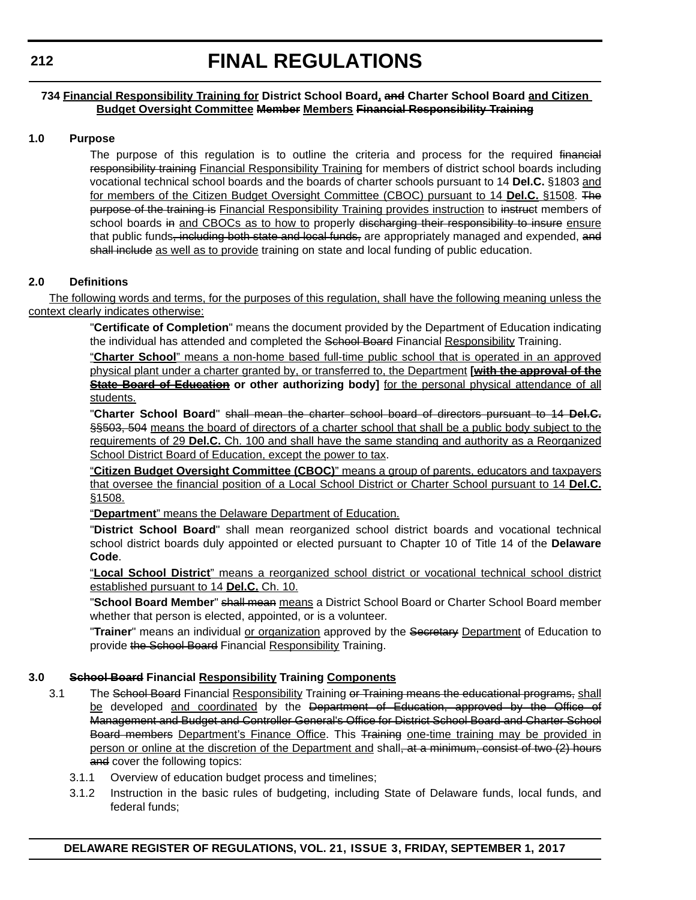### **734 Financial Responsibility Training for District School Board, and Charter School Board and Citizen Budget Oversight Committee Member Members Financial Responsibility Training**

### **1.0 Purpose**

The purpose of this regulation is to outline the criteria and process for the required financial responsibility training Financial Responsibility Training for members of district school boards including vocational technical school boards and the boards of charter schools pursuant to 14 **Del.C.** §1803 and for members of the Citizen Budget Oversight Committee (CBOC) pursuant to 14 **Del.C.** §1508. The purpose of the training is Financial Responsibility Training provides instruction to instruct members of school boards in and CBOCs as to how to properly discharging their responsibility to insure ensure that public funds, including both state and local funds, are appropriately managed and expended, and shall include as well as to provide training on state and local funding of public education.

## **2.0 Definitions**

The following words and terms, for the purposes of this regulation, shall have the following meaning unless the context clearly indicates otherwise:

> "**Certificate of Completion**" means the document provided by the Department of Education indicating the individual has attended and completed the School Board Financial Responsibility Training.

> "**Charter School**" means a non-home based full-time public school that is operated in an approved physical plant under a charter granted by, or transferred to, the Department **[with the approval of the State Board of Education or other authorizing body]** for the personal physical attendance of all students.

> "**Charter School Board**" shall mean the charter school board of directors pursuant to 14 **Del.C.** §§503, 504 means the board of directors of a charter school that shall be a public body subject to the requirements of 29 **Del.C.** Ch. 100 and shall have the same standing and authority as a Reorganized School District Board of Education, except the power to tax.

> "**Citizen Budget Oversight Committee (CBOC)**" means a group of parents, educators and taxpayers that oversee the financial position of a Local School District or Charter School pursuant to 14 **Del.C.** §1508.

"**Department**" means the Delaware Department of Education.

"**District School Board**" shall mean reorganized school district boards and vocational technical school district boards duly appointed or elected pursuant to Chapter 10 of Title 14 of the **Delaware Code**.

"**Local School District**" means a reorganized school district or vocational technical school district established pursuant to 14 **Del.C.** Ch. 10.

"**School Board Member**" shall mean means a District School Board or Charter School Board member whether that person is elected, appointed, or is a volunteer.

"**Trainer**" means an individual or organization approved by the Secretary Department of Education to provide the School Board Financial Responsibility Training.

# **3.0 School Board Financial Responsibility Training Components**

- 3.1 The School Board Financial Responsibility Training or Training means the educational programs, shall be developed and coordinated by the Department of Education, approved by the Office of Management and Budget and Controller General's Office for District School Board and Charter School Board members Department's Finance Office. This Training one-time training may be provided in person or online at the discretion of the Department and shall, at a minimum, consist of two (2) hours and cover the following topics:
	- 3.1.1 Overview of education budget process and timelines;
	- 3.1.2 Instruction in the basic rules of budgeting, including State of Delaware funds, local funds, and federal funds;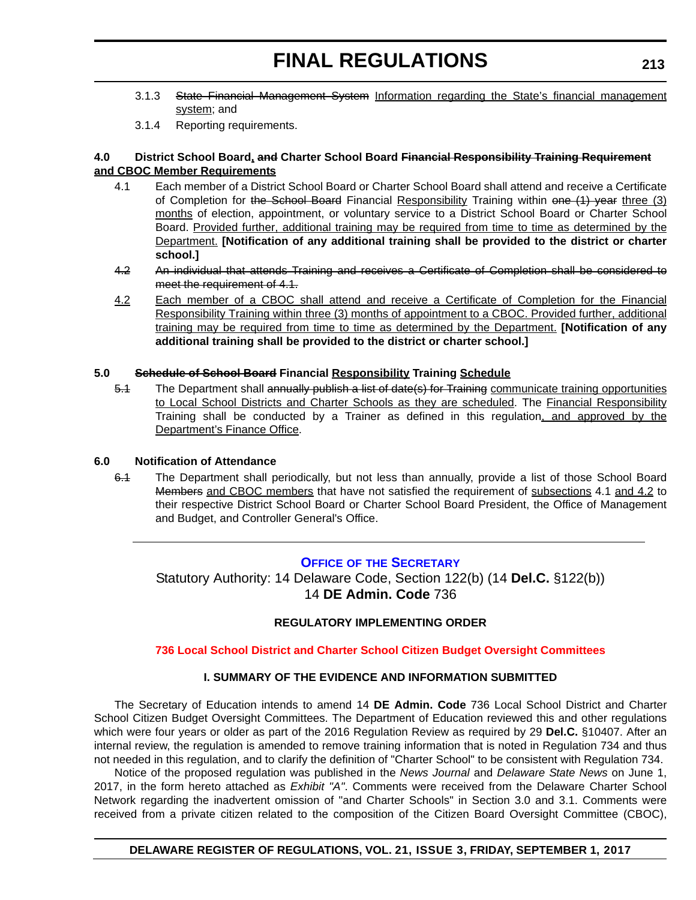- 3.1.3 State Financial Management System Information regarding the State's financial management system; and
- 3.1.4 Reporting requirements.

### **4.0 District School Board, and Charter School Board Financial Responsibility Training Requirement and CBOC Member Requirements**

- 4.1 Each member of a District School Board or Charter School Board shall attend and receive a Certificate of Completion for the School Board Financial Responsibility Training within one (1) year three (3) months of election, appointment, or voluntary service to a District School Board or Charter School Board. Provided further, additional training may be required from time to time as determined by the Department. **[Notification of any additional training shall be provided to the district or charter school.]**
- 4.2 An individual that attends Training and receives a Certificate of Completion shall be considered to meet the requirement of 4.1.
- 4.2 Each member of a CBOC shall attend and receive a Certificate of Completion for the Financial Responsibility Training within three (3) months of appointment to a CBOC. Provided further, additional training may be required from time to time as determined by the Department. **[Notification of any additional training shall be provided to the district or charter school.]**

## **5.0 Schedule of School Board Financial Responsibility Training Schedule**

5.1 The Department shall annually publish a list of date(s) for Training communicate training opportunities to Local School Districts and Charter Schools as they are scheduled. The Financial Responsibility Training shall be conducted by a Trainer as defined in this regulation, and approved by the Department's Finance Office.

#### **6.0 Notification of Attendance**

6.1 The Department shall periodically, but not less than annually, provide a list of those School Board Members and CBOC members that have not satisfied the requirement of subsections 4.1 and 4.2 to their respective District School Board or Charter School Board President, the Office of Management and Budget, and Controller General's Office.

# **OFFICE OF [THE SECRETARY](https://pubapps.doe.k12.de.us/EducationalDirectoryPublic/pages/DDOE/Branches.aspx?page=branches&BID=1)**

Statutory Authority: 14 Delaware Code, Section 122(b) (14 **Del.C.** §122(b)) 14 **DE Admin. Code** 736

### **REGULATORY IMPLEMENTING ORDER**

### **[736 Local School District and Charter School Citizen Budget Oversight Committees](#page-3-0)**

#### **I. SUMMARY OF THE EVIDENCE AND INFORMATION SUBMITTED**

The Secretary of Education intends to amend 14 **DE Admin. Code** 736 Local School District and Charter School Citizen Budget Oversight Committees. The Department of Education reviewed this and other regulations which were four years or older as part of the 2016 Regulation Review as required by 29 **Del.C.** §10407. After an internal review, the regulation is amended to remove training information that is noted in Regulation 734 and thus not needed in this regulation, and to clarify the definition of "Charter School" to be consistent with Regulation 734.

Notice of the proposed regulation was published in the *News Journal* and *Delaware State News* on June 1, 2017, in the form hereto attached as *Exhibit "A"*. Comments were received from the Delaware Charter School Network regarding the inadvertent omission of "and Charter Schools" in Section 3.0 and 3.1. Comments were received from a private citizen related to the composition of the Citizen Board Oversight Committee (CBOC),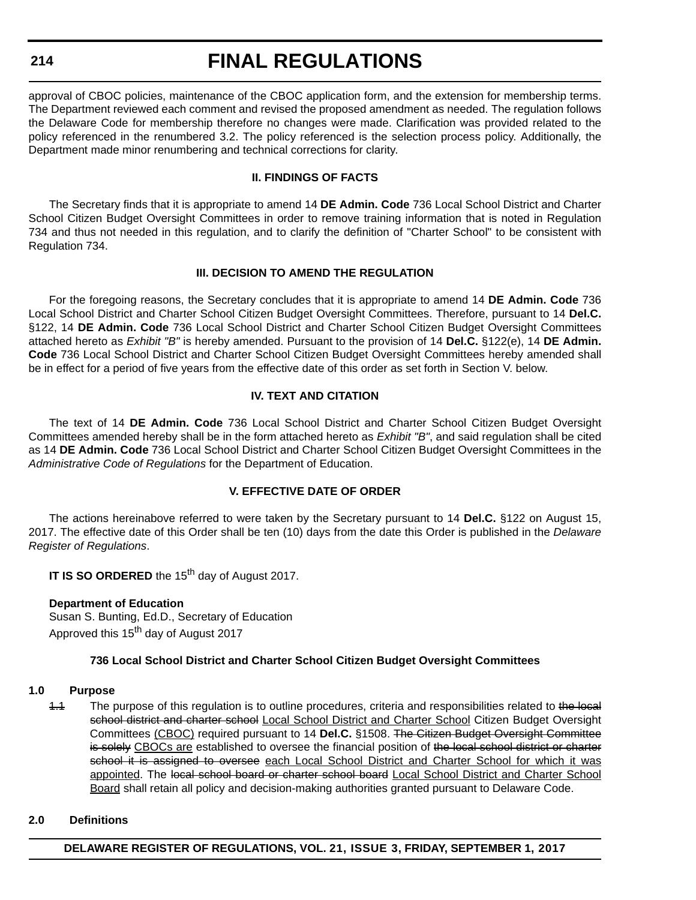# **FINAL REGULATIONS**

approval of CBOC policies, maintenance of the CBOC application form, and the extension for membership terms. The Department reviewed each comment and revised the proposed amendment as needed. The regulation follows the Delaware Code for membership therefore no changes were made. Clarification was provided related to the policy referenced in the renumbered 3.2. The policy referenced is the selection process policy. Additionally, the Department made minor renumbering and technical corrections for clarity.

### **II. FINDINGS OF FACTS**

The Secretary finds that it is appropriate to amend 14 **DE Admin. Code** 736 Local School District and Charter School Citizen Budget Oversight Committees in order to remove training information that is noted in Regulation 734 and thus not needed in this regulation, and to clarify the definition of "Charter School" to be consistent with Regulation 734.

#### **III. DECISION TO AMEND THE REGULATION**

For the foregoing reasons, the Secretary concludes that it is appropriate to amend 14 **DE Admin. Code** 736 Local School District and Charter School Citizen Budget Oversight Committees. Therefore, pursuant to 14 **Del.C.** §122, 14 **DE Admin. Code** 736 Local School District and Charter School Citizen Budget Oversight Committees attached hereto as *Exhibit "B"* is hereby amended. Pursuant to the provision of 14 **Del.C.** §122(e), 14 **DE Admin. Code** 736 Local School District and Charter School Citizen Budget Oversight Committees hereby amended shall be in effect for a period of five years from the effective date of this order as set forth in Section V. below.

#### **IV. TEXT AND CITATION**

The text of 14 **DE Admin. Code** 736 Local School District and Charter School Citizen Budget Oversight Committees amended hereby shall be in the form attached hereto as *Exhibit "B"*, and said regulation shall be cited as 14 **DE Admin. Code** 736 Local School District and Charter School Citizen Budget Oversight Committees in the *Administrative Code of Regulations* for the Department of Education.

### **V. EFFECTIVE DATE OF ORDER**

The actions hereinabove referred to were taken by the Secretary pursuant to 14 **Del.C.** §122 on August 15, 2017. The effective date of this Order shall be ten (10) days from the date this Order is published in the *Delaware Register of Regulations*.

**IT IS SO ORDERED** the 15<sup>th</sup> day of August 2017.

#### **Department of Education**

Susan S. Bunting, Ed.D., Secretary of Education Approved this 15<sup>th</sup> day of August 2017

#### **736 Local School District and Charter School Citizen Budget Oversight Committees**

#### **1.0 Purpose**

1.1 The purpose of this regulation is to outline procedures, criteria and responsibilities related to the local school district and charter school Local School District and Charter School Citizen Budget Oversight Committees (CBOC) required pursuant to 14 **Del.C.** §1508. The Citizen Budget Oversight Committee is solely CBOCs are established to oversee the financial position of the local school district or charter school it is assigned to oversee each Local School District and Charter School for which it was appointed. The local school board or charter school board Local School District and Charter School Board shall retain all policy and decision-making authorities granted pursuant to Delaware Code.

### **2.0 Definitions**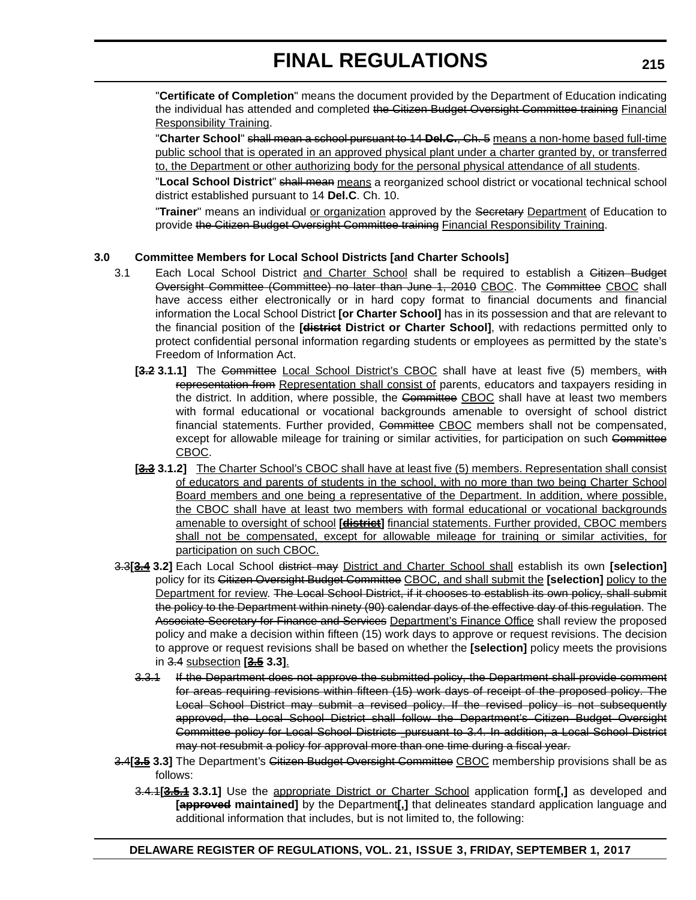"**Certificate of Completion**" means the document provided by the Department of Education indicating the individual has attended and completed the Citizen Budget Oversight Committee training Financial Responsibility Training.

"**Charter School**" shall mean a school pursuant to 14 **Del.C.**, Ch. 5 means a non-home based full-time public school that is operated in an approved physical plant under a charter granted by, or transferred to, the Department or other authorizing body for the personal physical attendance of all students.

"**Local School District**" shall mean means a reorganized school district or vocational technical school district established pursuant to 14 **Del.C**. Ch. 10.

"**Trainer**" means an individual or organization approved by the Secretary Department of Education to provide the Citizen Budget Oversight Committee training Financial Responsibility Training.

### **3.0 Committee Members for Local School Districts [and Charter Schools]**

- 3.1 Each Local School District and Charter School shall be required to establish a Gitizen Budget Oversight Committee (Committee) no later than June 1, 2010 CBOC. The Committee CBOC shall have access either electronically or in hard copy format to financial documents and financial information the Local School District **[or Charter School]** has in its possession and that are relevant to the financial position of the **[district District or Charter School]**, with redactions permitted only to protect confidential personal information regarding students or employees as permitted by the state's Freedom of Information Act.
	- [3.2 3.1.1] The Gommittee Local School District's CBOC shall have at least five (5) members. with representation from Representation shall consist of parents, educators and taxpayers residing in the district. In addition, where possible, the Committee CBOC shall have at least two members with formal educational or vocational backgrounds amenable to oversight of school district financial statements. Further provided, Committee CBOC members shall not be compensated, except for allowable mileage for training or similar activities, for participation on such Committee CBOC.
	- **[3.3 3.1.2]** The Charter School's CBOC shall have at least five (5) members. Representation shall consist of educators and parents of students in the school, with no more than two being Charter School Board members and one being a representative of the Department. In addition, where possible, the CBOC shall have at least two members with formal educational or vocational backgrounds amenable to oversight of school **[district]** financial statements. Further provided, CBOC members shall not be compensated, except for allowable mileage for training or similar activities, for participation on such CBOC.
- 3.3**[3.4 3.2]** Each Local School district may District and Charter School shall establish its own **[selection]** policy for its Citizen Oversight Budget Committee CBOC, and shall submit the **[selection]** policy to the Department for review. The Local School District, if it chooses to establish its own policy, shall submit the policy to the Department within ninety (90) calendar days of the effective day of this regulation. The Associate Secretary for Finance and Services Department's Finance Office shall review the proposed policy and make a decision within fifteen (15) work days to approve or request revisions. The decision to approve or request revisions shall be based on whether the **[selection]** policy meets the provisions in 3.4 subsection **[3.5 3.3]**.
	- 3.3.1 If the Department does not approve the submitted policy, the Department shall provide comment for areas requiring revisions within fifteen (15) work days of receipt of the proposed policy. The Local School District may submit a revised policy. If the revised policy is not subsequently approved, the Local School District shall follow the Department's Citizen Budget Oversight Committee policy for Local School Districts pursuant to 3.4. In addition, a Local School District may not resubmit a policy for approval more than one time during a fiscal year.
- 3.4**[3.5 3.3]** The Department's Citizen Budget Oversight Committee CBOC membership provisions shall be as follows:
	- 3.4.1**[3.5.1 3.3.1]** Use the appropriate District or Charter School application form**[,]** as developed and **[approved maintained]** by the Department**[,]** that delineates standard application language and additional information that includes, but is not limited to, the following: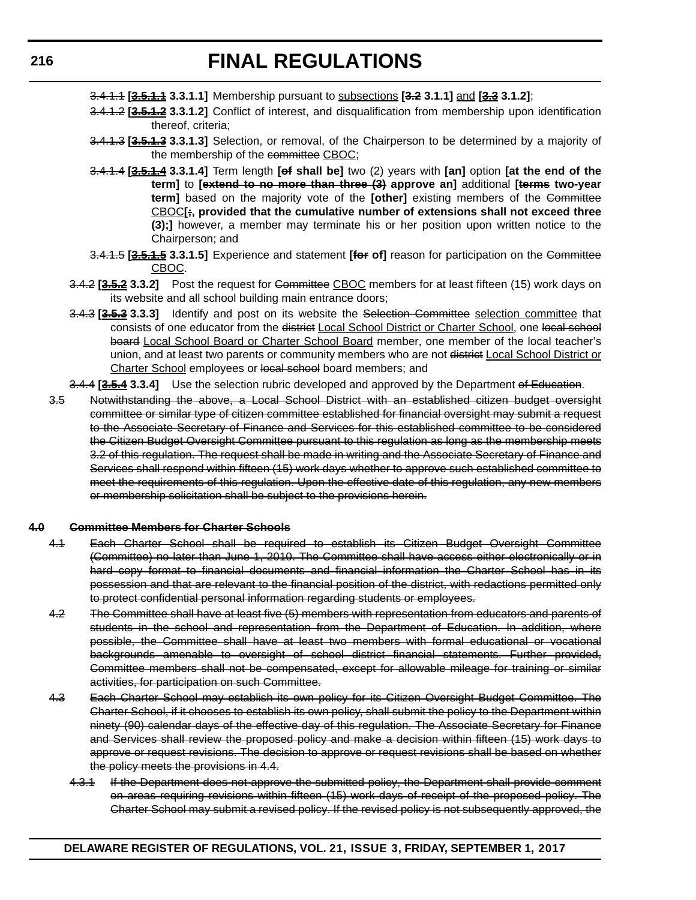- 3.4.1.1 **[3.5.1.1 3.3.1.1]** Membership pursuant to subsections **[3.2 3.1.1]** and **[3.3 3.1.2]**;
- 3.4.1.2 **[3.5.1.2 3.3.1.2]** Conflict of interest, and disqualification from membership upon identification thereof, criteria;
- 3.4.1.3 **[3.5.1.3 3.3.1.3]** Selection, or removal, of the Chairperson to be determined by a majority of the membership of the committee CBOC;
- 3.4.1.4 **[3.5.1.4 3.3.1.4]** Term length **[of shall be]** two (2) years with **[an]** option **[at the end of the term]** to **[extend to no more than three (3) approve an]** additional **[terms two-year term]** based on the majority vote of the **[other]** existing members of the Committee CBOC**[;, provided that the cumulative number of extensions shall not exceed three (3);]** however, a member may terminate his or her position upon written notice to the Chairperson; and
- 3.4.1.5 **[3.5.1.5 3.3.1.5]** Experience and statement **[for of]** reason for participation on the Committee CBOC.
- 3.4.2 **[3.5.2 3.3.2]** Post the request for Committee CBOC members for at least fifteen (15) work days on its website and all school building main entrance doors;
- 3.4.3 **[3.5.3 3.3.3]** Identify and post on its website the Selection Committee selection committee that consists of one educator from the district Local School District or Charter School, one local school board Local School Board or Charter School Board member, one member of the local teacher's union, and at least two parents or community members who are not district Local School District or Charter School employees or local school board members; and

3.4.4 **[3.5.4 3.3.4]** Use the selection rubric developed and approved by the Department of Education.

3.5 Notwithstanding the above, a Local School District with an established citizen budget oversight committee or similar type of citizen committee established for financial oversight may submit a request to the Associate Secretary of Finance and Services for this established committee to be considered the Citizen Budget Oversight Committee pursuant to this regulation as long as the membership meets 3.2 of this regulation. The request shall be made in writing and the Associate Secretary of Finance and Services shall respond within fifteen (15) work days whether to approve such established committee to meet the requirements of this regulation. Upon the effective date of this regulation, any new members or membership solicitation shall be subject to the provisions herein.

#### **4.0 Committee Members for Charter Schools**

- 4.1 Each Charter School shall be required to establish its Citizen Budget Oversight Committee (Committee) no later than June 1, 2010. The Committee shall have access either electronically or in hard copy format to financial documents and financial information the Charter School has in its possession and that are relevant to the financial position of the district, with redactions permitted only to protect confidential personal information regarding students or employees.
- 4.2 The Committee shall have at least five (5) members with representation from educators and parents of students in the school and representation from the Department of Education. In addition, where possible, the Committee shall have at least two members with formal educational or vocational backgrounds amenable to oversight of school district financial statements. Further provided, Committee members shall not be compensated, except for allowable mileage for training or similar activities, for participation on such Committee.
- 4.3 Each Charter School may establish its own policy for its Citizen Oversight Budget Committee. The Charter School, if it chooses to establish its own policy, shall submit the policy to the Department within ninety (90) calendar days of the effective day of this regulation. The Associate Secretary for Finance and Services shall review the proposed policy and make a decision within fifteen (15) work days to approve or request revisions. The decision to approve or request revisions shall be based on whether the policy meets the provisions in 4.4.
	- 4.3.1 If the Department does not approve the submitted policy, the Department shall provide comment on areas requiring revisions within fifteen (15) work days of receipt of the proposed policy. The Charter School may submit a revised policy. If the revised policy is not subsequently approved, the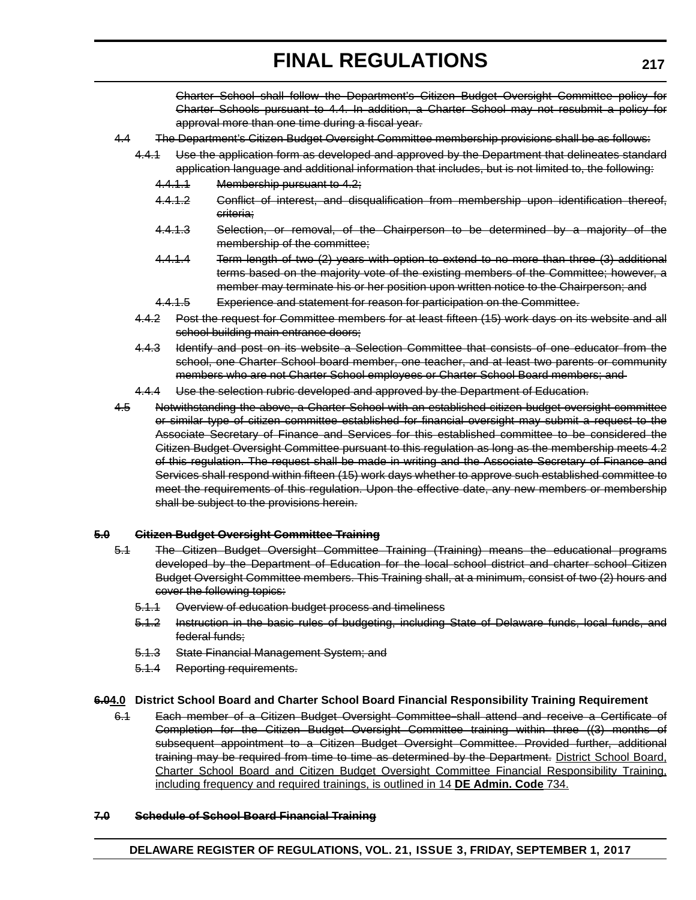Charter School shall follow the Department's Citizen Budget Oversight Committee policy for Charter Schools pursuant to 4.4. In addition, a Charter School may not resubmit a policy for approval more than one time during a fiscal year.

- 4.4 The Department's Citizen Budget Oversight Committee membership provisions shall be as follows:
	- 4.4.1 Use the application form as developed and approved by the Department that delineates standard application language and additional information that includes, but is not limited to, the following:
		- 4.4.1.1 Membership pursuant to 4.2;
		- 4.4.1.2 Gonflict of interest, and disqualification from membership upon identification thereof, criteria;
		- 4.4.1.3 Selection, or removal, of the Chairperson to be determined by a majority of the membership of the committee;
		- 4.4.1.4 Term length of two (2) years with option to extend to no more than three (3) additional terms based on the majority vote of the existing members of the Committee; however, a member may terminate his or her position upon written notice to the Chairperson; and
		- 4.4.1.5 Experience and statement for reason for participation on the Committee.
	- 4.4.2 Post the request for Committee members for at least fifteen (15) work days on its website and all school building main entrance doors;
	- 4.4.3 Identify and post on its website a Selection Committee that consists of one educator from the school, one Charter School board member, one teacher, and at least two parents or community members who are not Charter School employees or Charter School Board members; and
	- 4.4.4 Use the selection rubric developed and approved by the Department of Education.
- 4.5 Notwithstanding the above, a Charter School with an established citizen budget oversight committee or similar type of citizen committee established for financial oversight may submit a request to the Associate Secretary of Finance and Services for this established committee to be considered the Citizen Budget Oversight Committee pursuant to this regulation as long as the membership meets 4.2 of this regulation. The request shall be made in writing and the Associate Secretary of Finance and Services shall respond within fifteen (15) work days whether to approve such established committee to meet the requirements of this regulation. Upon the effective date, any new members or membership shall be subject to the provisions herein.

#### **5.0 Citizen Budget Oversight Committee Training**

- 5.1 The Citizen Budget Oversight Committee Training (Training) means the educational programs developed by the Department of Education for the local school district and charter school Citizen Budget Oversight Committee members. This Training shall, at a minimum, consist of two (2) hours and cover the following topics:
	- 5.1.1 Overview of education budget process and timeliness
	- 5.1.2 Instruction in the basic rules of budgeting, including State of Delaware funds, local funds, and federal funds;
	- 5.1.3 State Financial Management System; and
	- 5.1.4 Reporting requirements.

#### **6.04.0 District School Board and Charter School Board Financial Responsibility Training Requirement**

6.1 Each member of a Citizen Budget Oversight Committee shall attend and receive a Certificate of Completion for the Citizen Budget Oversight Committee training within three ((3) months of subsequent appointment to a Citizen Budget Oversight Committee. Provided further, additional training may be required from time to time as determined by the Department. District School Board, Charter School Board and Citizen Budget Oversight Committee Financial Responsibility Training, including frequency and required trainings, is outlined in 14 **DE Admin. Code** 734.

#### **7.0 Schedule of School Board Financial Training**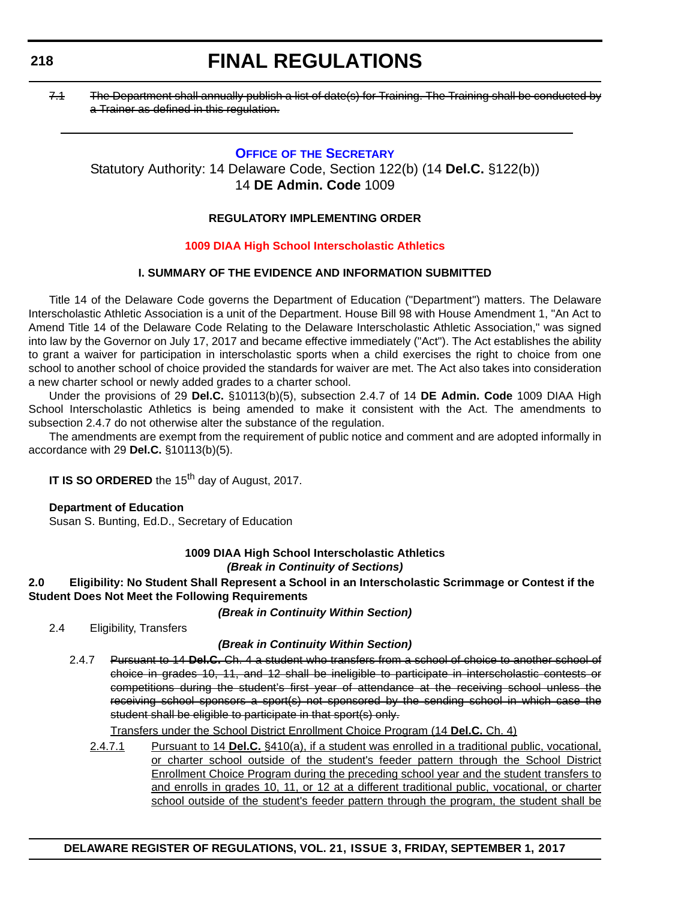# **FINAL REGULATIONS**

7.1 The Department shall annually publish a list of date(s) for Training. The Training shall be conducted by a Trainer as defined in this regulation.

# **OFFICE OF [THE SECRETARY](https://pubapps.doe.k12.de.us/EducationalDirectoryPublic/pages/DDOE/Branches.aspx?page=branches&BID=1)**

Statutory Authority: 14 Delaware Code, Section 122(b) (14 **Del.C.** §122(b)) 14 **DE Admin. Code** 1009

# **REGULATORY IMPLEMENTING ORDER**

## **[1009 DIAA High School Interscholastic Athletics](#page-3-0)**

# **I. SUMMARY OF THE EVIDENCE AND INFORMATION SUBMITTED**

Title 14 of the Delaware Code governs the Department of Education ("Department") matters. The Delaware Interscholastic Athletic Association is a unit of the Department. House Bill 98 with House Amendment 1, "An Act to Amend Title 14 of the Delaware Code Relating to the Delaware Interscholastic Athletic Association," was signed into law by the Governor on July 17, 2017 and became effective immediately ("Act"). The Act establishes the ability to grant a waiver for participation in interscholastic sports when a child exercises the right to choice from one school to another school of choice provided the standards for waiver are met. The Act also takes into consideration a new charter school or newly added grades to a charter school.

Under the provisions of 29 **Del.C.** §10113(b)(5), subsection 2.4.7 of 14 **DE Admin. Code** 1009 DIAA High School Interscholastic Athletics is being amended to make it consistent with the Act. The amendments to subsection 2.4.7 do not otherwise alter the substance of the regulation.

The amendments are exempt from the requirement of public notice and comment and are adopted informally in accordance with 29 **Del.C.** §10113(b)(5).

**IT IS SO ORDERED** the 15<sup>th</sup> day of August, 2017.

### **Department of Education**

Susan S. Bunting, Ed.D., Secretary of Education

### **1009 DIAA High School Interscholastic Athletics** *(Break in Continuity of Sections)*

## **2.0 Eligibility: No Student Shall Represent a School in an Interscholastic Scrimmage or Contest if the Student Does Not Meet the Following Requirements**

### *(Break in Continuity Within Section)*

2.4 Eligibility, Transfers

### *(Break in Continuity Within Section)*

2.4.7 Pursuant to 14 **Del.C.** Ch. 4 a student who transfers from a school of choice to another school of choice in grades 10, 11, and 12 shall be ineligible to participate in interscholastic contests or competitions during the student's first year of attendance at the receiving school unless the receiving school sponsors a sport(s) not sponsored by the sending school in which case the student shall be eligible to participate in that sport(s) only.

Transfers under the School District Enrollment Choice Program (14 **Del.C.** Ch. 4)

2.4.7.1 Pursuant to 14 **Del.C.** §410(a), if a student was enrolled in a traditional public, vocational, or charter school outside of the student's feeder pattern through the School District Enrollment Choice Program during the preceding school year and the student transfers to and enrolls in grades 10, 11, or 12 at a different traditional public, vocational, or charter school outside of the student's feeder pattern through the program, the student shall be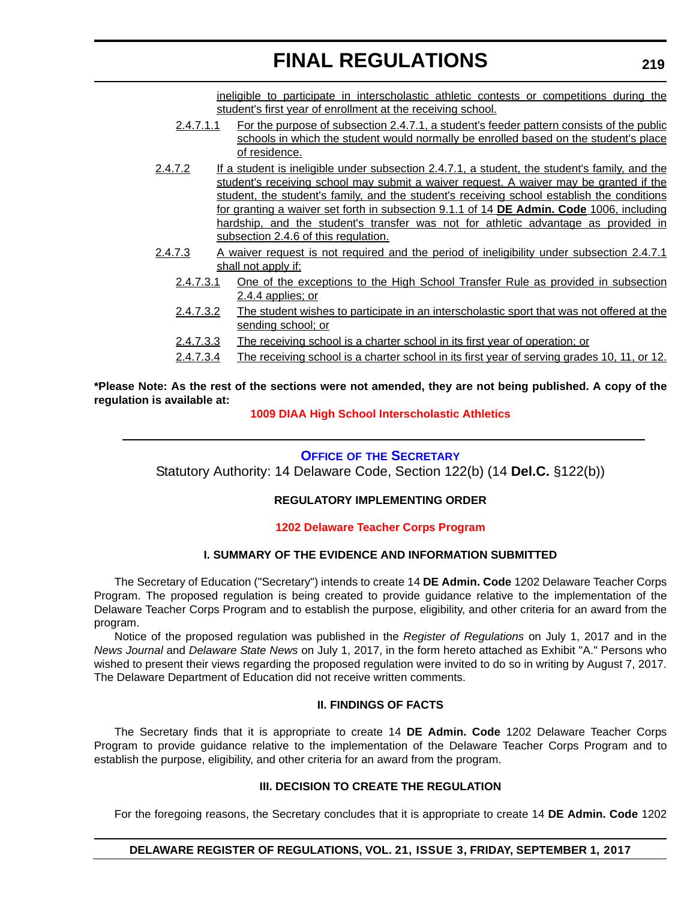ineligible to participate in interscholastic athletic contests or competitions during the student's first year of enrollment at the receiving school.

- 2.4.7.1.1 For the purpose of subsection 2.4.7.1, a student's feeder pattern consists of the public schools in which the student would normally be enrolled based on the student's place of residence.
- 2.4.7.2 If a student is ineligible under subsection 2.4.7.1, a student, the student's family, and the student's receiving school may submit a waiver request. A waiver may be granted if the student, the student's family, and the student's receiving school establish the conditions for granting a waiver set forth in subsection 9.1.1 of 14 **DE Admin. Code** 1006, including hardship, and the student's transfer was not for athletic advantage as provided in subsection 2.4.6 of this regulation.
- 2.4.7.3 A waiver request is not required and the period of ineligibility under subsection 2.4.7.1 shall not apply if:
	- 2.4.7.3.1 One of the exceptions to the High School Transfer Rule as provided in subsection 2.4.4 applies; or
	- 2.4.7.3.2 The student wishes to participate in an interscholastic sport that was not offered at the sending school; or
	- 2.4.7.3.3 The receiving school is a charter school in its first year of operation; or
	- 2.4.7.3.4 The receiving school is a charter school in its first year of serving grades 10, 11, or 12.

**\*Please Note: As the rest of the sections were not amended, they are not being published. A copy of the regulation is available at:**

### **[1009 DIAA High School Interscholastic Athletics](http://regulations.delaware.gov/register/September2017/final/21 DE Reg 218 09-01-17.htm)**

# **OFFICE OF [THE SECRETARY](https://pubapps.doe.k12.de.us/EducationalDirectoryPublic/pages/DDOE/Branches.aspx?page=branches&BID=1)**

Statutory Authority: 14 Delaware Code, Section 122(b) (14 **Del.C.** §122(b))

### **REGULATORY IMPLEMENTING ORDER**

### **[1202 Delaware Teacher Corps Program](#page-3-0)**

### **I. SUMMARY OF THE EVIDENCE AND INFORMATION SUBMITTED**

The Secretary of Education ("Secretary") intends to create 14 **DE Admin. Code** 1202 Delaware Teacher Corps Program. The proposed regulation is being created to provide guidance relative to the implementation of the Delaware Teacher Corps Program and to establish the purpose, eligibility, and other criteria for an award from the program.

Notice of the proposed regulation was published in the *Register of Regulations* on July 1, 2017 and in the *News Journal* and *Delaware State News* on July 1, 2017, in the form hereto attached as Exhibit "A." Persons who wished to present their views regarding the proposed regulation were invited to do so in writing by August 7, 2017. The Delaware Department of Education did not receive written comments.

#### **II. FINDINGS OF FACTS**

The Secretary finds that it is appropriate to create 14 **DE Admin. Code** 1202 Delaware Teacher Corps Program to provide guidance relative to the implementation of the Delaware Teacher Corps Program and to establish the purpose, eligibility, and other criteria for an award from the program.

#### **III. DECISION TO CREATE THE REGULATION**

For the foregoing reasons, the Secretary concludes that it is appropriate to create 14 **DE Admin. Code** 1202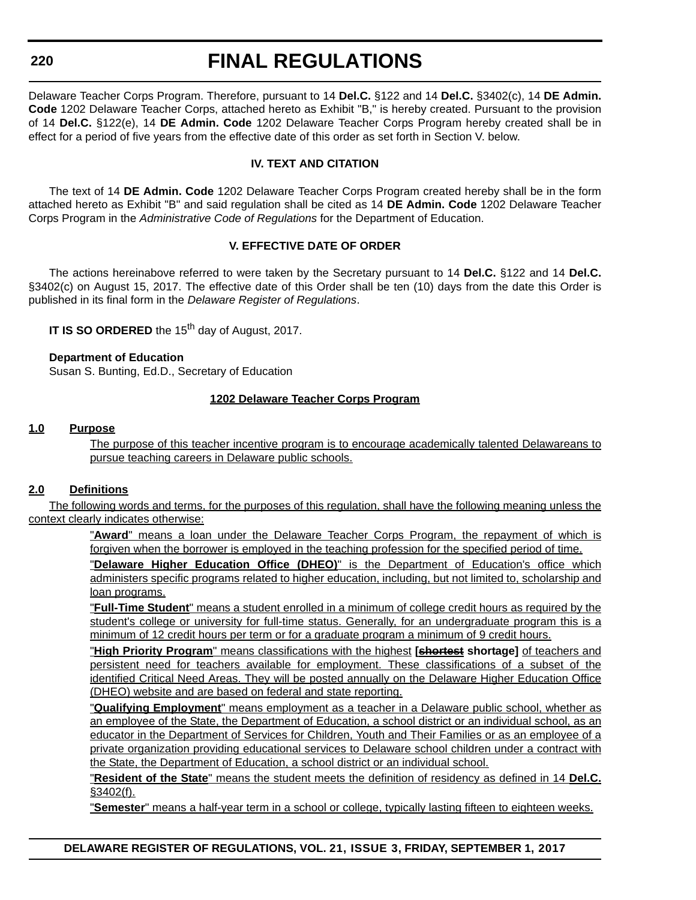# **FINAL REGULATIONS**

Delaware Teacher Corps Program. Therefore, pursuant to 14 **Del.C.** §122 and 14 **Del.C.** §3402(c), 14 **DE Admin. Code** 1202 Delaware Teacher Corps, attached hereto as Exhibit "B," is hereby created. Pursuant to the provision of 14 **Del.C.** §122(e), 14 **DE Admin. Code** 1202 Delaware Teacher Corps Program hereby created shall be in effect for a period of five years from the effective date of this order as set forth in Section V. below.

### **IV. TEXT AND CITATION**

The text of 14 **DE Admin. Code** 1202 Delaware Teacher Corps Program created hereby shall be in the form attached hereto as Exhibit "B" and said regulation shall be cited as 14 **DE Admin. Code** 1202 Delaware Teacher Corps Program in the *Administrative Code of Regulations* for the Department of Education.

### **V. EFFECTIVE DATE OF ORDER**

The actions hereinabove referred to were taken by the Secretary pursuant to 14 **Del.C.** §122 and 14 **Del.C.** §3402(c) on August 15, 2017. The effective date of this Order shall be ten (10) days from the date this Order is published in its final form in the *Delaware Register of Regulations*.

**IT IS SO ORDERED** the 15<sup>th</sup> day of August, 2017.

#### **Department of Education**

Susan S. Bunting, Ed.D., Secretary of Education

#### **1202 Delaware Teacher Corps Program**

#### **1.0 Purpose**

The purpose of this teacher incentive program is to encourage academically talented Delawareans to pursue teaching careers in Delaware public schools.

### **2.0 Definitions**

The following words and terms, for the purposes of this regulation, shall have the following meaning unless the context clearly indicates otherwise:

> "**Award**" means a loan under the Delaware Teacher Corps Program, the repayment of which is forgiven when the borrower is employed in the teaching profession for the specified period of time.

> "**Delaware Higher Education Office (DHEO)**" is the Department of Education's office which administers specific programs related to higher education, including, but not limited to, scholarship and loan programs.

> "**Full-Time Student**" means a student enrolled in a minimum of college credit hours as required by the student's college or university for full-time status. Generally, for an undergraduate program this is a minimum of 12 credit hours per term or for a graduate program a minimum of 9 credit hours.

> "**High Priority Program**" means classifications with the highest **[shortest shortage]** of teachers and persistent need for teachers available for employment. These classifications of a subset of the identified Critical Need Areas. They will be posted annually on the Delaware Higher Education Office (DHEO) website and are based on federal and state reporting.

> "**Qualifying Employment**" means employment as a teacher in a Delaware public school, whether as an employee of the State, the Department of Education, a school district or an individual school, as an educator in the Department of Services for Children, Youth and Their Families or as an employee of a private organization providing educational services to Delaware school children under a contract with the State, the Department of Education, a school district or an individual school.

> "**Resident of the State**" means the student meets the definition of residency as defined in 14 **Del.C.** §3402(f).

"**Semester**" means a half-year term in a school or college, typically lasting fifteen to eighteen weeks.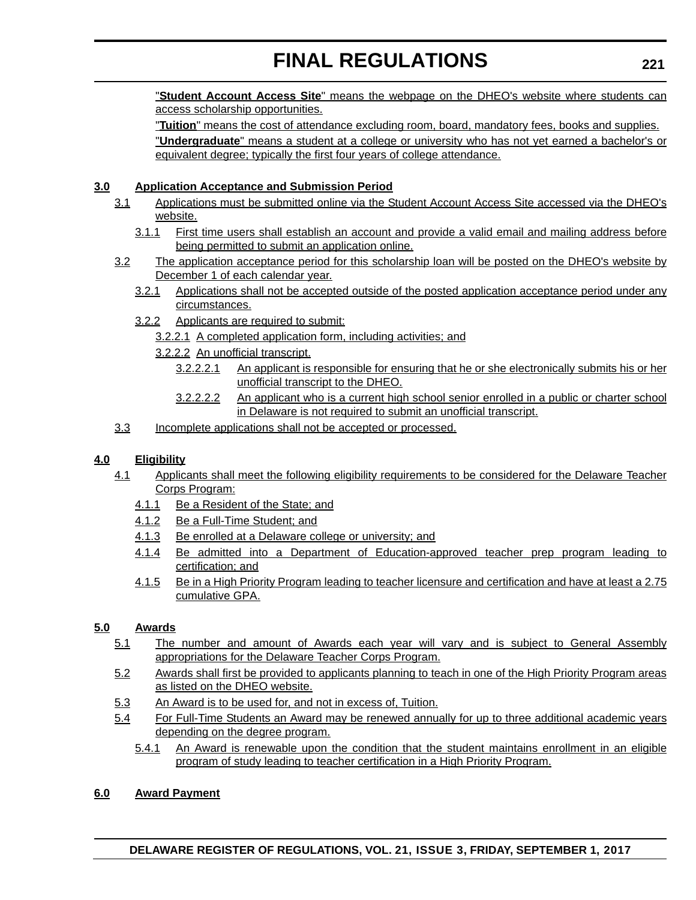"**Student Account Access Site**" means the webpage on the DHEO's website where students can access scholarship opportunities.

"**Tuition**" means the cost of attendance excluding room, board, mandatory fees, books and supplies. "**Undergraduate**" means a student at a college or university who has not yet earned a bachelor's or equivalent degree; typically the first four years of college attendance.

# **3.0 Application Acceptance and Submission Period**

- 3.1 Applications must be submitted online via the Student Account Access Site accessed via the DHEO's website.
	- 3.1.1 First time users shall establish an account and provide a valid email and mailing address before being permitted to submit an application online.
- 3.2 The application acceptance period for this scholarship loan will be posted on the DHEO's website by December 1 of each calendar year.
	- 3.2.1 Applications shall not be accepted outside of the posted application acceptance period under any circumstances.
	- 3.2.2 Applicants are required to submit:
		- 3.2.2.1 A completed application form, including activities; and
		- 3.2.2.2 An unofficial transcript.
			- 3.2.2.2.1 An applicant is responsible for ensuring that he or she electronically submits his or her unofficial transcript to the DHEO.
			- 3.2.2.2.2 An applicant who is a current high school senior enrolled in a public or charter school in Delaware is not required to submit an unofficial transcript.
- 3.3 Incomplete applications shall not be accepted or processed.

# **4.0 Eligibility**

- 4.1 Applicants shall meet the following eligibility requirements to be considered for the Delaware Teacher Corps Program:
	- 4.1.1 Be a Resident of the State; and
	- 4.1.2 Be a Full-Time Student; and
	- 4.1.3 Be enrolled at a Delaware college or university; and
	- 4.1.4 Be admitted into a Department of Education-approved teacher prep program leading to certification; and
	- 4.1.5 Be in a High Priority Program leading to teacher licensure and certification and have at least a 2.75 cumulative GPA.

# **5.0 Awards**

- 5.1 The number and amount of Awards each year will vary and is subject to General Assembly appropriations for the Delaware Teacher Corps Program.
- 5.2 Awards shall first be provided to applicants planning to teach in one of the High Priority Program areas as listed on the DHEO website.
- 5.3 An Award is to be used for, and not in excess of, Tuition.
- 5.4 For Full-Time Students an Award may be renewed annually for up to three additional academic years depending on the degree program.
	- 5.4.1 An Award is renewable upon the condition that the student maintains enrollment in an eligible program of study leading to teacher certification in a High Priority Program.

# **6.0 Award Payment**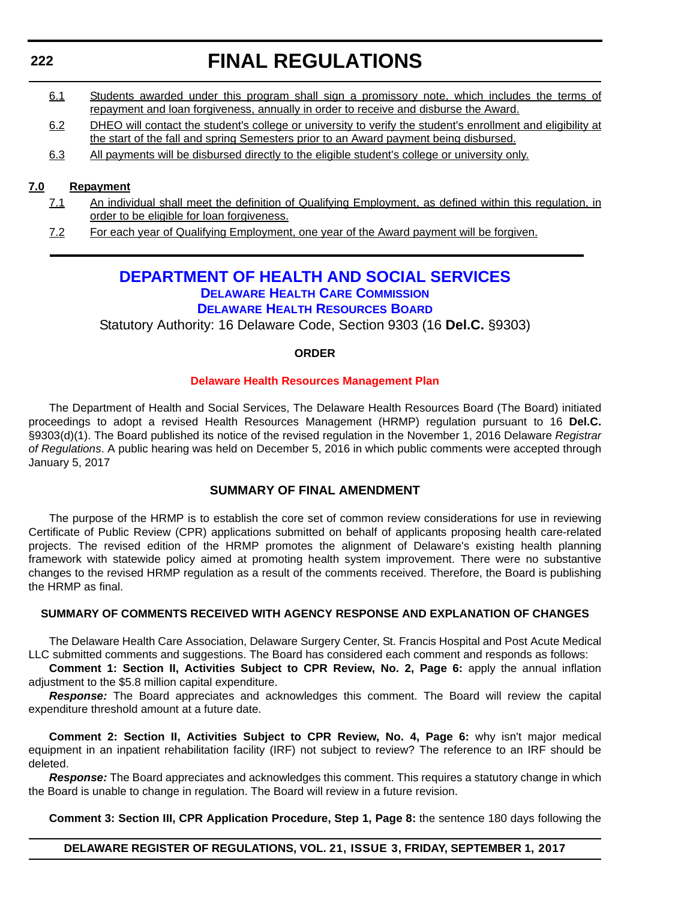# **FINAL REGULATIONS**

- 6.1 Students awarded under this program shall sign a promissory note, which includes the terms of repayment and loan forgiveness, annually in order to receive and disburse the Award.
- 6.2 DHEO will contact the student's college or university to verify the student's enrollment and eligibility at the start of the fall and spring Semesters prior to an Award payment being disbursed.
- 6.3 All payments will be disbursed directly to the eligible student's college or university only.

# **7.0 Repayment**

- 7.1 An individual shall meet the definition of Qualifying Employment, as defined within this regulation, in order to be eligible for loan forgiveness.
- 7.2 For each year of Qualifying Employment, one year of the Award payment will be forgiven.

# **[DEPARTMENT OF HEALTH AND SOCIAL SERVICES](http://www.dhss.delaware.gov/dhss/index.html) [DELAWARE HEALTH CARE COMMISSION](http://www.dhss.delaware.gov/dhss/dhcc/)**

# **[DELAWARE HEALTH RESOURCES BOARD](http://www.dhss.delaware.gov/dhss/dhcc/hrb/dhrbhome.html)**

Statutory Authority: 16 Delaware Code, Section 9303 (16 **Del.C.** §9303)

### **ORDER**

### **[Delaware Health Resources Management Plan](#page-4-0)**

The Department of Health and Social Services, The Delaware Health Resources Board (The Board) initiated proceedings to adopt a revised Health Resources Management (HRMP) regulation pursuant to 16 **Del.C.** §9303(d)(1). The Board published its notice of the revised regulation in the November 1, 2016 Delaware *Registrar of Regulations*. A public hearing was held on December 5, 2016 in which public comments were accepted through January 5, 2017

# **SUMMARY OF FINAL AMENDMENT**

The purpose of the HRMP is to establish the core set of common review considerations for use in reviewing Certificate of Public Review (CPR) applications submitted on behalf of applicants proposing health care-related projects. The revised edition of the HRMP promotes the alignment of Delaware's existing health planning framework with statewide policy aimed at promoting health system improvement. There were no substantive changes to the revised HRMP regulation as a result of the comments received. Therefore, the Board is publishing the HRMP as final.

### **SUMMARY OF COMMENTS RECEIVED WITH AGENCY RESPONSE AND EXPLANATION OF CHANGES**

The Delaware Health Care Association, Delaware Surgery Center, St. Francis Hospital and Post Acute Medical LLC submitted comments and suggestions. The Board has considered each comment and responds as follows:

Comment 1: Section II, Activities Subject to CPR Review, No. 2, Page 6: apply the annual inflation adjustment to the \$5.8 million capital expenditure.

*Response:* The Board appreciates and acknowledges this comment. The Board will review the capital expenditure threshold amount at a future date.

**Comment 2: Section II, Activities Subject to CPR Review, No. 4, Page 6:** why isn't major medical equipment in an inpatient rehabilitation facility (IRF) not subject to review? The reference to an IRF should be deleted.

*Response:* The Board appreciates and acknowledges this comment. This requires a statutory change in which the Board is unable to change in regulation. The Board will review in a future revision.

**Comment 3: Section III, CPR Application Procedure, Step 1, Page 8:** the sentence 180 days following the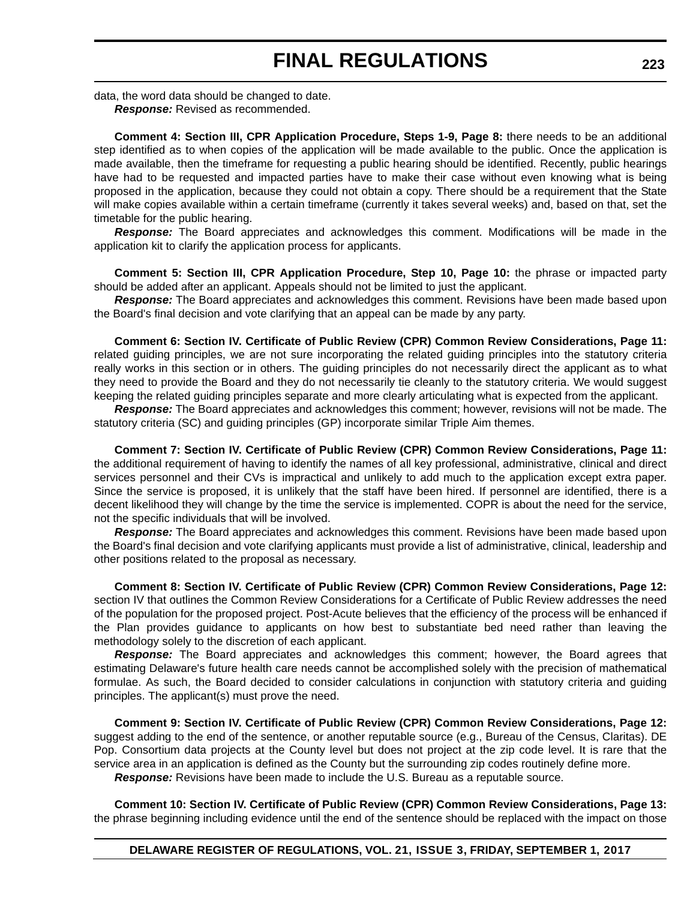data, the word data should be changed to date. *Response:* Revised as recommended.

**Comment 4: Section III, CPR Application Procedure, Steps 1-9, Page 8:** there needs to be an additional step identified as to when copies of the application will be made available to the public. Once the application is made available, then the timeframe for requesting a public hearing should be identified. Recently, public hearings have had to be requested and impacted parties have to make their case without even knowing what is being proposed in the application, because they could not obtain a copy. There should be a requirement that the State will make copies available within a certain timeframe (currently it takes several weeks) and, based on that, set the timetable for the public hearing.

*Response:* The Board appreciates and acknowledges this comment. Modifications will be made in the application kit to clarify the application process for applicants.

**Comment 5: Section III, CPR Application Procedure, Step 10, Page 10:** the phrase or impacted party should be added after an applicant. Appeals should not be limited to just the applicant.

*Response:* The Board appreciates and acknowledges this comment. Revisions have been made based upon the Board's final decision and vote clarifying that an appeal can be made by any party.

**Comment 6: Section IV. Certificate of Public Review (CPR) Common Review Considerations, Page 11:** related guiding principles, we are not sure incorporating the related guiding principles into the statutory criteria really works in this section or in others. The guiding principles do not necessarily direct the applicant as to what they need to provide the Board and they do not necessarily tie cleanly to the statutory criteria. We would suggest keeping the related guiding principles separate and more clearly articulating what is expected from the applicant.

*Response:* The Board appreciates and acknowledges this comment; however, revisions will not be made. The statutory criteria (SC) and guiding principles (GP) incorporate similar Triple Aim themes.

**Comment 7: Section IV. Certificate of Public Review (CPR) Common Review Considerations, Page 11:** the additional requirement of having to identify the names of all key professional, administrative, clinical and direct services personnel and their CVs is impractical and unlikely to add much to the application except extra paper. Since the service is proposed, it is unlikely that the staff have been hired. If personnel are identified, there is a decent likelihood they will change by the time the service is implemented. COPR is about the need for the service, not the specific individuals that will be involved.

*Response:* The Board appreciates and acknowledges this comment. Revisions have been made based upon the Board's final decision and vote clarifying applicants must provide a list of administrative, clinical, leadership and other positions related to the proposal as necessary.

**Comment 8: Section IV. Certificate of Public Review (CPR) Common Review Considerations, Page 12:** section IV that outlines the Common Review Considerations for a Certificate of Public Review addresses the need of the population for the proposed project. Post-Acute believes that the efficiency of the process will be enhanced if the Plan provides guidance to applicants on how best to substantiate bed need rather than leaving the methodology solely to the discretion of each applicant.

*Response:* The Board appreciates and acknowledges this comment; however, the Board agrees that estimating Delaware's future health care needs cannot be accomplished solely with the precision of mathematical formulae. As such, the Board decided to consider calculations in conjunction with statutory criteria and guiding principles. The applicant(s) must prove the need.

**Comment 9: Section IV. Certificate of Public Review (CPR) Common Review Considerations, Page 12:** suggest adding to the end of the sentence, or another reputable source (e.g., Bureau of the Census, Claritas). DE Pop. Consortium data projects at the County level but does not project at the zip code level. It is rare that the service area in an application is defined as the County but the surrounding zip codes routinely define more.

*Response:* Revisions have been made to include the U.S. Bureau as a reputable source.

**Comment 10: Section IV. Certificate of Public Review (CPR) Common Review Considerations, Page 13:** the phrase beginning including evidence until the end of the sentence should be replaced with the impact on those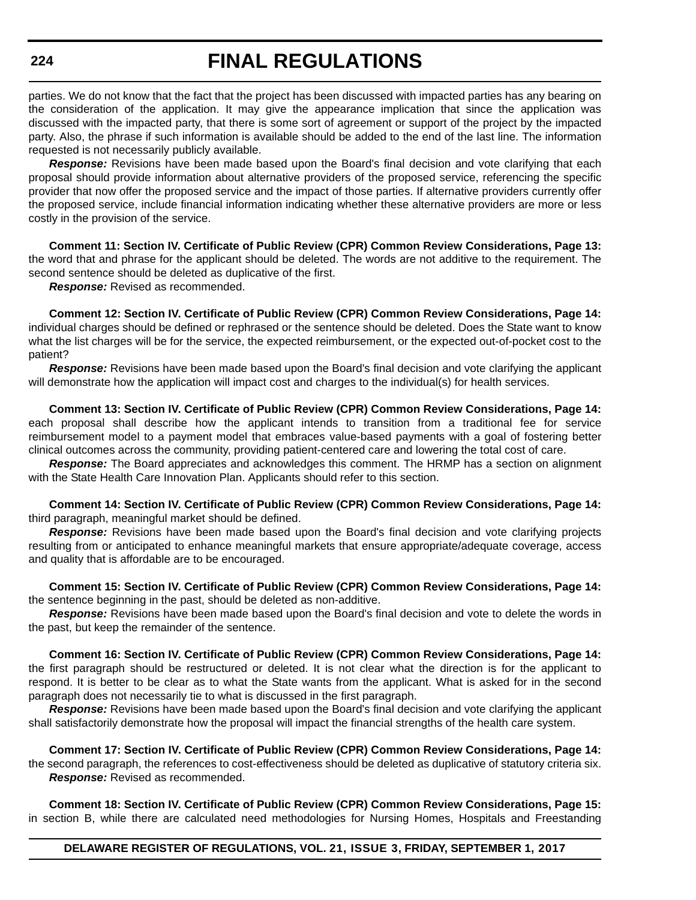# **FINAL REGULATIONS**

parties. We do not know that the fact that the project has been discussed with impacted parties has any bearing on the consideration of the application. It may give the appearance implication that since the application was discussed with the impacted party, that there is some sort of agreement or support of the project by the impacted party. Also, the phrase if such information is available should be added to the end of the last line. The information requested is not necessarily publicly available.

*Response:* Revisions have been made based upon the Board's final decision and vote clarifying that each proposal should provide information about alternative providers of the proposed service, referencing the specific provider that now offer the proposed service and the impact of those parties. If alternative providers currently offer the proposed service, include financial information indicating whether these alternative providers are more or less costly in the provision of the service.

**Comment 11: Section IV. Certificate of Public Review (CPR) Common Review Considerations, Page 13:** the word that and phrase for the applicant should be deleted. The words are not additive to the requirement. The second sentence should be deleted as duplicative of the first.

*Response:* Revised as recommended.

**Comment 12: Section IV. Certificate of Public Review (CPR) Common Review Considerations, Page 14:** individual charges should be defined or rephrased or the sentence should be deleted. Does the State want to know what the list charges will be for the service, the expected reimbursement, or the expected out-of-pocket cost to the patient?

*Response:* Revisions have been made based upon the Board's final decision and vote clarifying the applicant will demonstrate how the application will impact cost and charges to the individual(s) for health services.

**Comment 13: Section IV. Certificate of Public Review (CPR) Common Review Considerations, Page 14:** each proposal shall describe how the applicant intends to transition from a traditional fee for service reimbursement model to a payment model that embraces value-based payments with a goal of fostering better clinical outcomes across the community, providing patient-centered care and lowering the total cost of care.

*Response:* The Board appreciates and acknowledges this comment. The HRMP has a section on alignment with the State Health Care Innovation Plan. Applicants should refer to this section.

**Comment 14: Section IV. Certificate of Public Review (CPR) Common Review Considerations, Page 14:** third paragraph, meaningful market should be defined.

*Response:* Revisions have been made based upon the Board's final decision and vote clarifying projects resulting from or anticipated to enhance meaningful markets that ensure appropriate/adequate coverage, access and quality that is affordable are to be encouraged.

**Comment 15: Section IV. Certificate of Public Review (CPR) Common Review Considerations, Page 14:** the sentence beginning in the past, should be deleted as non-additive.

*Response:* Revisions have been made based upon the Board's final decision and vote to delete the words in the past, but keep the remainder of the sentence.

**Comment 16: Section IV. Certificate of Public Review (CPR) Common Review Considerations, Page 14:** the first paragraph should be restructured or deleted. It is not clear what the direction is for the applicant to respond. It is better to be clear as to what the State wants from the applicant. What is asked for in the second paragraph does not necessarily tie to what is discussed in the first paragraph.

*Response:* Revisions have been made based upon the Board's final decision and vote clarifying the applicant shall satisfactorily demonstrate how the proposal will impact the financial strengths of the health care system.

**Comment 17: Section IV. Certificate of Public Review (CPR) Common Review Considerations, Page 14:** the second paragraph, the references to cost-effectiveness should be deleted as duplicative of statutory criteria six. *Response:* Revised as recommended.

**Comment 18: Section IV. Certificate of Public Review (CPR) Common Review Considerations, Page 15:** in section B, while there are calculated need methodologies for Nursing Homes, Hospitals and Freestanding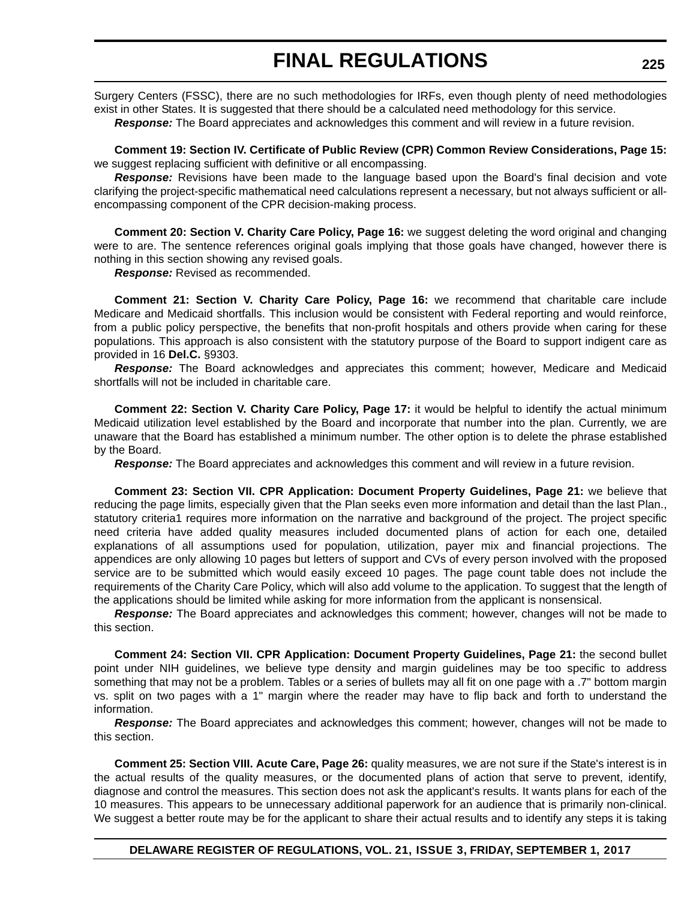Surgery Centers (FSSC), there are no such methodologies for IRFs, even though plenty of need methodologies exist in other States. It is suggested that there should be a calculated need methodology for this service.

*Response:* The Board appreciates and acknowledges this comment and will review in a future revision.

**Comment 19: Section IV. Certificate of Public Review (CPR) Common Review Considerations, Page 15:** we suggest replacing sufficient with definitive or all encompassing.

*Response:* Revisions have been made to the language based upon the Board's final decision and vote clarifying the project-specific mathematical need calculations represent a necessary, but not always sufficient or allencompassing component of the CPR decision-making process.

**Comment 20: Section V. Charity Care Policy, Page 16:** we suggest deleting the word original and changing were to are. The sentence references original goals implying that those goals have changed, however there is nothing in this section showing any revised goals.

*Response:* Revised as recommended.

**Comment 21: Section V. Charity Care Policy, Page 16:** we recommend that charitable care include Medicare and Medicaid shortfalls. This inclusion would be consistent with Federal reporting and would reinforce, from a public policy perspective, the benefits that non-profit hospitals and others provide when caring for these populations. This approach is also consistent with the statutory purpose of the Board to support indigent care as provided in 16 **Del.C.** §9303.

*Response:* The Board acknowledges and appreciates this comment; however, Medicare and Medicaid shortfalls will not be included in charitable care.

**Comment 22: Section V. Charity Care Policy, Page 17:** it would be helpful to identify the actual minimum Medicaid utilization level established by the Board and incorporate that number into the plan. Currently, we are unaware that the Board has established a minimum number. The other option is to delete the phrase established by the Board.

*Response:* The Board appreciates and acknowledges this comment and will review in a future revision.

**Comment 23: Section VII. CPR Application: Document Property Guidelines, Page 21:** we believe that reducing the page limits, especially given that the Plan seeks even more information and detail than the last Plan., statutory criteria1 requires more information on the narrative and background of the project. The project specific need criteria have added quality measures included documented plans of action for each one, detailed explanations of all assumptions used for population, utilization, payer mix and financial projections. The appendices are only allowing 10 pages but letters of support and CVs of every person involved with the proposed service are to be submitted which would easily exceed 10 pages. The page count table does not include the requirements of the Charity Care Policy, which will also add volume to the application. To suggest that the length of the applications should be limited while asking for more information from the applicant is nonsensical.

*Response:* The Board appreciates and acknowledges this comment; however, changes will not be made to this section.

**Comment 24: Section VII. CPR Application: Document Property Guidelines, Page 21:** the second bullet point under NIH guidelines, we believe type density and margin guidelines may be too specific to address something that may not be a problem. Tables or a series of bullets may all fit on one page with a .7" bottom margin vs. split on two pages with a 1" margin where the reader may have to flip back and forth to understand the information.

*Response:* The Board appreciates and acknowledges this comment; however, changes will not be made to this section.

**Comment 25: Section VIII. Acute Care, Page 26:** quality measures, we are not sure if the State's interest is in the actual results of the quality measures, or the documented plans of action that serve to prevent, identify, diagnose and control the measures. This section does not ask the applicant's results. It wants plans for each of the 10 measures. This appears to be unnecessary additional paperwork for an audience that is primarily non-clinical. We suggest a better route may be for the applicant to share their actual results and to identify any steps it is taking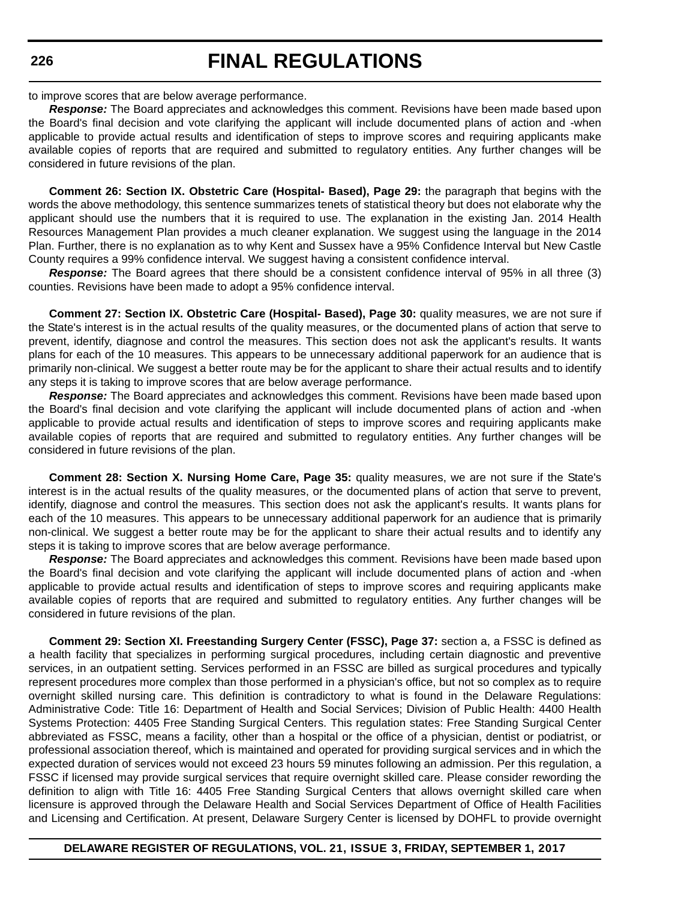# **FINAL REGULATIONS**

to improve scores that are below average performance.

*Response:* The Board appreciates and acknowledges this comment. Revisions have been made based upon the Board's final decision and vote clarifying the applicant will include documented plans of action and -when applicable to provide actual results and identification of steps to improve scores and requiring applicants make available copies of reports that are required and submitted to regulatory entities. Any further changes will be considered in future revisions of the plan.

**Comment 26: Section IX. Obstetric Care (Hospital- Based), Page 29:** the paragraph that begins with the words the above methodology, this sentence summarizes tenets of statistical theory but does not elaborate why the applicant should use the numbers that it is required to use. The explanation in the existing Jan. 2014 Health Resources Management Plan provides a much cleaner explanation. We suggest using the language in the 2014 Plan. Further, there is no explanation as to why Kent and Sussex have a 95% Confidence Interval but New Castle County requires a 99% confidence interval. We suggest having a consistent confidence interval.

*Response:* The Board agrees that there should be a consistent confidence interval of 95% in all three (3) counties. Revisions have been made to adopt a 95% confidence interval.

**Comment 27: Section IX. Obstetric Care (Hospital- Based), Page 30:** quality measures, we are not sure if the State's interest is in the actual results of the quality measures, or the documented plans of action that serve to prevent, identify, diagnose and control the measures. This section does not ask the applicant's results. It wants plans for each of the 10 measures. This appears to be unnecessary additional paperwork for an audience that is primarily non-clinical. We suggest a better route may be for the applicant to share their actual results and to identify any steps it is taking to improve scores that are below average performance.

*Response:* The Board appreciates and acknowledges this comment. Revisions have been made based upon the Board's final decision and vote clarifying the applicant will include documented plans of action and -when applicable to provide actual results and identification of steps to improve scores and requiring applicants make available copies of reports that are required and submitted to regulatory entities. Any further changes will be considered in future revisions of the plan.

**Comment 28: Section X. Nursing Home Care, Page 35:** quality measures, we are not sure if the State's interest is in the actual results of the quality measures, or the documented plans of action that serve to prevent, identify, diagnose and control the measures. This section does not ask the applicant's results. It wants plans for each of the 10 measures. This appears to be unnecessary additional paperwork for an audience that is primarily non-clinical. We suggest a better route may be for the applicant to share their actual results and to identify any steps it is taking to improve scores that are below average performance.

*Response:* The Board appreciates and acknowledges this comment. Revisions have been made based upon the Board's final decision and vote clarifying the applicant will include documented plans of action and -when applicable to provide actual results and identification of steps to improve scores and requiring applicants make available copies of reports that are required and submitted to regulatory entities. Any further changes will be considered in future revisions of the plan.

**Comment 29: Section XI. Freestanding Surgery Center (FSSC), Page 37:** section a, a FSSC is defined as a health facility that specializes in performing surgical procedures, including certain diagnostic and preventive services, in an outpatient setting. Services performed in an FSSC are billed as surgical procedures and typically represent procedures more complex than those performed in a physician's office, but not so complex as to require overnight skilled nursing care. This definition is contradictory to what is found in the Delaware Regulations: Administrative Code: Title 16: Department of Health and Social Services; Division of Public Health: 4400 Health Systems Protection: 4405 Free Standing Surgical Centers. This regulation states: Free Standing Surgical Center abbreviated as FSSC, means a facility, other than a hospital or the office of a physician, dentist or podiatrist, or professional association thereof, which is maintained and operated for providing surgical services and in which the expected duration of services would not exceed 23 hours 59 minutes following an admission. Per this regulation, a FSSC if licensed may provide surgical services that require overnight skilled care. Please consider rewording the definition to align with Title 16: 4405 Free Standing Surgical Centers that allows overnight skilled care when licensure is approved through the Delaware Health and Social Services Department of Office of Health Facilities and Licensing and Certification. At present, Delaware Surgery Center is licensed by DOHFL to provide overnight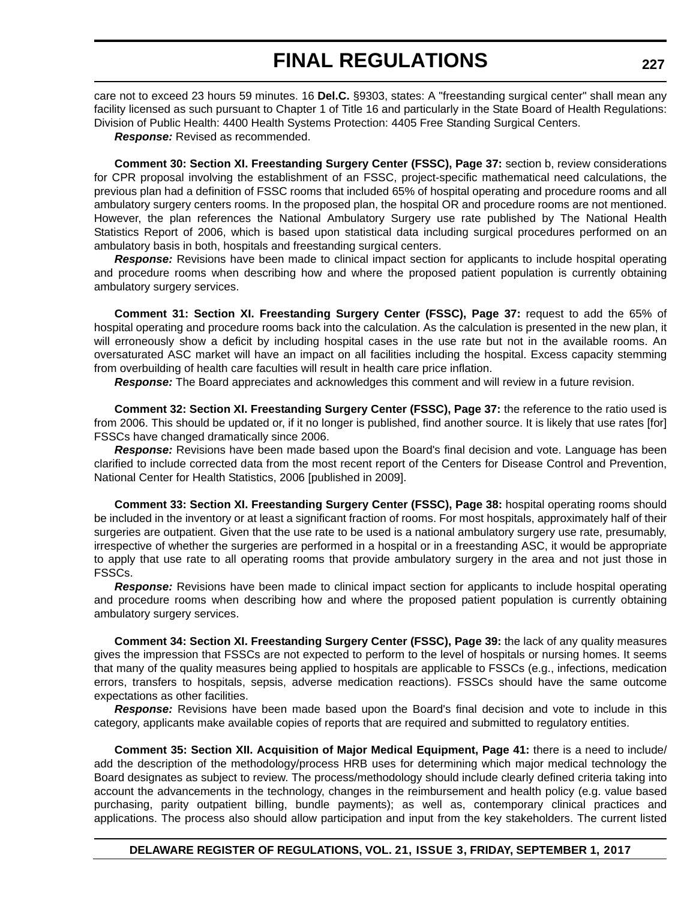care not to exceed 23 hours 59 minutes. 16 **Del.C.** §9303, states: A "freestanding surgical center" shall mean any facility licensed as such pursuant to Chapter 1 of Title 16 and particularly in the State Board of Health Regulations: Division of Public Health: 4400 Health Systems Protection: 4405 Free Standing Surgical Centers.

*Response:* Revised as recommended.

**Comment 30: Section XI. Freestanding Surgery Center (FSSC), Page 37:** section b, review considerations for CPR proposal involving the establishment of an FSSC, project-specific mathematical need calculations, the previous plan had a definition of FSSC rooms that included 65% of hospital operating and procedure rooms and all ambulatory surgery centers rooms. In the proposed plan, the hospital OR and procedure rooms are not mentioned. However, the plan references the National Ambulatory Surgery use rate published by The National Health Statistics Report of 2006, which is based upon statistical data including surgical procedures performed on an ambulatory basis in both, hospitals and freestanding surgical centers.

*Response:* Revisions have been made to clinical impact section for applicants to include hospital operating and procedure rooms when describing how and where the proposed patient population is currently obtaining ambulatory surgery services.

**Comment 31: Section XI. Freestanding Surgery Center (FSSC), Page 37:** request to add the 65% of hospital operating and procedure rooms back into the calculation. As the calculation is presented in the new plan, it will erroneously show a deficit by including hospital cases in the use rate but not in the available rooms. An oversaturated ASC market will have an impact on all facilities including the hospital. Excess capacity stemming from overbuilding of health care faculties will result in health care price inflation.

*Response:* The Board appreciates and acknowledges this comment and will review in a future revision.

**Comment 32: Section XI. Freestanding Surgery Center (FSSC), Page 37:** the reference to the ratio used is from 2006. This should be updated or, if it no longer is published, find another source. It is likely that use rates [for] FSSCs have changed dramatically since 2006.

*Response:* Revisions have been made based upon the Board's final decision and vote. Language has been clarified to include corrected data from the most recent report of the Centers for Disease Control and Prevention, National Center for Health Statistics, 2006 [published in 2009].

**Comment 33: Section XI. Freestanding Surgery Center (FSSC), Page 38:** hospital operating rooms should be included in the inventory or at least a significant fraction of rooms. For most hospitals, approximately half of their surgeries are outpatient. Given that the use rate to be used is a national ambulatory surgery use rate, presumably, irrespective of whether the surgeries are performed in a hospital or in a freestanding ASC, it would be appropriate to apply that use rate to all operating rooms that provide ambulatory surgery in the area and not just those in FSSCs.

*Response:* Revisions have been made to clinical impact section for applicants to include hospital operating and procedure rooms when describing how and where the proposed patient population is currently obtaining ambulatory surgery services.

**Comment 34: Section XI. Freestanding Surgery Center (FSSC), Page 39:** the lack of any quality measures gives the impression that FSSCs are not expected to perform to the level of hospitals or nursing homes. It seems that many of the quality measures being applied to hospitals are applicable to FSSCs (e.g., infections, medication errors, transfers to hospitals, sepsis, adverse medication reactions). FSSCs should have the same outcome expectations as other facilities.

*Response:* Revisions have been made based upon the Board's final decision and vote to include in this category, applicants make available copies of reports that are required and submitted to regulatory entities.

**Comment 35: Section XII. Acquisition of Major Medical Equipment, Page 41:** there is a need to include/ add the description of the methodology/process HRB uses for determining which major medical technology the Board designates as subject to review. The process/methodology should include clearly defined criteria taking into account the advancements in the technology, changes in the reimbursement and health policy (e.g. value based purchasing, parity outpatient billing, bundle payments); as well as, contemporary clinical practices and applications. The process also should allow participation and input from the key stakeholders. The current listed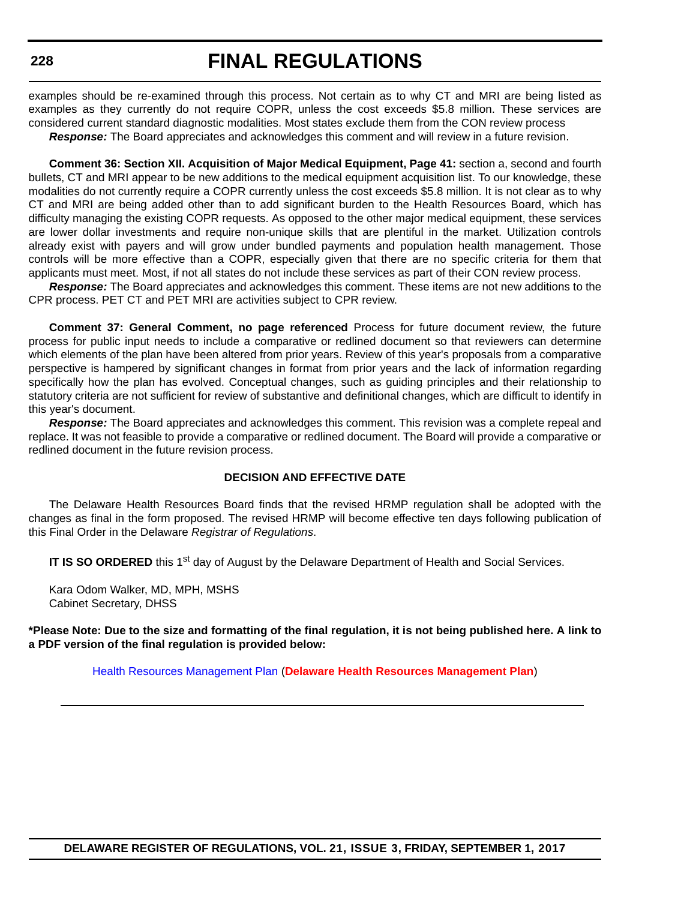examples should be re-examined through this process. Not certain as to why CT and MRI are being listed as examples as they currently do not require COPR, unless the cost exceeds \$5.8 million. These services are considered current standard diagnostic modalities. Most states exclude them from the CON review process

*Response:* The Board appreciates and acknowledges this comment and will review in a future revision.

**Comment 36: Section XII. Acquisition of Major Medical Equipment, Page 41:** section a, second and fourth bullets, CT and MRI appear to be new additions to the medical equipment acquisition list. To our knowledge, these modalities do not currently require a COPR currently unless the cost exceeds \$5.8 million. It is not clear as to why CT and MRI are being added other than to add significant burden to the Health Resources Board, which has difficulty managing the existing COPR requests. As opposed to the other major medical equipment, these services are lower dollar investments and require non-unique skills that are plentiful in the market. Utilization controls already exist with payers and will grow under bundled payments and population health management. Those controls will be more effective than a COPR, especially given that there are no specific criteria for them that applicants must meet. Most, if not all states do not include these services as part of their CON review process.

*Response:* The Board appreciates and acknowledges this comment. These items are not new additions to the CPR process. PET CT and PET MRI are activities subject to CPR review.

**Comment 37: General Comment, no page referenced** Process for future document review, the future process for public input needs to include a comparative or redlined document so that reviewers can determine which elements of the plan have been altered from prior years. Review of this year's proposals from a comparative perspective is hampered by significant changes in format from prior years and the lack of information regarding specifically how the plan has evolved. Conceptual changes, such as guiding principles and their relationship to statutory criteria are not sufficient for review of substantive and definitional changes, which are difficult to identify in this year's document.

*Response:* The Board appreciates and acknowledges this comment. This revision was a complete repeal and replace. It was not feasible to provide a comparative or redlined document. The Board will provide a comparative or redlined document in the future revision process.

#### **DECISION AND EFFECTIVE DATE**

The Delaware Health Resources Board finds that the revised HRMP regulation shall be adopted with the changes as final in the form proposed. The revised HRMP will become effective ten days following publication of this Final Order in the Delaware *Registrar of Regulations*.

**IT IS SO ORDERED** this 1<sup>st</sup> day of August by the Delaware Department of Health and Social Services.

Kara Odom Walker, MD, MPH, MSHS Cabinet Secretary, DHSS

**\*Please Note: Due to the size and formatting of the final regulation, it is not being published here. A link to a PDF version of the final regulation is provided below:**

[Health Resources Management Plan](http://regulations.delaware.gov/register/september2017/final/HRMP.pdf) (**[Delaware Health Resources Management Plan](http://regulations.delaware.gov/register/september2017/final/HRMP.pdf)**)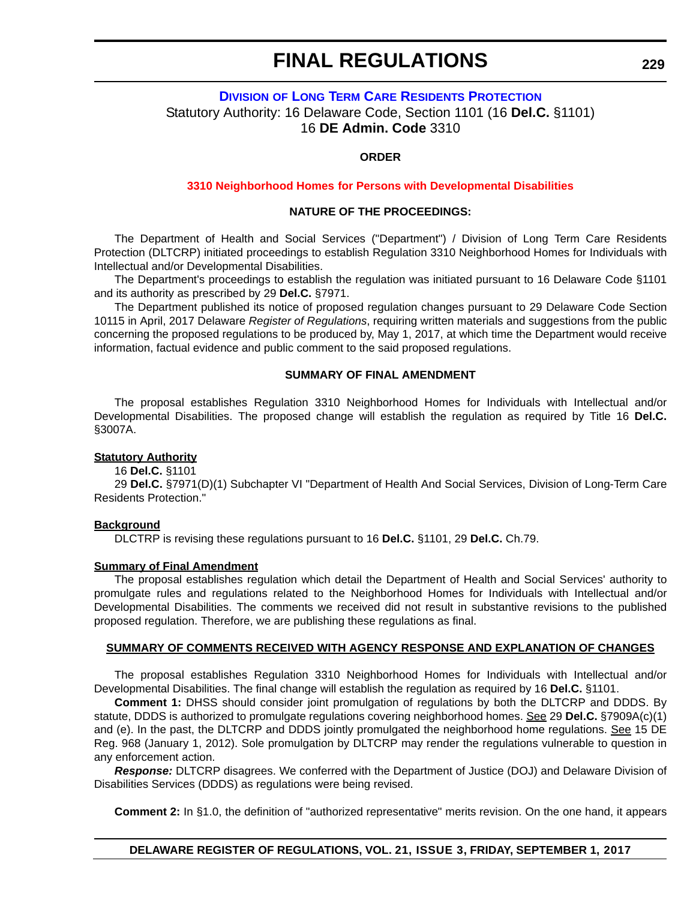# **DIVISION [OF LONG TERM CARE RESIDENTS PROTECTION](http://www.dhss.delaware.gov/dhss/dltcrp/)** Statutory Authority: 16 Delaware Code, Section 1101 (16 **Del.C.** §1101) 16 **DE Admin. Code** 3310

#### **ORDER**

#### **3310 Neighborhood Homes [for Persons with Developmental Disabilities](#page-4-0)**

#### **NATURE OF THE PROCEEDINGS:**

The Department of Health and Social Services ("Department") / Division of Long Term Care Residents Protection (DLTCRP) initiated proceedings to establish Regulation 3310 Neighborhood Homes for Individuals with Intellectual and/or Developmental Disabilities.

The Department's proceedings to establish the regulation was initiated pursuant to 16 Delaware Code §1101 and its authority as prescribed by 29 **Del.C.** §7971.

The Department published its notice of proposed regulation changes pursuant to 29 Delaware Code Section 10115 in April, 2017 Delaware *Register of Regulations*, requiring written materials and suggestions from the public concerning the proposed regulations to be produced by, May 1, 2017, at which time the Department would receive information, factual evidence and public comment to the said proposed regulations.

#### **SUMMARY OF FINAL AMENDMENT**

The proposal establishes Regulation 3310 Neighborhood Homes for Individuals with Intellectual and/or Developmental Disabilities. The proposed change will establish the regulation as required by Title 16 **Del.C.** §3007A.

#### **Statutory Authority**

16 **Del.C.** §1101

29 **Del.C.** §7971(D)(1) Subchapter VI "Department of Health And Social Services, Division of Long-Term Care Residents Protection."

#### **Background**

DLCTRP is revising these regulations pursuant to 16 **Del.C.** §1101, 29 **Del.C.** Ch.79.

#### **Summary of Final Amendment**

The proposal establishes regulation which detail the Department of Health and Social Services' authority to promulgate rules and regulations related to the Neighborhood Homes for Individuals with Intellectual and/or Developmental Disabilities. The comments we received did not result in substantive revisions to the published proposed regulation. Therefore, we are publishing these regulations as final.

#### **SUMMARY OF COMMENTS RECEIVED WITH AGENCY RESPONSE AND EXPLANATION OF CHANGES**

The proposal establishes Regulation 3310 Neighborhood Homes for Individuals with Intellectual and/or Developmental Disabilities. The final change will establish the regulation as required by 16 **Del.C.** §1101.

**Comment 1:** DHSS should consider joint promulgation of regulations by both the DLTCRP and DDDS. By statute, DDDS is authorized to promulgate regulations covering neighborhood homes. See 29 **Del.C.** §7909A(c)(1) and (e). In the past, the DLTCRP and DDDS jointly promulgated the neighborhood home regulations. See 15 DE Reg. 968 (January 1, 2012). Sole promulgation by DLTCRP may render the regulations vulnerable to question in any enforcement action.

*Response:* DLTCRP disagrees. We conferred with the Department of Justice (DOJ) and Delaware Division of Disabilities Services (DDDS) as regulations were being revised.

**Comment 2:** In §1.0, the definition of "authorized representative" merits revision. On the one hand, it appears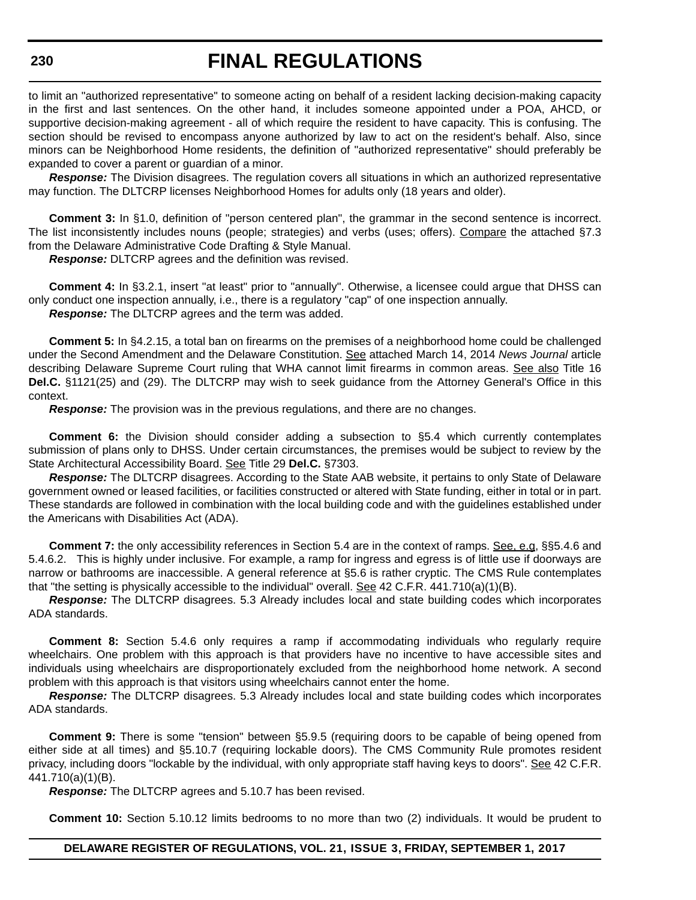# **FINAL REGULATIONS**

to limit an "authorized representative" to someone acting on behalf of a resident lacking decision-making capacity in the first and last sentences. On the other hand, it includes someone appointed under a POA, AHCD, or supportive decision-making agreement - all of which require the resident to have capacity. This is confusing. The section should be revised to encompass anyone authorized by law to act on the resident's behalf. Also, since minors can be Neighborhood Home residents, the definition of "authorized representative" should preferably be expanded to cover a parent or guardian of a minor.

*Response:* The Division disagrees. The regulation covers all situations in which an authorized representative may function. The DLTCRP licenses Neighborhood Homes for adults only (18 years and older).

**Comment 3:** In §1.0, definition of "person centered plan", the grammar in the second sentence is incorrect. The list inconsistently includes nouns (people; strategies) and verbs (uses; offers). Compare the attached §7.3 from the Delaware Administrative Code Drafting & Style Manual.

*Response:* DLTCRP agrees and the definition was revised.

**Comment 4:** In §3.2.1, insert "at least" prior to "annually". Otherwise, a licensee could argue that DHSS can only conduct one inspection annually, i.e., there is a regulatory "cap" of one inspection annually. *Response:* The DLTCRP agrees and the term was added.

**Comment 5:** In §4.2.15, a total ban on firearms on the premises of a neighborhood home could be challenged under the Second Amendment and the Delaware Constitution. See attached March 14, 2014 *News Journal* article describing Delaware Supreme Court ruling that WHA cannot limit firearms in common areas. See also Title 16 **Del.C.** §1121(25) and (29). The DLTCRP may wish to seek guidance from the Attorney General's Office in this context.

*Response:* The provision was in the previous regulations, and there are no changes.

**Comment 6:** the Division should consider adding a subsection to §5.4 which currently contemplates submission of plans only to DHSS. Under certain circumstances, the premises would be subject to review by the State Architectural Accessibility Board. See Title 29 **Del.C.** §7303.

*Response:* The DLTCRP disagrees. According to the State AAB website, it pertains to only State of Delaware government owned or leased facilities, or facilities constructed or altered with State funding, either in total or in part. These standards are followed in combination with the local building code and with the guidelines established under the Americans with Disabilities Act (ADA).

**Comment 7:** the only accessibility references in Section 5.4 are in the context of ramps. See, e.g, §§5.4.6 and 5.4.6.2. This is highly under inclusive. For example, a ramp for ingress and egress is of little use if doorways are narrow or bathrooms are inaccessible. A general reference at §5.6 is rather cryptic. The CMS Rule contemplates that "the setting is physically accessible to the individual" overall. See 42 C.F.R. 441.710(a)(1)(B).

*Response:* The DLTCRP disagrees. 5.3 Already includes local and state building codes which incorporates ADA standards.

**Comment 8:** Section 5.4.6 only requires a ramp if accommodating individuals who regularly require wheelchairs. One problem with this approach is that providers have no incentive to have accessible sites and individuals using wheelchairs are disproportionately excluded from the neighborhood home network. A second problem with this approach is that visitors using wheelchairs cannot enter the home.

*Response:* The DLTCRP disagrees. 5.3 Already includes local and state building codes which incorporates ADA standards.

**Comment 9:** There is some "tension" between §5.9.5 (requiring doors to be capable of being opened from either side at all times) and §5.10.7 (requiring lockable doors). The CMS Community Rule promotes resident privacy, including doors "lockable by the individual, with only appropriate staff having keys to doors". See 42 C.F.R. 441.710(a)(1)(B).

*Response:* The DLTCRP agrees and 5.10.7 has been revised.

**Comment 10:** Section 5.10.12 limits bedrooms to no more than two (2) individuals. It would be prudent to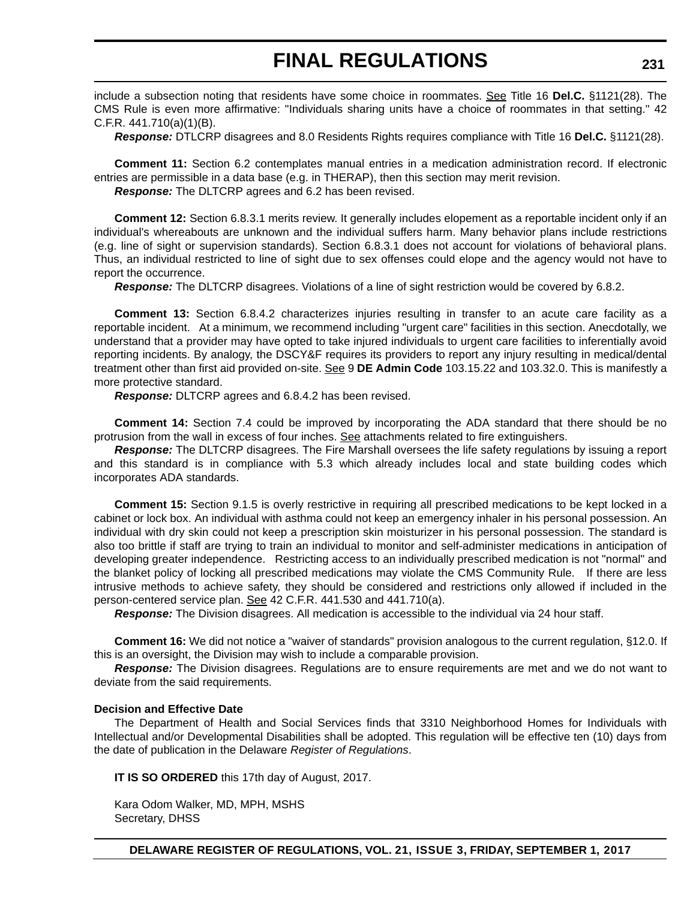include a subsection noting that residents have some choice in roommates. See Title 16 **Del.C.** §1121(28). The CMS Rule is even more affirmative: "Individuals sharing units have a choice of roommates in that setting." 42 C.F.R. 441.710(a)(1)(B).

*Response:* DTLCRP disagrees and 8.0 Residents Rights requires compliance with Title 16 **Del.C.** §1121(28).

**Comment 11:** Section 6.2 contemplates manual entries in a medication administration record. If electronic entries are permissible in a data base (e.g. in THERAP), then this section may merit revision. *Response:* The DLTCRP agrees and 6.2 has been revised.

**Comment 12:** Section 6.8.3.1 merits review. It generally includes elopement as a reportable incident only if an individual's whereabouts are unknown and the individual suffers harm. Many behavior plans include restrictions (e.g. line of sight or supervision standards). Section 6.8.3.1 does not account for violations of behavioral plans. Thus, an individual restricted to line of sight due to sex offenses could elope and the agency would not have to report the occurrence.

*Response:* The DLTCRP disagrees. Violations of a line of sight restriction would be covered by 6.8.2.

**Comment 13:** Section 6.8.4.2 characterizes injuries resulting in transfer to an acute care facility as a reportable incident. At a minimum, we recommend including "urgent care" facilities in this section. Anecdotally, we understand that a provider may have opted to take injured individuals to urgent care facilities to inferentially avoid reporting incidents. By analogy, the DSCY&F requires its providers to report any injury resulting in medical/dental treatment other than first aid provided on-site. See 9 **DE Admin Code** 103.15.22 and 103.32.0. This is manifestly a more protective standard.

*Response:* DLTCRP agrees and 6.8.4.2 has been revised.

**Comment 14:** Section 7.4 could be improved by incorporating the ADA standard that there should be no protrusion from the wall in excess of four inches. See attachments related to fire extinguishers.

*Response:* The DLTCRP disagrees. The Fire Marshall oversees the life safety regulations by issuing a report and this standard is in compliance with 5.3 which already includes local and state building codes which incorporates ADA standards.

**Comment 15:** Section 9.1.5 is overly restrictive in requiring all prescribed medications to be kept locked in a cabinet or lock box. An individual with asthma could not keep an emergency inhaler in his personal possession. An individual with dry skin could not keep a prescription skin moisturizer in his personal possession. The standard is also too brittle if staff are trying to train an individual to monitor and self-administer medications in anticipation of developing greater independence. Restricting access to an individually prescribed medication is not "normal" and the blanket policy of locking all prescribed medications may violate the CMS Community Rule. If there are less intrusive methods to achieve safety, they should be considered and restrictions only allowed if included in the person-centered service plan. See 42 C.F.R. 441.530 and 441.710(a).

*Response:* The Division disagrees. All medication is accessible to the individual via 24 hour staff.

**Comment 16:** We did not notice a "waiver of standards" provision analogous to the current regulation, §12.0. If this is an oversight, the Division may wish to include a comparable provision.

*Response:* The Division disagrees. Regulations are to ensure requirements are met and we do not want to deviate from the said requirements.

#### **Decision and Effective Date**

The Department of Health and Social Services finds that 3310 Neighborhood Homes for Individuals with Intellectual and/or Developmental Disabilities shall be adopted. This regulation will be effective ten (10) days from the date of publication in the Delaware *Register of Regulations*.

**IT IS SO ORDERED** this 17th day of August, 2017.

Kara Odom Walker, MD, MPH, MSHS Secretary, DHSS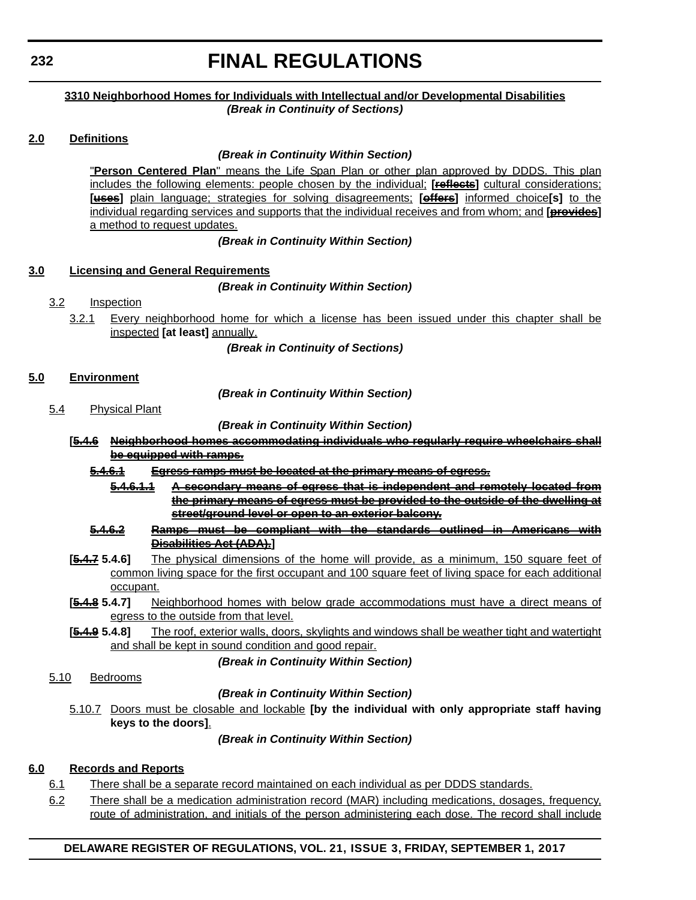### **3310 Neighborhood Homes for Individuals with Intellectual and/or Developmental Disabilities** *(Break in Continuity of Sections)*

## **2.0 Definitions**

## *(Break in Continuity Within Section)*

"**Person Centered Plan**" means the Life Span Plan or other plan approved by DDDS. This plan includes the following elements: people chosen by the individual; **[reflects]** cultural considerations; **[uses]** plain language; strategies for solving disagreements; **[offers]** informed choice**[s]** to the individual regarding services and supports that the individual receives and from whom; and **[provides]** a method to request updates.

### *(Break in Continuity Within Section)*

### **3.0 Licensing and General Requirements**

## *(Break in Continuity Within Section)*

- 3.2 Inspection
	- 3.2.1 Every neighborhood home for which a license has been issued under this chapter shall be inspected **[at least]** annually.

*(Break in Continuity of Sections)*

## **5.0 Environment**

*(Break in Continuity Within Section)*

5.4 Physical Plant

## *(Break in Continuity Within Section)*

**[5.4.6 Neighborhood homes accommodating individuals who regularly require wheelchairs shall be equipped with ramps.**

### **5.4.6.1 Egress ramps must be located at the primary means of egress.**

- **5.4.6.1.1 A secondary means of egress that is independent and remotely located from the primary means of egress must be provided to the outside of the dwelling at street/ground level or open to an exterior balcony.**
- **5.4.6.2 Ramps must be compliant with the standards outlined in Americans with Disabilities Act (ADA).]**
- **[5.4.7 5.4.6]** The physical dimensions of the home will provide, as a minimum, 150 square feet of common living space for the first occupant and 100 square feet of living space for each additional occupant.
- **[5.4.8 5.4.7]** Neighborhood homes with below grade accommodations must have a direct means of egress to the outside from that level.
- **[5.4.9 5.4.8]** The roof, exterior walls, doors, skylights and windows shall be weather tight and watertight and shall be kept in sound condition and good repair.

### *(Break in Continuity Within Section)*

5.10 Bedrooms

### *(Break in Continuity Within Section)*

5.10.7 Doors must be closable and lockable **[by the individual with only appropriate staff having keys to the doors]**.

### *(Break in Continuity Within Section)*

# **6.0 Records and Reports**

- 6.1 There shall be a separate record maintained on each individual as per DDDS standards.
- 6.2 There shall be a medication administration record (MAR) including medications, dosages, frequency, route of administration, and initials of the person administering each dose. The record shall include

# **DELAWARE REGISTER OF REGULATIONS, VOL. 21, ISSUE 3, FRIDAY, SEPTEMBER 1, 2017**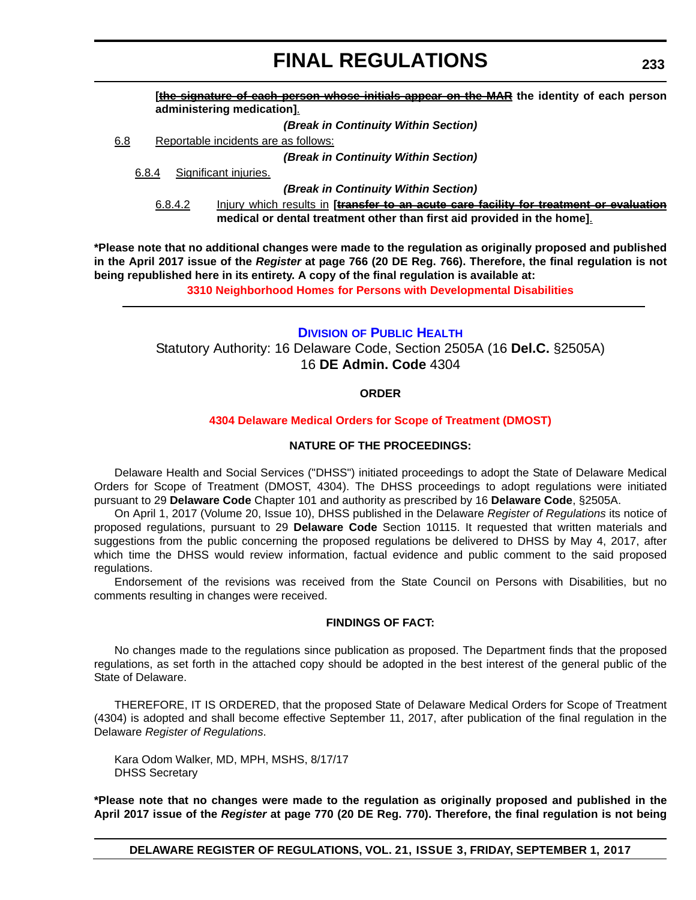**[the signature of each person whose initials appear on the MAR the identity of each person administering medication]**.

*(Break in Continuity Within Section)*

6.8 Reportable incidents are as follows:

*(Break in Continuity Within Section)*

6.8.4 Significant injuries.

*(Break in Continuity Within Section)*

6.8.4.2 Injury which results in **[transfer to an acute care facility for treatment or evaluation medical or dental treatment other than first aid provided in the home]**.

**\*Please note that no additional changes were made to the regulation as originally proposed and published in the April 2017 issue of the** *Register* **at page 766 (20 DE Reg. 766). Therefore, the final regulation is not being republished here in its entirety. A copy of the final regulation is available at:**

**3310 Neighborhood Homes [for Persons with Developmental Disabilities](http://regulations.delaware.gov/register/september2017/final/21 DE Reg 229 09-01-17.htm)** 

## **DIVISION [OF PUBLIC HEALTH](http://www.dhss.delaware.gov/dhss/dph/index.html)**

Statutory Authority: 16 Delaware Code, Section 2505A (16 **Del.C.** §2505A) 16 **DE Admin. Code** 4304

### **ORDER**

#### **[4304 Delaware Medical Orders for Scope of Treatment \(DMOST\)](#page-4-0)**

#### **NATURE OF THE PROCEEDINGS:**

Delaware Health and Social Services ("DHSS") initiated proceedings to adopt the State of Delaware Medical Orders for Scope of Treatment (DMOST, 4304). The DHSS proceedings to adopt regulations were initiated pursuant to 29 **Delaware Code** Chapter 101 and authority as prescribed by 16 **Delaware Code**, §2505A.

On April 1, 2017 (Volume 20, Issue 10), DHSS published in the Delaware *Register of Regulations* its notice of proposed regulations, pursuant to 29 **Delaware Code** Section 10115. It requested that written materials and suggestions from the public concerning the proposed regulations be delivered to DHSS by May 4, 2017, after which time the DHSS would review information, factual evidence and public comment to the said proposed regulations.

Endorsement of the revisions was received from the State Council on Persons with Disabilities, but no comments resulting in changes were received.

#### **FINDINGS OF FACT:**

No changes made to the regulations since publication as proposed. The Department finds that the proposed regulations, as set forth in the attached copy should be adopted in the best interest of the general public of the State of Delaware.

THEREFORE, IT IS ORDERED, that the proposed State of Delaware Medical Orders for Scope of Treatment (4304) is adopted and shall become effective September 11, 2017, after publication of the final regulation in the Delaware *Register of Regulations*.

Kara Odom Walker, MD, MPH, MSHS, 8/17/17 DHSS Secretary

**\*Please note that no changes were made to the regulation as originally proposed and published in the April 2017 issue of the** *Register* **at page 770 (20 DE Reg. 770). Therefore, the final regulation is not being**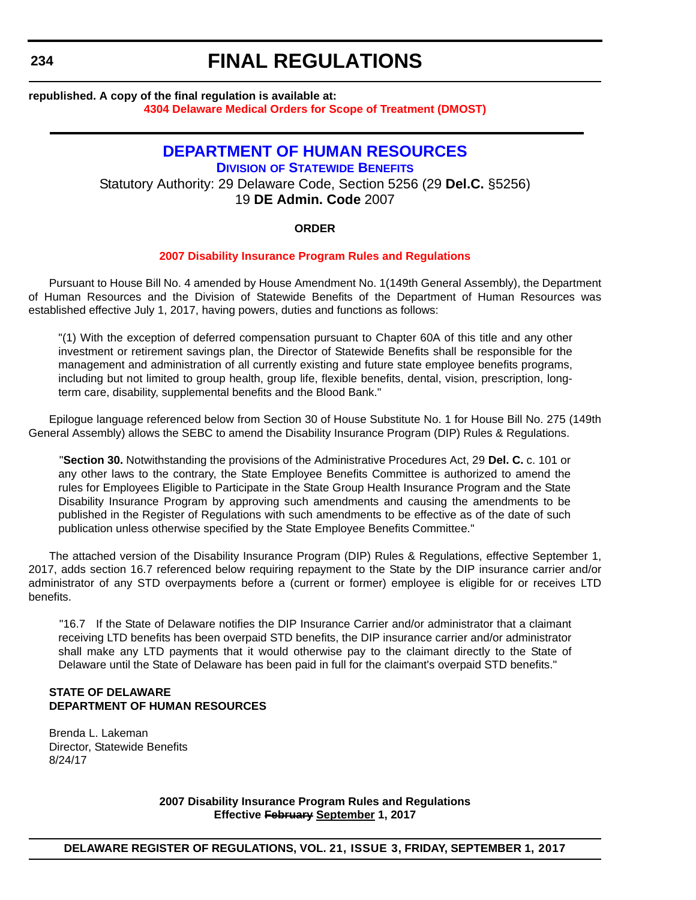#### **republished. A copy of the final regulation is available at: [4304 Delaware Medical Orders for Scope of Treatment \(DMOST\)](http://regulations.delaware.gov/register/september2017/final/21 DE Reg 233 09-01-17.htm)**

# **[DEPARTMENT OF HUMAN RESOURCES](http://www.hrm.omb.delaware.gov/) DIVISION [OF STATEWIDE BENEFITS](http://ben.omb.delaware.gov/)** Statutory Authority: 29 Delaware Code, Section 5256 (29 **Del.C.** §5256) 19 **DE Admin. Code** 2007

#### **ORDER**

#### **[2007 Disability Insurance Program Rules and Regulations](#page-4-0)**

Pursuant to House Bill No. 4 amended by House Amendment No. 1(149th General Assembly), the Department of Human Resources and the Division of Statewide Benefits of the Department of Human Resources was established effective July 1, 2017, having powers, duties and functions as follows:

"(1) With the exception of deferred compensation pursuant to Chapter 60A of this title and any other investment or retirement savings plan, the Director of Statewide Benefits shall be responsible for the management and administration of all currently existing and future state employee benefits programs, including but not limited to group health, group life, flexible benefits, dental, vision, prescription, longterm care, disability, supplemental benefits and the Blood Bank."

Epilogue language referenced below from Section 30 of House Substitute No. 1 for House Bill No. 275 (149th General Assembly) allows the SEBC to amend the Disability Insurance Program (DIP) Rules & Regulations.

"**Section 30.** Notwithstanding the provisions of the Administrative Procedures Act, 29 **Del. C.** c. 101 or any other laws to the contrary, the State Employee Benefits Committee is authorized to amend the rules for Employees Eligible to Participate in the State Group Health Insurance Program and the State Disability Insurance Program by approving such amendments and causing the amendments to be published in the Register of Regulations with such amendments to be effective as of the date of such publication unless otherwise specified by the State Employee Benefits Committee."

The attached version of the Disability Insurance Program (DIP) Rules & Regulations, effective September 1, 2017, adds section 16.7 referenced below requiring repayment to the State by the DIP insurance carrier and/or administrator of any STD overpayments before a (current or former) employee is eligible for or receives LTD benefits.

"16.7 If the State of Delaware notifies the DIP Insurance Carrier and/or administrator that a claimant receiving LTD benefits has been overpaid STD benefits, the DIP insurance carrier and/or administrator shall make any LTD payments that it would otherwise pay to the claimant directly to the State of Delaware until the State of Delaware has been paid in full for the claimant's overpaid STD benefits."

#### **STATE OF DELAWARE DEPARTMENT OF HUMAN RESOURCES**

Brenda L. Lakeman Director, Statewide Benefits 8/24/17

> **2007 Disability Insurance Program Rules and Regulations Effective February September 1, 2017**

**DELAWARE REGISTER OF REGULATIONS, VOL. 21, ISSUE 3, FRIDAY, SEPTEMBER 1, 2017**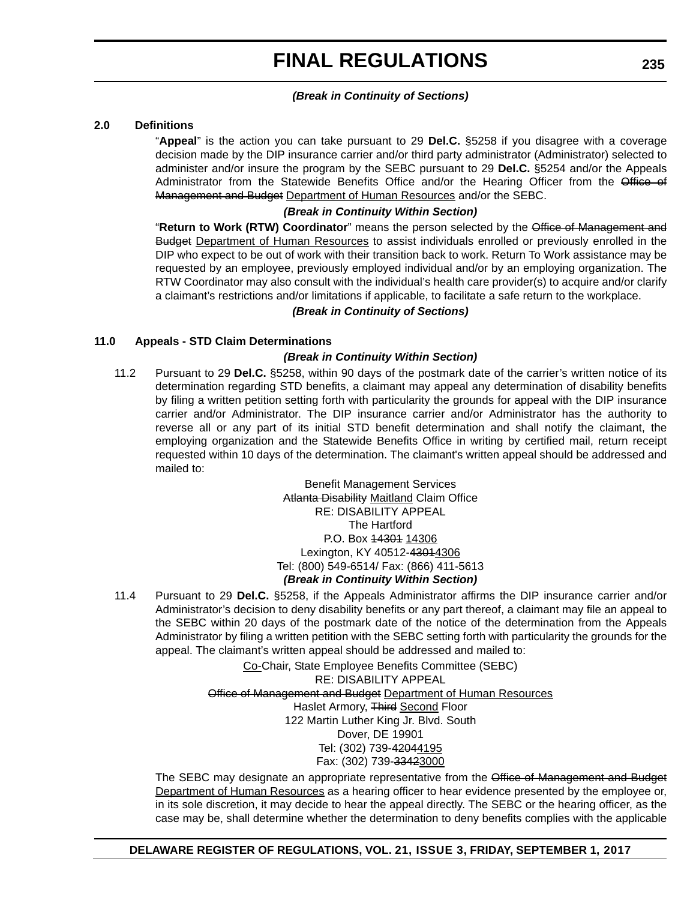### *(Break in Continuity of Sections)*

#### **2.0 Definitions**

"**Appeal**" is the action you can take pursuant to 29 **Del.C.** §5258 if you disagree with a coverage decision made by the DIP insurance carrier and/or third party administrator (Administrator) selected to administer and/or insure the program by the SEBC pursuant to 29 **Del.C.** §5254 and/or the Appeals Administrator from the Statewide Benefits Office and/or the Hearing Officer from the Office of Management and Budget Department of Human Resources and/or the SEBC.

#### *(Break in Continuity Within Section)*

"**Return to Work (RTW) Coordinator**" means the person selected by the Office of Management and **Budget Department of Human Resources to assist individuals enrolled or previously enrolled in the** DIP who expect to be out of work with their transition back to work. Return To Work assistance may be requested by an employee, previously employed individual and/or by an employing organization. The RTW Coordinator may also consult with the individual's health care provider(s) to acquire and/or clarify a claimant's restrictions and/or limitations if applicable, to facilitate a safe return to the workplace.

#### *(Break in Continuity of Sections)*

#### **11.0 Appeals - STD Claim Determinations**

#### *(Break in Continuity Within Section)*

11.2 Pursuant to 29 **Del.C.** §5258, within 90 days of the postmark date of the carrier's written notice of its determination regarding STD benefits, a claimant may appeal any determination of disability benefits by filing a written petition setting forth with particularity the grounds for appeal with the DIP insurance carrier and/or Administrator. The DIP insurance carrier and/or Administrator has the authority to reverse all or any part of its initial STD benefit determination and shall notify the claimant, the employing organization and the Statewide Benefits Office in writing by certified mail, return receipt requested within 10 days of the determination. The claimant's written appeal should be addressed and mailed to:

> Benefit Management Services Atlanta Disability Maitland Claim Office RE: DISABILITY APPEAL The Hartford P.O. Box 14301 14306 Lexington, KY 40512-43014306 Tel: (800) 549-6514/ Fax: (866) 411-5613 *(Break in Continuity Within Section)*

11.4 Pursuant to 29 **Del.C.** §5258, if the Appeals Administrator affirms the DIP insurance carrier and/or Administrator's decision to deny disability benefits or any part thereof, a claimant may file an appeal to the SEBC within 20 days of the postmark date of the notice of the determination from the Appeals Administrator by filing a written petition with the SEBC setting forth with particularity the grounds for the appeal. The claimant's written appeal should be addressed and mailed to:

> Co-Chair, State Employee Benefits Committee (SEBC) RE: DISABILITY APPEAL Office of Management and Budget Department of Human Resources Haslet Armory, Third Second Floor 122 Martin Luther King Jr. Blvd. South Dover, DE 19901 Tel: (302) 739-42044195 Fax: (302) 739-33423000

The SEBC may designate an appropriate representative from the Office of Management and Budget Department of Human Resources as a hearing officer to hear evidence presented by the employee or, in its sole discretion, it may decide to hear the appeal directly. The SEBC or the hearing officer, as the case may be, shall determine whether the determination to deny benefits complies with the applicable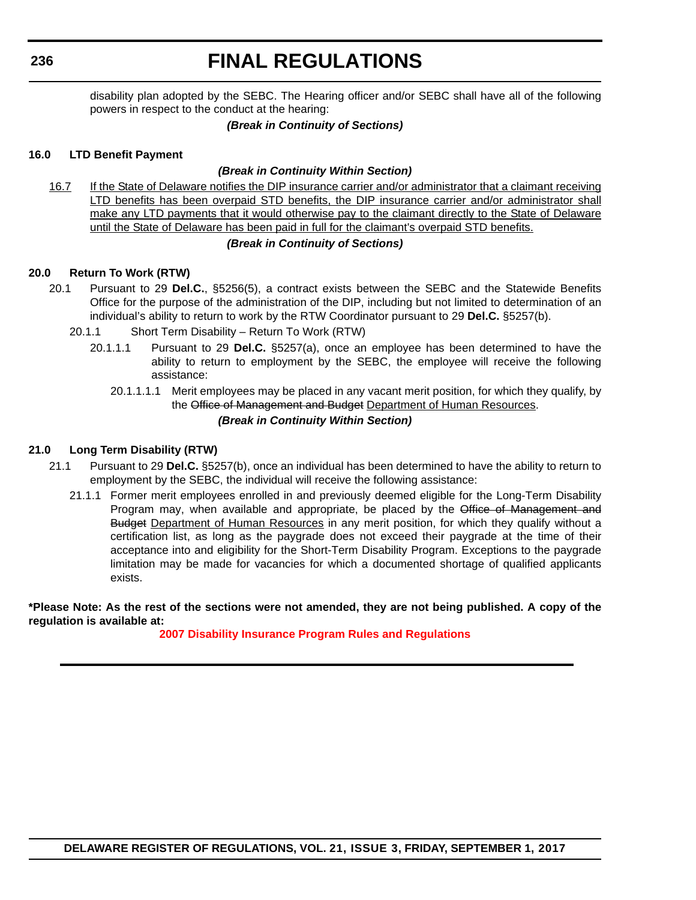# **FINAL REGULATIONS**

disability plan adopted by the SEBC. The Hearing officer and/or SEBC shall have all of the following powers in respect to the conduct at the hearing:

## *(Break in Continuity of Sections)*

#### **16.0 LTD Benefit Payment**

### *(Break in Continuity Within Section)*

16.7 If the State of Delaware notifies the DIP insurance carrier and/or administrator that a claimant receiving LTD benefits has been overpaid STD benefits, the DIP insurance carrier and/or administrator shall make any LTD payments that it would otherwise pay to the claimant directly to the State of Delaware until the State of Delaware has been paid in full for the claimant's overpaid STD benefits.

#### *(Break in Continuity of Sections)*

#### **20.0 Return To Work (RTW)**

- 20.1 Pursuant to 29 **Del.C.**, §5256(5), a contract exists between the SEBC and the Statewide Benefits Office for the purpose of the administration of the DIP, including but not limited to determination of an individual's ability to return to work by the RTW Coordinator pursuant to 29 **Del.C.** §5257(b).
	- 20.1.1 Short Term Disability Return To Work (RTW)
		- 20.1.1.1 Pursuant to 29 **Del.C.** §5257(a), once an employee has been determined to have the ability to return to employment by the SEBC, the employee will receive the following assistance:
			- 20.1.1.1.1 Merit employees may be placed in any vacant merit position, for which they qualify, by the Office of Management and Budget Department of Human Resources. *(Break in Continuity Within Section)*

### **21.0 Long Term Disability (RTW)**

- 21.1 Pursuant to 29 **Del.C.** §5257(b), once an individual has been determined to have the ability to return to employment by the SEBC, the individual will receive the following assistance:
	- 21.1.1 Former merit employees enrolled in and previously deemed eligible for the Long-Term Disability Program may, when available and appropriate, be placed by the Office of Management and Budget Department of Human Resources in any merit position, for which they qualify without a certification list, as long as the paygrade does not exceed their paygrade at the time of their acceptance into and eligibility for the Short-Term Disability Program. Exceptions to the paygrade limitation may be made for vacancies for which a documented shortage of qualified applicants exists.

**\*Please Note: As the rest of the sections were not amended, they are not being published. A copy of the regulation is available at:**

### **[2007 Disability Insurance Program Rules and Regulations](http://regulations.delaware.gov/register/september2017/final/21 DE Reg 234 09-01-17.htm)**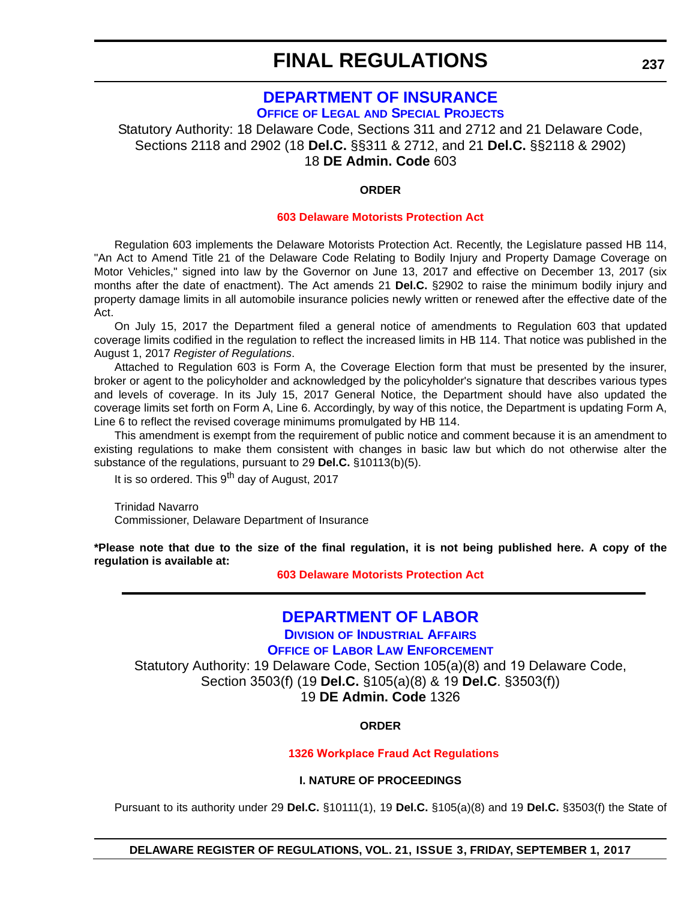## **[DEPARTMENT OF INSURANCE](http://insurance.delaware.gov/) OFFICE OF LEGAL [AND SPECIAL PROJECTS](http://insurance.delaware.gov/divisions/)**

Statutory Authority: 18 Delaware Code, Sections 311 and 2712 and 21 Delaware Code, Sections 2118 and 2902 (18 **Del.C.** §§311 & 2712, and 21 **Del.C.** §§2118 & 2902) 18 **DE Admin. Code** 603

### **ORDER**

#### **[603 Delaware Motorists Protection Act](#page-4-0)**

Regulation 603 implements the Delaware Motorists Protection Act. Recently, the Legislature passed HB 114, "An Act to Amend Title 21 of the Delaware Code Relating to Bodily Injury and Property Damage Coverage on Motor Vehicles," signed into law by the Governor on June 13, 2017 and effective on December 13, 2017 (six months after the date of enactment). The Act amends 21 **Del.C.** §2902 to raise the minimum bodily injury and property damage limits in all automobile insurance policies newly written or renewed after the effective date of the Act.

On July 15, 2017 the Department filed a general notice of amendments to Regulation 603 that updated coverage limits codified in the regulation to reflect the increased limits in HB 114. That notice was published in the August 1, 2017 *Register of Regulations*.

Attached to Regulation 603 is Form A, the Coverage Election form that must be presented by the insurer, broker or agent to the policyholder and acknowledged by the policyholder's signature that describes various types and levels of coverage. In its July 15, 2017 General Notice, the Department should have also updated the coverage limits set forth on Form A, Line 6. Accordingly, by way of this notice, the Department is updating Form A, Line 6 to reflect the revised coverage minimums promulgated by HB 114.

This amendment is exempt from the requirement of public notice and comment because it is an amendment to existing regulations to make them consistent with changes in basic law but which do not otherwise alter the substance of the regulations, pursuant to 29 **Del.C.** §10113(b)(5).

It is so ordered. This 9<sup>th</sup> day of August, 2017

Trinidad Navarro Commissioner, Delaware Department of Insurance

**\*Please note that due to the size of the final regulation, it is not being published here. A copy of the regulation is available at:**

**[603 Delaware Motorists Protection Act](http://regulations.delaware.gov/register/september2017/final/21 DE Reg 237 09-01-17.htm)** 

# **[DEPARTMENT OF LABOR](http://dol.delaware.gov/)**

**DIVISION OF I[NDUSTRIAL](https://dia.delawareworks.com/) AFFAIRS**

**OFFICE OF LABOR LAW E[NFORCEMENT](https://dia.delawareworks.com/)**

Statutory Authority: 19 Delaware Code, Section 105(a)(8) and 19 Delaware Code, Section 3503(f) (19 **Del.C.** §105(a)(8) & 19 **Del.C**. §3503(f)) 19 **DE Admin. Code** 1326

**ORDER**

**1326 [Workplace Fraud Act](#page-4-0) Regulations**

**I. NATURE OF PROCEEDINGS**

Pursuant to its authority under 29 **Del.C.** §10111(1), 19 **Del.C.** §105(a)(8) and 19 **Del.C.** §3503(f) the State of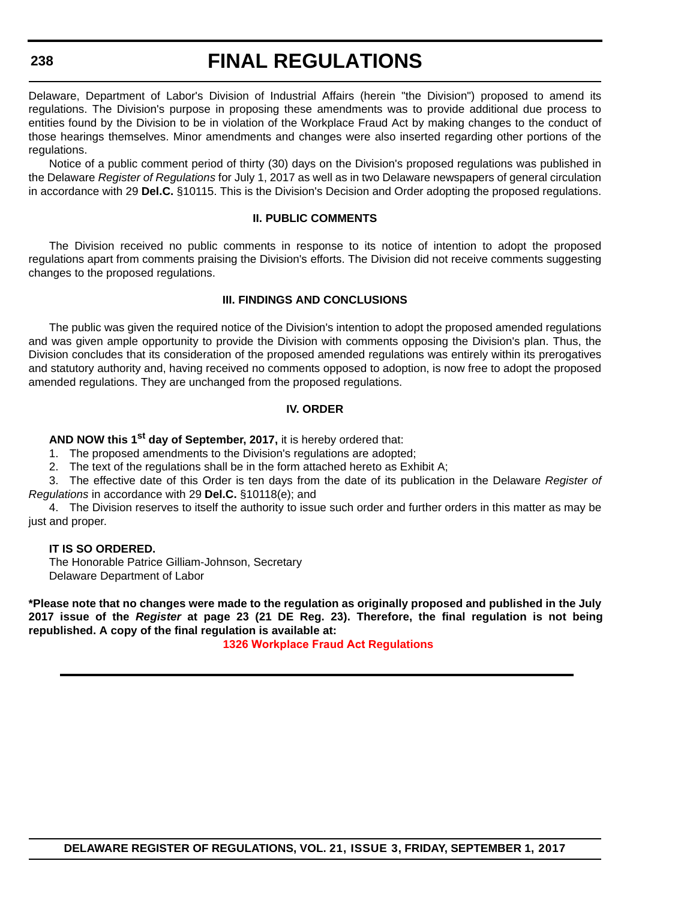#### **238**

# **FINAL REGULATIONS**

Delaware, Department of Labor's Division of Industrial Affairs (herein "the Division") proposed to amend its regulations. The Division's purpose in proposing these amendments was to provide additional due process to entities found by the Division to be in violation of the Workplace Fraud Act by making changes to the conduct of those hearings themselves. Minor amendments and changes were also inserted regarding other portions of the regulations.

Notice of a public comment period of thirty (30) days on the Division's proposed regulations was published in the Delaware *Register of Regulations* for July 1, 2017 as well as in two Delaware newspapers of general circulation in accordance with 29 **Del.C.** §10115. This is the Division's Decision and Order adopting the proposed regulations.

#### **II. PUBLIC COMMENTS**

The Division received no public comments in response to its notice of intention to adopt the proposed regulations apart from comments praising the Division's efforts. The Division did not receive comments suggesting changes to the proposed regulations.

#### **III. FINDINGS AND CONCLUSIONS**

The public was given the required notice of the Division's intention to adopt the proposed amended regulations and was given ample opportunity to provide the Division with comments opposing the Division's plan. Thus, the Division concludes that its consideration of the proposed amended regulations was entirely within its prerogatives and statutory authority and, having received no comments opposed to adoption, is now free to adopt the proposed amended regulations. They are unchanged from the proposed regulations.

### **IV. ORDER**

**AND NOW this 1st day of September, 2017,** it is hereby ordered that:

1. The proposed amendments to the Division's regulations are adopted;

2. The text of the regulations shall be in the form attached hereto as Exhibit A;

3. The effective date of this Order is ten days from the date of its publication in the Delaware *Register of Regulations* in accordance with 29 **Del.C.** §10118(e); and

4. The Division reserves to itself the authority to issue such order and further orders in this matter as may be just and proper.

#### **IT IS SO ORDERED.**

The Honorable Patrice Gilliam-Johnson, Secretary Delaware Department of Labor

**\*Please note that no changes were made to the regulation as originally proposed and published in the July 2017 issue of the** *Register* **at page 23 (21 DE Reg. 23). Therefore, the final regulation is not being republished. A copy of the final regulation is available at:**

**1326 [Workplace Fraud Act](http://regulations.delaware.gov/register/september2017/final/21 DE Reg 237a 09-01-17.htm) Regulations**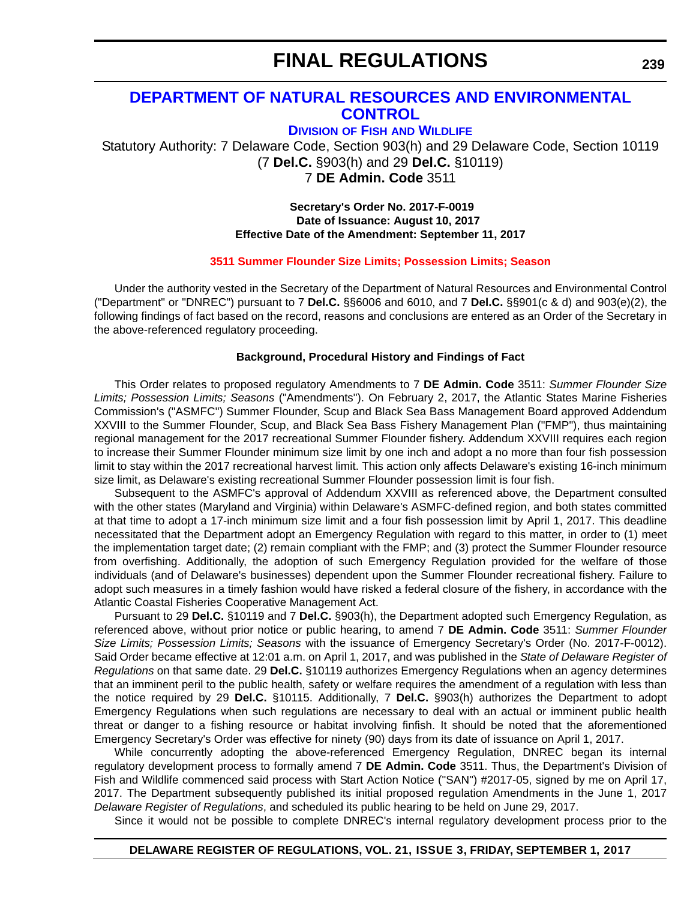# **[DEPARTMENT OF NATURAL RESOURCES AND ENVIRONMENTAL](http://dnrec.alpha.delaware.gov/)  CONTROL**

**DIVISION OF FISH [AND WILDLIFE](http://www.dnrec.delaware.gov/fw/Pages/DFW-Portal.aspx)**

Statutory Authority: 7 Delaware Code, Section 903(h) and 29 Delaware Code, Section 10119 (7 **Del.C.** §903(h) and 29 **Del.C.** §10119) 7 **DE Admin. Code** 3511

> **Secretary's Order No. 2017-F-0019 Date of Issuance: August 10, 2017 Effective Date of the Amendment: September 11, 2017**

#### **[3511 Summer Flounder Size Limits; Possession Limits; Season](#page-4-0)**

Under the authority vested in the Secretary of the Department of Natural Resources and Environmental Control ("Department" or "DNREC") pursuant to 7 **Del.C.** §§6006 and 6010, and 7 **Del.C.** §§901(c & d) and 903(e)(2), the following findings of fact based on the record, reasons and conclusions are entered as an Order of the Secretary in the above-referenced regulatory proceeding.

#### **Background, Procedural History and Findings of Fact**

This Order relates to proposed regulatory Amendments to 7 **DE Admin. Code** 3511: *Summer Flounder Size Limits; Possession Limits; Seasons* ("Amendments"). On February 2, 2017, the Atlantic States Marine Fisheries Commission's ("ASMFC") Summer Flounder, Scup and Black Sea Bass Management Board approved Addendum XXVIII to the Summer Flounder, Scup, and Black Sea Bass Fishery Management Plan ("FMP"), thus maintaining regional management for the 2017 recreational Summer Flounder fishery. Addendum XXVIII requires each region to increase their Summer Flounder minimum size limit by one inch and adopt a no more than four fish possession limit to stay within the 2017 recreational harvest limit. This action only affects Delaware's existing 16-inch minimum size limit, as Delaware's existing recreational Summer Flounder possession limit is four fish.

Subsequent to the ASMFC's approval of Addendum XXVIII as referenced above, the Department consulted with the other states (Maryland and Virginia) within Delaware's ASMFC-defined region, and both states committed at that time to adopt a 17-inch minimum size limit and a four fish possession limit by April 1, 2017. This deadline necessitated that the Department adopt an Emergency Regulation with regard to this matter, in order to (1) meet the implementation target date; (2) remain compliant with the FMP; and (3) protect the Summer Flounder resource from overfishing. Additionally, the adoption of such Emergency Regulation provided for the welfare of those individuals (and of Delaware's businesses) dependent upon the Summer Flounder recreational fishery. Failure to adopt such measures in a timely fashion would have risked a federal closure of the fishery, in accordance with the Atlantic Coastal Fisheries Cooperative Management Act.

Pursuant to 29 **Del.C.** §10119 and 7 **Del.C.** §903(h), the Department adopted such Emergency Regulation, as referenced above, without prior notice or public hearing, to amend 7 **DE Admin. Code** 3511: *Summer Flounder Size Limits; Possession Limits; Seasons* with the issuance of Emergency Secretary's Order (No. 2017-F-0012). Said Order became effective at 12:01 a.m. on April 1, 2017, and was published in the *State of Delaware Register of Regulations* on that same date. 29 **Del.C.** §10119 authorizes Emergency Regulations when an agency determines that an imminent peril to the public health, safety or welfare requires the amendment of a regulation with less than the notice required by 29 **Del.C.** §10115. Additionally, 7 **Del.C.** §903(h) authorizes the Department to adopt Emergency Regulations when such regulations are necessary to deal with an actual or imminent public health threat or danger to a fishing resource or habitat involving finfish. It should be noted that the aforementioned Emergency Secretary's Order was effective for ninety (90) days from its date of issuance on April 1, 2017.

While concurrently adopting the above-referenced Emergency Regulation, DNREC began its internal regulatory development process to formally amend 7 **DE Admin. Code** 3511. Thus, the Department's Division of Fish and Wildlife commenced said process with Start Action Notice ("SAN") #2017-05, signed by me on April 17, 2017. The Department subsequently published its initial proposed regulation Amendments in the June 1, 2017 *Delaware Register of Regulations*, and scheduled its public hearing to be held on June 29, 2017.

Since it would not be possible to complete DNREC's internal regulatory development process prior to the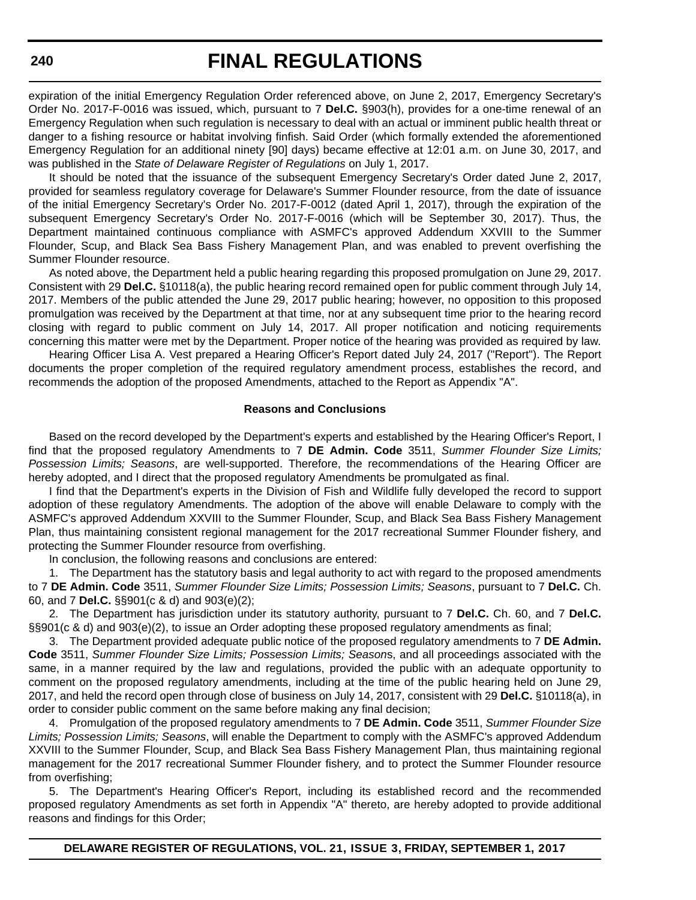expiration of the initial Emergency Regulation Order referenced above, on June 2, 2017, Emergency Secretary's Order No. 2017-F-0016 was issued, which, pursuant to 7 **Del.C.** §903(h), provides for a one-time renewal of an Emergency Regulation when such regulation is necessary to deal with an actual or imminent public health threat or danger to a fishing resource or habitat involving finfish. Said Order (which formally extended the aforementioned Emergency Regulation for an additional ninety [90] days) became effective at 12:01 a.m. on June 30, 2017, and was published in the *State of Delaware Register of Regulations* on July 1, 2017.

It should be noted that the issuance of the subsequent Emergency Secretary's Order dated June 2, 2017, provided for seamless regulatory coverage for Delaware's Summer Flounder resource, from the date of issuance of the initial Emergency Secretary's Order No. 2017-F-0012 (dated April 1, 2017), through the expiration of the subsequent Emergency Secretary's Order No. 2017-F-0016 (which will be September 30, 2017). Thus, the Department maintained continuous compliance with ASMFC's approved Addendum XXVIII to the Summer Flounder, Scup, and Black Sea Bass Fishery Management Plan, and was enabled to prevent overfishing the Summer Flounder resource.

As noted above, the Department held a public hearing regarding this proposed promulgation on June 29, 2017. Consistent with 29 **Del.C.** §10118(a), the public hearing record remained open for public comment through July 14, 2017. Members of the public attended the June 29, 2017 public hearing; however, no opposition to this proposed promulgation was received by the Department at that time, nor at any subsequent time prior to the hearing record closing with regard to public comment on July 14, 2017. All proper notification and noticing requirements concerning this matter were met by the Department. Proper notice of the hearing was provided as required by law.

Hearing Officer Lisa A. Vest prepared a Hearing Officer's Report dated July 24, 2017 ("Report"). The Report documents the proper completion of the required regulatory amendment process, establishes the record, and recommends the adoption of the proposed Amendments, attached to the Report as Appendix "A".

#### **Reasons and Conclusions**

Based on the record developed by the Department's experts and established by the Hearing Officer's Report, I find that the proposed regulatory Amendments to 7 **DE Admin. Code** 3511, *Summer Flounder Size Limits; Possession Limits; Seasons*, are well-supported. Therefore, the recommendations of the Hearing Officer are hereby adopted, and I direct that the proposed regulatory Amendments be promulgated as final.

I find that the Department's experts in the Division of Fish and Wildlife fully developed the record to support adoption of these regulatory Amendments. The adoption of the above will enable Delaware to comply with the ASMFC's approved Addendum XXVIII to the Summer Flounder, Scup, and Black Sea Bass Fishery Management Plan, thus maintaining consistent regional management for the 2017 recreational Summer Flounder fishery, and protecting the Summer Flounder resource from overfishing.

In conclusion, the following reasons and conclusions are entered:

1. The Department has the statutory basis and legal authority to act with regard to the proposed amendments to 7 **DE Admin. Code** 3511, *Summer Flounder Size Limits; Possession Limits; Seasons*, pursuant to 7 **Del.C.** Ch. 60, and 7 **Del.C.** §§901(c & d) and 903(e)(2);

2. The Department has jurisdiction under its statutory authority, pursuant to 7 **Del.C.** Ch. 60, and 7 **Del.C.** §§901(c & d) and 903(e)(2), to issue an Order adopting these proposed regulatory amendments as final;

3. The Department provided adequate public notice of the proposed regulatory amendments to 7 **DE Admin. Code** 3511, *Summer Flounder Size Limits; Possession Limits; Season*s, and all proceedings associated with the same, in a manner required by the law and regulations, provided the public with an adequate opportunity to comment on the proposed regulatory amendments, including at the time of the public hearing held on June 29, 2017, and held the record open through close of business on July 14, 2017, consistent with 29 **Del.C.** §10118(a), in order to consider public comment on the same before making any final decision;

4. Promulgation of the proposed regulatory amendments to 7 **DE Admin. Code** 3511, *Summer Flounder Size Limits; Possession Limits; Seasons*, will enable the Department to comply with the ASMFC's approved Addendum XXVIII to the Summer Flounder, Scup, and Black Sea Bass Fishery Management Plan, thus maintaining regional management for the 2017 recreational Summer Flounder fishery, and to protect the Summer Flounder resource from overfishing;

5. The Department's Hearing Officer's Report, including its established record and the recommended proposed regulatory Amendments as set forth in Appendix "A" thereto, are hereby adopted to provide additional reasons and findings for this Order;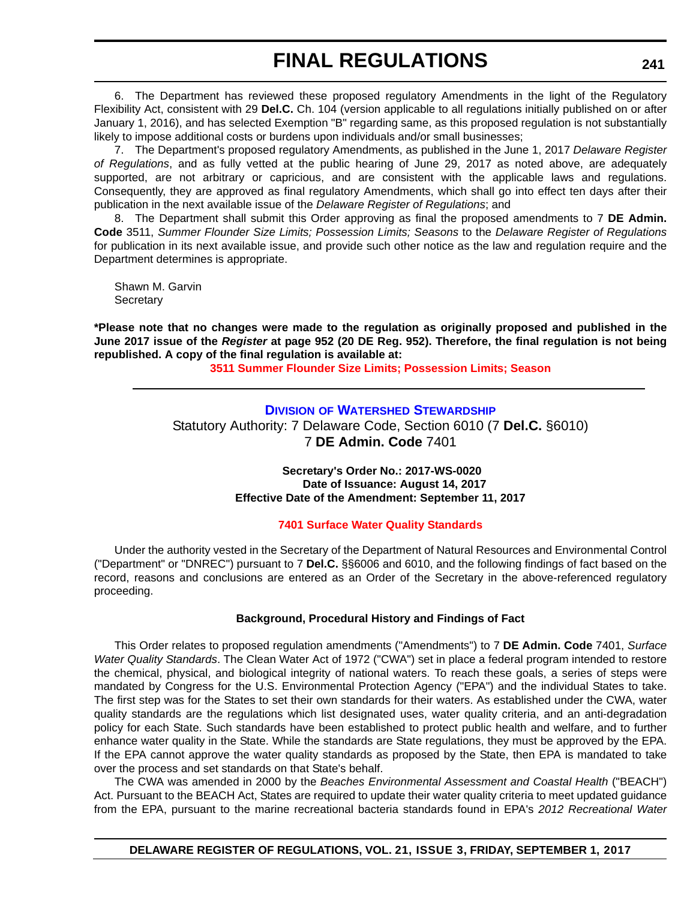6. The Department has reviewed these proposed regulatory Amendments in the light of the Regulatory Flexibility Act, consistent with 29 **Del.C.** Ch. 104 (version applicable to all regulations initially published on or after January 1, 2016), and has selected Exemption "B" regarding same, as this proposed regulation is not substantially likely to impose additional costs or burdens upon individuals and/or small businesses;

7. The Department's proposed regulatory Amendments, as published in the June 1, 2017 *Delaware Register of Regulations*, and as fully vetted at the public hearing of June 29, 2017 as noted above, are adequately supported, are not arbitrary or capricious, and are consistent with the applicable laws and regulations. Consequently, they are approved as final regulatory Amendments, which shall go into effect ten days after their publication in the next available issue of the *Delaware Register of Regulations*; and

8. The Department shall submit this Order approving as final the proposed amendments to 7 **DE Admin. Code** 3511, *Summer Flounder Size Limits; Possession Limits; Seasons* to the *Delaware Register of Regulations* for publication in its next available issue, and provide such other notice as the law and regulation require and the Department determines is appropriate.

Shawn M. Garvin **Secretary** 

**\*Please note that no changes were made to the regulation as originally proposed and published in the June 2017 issue of the** *Register* **at page 952 (20 DE Reg. 952). Therefore, the final regulation is not being republished. A copy of the final regulation is available at:**

**[3511 Summer Flounder Size Limits; Possession Limits; Season](http://regulations.delaware.gov/register/september2017/final/21 DE Reg 239 09-01-17.htm)** 

### **DIVISION [OF WATERSHED STEWARDSHIP](http://www.dnrec.delaware.gov/swc/Pages/portal.aspx)**

Statutory Authority: 7 Delaware Code, Section 6010 (7 **Del.C.** §6010) 7 **DE Admin. Code** 7401

> **Secretary's Order No.: 2017-WS-0020 Date of Issuance: August 14, 2017 Effective Date of the Amendment: September 11, 2017**

### **[7401 Surface Water Quality Standards](#page-4-0)**

Under the authority vested in the Secretary of the Department of Natural Resources and Environmental Control ("Department" or "DNREC") pursuant to 7 **Del.C.** §§6006 and 6010, and the following findings of fact based on the record, reasons and conclusions are entered as an Order of the Secretary in the above-referenced regulatory proceeding.

### **Background, Procedural History and Findings of Fact**

This Order relates to proposed regulation amendments ("Amendments") to 7 **DE Admin. Code** 7401, *Surface Water Quality Standards*. The Clean Water Act of 1972 ("CWA") set in place a federal program intended to restore the chemical, physical, and biological integrity of national waters. To reach these goals, a series of steps were mandated by Congress for the U.S. Environmental Protection Agency ("EPA") and the individual States to take. The first step was for the States to set their own standards for their waters. As established under the CWA, water quality standards are the regulations which list designated uses, water quality criteria, and an anti-degradation policy for each State. Such standards have been established to protect public health and welfare, and to further enhance water quality in the State. While the standards are State regulations, they must be approved by the EPA. If the EPA cannot approve the water quality standards as proposed by the State, then EPA is mandated to take over the process and set standards on that State's behalf.

The CWA was amended in 2000 by the *Beaches Environmental Assessment and Coastal Health* ("BEACH") Act. Pursuant to the BEACH Act, States are required to update their water quality criteria to meet updated guidance from the EPA, pursuant to the marine recreational bacteria standards found in EPA's *2012 Recreational Water*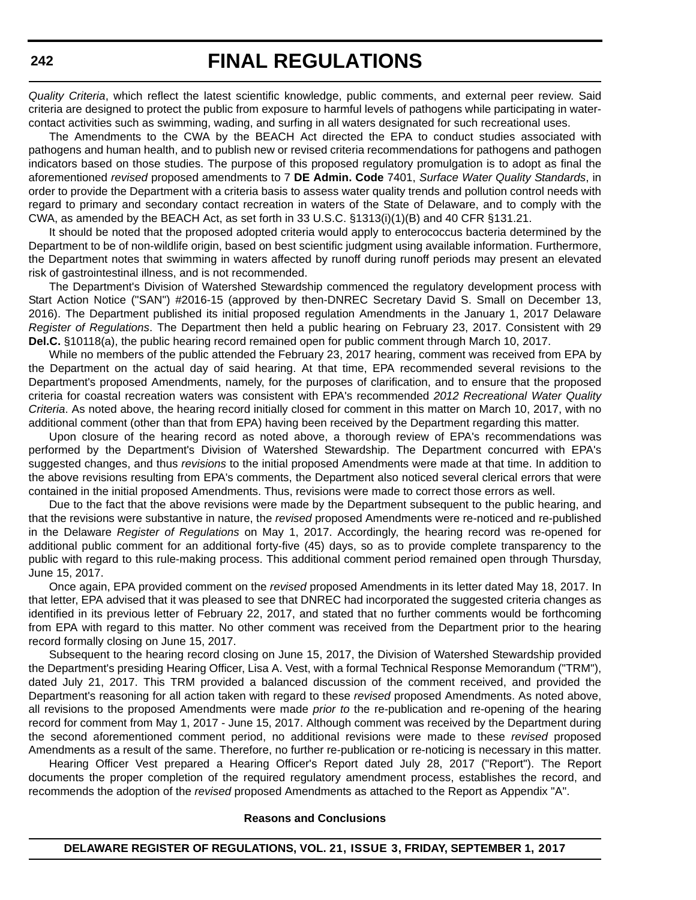*Quality Criteria*, which reflect the latest scientific knowledge, public comments, and external peer review. Said criteria are designed to protect the public from exposure to harmful levels of pathogens while participating in watercontact activities such as swimming, wading, and surfing in all waters designated for such recreational uses.

The Amendments to the CWA by the BEACH Act directed the EPA to conduct studies associated with pathogens and human health, and to publish new or revised criteria recommendations for pathogens and pathogen indicators based on those studies. The purpose of this proposed regulatory promulgation is to adopt as final the aforementioned *revised* proposed amendments to 7 **DE Admin. Code** 7401, *Surface Water Quality Standards*, in order to provide the Department with a criteria basis to assess water quality trends and pollution control needs with regard to primary and secondary contact recreation in waters of the State of Delaware, and to comply with the CWA, as amended by the BEACH Act, as set forth in 33 U.S.C. §1313(i)(1)(B) and 40 CFR §131.21.

It should be noted that the proposed adopted criteria would apply to enterococcus bacteria determined by the Department to be of non-wildlife origin, based on best scientific judgment using available information. Furthermore, the Department notes that swimming in waters affected by runoff during runoff periods may present an elevated risk of gastrointestinal illness, and is not recommended.

The Department's Division of Watershed Stewardship commenced the regulatory development process with Start Action Notice ("SAN") #2016-15 (approved by then-DNREC Secretary David S. Small on December 13, 2016). The Department published its initial proposed regulation Amendments in the January 1, 2017 Delaware *Register of Regulations*. The Department then held a public hearing on February 23, 2017. Consistent with 29 **Del.C.** §10118(a), the public hearing record remained open for public comment through March 10, 2017.

While no members of the public attended the February 23, 2017 hearing, comment was received from EPA by the Department on the actual day of said hearing. At that time, EPA recommended several revisions to the Department's proposed Amendments, namely, for the purposes of clarification, and to ensure that the proposed criteria for coastal recreation waters was consistent with EPA's recommended *2012 Recreational Water Quality Criteria*. As noted above, the hearing record initially closed for comment in this matter on March 10, 2017, with no additional comment (other than that from EPA) having been received by the Department regarding this matter.

Upon closure of the hearing record as noted above, a thorough review of EPA's recommendations was performed by the Department's Division of Watershed Stewardship. The Department concurred with EPA's suggested changes, and thus *revisions* to the initial proposed Amendments were made at that time. In addition to the above revisions resulting from EPA's comments, the Department also noticed several clerical errors that were contained in the initial proposed Amendments. Thus, revisions were made to correct those errors as well.

Due to the fact that the above revisions were made by the Department subsequent to the public hearing, and that the revisions were substantive in nature, the *revised* proposed Amendments were re-noticed and re-published in the Delaware *Register of Regulations* on May 1, 2017. Accordingly, the hearing record was re-opened for additional public comment for an additional forty-five (45) days, so as to provide complete transparency to the public with regard to this rule-making process. This additional comment period remained open through Thursday, June 15, 2017.

Once again, EPA provided comment on the *revised* proposed Amendments in its letter dated May 18, 2017. In that letter, EPA advised that it was pleased to see that DNREC had incorporated the suggested criteria changes as identified in its previous letter of February 22, 2017, and stated that no further comments would be forthcoming from EPA with regard to this matter. No other comment was received from the Department prior to the hearing record formally closing on June 15, 2017.

Subsequent to the hearing record closing on June 15, 2017, the Division of Watershed Stewardship provided the Department's presiding Hearing Officer, Lisa A. Vest, with a formal Technical Response Memorandum ("TRM"), dated July 21, 2017. This TRM provided a balanced discussion of the comment received, and provided the Department's reasoning for all action taken with regard to these *revised* proposed Amendments. As noted above, all revisions to the proposed Amendments were made *prior to* the re-publication and re-opening of the hearing record for comment from May 1, 2017 - June 15, 2017. Although comment was received by the Department during the second aforementioned comment period, no additional revisions were made to these *revised* proposed Amendments as a result of the same. Therefore, no further re-publication or re-noticing is necessary in this matter.

Hearing Officer Vest prepared a Hearing Officer's Report dated July 28, 2017 ("Report"). The Report documents the proper completion of the required regulatory amendment process, establishes the record, and recommends the adoption of the *revised* proposed Amendments as attached to the Report as Appendix "A".

#### **Reasons and Conclusions**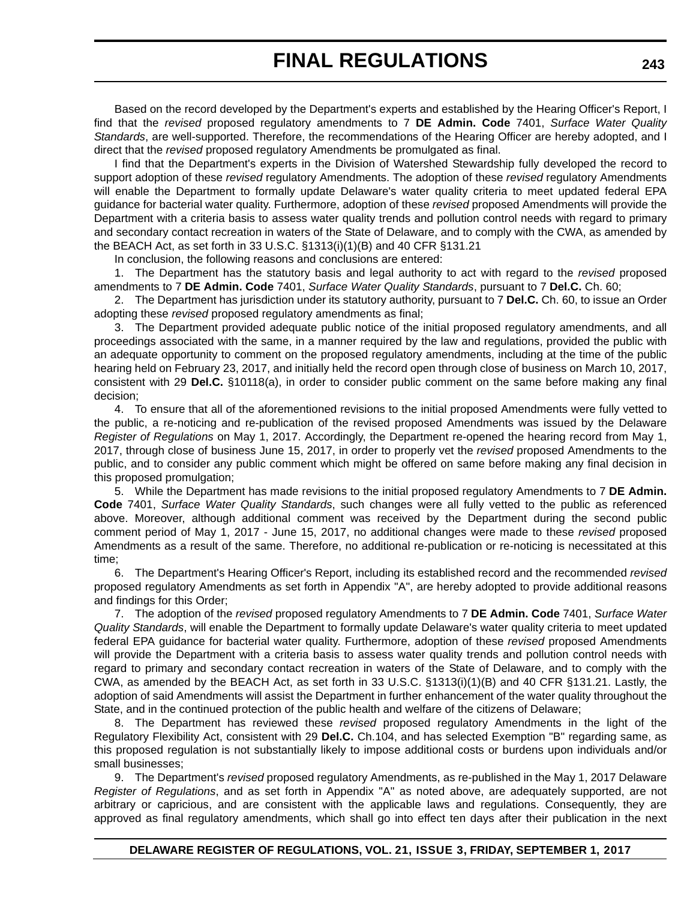Based on the record developed by the Department's experts and established by the Hearing Officer's Report, I find that the *revised* proposed regulatory amendments to 7 **DE Admin. Code** 7401, *Surface Water Quality Standards*, are well-supported. Therefore, the recommendations of the Hearing Officer are hereby adopted, and I direct that the *revised* proposed regulatory Amendments be promulgated as final.

I find that the Department's experts in the Division of Watershed Stewardship fully developed the record to support adoption of these *revised* regulatory Amendments. The adoption of these *revised* regulatory Amendments will enable the Department to formally update Delaware's water quality criteria to meet updated federal EPA guidance for bacterial water quality. Furthermore, adoption of these *revised* proposed Amendments will provide the Department with a criteria basis to assess water quality trends and pollution control needs with regard to primary and secondary contact recreation in waters of the State of Delaware, and to comply with the CWA, as amended by the BEACH Act, as set forth in 33 U.S.C. §1313(i)(1)(B) and 40 CFR §131.21

In conclusion, the following reasons and conclusions are entered:

1. The Department has the statutory basis and legal authority to act with regard to the *revised* proposed amendments to 7 **DE Admin. Code** 7401, *Surface Water Quality Standards*, pursuant to 7 **Del.C.** Ch. 60;

2. The Department has jurisdiction under its statutory authority, pursuant to 7 **Del.C.** Ch. 60, to issue an Order adopting these *revised* proposed regulatory amendments as final;

3. The Department provided adequate public notice of the initial proposed regulatory amendments, and all proceedings associated with the same, in a manner required by the law and regulations, provided the public with an adequate opportunity to comment on the proposed regulatory amendments, including at the time of the public hearing held on February 23, 2017, and initially held the record open through close of business on March 10, 2017, consistent with 29 **Del.C.** §10118(a), in order to consider public comment on the same before making any final decision;

4. To ensure that all of the aforementioned revisions to the initial proposed Amendments were fully vetted to the public, a re-noticing and re-publication of the revised proposed Amendments was issued by the Delaware *Register of Regulations* on May 1, 2017. Accordingly, the Department re-opened the hearing record from May 1, 2017, through close of business June 15, 2017, in order to properly vet the *revised* proposed Amendments to the public, and to consider any public comment which might be offered on same before making any final decision in this proposed promulgation;

5. While the Department has made revisions to the initial proposed regulatory Amendments to 7 **DE Admin. Code** 7401, *Surface Water Quality Standards*, such changes were all fully vetted to the public as referenced above. Moreover, although additional comment was received by the Department during the second public comment period of May 1, 2017 - June 15, 2017, no additional changes were made to these *revised* proposed Amendments as a result of the same. Therefore, no additional re-publication or re-noticing is necessitated at this time;

6. The Department's Hearing Officer's Report, including its established record and the recommended *revised* proposed regulatory Amendments as set forth in Appendix "A", are hereby adopted to provide additional reasons and findings for this Order;

7. The adoption of the *revised* proposed regulatory Amendments to 7 **DE Admin. Code** 7401, *Surface Water Quality Standards*, will enable the Department to formally update Delaware's water quality criteria to meet updated federal EPA guidance for bacterial water quality. Furthermore, adoption of these *revised* proposed Amendments will provide the Department with a criteria basis to assess water quality trends and pollution control needs with regard to primary and secondary contact recreation in waters of the State of Delaware, and to comply with the CWA, as amended by the BEACH Act, as set forth in 33 U.S.C. §1313(i)(1)(B) and 40 CFR §131.21. Lastly, the adoption of said Amendments will assist the Department in further enhancement of the water quality throughout the State, and in the continued protection of the public health and welfare of the citizens of Delaware;

8. The Department has reviewed these *revised* proposed regulatory Amendments in the light of the Regulatory Flexibility Act, consistent with 29 **Del.C.** Ch.104, and has selected Exemption "B" regarding same, as this proposed regulation is not substantially likely to impose additional costs or burdens upon individuals and/or small businesses;

9. The Department's *revised* proposed regulatory Amendments, as re-published in the May 1, 2017 Delaware *Register of Regulations*, and as set forth in Appendix "A" as noted above, are adequately supported, are not arbitrary or capricious, and are consistent with the applicable laws and regulations. Consequently, they are approved as final regulatory amendments, which shall go into effect ten days after their publication in the next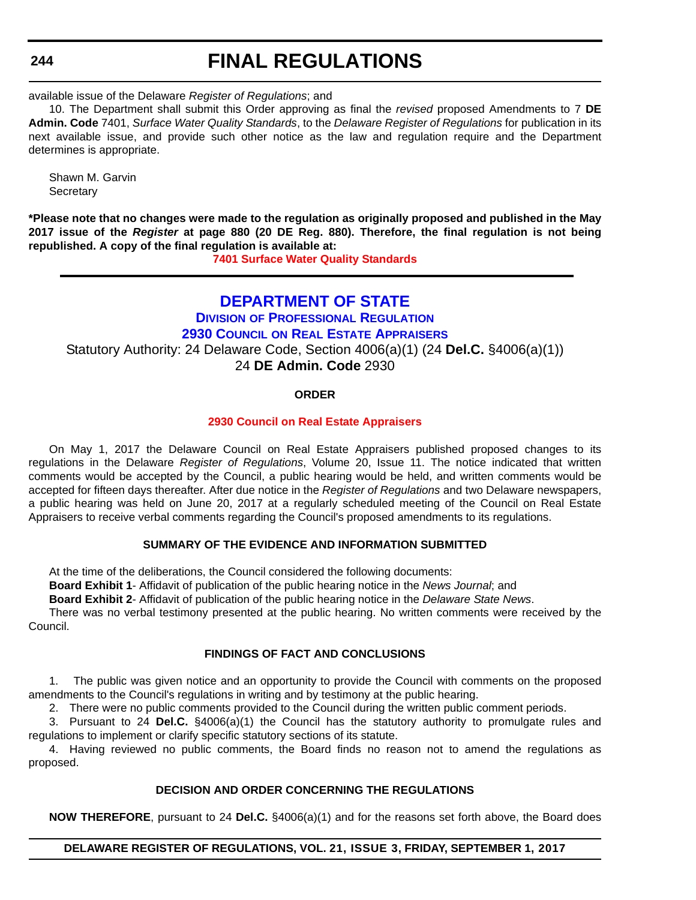#### **244**

# **FINAL REGULATIONS**

available issue of the Delaware *Register of Regulations*; and

10. The Department shall submit this Order approving as final the *revised* proposed Amendments to 7 **DE Admin. Code** 7401, *Surface Water Quality Standards*, to the *Delaware Register of Regulations* for publication in its next available issue, and provide such other notice as the law and regulation require and the Department determines is appropriate.

Shawn M. Garvin **Secretary** 

**\*Please note that no changes were made to the regulation as originally proposed and published in the May 2017 issue of the** *Register* **at page 880 (20 DE Reg. 880). Therefore, the final regulation is not being republished. A copy of the final regulation is available at:**

**[7401 Surface Water Quality Standards](http://regulations.delaware.gov/register/september2017/final/21 DE Reg 241 09-01-17.htm)** 

# **[DEPARTMENT OF STATE](http://sos.delaware.gov/)**

**DIVISION [OF PROFESSIONAL REGULATION](http://dpr.delaware.gov/) 2930 COUNCIL [ON REAL ESTATE APPRAISERS](http://dpr.delaware.gov/boards/realestateappraisers/)** Statutory Authority: 24 Delaware Code, Section 4006(a)(1) (24 **Del.C.** §4006(a)(1)) 24 **DE Admin. Code** 2930

### **ORDER**

### **[2930 Council on Real Estate Appraisers](#page-4-0)**

On May 1, 2017 the Delaware Council on Real Estate Appraisers published proposed changes to its regulations in the Delaware *Register of Regulations*, Volume 20, Issue 11. The notice indicated that written comments would be accepted by the Council, a public hearing would be held, and written comments would be accepted for fifteen days thereafter. After due notice in the *Register of Regulations* and two Delaware newspapers, a public hearing was held on June 20, 2017 at a regularly scheduled meeting of the Council on Real Estate Appraisers to receive verbal comments regarding the Council's proposed amendments to its regulations.

### **SUMMARY OF THE EVIDENCE AND INFORMATION SUBMITTED**

At the time of the deliberations, the Council considered the following documents:

**Board Exhibit 1**- Affidavit of publication of the public hearing notice in the *News Journal*; and

**Board Exhibit 2**- Affidavit of publication of the public hearing notice in the *Delaware State News*.

There was no verbal testimony presented at the public hearing. No written comments were received by the Council.

### **FINDINGS OF FACT AND CONCLUSIONS**

The public was given notice and an opportunity to provide the Council with comments on the proposed amendments to the Council's regulations in writing and by testimony at the public hearing.

2. There were no public comments provided to the Council during the written public comment periods.

3. Pursuant to 24 **Del.C.** §4006(a)(1) the Council has the statutory authority to promulgate rules and regulations to implement or clarify specific statutory sections of its statute.

4. Having reviewed no public comments, the Board finds no reason not to amend the regulations as proposed.

## **DECISION AND ORDER CONCERNING THE REGULATIONS**

**NOW THEREFORE**, pursuant to 24 **Del.C.** §4006(a)(1) and for the reasons set forth above, the Board does

### **DELAWARE REGISTER OF REGULATIONS, VOL. 21, ISSUE 3, FRIDAY, SEPTEMBER 1, 2017**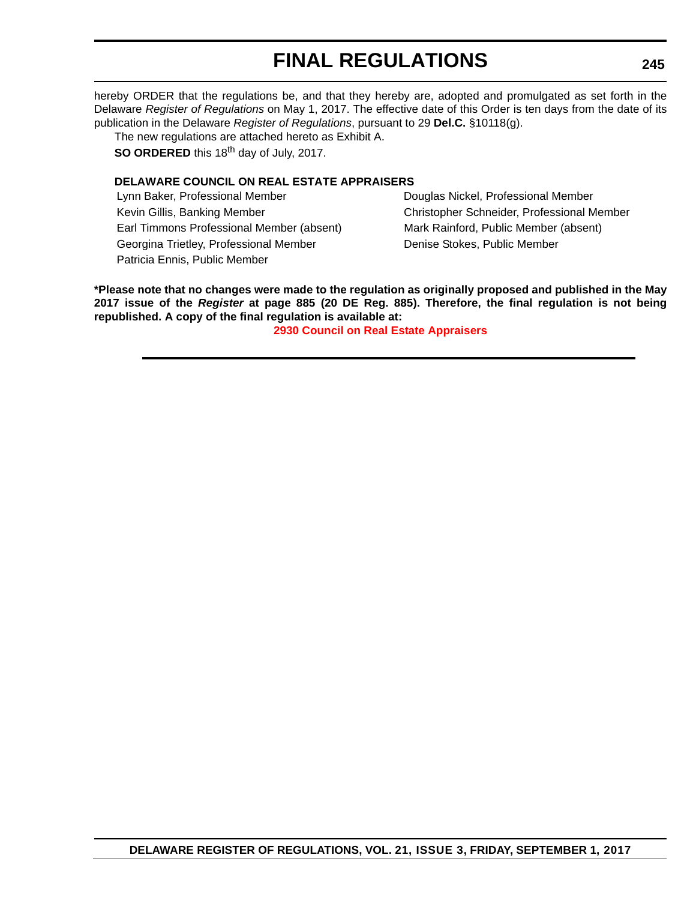hereby ORDER that the regulations be, and that they hereby are, adopted and promulgated as set forth in the Delaware *Register of Regulations* on May 1, 2017. The effective date of this Order is ten days from the date of its publication in the Delaware *Register of Regulations*, pursuant to 29 **Del.C.** §10118(g).

The new regulations are attached hereto as Exhibit A.

**SO ORDERED** this 18<sup>th</sup> day of July, 2017.

### **DELAWARE COUNCIL ON REAL ESTATE APPRAISERS**

Lynn Baker, Professional Member **Douglas Nickel, Professional Member** Douglas Nickel, Professional Member Earl Timmons Professional Member (absent) Mark Rainford, Public Member (absent) Georgina Trietley, Professional Member **Denise Stockes, Public Member** Denise Stockes, Public Member Patricia Ennis, Public Member

Kevin Gillis, Banking Member Christopher Schneider, Professional Member

**\*Please note that no changes were made to the regulation as originally proposed and published in the May 2017 issue of the** *Register* **at page 885 (20 DE Reg. 885). Therefore, the final regulation is not being republished. A copy of the final regulation is available at:**

**[2930 Council on Real Estate Appraisers](http://regulations.delaware.gov/register/september2017/final/21 DE Reg 244 09-01-17.htm)**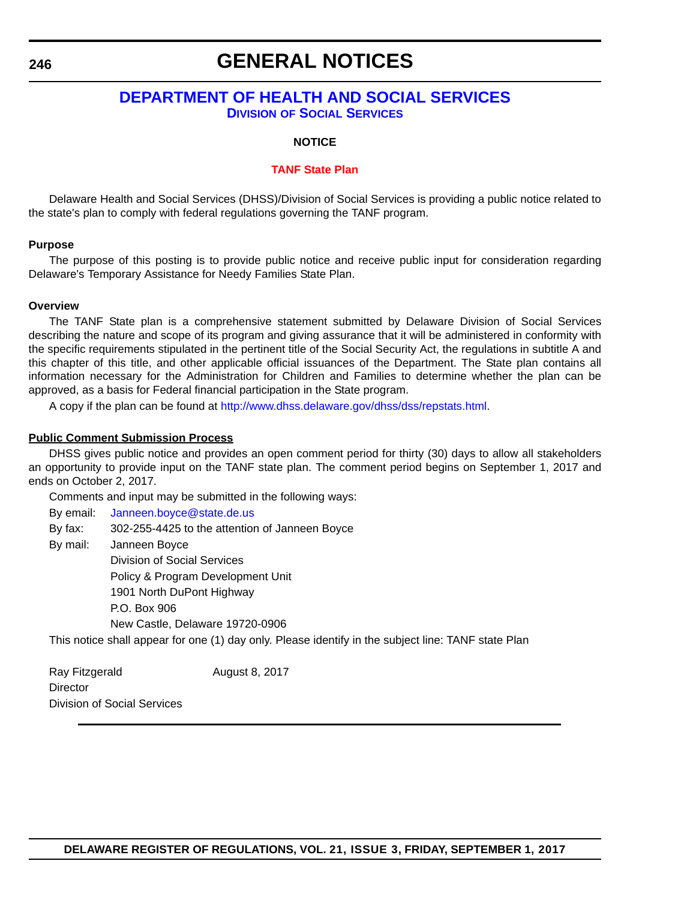# **GENERAL NOTICES**

# **[DEPARTMENT OF HEALTH AND SOCIAL SERVICES](http://www.dhss.delaware.gov/dhss/index.html) DIVISION [OF SOCIAL SERVICES](http://www.dhss.delaware.gov/dhss/dss/)**

#### **NOTICE**

#### **[TANF State Plan](#page-4-0)**

Delaware Health and Social Services (DHSS)/Division of Social Services is providing a public notice related to the state's plan to comply with federal regulations governing the TANF program.

#### **Purpose**

The purpose of this posting is to provide public notice and receive public input for consideration regarding Delaware's Temporary Assistance for Needy Families State Plan.

#### **Overview**

The TANF State plan is a comprehensive statement submitted by Delaware Division of Social Services describing the nature and scope of its program and giving assurance that it will be administered in conformity with the specific requirements stipulated in the pertinent title of the Social Security Act, the regulations in subtitle A and this chapter of this title, and other applicable official issuances of the Department. The State plan contains all information necessary for the Administration for Children and Families to determine whether the plan can be approved, as a basis for Federal financial participation in the State program.

A copy if the plan can be found at<http://www.dhss.delaware.gov/dhss/dss/repstats.html>.

#### **Public Comment Submission Process**

DHSS gives public notice and provides an open comment period for thirty (30) days to allow all stakeholders an opportunity to provide input on the TANF state plan. The comment period begins on September 1, 2017 and ends on October 2, 2017.

Comments and input may be submitted in the following ways:

By email: [Janneen.boyce@state.de.us](mailto:Janneen.boyce@state.de.us)

By fax: 302-255-4425 to the attention of Janneen Boyce

By mail: Janneen Boyce

Division of Social Services Policy & Program Development Unit 1901 North DuPont Highway P.O. Box 906 New Castle, Delaware 19720-0906

This notice shall appear for one (1) day only. Please identify in the subject line: TANF state Plan

Ray Fitzgerald August 8, 2017 **Director** Division of Social Services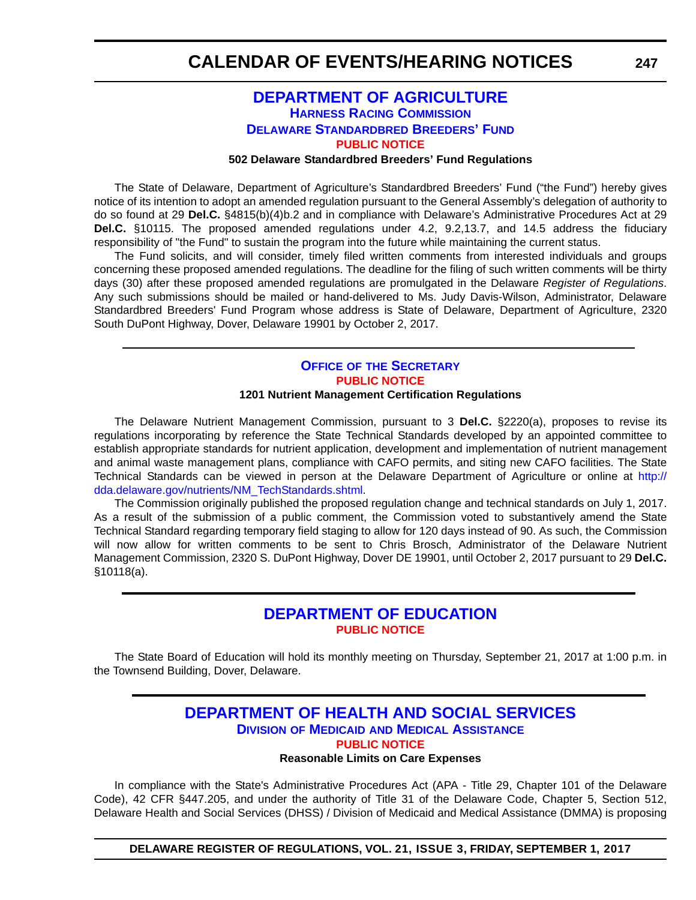# **[DEPARTMENT OF AGRICULTURE](http://dda.delaware.gov/) [HARNESS RACING COMMISSION](http://dda.delaware.gov/harness/index.shtml) [DELAWARE STANDARDBRED BREEDERS' FUND](http://desbf.delaware.gov/) [PUBLIC NOTICE](#page-4-0)**

#### **502 Delaware Standardbred Breeders' Fund Regulations**

The State of Delaware, Department of Agriculture's Standardbred Breeders' Fund ("the Fund") hereby gives notice of its intention to adopt an amended regulation pursuant to the General Assembly's delegation of authority to do so found at 29 **Del.C.** §4815(b)(4)b.2 and in compliance with Delaware's Administrative Procedures Act at 29 **Del.C.** §10115. The proposed amended regulations under 4.2, 9.2,13.7, and 14.5 address the fiduciary responsibility of "the Fund" to sustain the program into the future while maintaining the current status.

The Fund solicits, and will consider, timely filed written comments from interested individuals and groups concerning these proposed amended regulations. The deadline for the filing of such written comments will be thirty days (30) after these proposed amended regulations are promulgated in the Delaware *Register of Regulations*. Any such submissions should be mailed or hand-delivered to Ms. Judy Davis-Wilson, Administrator, Delaware Standardbred Breeders' Fund Program whose address is State of Delaware, Department of Agriculture, 2320 South DuPont Highway, Dover, Delaware 19901 by October 2, 2017.

#### **OFFICE OF [THE SECRETARY](http://dda.delaware.gov/nutrients/index.shtml) [PUBLIC NOTICE](#page-4-0) 1201 Nutrient Management Certification Regulations**

The Delaware Nutrient Management Commission, pursuant to 3 **Del.C.** §2220(a), proposes to revise its regulations incorporating by reference the State Technical Standards developed by an appointed committee to establish appropriate standards for nutrient application, development and implementation of nutrient management and animal waste management plans, compliance with CAFO permits, and siting new CAFO facilities. The State Technical Standards can be viewed in person at the Delaware Department of Agriculture or online at http:// dda.delaware.gov/nutrients/NM\_TechStandards.shtml.

The Commission originally published the proposed regulation change and technical standards on July 1, 2017. As a result of the submission of a public comment, the Commission voted to substantively amend the State Technical Standard regarding temporary field staging to allow for 120 days instead of 90. As such, the Commission will now allow for written comments to be sent to Chris Brosch, Administrator of the Delaware Nutrient Management Commission, 2320 S. DuPont Highway, Dover DE 19901, until October 2, 2017 pursuant to 29 **Del.C.** §10118(a).

## **[DEPARTMENT OF EDUCATION](https://www.doe.k12.de.us/) [PUBLIC NOTICE](#page-4-0)**

The State Board of Education will hold its monthly meeting on Thursday, September 21, 2017 at 1:00 p.m. in the Townsend Building, Dover, Delaware.

## **[DEPARTMENT OF HEALTH AND SOCIAL SERVICES](http://www.dhss.delaware.gov/dhss/index.html) DIVISION OF MEDICAID [AND MEDICAL ASSISTANCE](http://www.dhss.delaware.gov/dhss/dmma/) [PUBLIC NOTICE](#page-4-0) Reasonable Limits on Care Expenses**

In compliance with the State's Administrative Procedures Act (APA - Title 29, Chapter 101 of the Delaware Code), 42 CFR §447.205, and under the authority of Title 31 of the Delaware Code, Chapter 5, Section 512, Delaware Health and Social Services (DHSS) / Division of Medicaid and Medical Assistance (DMMA) is proposing

**DELAWARE REGISTER OF REGULATIONS, VOL. 21, ISSUE 3, FRIDAY, SEPTEMBER 1, 2017**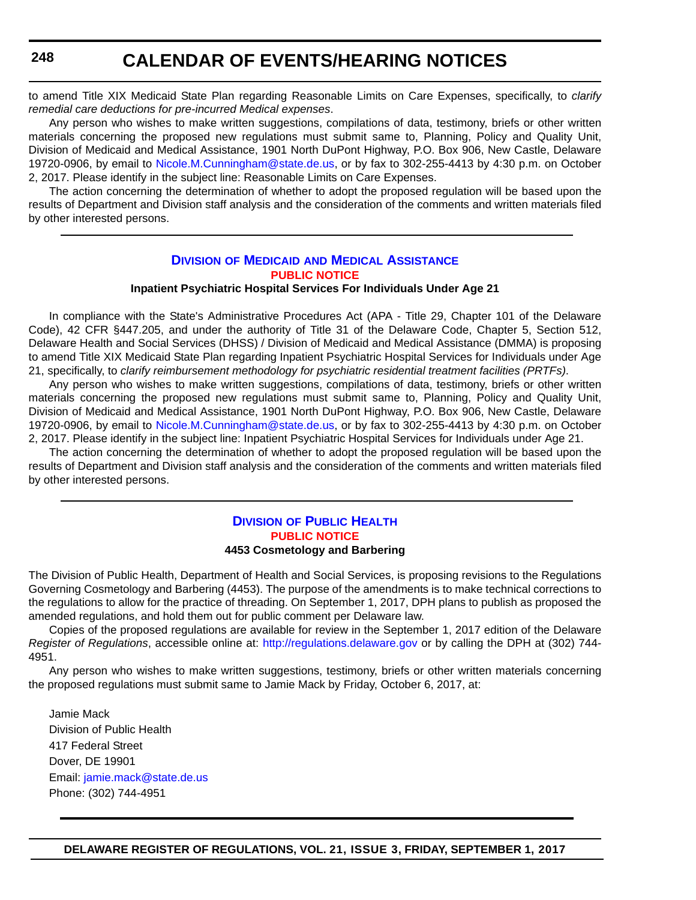to amend Title XIX Medicaid State Plan regarding Reasonable Limits on Care Expenses, specifically, to *clarify remedial care deductions for pre-incurred Medical expenses*.

Any person who wishes to make written suggestions, compilations of data, testimony, briefs or other written materials concerning the proposed new regulations must submit same to, Planning, Policy and Quality Unit, Division of Medicaid and Medical Assistance, 1901 North DuPont Highway, P.O. Box 906, New Castle, Delaware 19720-0906, by email to [Nicole.M.Cunningham@state.de.us](mailto:Nicole.M.Cunningham@state.de.us), or by fax to 302-255-4413 by 4:30 p.m. on October 2, 2017. Please identify in the subject line: Reasonable Limits on Care Expenses.

The action concerning the determination of whether to adopt the proposed regulation will be based upon the results of Department and Division staff analysis and the consideration of the comments and written materials filed by other interested persons.

# **DIVISION OF MEDICAID [AND MEDICAL ASSISTANCE](http://www.dhss.delaware.gov/dhss/dmma/) [PUBLIC NOTICE](#page-4-0)**

#### **Inpatient Psychiatric Hospital Services For Individuals Under Age 21**

In compliance with the State's Administrative Procedures Act (APA - Title 29, Chapter 101 of the Delaware Code), 42 CFR §447.205, and under the authority of Title 31 of the Delaware Code, Chapter 5, Section 512, Delaware Health and Social Services (DHSS) / Division of Medicaid and Medical Assistance (DMMA) is proposing to amend Title XIX Medicaid State Plan regarding Inpatient Psychiatric Hospital Services for Individuals under Age 21, specifically, to *clarify reimbursement methodology for psychiatric residential treatment facilities (PRTFs)*.

Any person who wishes to make written suggestions, compilations of data, testimony, briefs or other written materials concerning the proposed new regulations must submit same to, Planning, Policy and Quality Unit, Division of Medicaid and Medical Assistance, 1901 North DuPont Highway, P.O. Box 906, New Castle, Delaware 19720-0906, by email to [Nicole.M.Cunningham@state.de.us](mailto:Nicole.M.Cunningham@state.de.us), or by fax to 302-255-4413 by 4:30 p.m. on October 2, 2017. Please identify in the subject line: Inpatient Psychiatric Hospital Services for Individuals under Age 21.

The action concerning the determination of whether to adopt the proposed regulation will be based upon the results of Department and Division staff analysis and the consideration of the comments and written materials filed by other interested persons.

#### **DIVISION [OF PUBLIC HEALTH](http://www.dhss.delaware.gov/dhss/dph/index.html) [PUBLIC NOTICE](#page-4-0) 4453 Cosmetology and Barbering**

The Division of Public Health, Department of Health and Social Services, is proposing revisions to the Regulations Governing Cosmetology and Barbering (4453). The purpose of the amendments is to make technical corrections to the regulations to allow for the practice of threading. On September 1, 2017, DPH plans to publish as proposed the amended regulations, and hold them out for public comment per Delaware law.

Copies of the proposed regulations are available for review in the September 1, 2017 edition of the Delaware *Register of Regulations*, accessible online at: <http://regulations.delaware.gov> or by calling the DPH at (302) 744- 4951.

Any person who wishes to make written suggestions, testimony, briefs or other written materials concerning the proposed regulations must submit same to Jamie Mack by Friday, October 6, 2017, at:

Jamie Mack Division of Public Health 417 Federal Street Dover, DE 19901 Email: [jamie.mack@state.de.us](mailto:jamie.mack@state.de.us) Phone: (302) 744-4951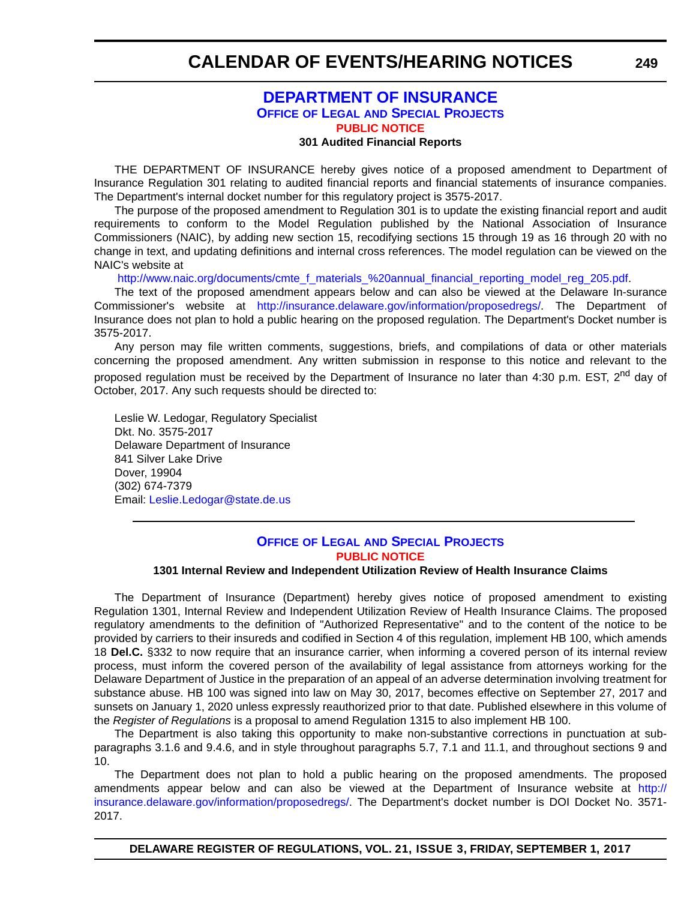## **[DEPARTMENT OF INSURANCE](http://insurance.delaware.gov/) OFFICE OF LEGAL [AND SPECIAL PROJECTS](http://insurance.delaware.gov/divisions/) [PUBLIC NOTICE](#page-4-0)**

#### **301 Audited Financial Reports**

THE DEPARTMENT OF INSURANCE hereby gives notice of a proposed amendment to Department of Insurance Regulation 301 relating to audited financial reports and financial statements of insurance companies. The Department's internal docket number for this regulatory project is 3575-2017.

The purpose of the proposed amendment to Regulation 301 is to update the existing financial report and audit requirements to conform to the Model Regulation published by the National Association of Insurance Commissioners (NAIC), by adding new section 15, recodifying sections 15 through 19 as 16 through 20 with no change in text, and updating definitions and internal cross references. The model regulation can be viewed on the NAIC's website at

[http://www.naic.org/documents/cmte\\_f\\_materials\\_%20annual\\_financial\\_reporting\\_model\\_reg\\_205.pdf.](http://www.naic.org/documents/cmte_f_materials_%20annual_financial_reporting_model_reg_205.pdf)

The text of the proposed amendment appears below and can also be viewed at the Delaware In-surance Commissioner's website at [http://insurance.delaware.gov/information/proposedregs/.](http://insurance.delaware.gov/information/proposedregs/) The Department of Insurance does not plan to hold a public hearing on the proposed regulation. The Department's Docket number is 3575-2017.

Any person may file written comments, suggestions, briefs, and compilations of data or other materials concerning the proposed amendment. Any written submission in response to this notice and relevant to the proposed regulation must be received by the Department of Insurance no later than 4:30 p.m. EST, 2<sup>nd</sup> day of October, 2017. Any such requests should be directed to:

Leslie W. Ledogar, Regulatory Specialist Dkt. No. 3575-2017 Delaware Department of Insurance 841 Silver Lake Drive Dover, 19904 (302) 674-7379 Email: [Leslie.Ledogar@state.de.us](mailto:Leslie.Ledogar@state.de.us)

### **OFFICE OF LEGAL [AND SPECIAL PROJECTS](http://insurance.delaware.gov/divisions/) [PUBLIC NOTICE](#page-4-0)**

#### **1301 Internal Review and Independent Utilization Review of Health Insurance Claims**

The Department of Insurance (Department) hereby gives notice of proposed amendment to existing Regulation 1301, Internal Review and Independent Utilization Review of Health Insurance Claims. The proposed regulatory amendments to the definition of "Authorized Representative" and to the content of the notice to be provided by carriers to their insureds and codified in Section 4 of this regulation, implement HB 100, which amends 18 **Del.C.** §332 to now require that an insurance carrier, when informing a covered person of its internal review process, must inform the covered person of the availability of legal assistance from attorneys working for the Delaware Department of Justice in the preparation of an appeal of an adverse determination involving treatment for substance abuse. HB 100 was signed into law on May 30, 2017, becomes effective on September 27, 2017 and sunsets on January 1, 2020 unless expressly reauthorized prior to that date. Published elsewhere in this volume of the *Register of Regulations* is a proposal to amend Regulation 1315 to also implement HB 100.

The Department is also taking this opportunity to make non-substantive corrections in punctuation at subparagraphs 3.1.6 and 9.4.6, and in style throughout paragraphs 5.7, 7.1 and 11.1, and throughout sections 9 and 10.

The Department does not plan to hold a public hearing on the proposed amendments. The proposed amendments appear below and can also be viewed at the Department of Insurance website at [http://](http://insurance.delaware.gov/information/proposedregs/) [insurance.delaware.gov/information/proposedregs/](http://insurance.delaware.gov/information/proposedregs/). The Department's docket number is DOI Docket No. 3571- 2017.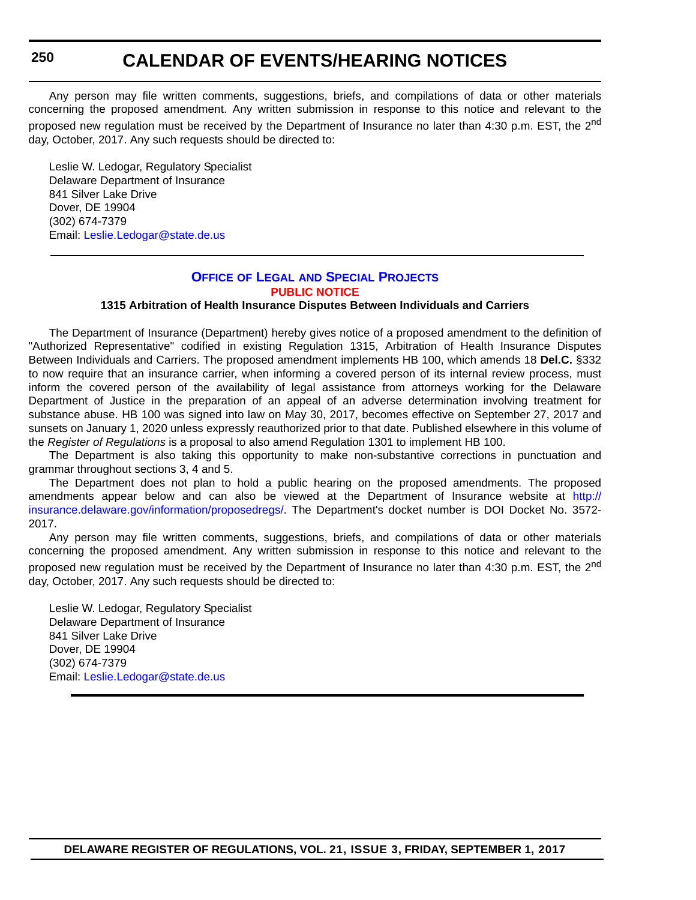Any person may file written comments, suggestions, briefs, and compilations of data or other materials concerning the proposed amendment. Any written submission in response to this notice and relevant to the proposed new regulation must be received by the Department of Insurance no later than 4:30 p.m. EST, the 2<sup>nd</sup> day, October, 2017. Any such requests should be directed to:

Leslie W. Ledogar, Regulatory Specialist Delaware Department of Insurance 841 Silver Lake Drive Dover, DE 19904 (302) 674-7379 Email: [Leslie.Ledogar@state.de.us](mailto:Leslie.Ledogar@state.de.us)

## **OFFICE OF LEGAL [AND SPECIAL PROJECTS](http://insurance.delaware.gov/divisions/) [PUBLIC NOTICE](#page-4-0)**

#### **1315 Arbitration of Health Insurance Disputes Between Individuals and Carriers**

The Department of Insurance (Department) hereby gives notice of a proposed amendment to the definition of "Authorized Representative" codified in existing Regulation 1315, Arbitration of Health Insurance Disputes Between Individuals and Carriers. The proposed amendment implements HB 100, which amends 18 **Del.C.** §332 to now require that an insurance carrier, when informing a covered person of its internal review process, must inform the covered person of the availability of legal assistance from attorneys working for the Delaware Department of Justice in the preparation of an appeal of an adverse determination involving treatment for substance abuse. HB 100 was signed into law on May 30, 2017, becomes effective on September 27, 2017 and sunsets on January 1, 2020 unless expressly reauthorized prior to that date. Published elsewhere in this volume of the *Register of Regulations* is a proposal to also amend Regulation 1301 to implement HB 100.

The Department is also taking this opportunity to make non-substantive corrections in punctuation and grammar throughout sections 3, 4 and 5.

The Department does not plan to hold a public hearing on the proposed amendments. The proposed amendments appear below and can also be viewed at the Department of Insurance website at [http://](http://insurance.delaware.gov/information/proposedregs/) [insurance.delaware.gov/information/proposedregs/.](http://insurance.delaware.gov/information/proposedregs/) The Department's docket number is DOI Docket No. 3572- 2017.

Any person may file written comments, suggestions, briefs, and compilations of data or other materials concerning the proposed amendment. Any written submission in response to this notice and relevant to the proposed new regulation must be received by the Department of Insurance no later than 4:30 p.m. EST, the 2<sup>nd</sup> day, October, 2017. Any such requests should be directed to:

Leslie W. Ledogar, Regulatory Specialist Delaware Department of Insurance 841 Silver Lake Drive Dover, DE 19904 (302) 674-7379 Email: [Leslie.Ledogar@state.de.us](mailto:Leslie.Ledogar@state.de.us)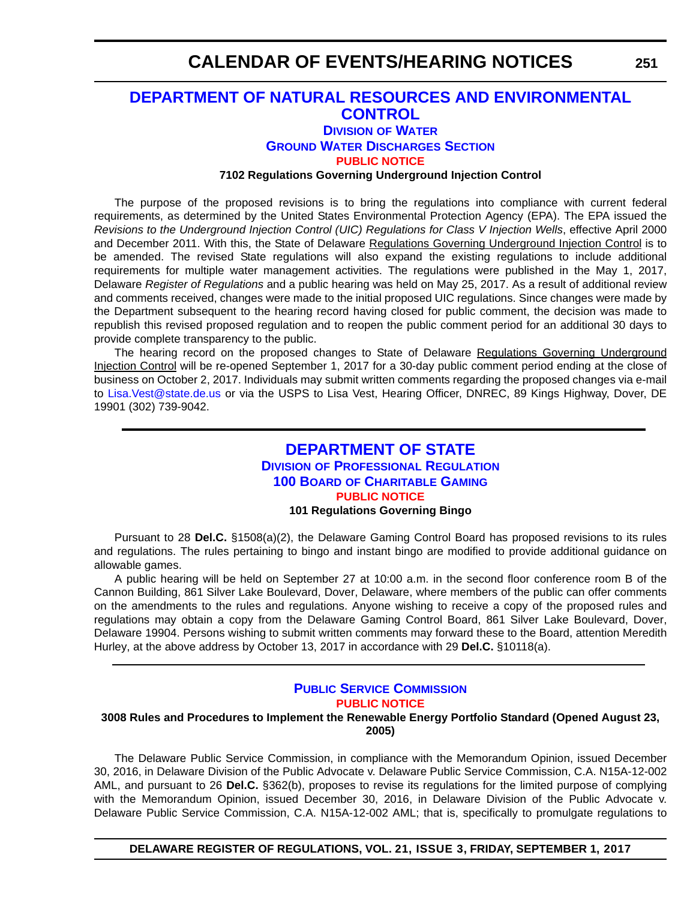## **[DEPARTMENT OF NATURAL RESOURCES AND ENVIRONMENTAL](http://dnrec.alpha.delaware.gov/)  CONTROL**

## **DIVISION [OF WATER](http://www.dnrec.delaware.gov/wr/Pages/Default.aspx)**

**[GROUND WATER DISCHARGES SECTION](http://www.dnrec.delaware.gov/wr/Services/Pages/GroundWaterDischarges.aspx)**

**[PUBLIC NOTICE](#page-4-0)**

**7102 Regulations Governing Underground Injection Control**

The purpose of the proposed revisions is to bring the regulations into compliance with current federal requirements, as determined by the United States Environmental Protection Agency (EPA). The EPA issued the *Revisions to the Underground Injection Control (UIC) Regulations for Class V Injection Wells*, effective April 2000 and December 2011. With this, the State of Delaware Regulations Governing Underground Injection Control is to be amended. The revised State regulations will also expand the existing regulations to include additional requirements for multiple water management activities. The regulations were published in the May 1, 2017, Delaware *Register of Regulations* and a public hearing was held on May 25, 2017. As a result of additional review and comments received, changes were made to the initial proposed UIC regulations. Since changes were made by the Department subsequent to the hearing record having closed for public comment, the decision was made to republish this revised proposed regulation and to reopen the public comment period for an additional 30 days to provide complete transparency to the public.

The hearing record on the proposed changes to State of Delaware Regulations Governing Underground Injection Control will be re-opened September 1, 2017 for a 30-day public comment period ending at the close of business on October 2, 2017. Individuals may submit written comments regarding the proposed changes via e-mail to [Lisa.Vest@state.de.us](mailto:Lisa.Vest@state.de.us) or via the USPS to Lisa Vest, Hearing Officer, DNREC, 89 Kings Highway, Dover, DE 19901 (302) 739-9042.

## **[DEPARTMENT OF STATE](http://sos.delaware.gov/) DIVISION [OF PROFESSIONAL REGULATION](http://dpr.delaware.gov/) 100 BOARD [OF CHARITABLE GAMING](http://dpr.delaware.gov/boards/gaming/) [PUBLIC NOTICE](#page-4-0) 101 Regulations Governing Bingo**

Pursuant to 28 **Del.C.** §1508(a)(2), the Delaware Gaming Control Board has proposed revisions to its rules and regulations. The rules pertaining to bingo and instant bingo are modified to provide additional guidance on allowable games.

A public hearing will be held on September 27 at 10:00 a.m. in the second floor conference room B of the Cannon Building, 861 Silver Lake Boulevard, Dover, Delaware, where members of the public can offer comments on the amendments to the rules and regulations. Anyone wishing to receive a copy of the proposed rules and regulations may obtain a copy from the Delaware Gaming Control Board, 861 Silver Lake Boulevard, Dover, Delaware 19904. Persons wishing to submit written comments may forward these to the Board, attention Meredith Hurley, at the above address by October 13, 2017 in accordance with 29 **Del.C.** §10118(a).

### **[PUBLIC SERVICE COMMISSION](http://depsc.delaware.gov/) [PUBLIC NOTICE](#page-4-0)**

#### **3008 Rules and Procedures to Implement the Renewable Energy Portfolio Standard (Opened August 23, 2005)**

The Delaware Public Service Commission, in compliance with the Memorandum Opinion, issued December 30, 2016, in Delaware Division of the Public Advocate v. Delaware Public Service Commission, C.A. N15A-12-002 AML, and pursuant to 26 **Del.C.** §362(b), proposes to revise its regulations for the limited purpose of complying with the Memorandum Opinion, issued December 30, 2016, in Delaware Division of the Public Advocate v. Delaware Public Service Commission, C.A. N15A-12-002 AML; that is, specifically to promulgate regulations to

**DELAWARE REGISTER OF REGULATIONS, VOL. 21, ISSUE 3, FRIDAY, SEPTEMBER 1, 2017**